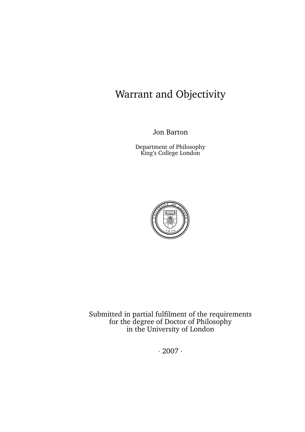# Warrant and Objectivity

Jon Barton

Department of Philosophy King's College London



 $heta$  is dependence of the magnitude  $\frac{1}{2}$  fultiled in partial fultile parameter show causing particles. **accurate or exhaustive as at the date of publication. In the event of uncertainty over legal rights and obligations, the ULACTER IN STRONGLY UP IN SEEK LEGAL ADVICE FROM A CIT THIS SOPILY London and the University of London** suffered by  $\alpha$ Submitted in partial fulfilment of the requirements for the degree of Doctor of Philosophy in the University of London

**WHO WANTS DECENT ACCOMMODATION WITH FEW HASSLES?**  $.2007.$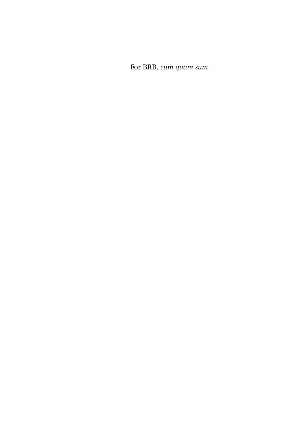For BRB, *cum quam sum*.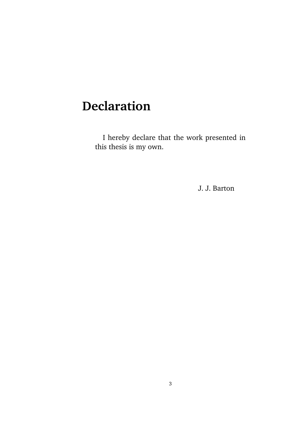# **Declaration**

I hereby declare that the work presented in this thesis is my own.

J. J. Barton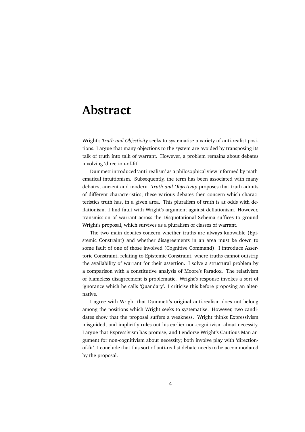## **Abstract**

Wright's *Truth and Objectivity* seeks to systematise a variety of anti-realist positions. I argue that many objections to the system are avoided by transposing its talk of truth into talk of warrant. However, a problem remains about debates involving 'direction-of-fit'.

Dummett introduced 'anti-realism' as a philosophical view informed by mathematical intuitionism. Subsequently, the term has been associated with many debates, ancient and modern. *Truth and Objectivity* proposes that truth admits of different characteristics; these various debates then concern which characteristics truth has, in a given area. This pluralism of truth is at odds with deflationism. I find fault with Wright's argument against deflationism. However, transmission of warrant across the Disquotational Schema suffices to ground Wright's proposal, which survives as a pluralism of classes of warrant.

The two main debates concern whether truths are always knowable (Epistemic Constraint) and whether disagreements in an area must be down to some fault of one of those involved (Cognitive Command). I introduce Assertoric Constraint, relating to Epistemic Constraint, where truths cannot outstrip the availability of warrant for their assertion. I solve a structural problem by a comparison with a constitutive analysis of Moore's Paradox. The relativism of blameless disagreement is problematic. Wright's response invokes a sort of ignorance which he calls 'Quandary'. I criticise this before proposing an alternative.

I agree with Wright that Dummett's original anti-realism does not belong among the positions which Wright seeks to systematise. However, two candidates show that the proposal suffers a weakness. Wright thinks Expressivism misguided, and implicitly rules out his earlier non-cognitivism about necessity. I argue that Expressivism has promise, and I endorse Wright's Cautious Man argument for non-cognitivism about necessity; both involve play with 'directionof-fit'. I conclude that this sort of anti-realist debate needs to be accommodated by the proposal.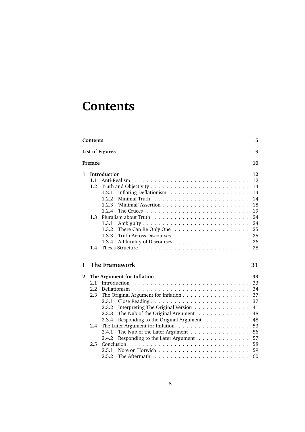# **Contents**

|          | Contents<br>5               |                                                                                                                                                                                                                                                                                                                                                                                                                                      |                                                          |  |  |  |
|----------|-----------------------------|--------------------------------------------------------------------------------------------------------------------------------------------------------------------------------------------------------------------------------------------------------------------------------------------------------------------------------------------------------------------------------------------------------------------------------------|----------------------------------------------------------|--|--|--|
|          | <b>List of Figures</b><br>9 |                                                                                                                                                                                                                                                                                                                                                                                                                                      |                                                          |  |  |  |
|          | Preface<br>10               |                                                                                                                                                                                                                                                                                                                                                                                                                                      |                                                          |  |  |  |
| 1        | 1.1<br>1.2                  | Introduction<br>Anti-Realism<br>1.2.1                                                                                                                                                                                                                                                                                                                                                                                                | 12<br>12<br>14<br>14                                     |  |  |  |
|          |                             | 1.2.2<br>Minimal Truth<br>1.2.3<br>1.2.4<br>The Cruces                                                                                                                                                                                                                                                                                                                                                                               | 14<br>18<br>19                                           |  |  |  |
|          | 1.3                         | Pluralism about Truth<br>1.3.1<br>1.3.2<br>There Can Be Only One $\dots \dots \dots \dots \dots \dots$<br>1.3.3<br>Truth Across Discourses                                                                                                                                                                                                                                                                                           | 24<br>24<br>25<br>25                                     |  |  |  |
|          | 1.4                         | A Plurality of Discourses<br>1.3.4                                                                                                                                                                                                                                                                                                                                                                                                   | 26<br>28                                                 |  |  |  |
| L        |                             | The Framework                                                                                                                                                                                                                                                                                                                                                                                                                        | 31                                                       |  |  |  |
| $\bf{2}$ |                             | The Argument for Inflation                                                                                                                                                                                                                                                                                                                                                                                                           | 33                                                       |  |  |  |
|          | 2.1<br>2.2<br>2.3<br>2.4    | Introduction $\cdots$ $\cdots$ $\cdots$ $\cdots$ $\cdots$ $\cdots$ $\cdots$ $\cdots$<br>The Original Argument for Inflation<br>2.3.1<br>Interpreting The Original Version<br>2.3.2<br>2.3.3<br>The Nub of the Original Argument $\ldots \ldots \ldots \ldots$<br>Responding to the Original Argument<br>2.3.4<br>The Nub of the Later Argument $\dots \dots \dots \dots \dots$<br>2.4.1<br>Responding to the Later Argument<br>2.4.2 | 33<br>34<br>37<br>37<br>41<br>48<br>48<br>53<br>56<br>57 |  |  |  |
|          | 2.5                         | Conclusion<br>2.5.1<br>2.5.2<br>The Aftermath                                                                                                                                                                                                                                                                                                                                                                                        | 58<br>59<br>60                                           |  |  |  |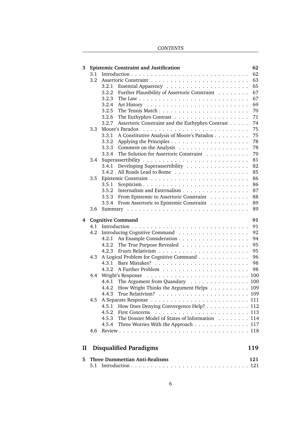**CONTENTS** 

| 3            |     |       | <b>Epistemic Constraint and Justification</b>                     |  | 62  |
|--------------|-----|-------|-------------------------------------------------------------------|--|-----|
|              | 3.1 |       |                                                                   |  | 62  |
|              | 3.2 |       |                                                                   |  | 63  |
|              |     | 3.2.1 |                                                                   |  | 65  |
|              |     | 3.2.2 | Further Plausibility of Assertoric Constraint                     |  | 67  |
|              |     | 3.2.3 |                                                                   |  | 67  |
|              |     | 3.2.4 |                                                                   |  | 69  |
|              |     | 3.2.5 |                                                                   |  | 70  |
|              |     | 3.2.6 |                                                                   |  | 71  |
|              |     | 3.2.7 | Assertoric Constraint and the Euthyphro Contrast                  |  | 74  |
|              | 3.3 |       |                                                                   |  | 75  |
|              |     | 3.3.1 | A Constitutive Analysis of Moore's Paradox                        |  | 75  |
|              |     | 3.3.2 |                                                                   |  | 78  |
|              |     | 3.3.3 |                                                                   |  | 78  |
|              |     | 3.3.4 | The Solution for Assertoric Constraint                            |  | 79  |
|              | 3.4 |       |                                                                   |  | 81  |
|              |     | 3.4.1 | Developing Superassertibility                                     |  | 82  |
|              |     | 3.4.2 |                                                                   |  | 85  |
|              | 3.5 |       |                                                                   |  | 86  |
|              |     | 3.5.1 |                                                                   |  | 86  |
|              |     | 3.5.2 | Internalism and Externalism                                       |  | 87  |
|              |     | 3.5.3 | From Epistemic to Assertoric Constraint                           |  | 88  |
|              |     | 3.5.4 | From Assertoric to Epistemic Constraint                           |  | 89  |
|              | 3.6 |       |                                                                   |  | 89  |
|              |     |       |                                                                   |  |     |
| 4            |     |       | <b>Cognitive Command</b>                                          |  | 91  |
|              | 4.1 |       |                                                                   |  | 91  |
|              | 4.2 |       |                                                                   |  | 92  |
|              |     | 4.2.1 |                                                                   |  | 94  |
|              |     | 4.2.2 | The True Purpose Revealed                                         |  | 95  |
|              |     | 4.2.3 |                                                                   |  | 95  |
|              | 4.3 |       | A Logical Problem for Cognitive Command                           |  | 96  |
|              |     | 4.3.1 |                                                                   |  | 98  |
|              |     | 4.3.2 |                                                                   |  | 98  |
|              | 4.4 |       | Wright's Response                                                 |  |     |
|              |     | 4.4.1 | The Argument from Quandary 100                                    |  |     |
|              |     |       | 4.4.2 How Wright Thinks the Argument Helps 109                    |  |     |
|              |     |       |                                                                   |  |     |
|              | 4.5 |       |                                                                   |  |     |
|              |     | 4.5.1 | How Does Denying Convergence Help? 112                            |  |     |
|              |     | 4.5.2 | First Concerns $\ldots \ldots \ldots \ldots \ldots \ldots \ldots$ |  |     |
|              |     | 4.5.3 | The Dossier Model of States of Information 114                    |  |     |
|              |     | 4.5.4 | Three Worries With the Approach 117                               |  |     |
|              | 4.6 |       |                                                                   |  |     |
|              |     |       |                                                                   |  |     |
| $\mathbf{I}$ |     |       | <b>Disqualified Paradigms</b>                                     |  | 119 |
| 5            |     |       | <b>Three Dummettian Anti-Realisms</b>                             |  | 121 |
|              | 5.1 |       |                                                                   |  |     |
|              |     |       |                                                                   |  |     |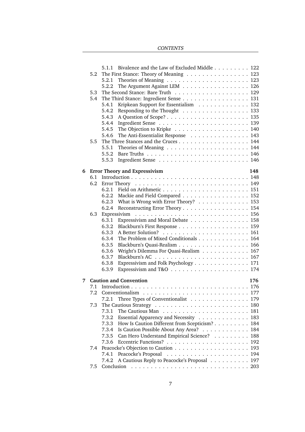## **CONTENTS**

|   |     | 5.1.1                                | Bivalence and the Law of Excluded Middle 122                                        |  |  |     |     |
|---|-----|--------------------------------------|-------------------------------------------------------------------------------------|--|--|-----|-----|
|   | 5.2 |                                      | The First Stance: Theory of Meaning $\ldots \ldots \ldots \ldots \ldots \ldots$ 123 |  |  |     |     |
|   |     | 5.2.1                                |                                                                                     |  |  |     |     |
|   |     | 5.2.2                                | The Argument Against LEM 126                                                        |  |  |     |     |
|   | 5.3 |                                      |                                                                                     |  |  |     |     |
|   | 5.4 |                                      | The Third Stance: Ingredient Sense 131                                              |  |  |     |     |
|   |     | 5.4.1                                | Kripkean Support for Essentialism 132                                               |  |  |     |     |
|   |     | 5.4.2                                | Responding to the Thought 133                                                       |  |  |     |     |
|   |     | 5.4.3                                |                                                                                     |  |  |     |     |
|   |     | 5.4.4                                |                                                                                     |  |  |     |     |
|   |     | 5.4.5                                |                                                                                     |  |  |     |     |
|   |     | 5.4.6                                | The Anti-Essentialist Response 143                                                  |  |  |     |     |
|   | 5.5 |                                      | The Three Stances and the Cruces 144                                                |  |  |     |     |
|   |     | 5.5.1                                | Theories of Meaning $\ldots \ldots \ldots \ldots \ldots \ldots \ldots 144$          |  |  |     |     |
|   |     | 5.5.2                                |                                                                                     |  |  |     |     |
|   |     | 5.5.3                                |                                                                                     |  |  |     |     |
| 6 |     | <b>Error Theory and Expressivism</b> |                                                                                     |  |  | 148 |     |
|   |     |                                      |                                                                                     |  |  |     |     |
|   | 6.2 |                                      |                                                                                     |  |  |     |     |
|   |     |                                      |                                                                                     |  |  |     |     |
|   |     |                                      | 6.2.2 Mackie and Field Compared 152                                                 |  |  |     |     |
|   |     |                                      | 6.2.3 What is Wrong with Error Theory? 153                                          |  |  |     |     |
|   |     | 6.2.4                                | Reconstructing Error Theory 154                                                     |  |  |     |     |
|   | 6.3 |                                      |                                                                                     |  |  |     |     |
|   |     | 6.3.1                                | Expressivism and Moral Debate 158                                                   |  |  |     |     |
|   |     | 6.3.2                                | Blackburn's First Response 159                                                      |  |  |     |     |
|   |     | 6.3.3                                |                                                                                     |  |  |     |     |
|   |     | 6.3.4                                | The Problem of Mixed Conditionals 164                                               |  |  |     |     |
|   |     | 6.3.5                                | Blackburn's Quasi-Realism 166                                                       |  |  |     |     |
|   |     | 6.3.6                                | Wright's Dilemma For Quasi-Realism 167                                              |  |  |     |     |
|   |     | 6.3.7                                |                                                                                     |  |  |     |     |
|   |     | 6.3.8                                | Expressivism and Folk Psychology 171                                                |  |  |     |     |
|   |     | 6.3.9                                | Expressivism and T&O $\ldots \ldots \ldots \ldots \ldots \ldots \ldots 174$         |  |  |     |     |
|   |     |                                      |                                                                                     |  |  |     |     |
| 7 |     |                                      | <b>Caution and Convention</b>                                                       |  |  |     | 176 |
|   | 7.1 |                                      |                                                                                     |  |  |     |     |
|   |     |                                      | 7.2 Conventionalism                                                                 |  |  |     |     |
|   |     | 7.2.1                                | Three Types of Conventionalist 179                                                  |  |  |     |     |
|   | 7.3 |                                      |                                                                                     |  |  |     |     |
|   |     | 7.3.1                                |                                                                                     |  |  |     |     |
|   |     | 7.3.2                                | Essential Apparency and Necessity 183                                               |  |  |     |     |
|   |     | 7.3.3                                | How Is Caution Different from Scepticism?                                           |  |  |     | 184 |
|   |     | 7.3.4                                | Is Caution Possible About Any Area?                                                 |  |  |     | 184 |
|   |     | 7.3.5                                | Can Hero Understand Empirical Science?                                              |  |  |     | 188 |
|   |     | 7.3.6                                |                                                                                     |  |  |     | 192 |
|   | 7.4 |                                      |                                                                                     |  |  |     | 193 |
|   |     | 7.4.1                                |                                                                                     |  |  |     |     |
|   |     | 7.4.2                                | A Cautious Reply to Peacocke's Proposal                                             |  |  |     | 197 |
|   | 7.5 | Conclusion                           |                                                                                     |  |  |     |     |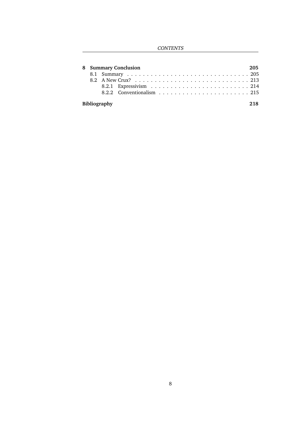**CONTENTS** 

|              | 8 Summary Conclusion<br>205 |  |  |  |  |  |  |
|--------------|-----------------------------|--|--|--|--|--|--|
|              |                             |  |  |  |  |  |  |
|              |                             |  |  |  |  |  |  |
|              |                             |  |  |  |  |  |  |
|              |                             |  |  |  |  |  |  |
|              |                             |  |  |  |  |  |  |
| Bibliography |                             |  |  |  |  |  |  |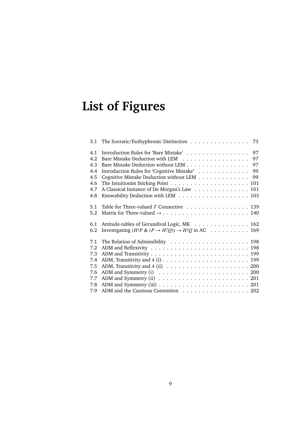# **List of Figures**

| 3.1 | The Socratic/Euthyphronic Distinction<br>73                                                  |
|-----|----------------------------------------------------------------------------------------------|
| 4.1 | Introduction Rules for 'Bare Mistake' 97                                                     |
| 4.2 | Bare Mistake Deduction with LEM 97                                                           |
| 4.3 | Bare Mistake Deduction without LEM 97                                                        |
| 4.4 | Introduction Rules for 'Cognitive Mistake' 99                                                |
| 4.5 | Cognitive Mistake Deduction without LEM<br>- 99                                              |
| 4.6 |                                                                                              |
| 4.7 | A Classical Instance of De Morgan's Law 101                                                  |
| 4.8 | Knowability Deduction with LEM 103                                                           |
| 5.1 | Table for Three-valued $T$ Connective 139                                                    |
| 5.2 |                                                                                              |
| 6.1 | Attitude-tables of Gerundival Logic, MK 162                                                  |
| 6.2 | Investigating $(H!P \& (P \rightarrow H!Q)) \rightarrow H!Q$ in AC 169                       |
| 7.1 |                                                                                              |
| 7.2 |                                                                                              |
| 7.3 |                                                                                              |
| 7.4 |                                                                                              |
| 7.5 | ADM, Transitivity and $4$ (ii) $\ldots \ldots \ldots \ldots \ldots \ldots \ldots \ldots 200$ |
| 7.6 |                                                                                              |
| 7.7 |                                                                                              |
| 7.8 |                                                                                              |
| 7.9 | ADM and the Cautious Contention 202                                                          |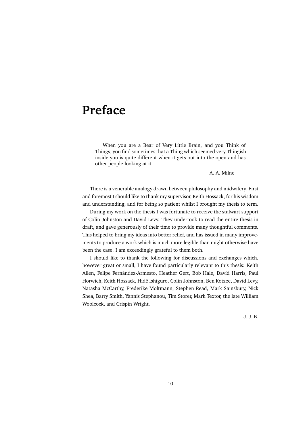## **Preface**

When you are a Bear of Very Little Brain, and you Think of Things, you find sometimes that a Thing which seemed very Thingish inside you is quite different when it gets out into the open and has other people looking at it.

A. A. Milne

There is a venerable analogy drawn between philosophy and midwifery. First and foremost I should like to thank my supervisor, Keith Hossack, for his wisdom and understanding, and for being so patient whilst I brought my thesis to term.

During my work on the thesis I was fortunate to receive the stalwart support of Colin Johnston and David Levy. They undertook to read the entire thesis in draft, and gave generously of their time to provide many thoughtful comments. This helped to bring my ideas into better relief, and has issued in many improvements to produce a work which is much more legible than might otherwise have been the case. I am exceedingly grateful to them both.

I should like to thank the following for discussions and exchanges which, however great or small, I have found particularly relevant to this thesis: Keith Allen, Felipe Fernández-Armesto, Heather Gert, Bob Hale, David Harris, Paul Horwich, Keith Hossack, Hidē Ishiguro, Colin Johnston, Ben Kotzee, David Levy, Natasha McCarthy, Frederike Moltmann, Stephen Read, Mark Sainsbury, Nick Shea, Barry Smith, Yannis Stephanou, Tim Storer, Mark Textor, the late William Woolcock, and Crispin Wright.

J. J. B.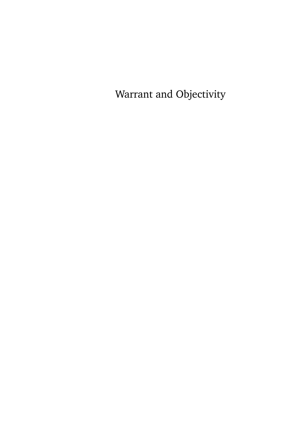Warrant and Objectivity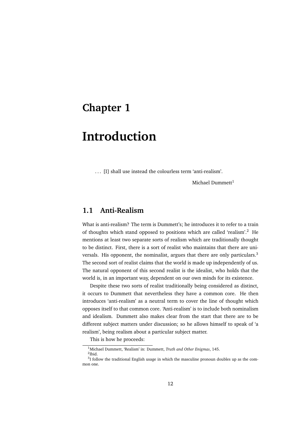## **Chapter 1**

# **Introduction**

. . . [I] shall use instead the colourless term 'anti-realism'.

Michael Dummett $1$ 

## **1.1 Anti-Realism**

What is anti-realism? The term is Dummett's; he introduces it to refer to a train of thoughts which stand opposed to positions which are called 'realism'.<sup>2</sup> He mentions at least two separate sorts of realism which are traditionally thought to be distinct. First, there is a sort of realist who maintains that there are universals. His opponent, the nominalist, argues that there are only particulars.<sup>3</sup> The second sort of realist claims that the world is made up independently of us. The natural opponent of this second realist is the idealist, who holds that the world is, in an important way, dependent on our own minds for its existence.

Despite these two sorts of realist traditionally being considered as distinct, it occurs to Dummett that nevertheless they have a common core. He then introduces 'anti-realism' as a neutral term to cover the line of thought which opposes itself to that common core. 'Anti-realism' is to include both nominalism and idealism. Dummett also makes clear from the start that there are to be different subject matters under discussion; so he allows himself to speak of 'a realism', being realism about a particular subject matter.

This is how he proceeds:

<sup>1</sup>Michael Dummett, 'Realism' in: Dummett, *Truth and Other Enigmas*, 145.

<sup>2</sup> Ibid.

 $3$ I follow the traditional English usage in which the masculine pronoun doubles up as the common one.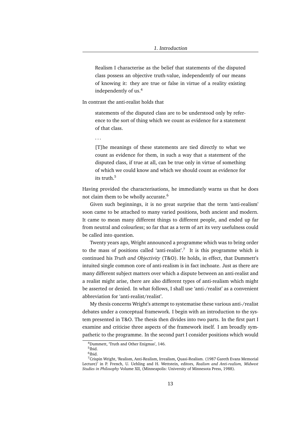Realism I characterise as the belief that statements of the disputed class possess an objective truth-value, independently of our means of knowing it: they are true or false in virtue of a reality existing independently of us.<sup>4</sup>

In contrast the anti-realist holds that

statements of the disputed class are to be understood only by reference to the sort of thing which we count as evidence for a statement of that class.

. . .

[T]he meanings of these statements are tied directly to what we count as evidence for them, in such a way that a statement of the disputed class, if true at all, can be true only in virtue of something of which we could know and which we should count as evidence for its truth 5

Having provided the characterisations, he immediately warns us that he does not claim them to be wholly accurate.<sup>6</sup>

Given such beginnings, it is no great surprise that the term 'anti-realism' soon came to be attached to many varied positions, both ancient and modern. It came to mean many different things to different people, and ended up far from neutral and colourless; so far that as a term of art its very usefulness could be called into question.

Twenty years ago, Wright announced a programme which was to bring order to the mass of positions called 'anti-realist'.<sup>7</sup> It is this programme which is continued his *Truth and Objectivity* (T&O). He holds, in effect, that Dummett's intuited single common core of anti-realism is in fact inchoate. Just as there are many different subject matters over which a dispute between an anti-realist and a realist might arise, there are also different types of anti-realism which might be asserted or denied. In what follows, I shall use 'anti-/realist' as a convenient abbreviation for 'anti-realist/realist'.

My thesis concerns Wright's attempt to systematise these various anti-/realist debates under a conceptual framework. I begin with an introduction to the system presented in T&O. The thesis then divides into two parts. In the first part I examine and criticise three aspects of the framework itself. I am broadly sympathetic to the programme. In the second part I consider positions which would

<sup>4</sup>Dummett, 'Truth and Other Enigmas', 146.

<sup>5</sup> Ibid.

<sup>6</sup> Ibid.

<sup>7</sup>Crispin Wright, 'Realism, Anti-Realism, Irrealism, Quasi-Realism. (1987 Gareth Evans Memorial Lecture)' in P. French, U. Uehling and H. Wettstein, editors, *Realism and Anti-realism, Midwest Studies in Philosophy* Volume XII, (Minneapolis: University of Minnesota Press, 1988).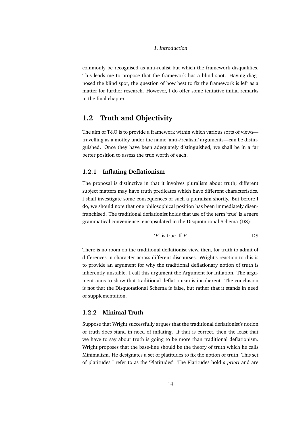commonly be recognised as anti-realist but which the framework disqualifies. This leads me to propose that the framework has a blind spot. Having diagnosed the blind spot, the question of how best to fix the framework is left as a matter for further research. However, I do offer some tentative initial remarks in the final chapter.

## **1.2 Truth and Objectivity**

The aim of T&O is to provide a framework within which various sorts of views travelling as a motley under the name 'anti-/realism' arguments—can be distinguished. Once they have been adequately distinguished, we shall be in a far better position to assess the true worth of each.

## **1.2.1 Inflating Deflationism**

The proposal is distinctive in that it involves pluralism about truth; different subject matters may have truth predicates which have different characteristics. I shall investigate some consequences of such a pluralism shortly. But before I do, we should note that one philosophical position has been immediately disenfranchised. The traditional deflationist holds that use of the term 'true' is a mere grammatical convenience, encapsulated in the Disquotational Schema (DS):

$$
P'
$$
 is true iff  $P$ 

There is no room on the traditional deflationist view, then, for truth to admit of differences in character across different discourses. Wright's reaction to this is to provide an argument for why the traditional deflationary notion of truth is inherently unstable. I call this argument the Argument for Inflation. The argument aims to show that traditional deflationism is incoherent. The conclusion is not that the Disquotational Schema is false, but rather that it stands in need of supplementation.

## **1.2.2 Minimal Truth**

Suppose that Wright successfully argues that the traditional deflationist's notion of truth does stand in need of inflating. If that is correct, then the least that we have to say about truth is going to be more than traditional deflationism. Wright proposes that the base-line should be the theory of truth which he calls Minimalism. He designates a set of platitudes to fix the notion of truth. This set of platitudes I refer to as the 'Platitudes'. The Platitudes hold *a priori* and are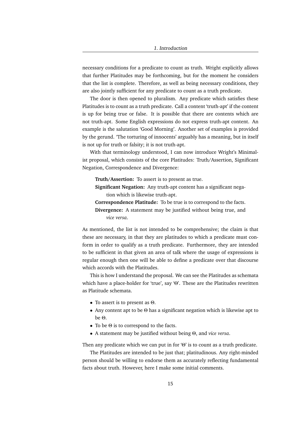necessary conditions for a predicate to count as truth. Wright explicitly allows that further Platitudes may be forthcoming, but for the moment he considers that the list is complete. Therefore, as well as being necessary conditions, they are also jointly sufficient for any predicate to count as a truth predicate.

The door is then opened to pluralism. Any predicate which satisfies these Platitudes is to count as a truth predicate. Call a content 'truth-apt' if the content is up for being true or false. It is possible that there are contents which are not truth-apt. Some English expressions do not express truth-apt content. An example is the salutation 'Good Morning'. Another set of examples is provided by the gerund. 'The torturing of innocents' arguably has a meaning, but in itself is not up for truth or falsity; it is not truth-apt.

With that terminology understood, I can now introduce Wright's Minimalist proposal, which consists of the core Platitudes: Truth/Assertion, Significant Negation, Correspondence and Divergence:

**Truth/Assertion:** To assert is to present as true.

**Significant Negation:** Any truth-apt content has a significant negation which is likewise truth-apt.

**Correspondence Platitude:** To be true is to correspond to the facts. **Divergence:** A statement may be justified without being true, and *vice versa*.

As mentioned, the list is not intended to be comprehensive; the claim is that these are necessary, in that they are platitudes to which a predicate must conform in order to qualify as a truth predicate. Furthermore, they are intended to be sufficient in that given an area of talk where the usage of expressions is regular enough then one will be able to define a predicate over that discourse which accords with the Platitudes.

This is how I understand the proposal. We can see the Platitudes as schemata which have a place-holder for 'true', say 'Θ'. These are the Platitudes rewritten as Platitude schemata.

- To assert is to present as Θ.
- Any content apt to be Θ has a significant negation which is likewise apt to be Θ.
- To be Θ is to correspond to the facts.
- A statement may be justified without being Θ, and *vice versa*.

Then any predicate which we can put in for 'Θ' is to count as a truth predicate.

The Platitudes are intended to be just that; platitudinous. Any right-minded person should be willing to endorse them as accurately reflecting fundamental facts about truth. However, here I make some initial comments.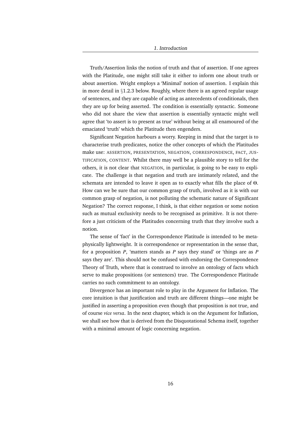Truth/Assertion links the notion of truth and that of assertion. If one agrees with the Platitude, one might still take it either to inform one about truth or about assertion. Wright employs a 'Minimal' notion of assertion. I explain this in more detail in §1.2.3 below. Roughly, where there is an agreed regular usage of sentences, and they are capable of acting as antecedents of conditionals, then they are up for being asserted. The condition is essentially syntactic. Someone who did not share the view that assertion is essentially syntactic might well agree that 'to assert is to present as true' without being at all enamoured of the emaciated 'truth' which the Platitude then engenders.

Significant Negation harbours a worry. Keeping in mind that the target is to characterise truth predicates, notice the other concepts of which the Platitudes make use: ASSERTION, PRESENTATION, NEGATION, CORRESPONDENCE, FACT, JUS-TIFICATION, CONTENT. Whilst there may well be a plausible story to tell for the others, it is not clear that NEGATION, in particular, is going to be easy to explicate. The challenge is that negation and truth are intimately related, and the schemata are intended to leave it open as to exactly what fills the place of Θ. How can we be sure that our common grasp of truth, involved as it is with our common grasp of negation, is not polluting the schematic nature of Significant Negation? The correct response, I think, is that either negation or some notion such as mutual exclusivity needs to be recognised as primitive. It is not therefore a just criticism of the Platitudes concerning truth that they involve such a notion.

The sense of 'fact' in the Correspondence Platitude is intended to be metaphysically lightweight. It is correspondence or representation in the sense that, for a proposition *P*, 'matters stands as *P* says they stand' or 'things are as *P* says they are'. This should not be confused with endorsing the Correspondence Theory of Truth, where that is construed to involve an ontology of facts which serve to make propositions (or sentences) true. The Correspondence Platitude carries no such commitment to an ontology.

Divergence has an important role to play in the Argument for Inflation. The core intuition is that justification and truth are different things—one might be justified in asserting a proposition even though that proposition is not true, and of course *vice versa*. In the next chapter, which is on the Argument for Inflation, we shall see how that is derived from the Disquotational Schema itself, together with a minimal amount of logic concerning negation.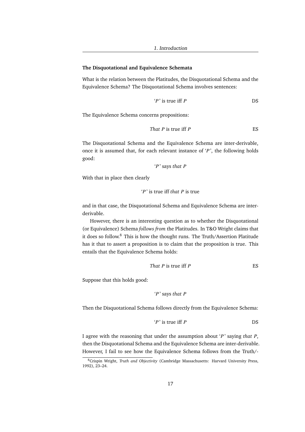### **The Disquotational and Equivalence Schemata**

What is the relation between the Platitudes, the Disquotational Schema and the Equivalence Schema? The Disquotational Schema involves sentences:

$$
P' \text{ is true iff } P \qquad \qquad \text{DS}
$$

The Equivalence Schema concerns propositions:

That 
$$
P
$$
 is true iff  $P$ 

The Disquotational Schema and the Equivalence Schema are inter-derivable, once it is assumed that, for each relevant instance of '*P* ', the following holds good:

$$
P
$$
 says that  $P$ 

With that in place then clearly

$$
P'
$$
 is true iff that  $P$  is true

and in that case, the Disquotational Schema and Equivalence Schema are interderivable.

However, there is an interesting question as to whether the Disquotational (or Equivalence) Schema *follows from* the Platitudes. In T&O Wright claims that it does so follow.<sup>8</sup> This is how the thought runs. The Truth/Assertion Platitude has it that to assert a proposition is to claim that the proposition is true. This entails that the Equivalence Schema holds:

That 
$$
P
$$
 is true iff  $P$ 

Suppose that this holds good:

$$
P
$$
 says that  $P$ 

Then the Disquotational Schema follows directly from the Equivalence Schema:

$$
P' \text{ is true iff } P \qquad \qquad \text{DS}
$$

I agree with the reasoning that under the assumption about '*P* ' saying *that P*, then the Disquotational Schema and the Equivalence Schema are inter-derivable. However, I fail to see how the Equivalence Schema follows from the Truth/-

<sup>8</sup>Crispin Wright, *Truth and Objectivity* (Cambridge Massachusetts: Harvard University Press, 1992), 23–24.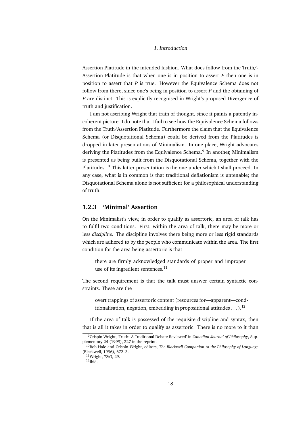Assertion Platitude in the intended fashion. What does follow from the Truth/- Assertion Platitude is that when one is in position to assert *P* then one is in position to assert that *P* is true. However the Equivalence Schema does not follow from there, since one's being in position to assert *P* and the obtaining of *P* are distinct. This is explicitly recognised in Wright's proposed Divergence of truth and justification.

I am not ascribing Wright that train of thought, since it paints a patently incoherent picture. I do note that I fail to see how the Equivalence Schema follows from the Truth/Assertion Platitude. Furthermore the claim that the Equivalence Schema (or Disquotational Schema) could be derived from the Platitudes is dropped in later presentations of Minimalism. In one place, Wright advocates deriving the Platitudes from the Equivalence Schema.<sup>9</sup> In another, Minimalism is presented as being built from the Disquotational Schema, together with the Platitudes.<sup>10</sup> This latter presentation is the one under which I shall proceed. In any case, what is in common is that traditional deflationism is untenable; the Disquotational Schema alone is not sufficient for a philosophical understanding of truth.

### **1.2.3 'Minimal' Assertion**

On the Minimalist's view, in order to qualify as assertoric, an area of talk has to fulfil two conditions. First, within the area of talk, there may be more or less *discipline*. The discipline involves there being more or less rigid standards which are adhered to by the people who communicate within the area. The first condition for the area being assertoric is that

there are firmly acknowledged standards of proper and improper use of its ingredient sentences. $^{11}$ 

The second requirement is that the talk must answer certain syntactic constraints. These are the

overt trappings of assertoric content (resources for—apparent—conditionalisation, negation, embedding in propositional attitudes  $\dots$ ).<sup>12</sup>

If the area of talk is possessed of the requisite discipline and syntax, then that is all it takes in order to qualify as assertoric. There is no more to it than

<sup>9</sup>Crispin Wright, 'Truth: A Traditional Debate Reviewed' in *Canadian Journal of Philosophy*, Supplementary 24 (1999), 227 in the reprint.

<sup>10</sup>Bob Hale and Crispin Wright, editors, *The Blackwell Companion to the Philosophy of Language* (Blackwell, 1996), 672–3. <sup>11</sup>Wright, *T&O*, 29.

 $12$ Ibid.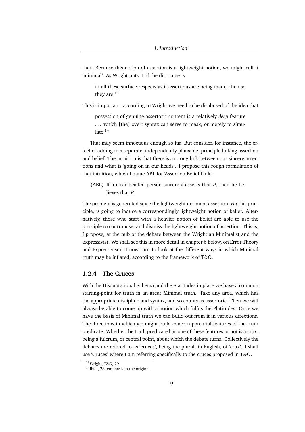that. Because this notion of assertion is a lightweight notion, we might call it 'minimal'. As Wright puts it, if the discourse is

in all these surface respects as if assertions are being made, then so they are.<sup>13</sup>

This is important; according to Wright we need to be disabused of the idea that

possession of genuine assertoric content is a relatively *deep* feature ... which [the] overt syntax can serve to mask, or merely to simulate.<sup>14</sup>

That may seem innocuous enough so far. But consider, for instance, the effect of adding in a separate, independently plausible, principle linking assertion and belief. The intuition is that there is a strong link between our sincere assertions and what is 'going on in our heads'. I propose this rough formulation of that intuition, which I name ABL for 'Assertion Belief Link':

(ABL) If a clear-headed person sincerely asserts that *P*, then he believes that *P*.

The problem is generated since the lightweight notion of assertion, *via* this principle, is going to induce a correspondingly lightweight notion of belief. Alternatively, those who start with a heavier notion of belief are able to use the principle to contrapose, and dismiss the lightweight notion of assertion. This is, I propose, at the nub of the debate between the Wrightian Minimalist and the Expressivist. We shall see this in more detail in chapter 6 below, on Error Theory and Expressivism. I now turn to look at the different ways in which Minimal truth may be inflated, according to the framework of T&O.

## **1.2.4 The Cruces**

With the Disquotational Schema and the Platitudes in place we have a common starting-point for truth in an area; Minimal truth. Take any area, which has the appropriate discipline and syntax, and so counts as assertoric. Then we will always be able to come up with a notion which fulfils the Platitudes. Once we have the basis of Minimal truth we can build out from it in various directions. The directions in which we might build concern potential features of the truth predicate. Whether the truth predicate has one of these features or not is a crux, being a fulcrum, or central point, about which the debate turns. Collectively the debates are refered to as 'cruces', being the plural, in English, of 'crux'. I shall use 'Cruces' where I am referring specifically to the cruces proposed in T&O.

<sup>13</sup>Wright, *T&O*, 29.

<sup>&</sup>lt;sup>14</sup>Ibid., 28, emphasis in the original.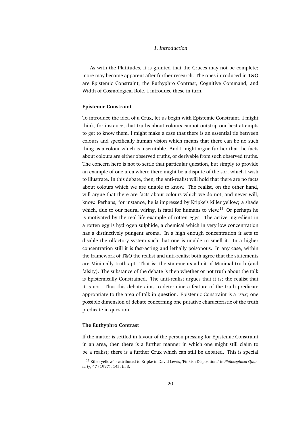As with the Platitudes, it is granted that the Cruces may not be complete; more may become apparent after further research. The ones introduced in T&O are Epistemic Constraint, the Euthyphro Contrast, Cognitive Command, and Width of Cosmological Role. I introduce these in turn.

#### **Epistemic Constraint**

To introduce the idea of a Crux, let us begin with Epistemic Constraint. I might think, for instance, that truths about colours cannot outstrip our best attempts to get to know them. I might make a case that there is an essential tie between colours and specifically human vision which means that there can be no such thing as a colour which is inscrutable. And I might argue further that the facts about colours are either observed truths, or derivable from such observed truths. The concern here is not to settle that particular question, but simply to provide an example of one area where there might be a dispute of the sort which I wish to illustrate. In this debate, then, the anti-realist will hold that there are no facts about colours which we are unable to know. The realist, on the other hand, will argue that there are facts about colours which we do not, and never will, know. Perhaps, for instance, he is impressed by Kripke's killer yellow; a shade which, due to our neural wiring, is fatal for humans to view.<sup>15</sup> Or perhaps he is motivated by the real-life example of rotten eggs. The active ingredient in a rotten egg is hydrogen sulphide, a chemical which in very low concentration has a distinctively pungent aroma. In a high enough concentration it acts to disable the olfactory system such that one is unable to smell it. In a higher concentration still it is fast-acting and lethally poisonous. In any case, within the framework of T&O the realist and anti-realist both agree that the statements are Minimally truth-apt. That is: the statements admit of Minimal truth (and falsity). The substance of the debate is then whether or not truth about the talk is Epistemically Constrained. The anti-realist argues that it is; the realist that it is not. Thus this debate aims to determine a feature of the truth predicate appropriate to the area of talk in question. Epistemic Constraint is a *crux*; one possible dimension of debate concerning one putative characteristic of the truth predicate in question.

#### **The Euthyphro Contrast**

If the matter is settled in favour of the person pressing for Epistemic Constraint in an area, then there is a further manner in which one might still claim to be a realist; there is a further Crux which can still be debated. This is special

<sup>15</sup>'Killer yellow' is attributed to Kripke in David Lewis, 'Finkish Dispositions' in *Philosophical Quarterly*, 47 (1997), 145, fn 3.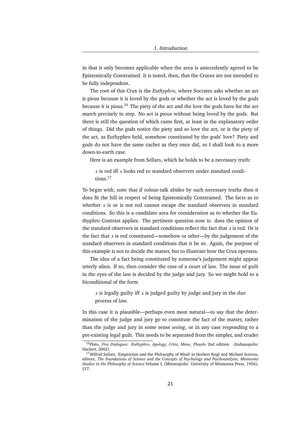in that it only becomes applicable when the area is antecedently agreed to be Epistemically Constrained. It is noted, then, that the Cruces are not intended to be fully independent.

The root of this Crux is the *Euthyphro*, where Socrates asks whether an act is pious because it is loved by the gods or whether the act is loved by the gods because it is pious.<sup>16</sup> The piety of the act and the love the gods have for the act march precisely in step. No act is pious without being loved by the gods. But there is still the question of which came first, at least in the explanatory order of things. Did the gods notice the piety and so love the act, or is the piety of the act, as Euthyphro held, somehow constituted by the gods' love? Piety and gods do not have the same cachet as they once did, so I shall look to a more down-to-earth case.

Here is an example from Sellars, which he holds to be a necessary truth:

*x* is red iff *x* looks red to standard observers under standard conditions.<sup>17</sup>

To begin with, note that if colour-talk abides by such necessary truths then it does fit the bill in respect of being Epistemically Constrained. The facts as to whether *x* is or is not red cannot escape the standard observers in standard conditions. So this is a candidate area for consideration as to whether the Euthyphro Contrast applies. The pertinent question now is: does the opinion of the standard observers in standard conditions reflect the fact that *x* is red. Or is the fact that  $x$  is red constituted—somehow or other—by the judgement of the standard observers in standard conditions that it be so. Again, the purpose of this example is not to decide the matter, but to illustrate how the Crux operates.

The idea of a fact being constituted by someone's judgement might appear utterly alien. If so, then consider the case of a court of law. The issue of guilt in the eyes of the law is decided by the judge and jury. So we might hold to a biconditional of the form

*x* is legally guilty iff *x* is judged guilty by judge and jury in the due process of law.

In this case it is plausible—perhaps even most natural—to say that the determination of the judge and jury go to constitute the fact of the matter, rather than the judge and jury in some sense *seeing*, or in any case responding to a pre-existing legal guilt. This needs to be separated from the simpler, and cruder

<sup>16</sup>Plato, *Five Dialogues: Euthyphro, Apology, Crito, Meno, Phaedo* 2nd edition. (Indianapolis: Hackett, 2002).

 $17$ Wilfrid Sellars, 'Empiricism and the Philosophy of Mind' in Herbert Feigl and Michael Scriven, editors, *The Foundations of Science and the Concepts of Psychology and Psychoanalysis, Minnesota Studies in the Philosophy of Science* Volume I, (Minneapolis: University of Minnesota Press, 1956), §17.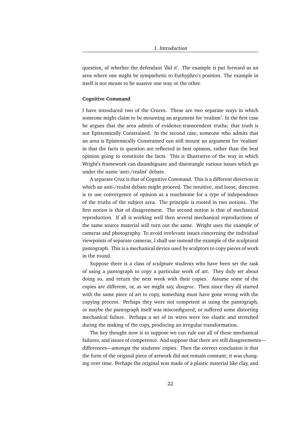question, of whether the defendant 'did it'. The example is put forward as an area where one might be sympathetic to Euthyphro's position. The example in itself is not meant to be suasive one way or the other.

#### **Cognitive Command**

I have introduced two of the Cruces. These are two separate ways in which someone might claim to be mounting an argument for 'realism'. In the first case he argues that the area admits of evidence-transcendent truths; that truth is not Epistemically Constrained. In the second case, someone who admits that an area is Epistemically Constrained can still mount an argument for 'realism' in that the facts in question are reflected in best opinion, rather than the best opinion going to constitute the facts. This is illustrative of the way in which Wright's framework can disambiguate and disentangle various issues which go under the name 'anti-/realist' debate.

A separate Crux is that of Cognitive Command. This is a different direction in which an anti-/realist debate might proceed. The intuitive, and loose, direction is to use convergence of opinion as a touchstone for a type of independence of the truths of the subject area. The principle is rooted in two notions. The first notion is that of disagreement. The second notion is that of mechanical reproduction. If all is working well then several mechanical reproductions of the same source material will turn out the same. Wright uses the example of cameras and photography. To avoid irrelevant issues concerning the individual viewpoints of separate cameras, I shall use instead the example of the sculptural pantograph. This is a mechanical device used by sculptors to copy pieces of work in the round.

Suppose there is a class of sculpture students who have been set the task of using a pantograph to copy a particular work of art. They duly set about doing so, and return the next week with their copies. Assume some of the copies are different, or, as we might say, *disagree*. Then since they all started with the same piece of art to copy, something must have gone wrong with the copying process. Perhaps they were not competent at using the pantograph, or maybe the pantograph itself was misconfigured, or suffered some distorting mechanical failure. Perhaps a set of its wires were too elastic and stretched during the making of the copy, producing an irregular transformation.

The key thought now is to suppose we can rule out all of these mechanical failures, and issues of competence. And suppose that there are still disagreements differences—amongst the students' copies. Then the correct conclusion is that the form of the original piece of artwork did not remain constant; it was changing over time. Perhaps the original was made of a plastic material like clay, and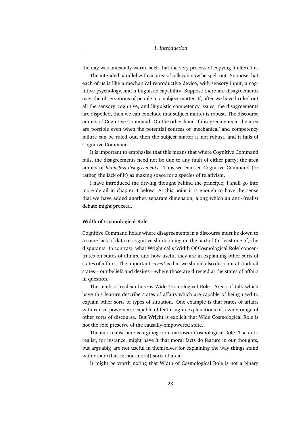the day was unusually warm, such that the very process of copying it altered it.

The intended parallel with an area of talk can now be spelt out. Suppose that each of us is like a mechanical reproductive device, with sensory input, a cognitive psychology, and a linguistic capability. Suppose there are disagreements over the observations of people in a subject matter. If, after we haved ruled out all the sensory, cognitive, and linguistic competency issues, the disagreements are dispelled, then we can conclude that subject matter is robust. The discourse admits of Cognitive Command. On the other hand if disagreements in the area are possible even when the potential sources of 'mechanical' and competency failure can be ruled out, then the subject matter is not robust, and it fails of Cognitive Command.

It is important to emphasise that this means that where Cognitive Command fails, the disagreements need not be due to any fault of either party; the area admits of *blameless disagreements*. Thus we can see Cognitive Command (or rather, the lack of it) as making space for a species of relativism.

I have introduced the driving thought behind the principle; I shall go into more detail in chapter 4 below. At this point it is enough to have the sense that we have added another, separate dimension, along which an anti-/realist debate might proceed.

#### **Width of Cosmological Role**

Cognitive Command holds where disagreements in a discourse must be down to a some lack of data or cognitive shortcoming on the part of (at least one of) the disputants. In contrast, what Wright calls 'Width Of Cosmological Role' concentrates on states of affairs, and how useful they are in explaining other sorts of states of affairs. The important *caveat* is that we should also discount attitudinal states—our beliefs and desires—where those are directed at the states of affairs in question.

The mark of realism here is Wide Cosmological Role. Areas of talk which have this feature describe states of affairs which are capable of being used to explain other sorts of types of situation. One example is that states of affairs with causal powers are capable of featuring in explanations of a wide range of other sorts of discourse. But Wright is explicit that Wide Cosmological Role is not the sole preserve of the causally-empowered state.

The anti-realist here is arguing for a narrower Cosmological Role. The antirealist, for instance, might have it that moral facts do feature in our thoughts, but arguably, are not useful in themselves for explaining the way things stand with other (that is: non-moral) sorts of area.

It might be worth noting that Width of Cosmological Role is not a binary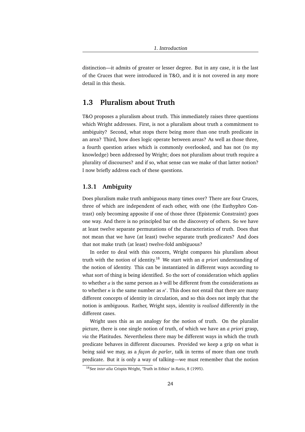distinction—it admits of greater or lesser degree. But in any case, it is the last of the Cruces that were introduced in T&O, and it is not covered in any more detail in this thesis.

## **1.3 Pluralism about Truth**

T&O proposes a pluralism about truth. This immediately raises three questions which Wright addresses. First, is not a pluralism about truth a commitment to ambiguity? Second, what stops there being more than one truth predicate in an area? Third, how does logic operate between areas? As well as those three, a fourth question arises which is commonly overlooked, and has not (to my knowledge) been addressed by Wright; does not pluralism about truth require a plurality of discourses? and if so, what sense can we make of that latter notion? I now briefly address each of these questions.

### **1.3.1 Ambiguity**

Does pluralism make truth ambiguous many times over? There are four Cruces, three of which are independent of each other, with one (the Euthyphro Contrast) only becoming apposite if one of those three (Epistemic Constraint) goes one way. And there is no principled bar on the discovery of others. So we have at least twelve separate permutations of the characteristics of truth. Does that not mean that we have (at least) twelve separate truth predicates? And does that not make truth (at least) twelve-fold ambiguous?

In order to deal with this concern, Wright compares his pluralism about truth with the notion of identity.<sup>18</sup> We start with an *a priori* understanding of the notion of identity. This can be instantiated in different ways according to what sort of thing is being identified. So the sort of consideration which applies to whether *a* is the same person as *b* will be different from the considerations as to whether  $n$  is the same number as  $n'$ . This does not entail that there are many different concepts of identity in circulation, and so this does not imply that the notion is ambiguous. Rather, Wright says, identity is *realised* differently in the different cases.

Wright uses this as an analogy for the notion of truth. On the pluralist picture, there is one single notion of truth, of which we have an *a priori* grasp, *via* the Platitudes. Nevertheless there may be different ways in which the truth predicate behaves in different discourses. Provided we keep a grip on what is being said we may, as a *façon de parler*, talk in terms of more than one truth predicate. But it is only a way of talking—we must remember that the notion

<sup>18</sup>See *inter alia* Crispin Wright, 'Truth in Ethics' in *Ratio*, 8 (1995).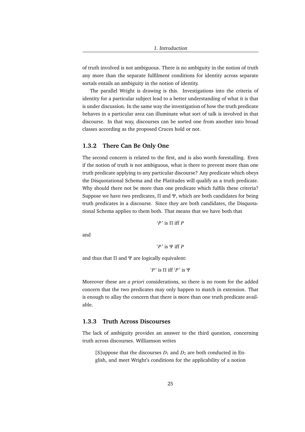of truth involved is not ambiguous. There is no ambiguity in the notion of truth any more than the separate fulfilment conditions for identity across separate sortals entails an ambiguity in the notion of identity.

The parallel Wright is drawing is this. Investigations into the criteria of identity for a particular subject lead to a better understanding of what it is that is under discussion. In the same way the investigation of how the truth predicate behaves in a particular area can illuminate what sort of talk is involved in that discourse. In that way, discourses can be sorted one from another into broad classes according as the proposed Cruces hold or not.

### **1.3.2 There Can Be Only One**

The second concern is related to the first, and is also worth forestalling. Even if the notion of truth is not ambiguous, what is there to prevent more than one truth predicate applying to any particular discourse? Any predicate which obeys the Disquotational Schema and the Platitudes will qualify as a truth predicate. Why should there not be more than one predicate which fulfils these criteria? Suppose we have two predicates, Π and Ψ, which are both candidates for being truth predicates in a discourse. Since they are both candidates, the Disquotational Schema applies to them both. That means that we have both that

 $'P'$  is  $\Pi$  iff *P* 

and

$$
P'
$$
 is  $\Psi$  iff  $P$ 

and thus that  $\Pi$  and  $\Psi$  are logically equivalent:

```
'P ' is Π iff 'P ' is Ψ
```
Moreover these are *a priori* considerations, so there is no room for the added concern that the two predicates may only happen to match in extension. That is enough to allay the concern that there is more than one truth predicate available.

## **1.3.3 Truth Across Discourses**

The lack of ambiguity provides an answer to the third question, concerning truth across discourses. Williamson writes

[S]uppose that the discourses  $D_1$  and  $D_2$  are both conducted in English, and meet Wright's conditions for the applicability of a notion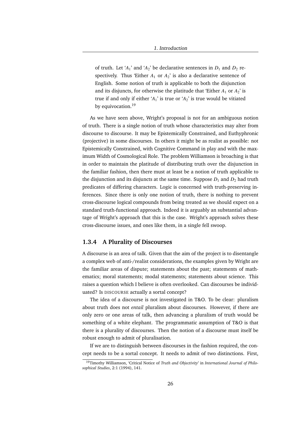of truth. Let ' $A_1$ ' and ' $A_2$ ' be declarative sentences in  $D_1$  and  $D_2$  respectively. Thus 'Either  $A_1$  or  $A_2$ ' is also a declarative sentence of English. Some notion of truth is applicable to both the disjunction and its disjuncts, for otherwise the platitude that 'Either  $A_1$  or  $A_2$ ' is true if and only if either ' $A_1$ ' is true or ' $A_2$ ' is true would be vitiated by equivocation.<sup>19</sup>

As we have seen above, Wright's proposal is not for an ambiguous notion of truth. There is a single notion of truth whose characteristics may alter from discourse to discourse. It may be Epistemically Constrained, and Euthyphronic (projective) in some discourses. In others it might be as realist as possible: not Epistemically Constrained, with Cognitive Command in play and with the maximum Width of Cosmological Role. The problem Williamson is broaching is that in order to maintain the platitude of distributing truth over the disjunction in the familiar fashion, then there must at least be a notion of truth applicable to the disjunction and its disjuncts at the same time. Suppose  $D_1$  and  $D_2$  had truth predicates of differing characters. Logic is concerned with truth-preserving inferences. Since there is only one notion of truth, there is nothing to prevent cross-discourse logical compounds from being treated as we should expect on a standard truth-functional approach. Indeed it is arguably an substantial advantage of Wright's approach that this is the case. Wright's approach solves these cross-discourse issues, and ones like them, in a single fell swoop.

### **1.3.4 A Plurality of Discourses**

A discourse is an area of talk. Given that the aim of the project is to disentangle a complex web of anti-/realist considerations, the examples given by Wright are the familiar areas of dispute; statements about the past; statements of mathematics; moral statements; modal statements; statements about science. This raises a question which I believe is often overlooked. Can discourses be individuated? Is DISCOURSE actually a sortal concept?

The idea of a discourse is not investigated in T&O. To be clear: pluralism about truth does not *entail* pluralism about discourses. However, if there are only zero or one areas of talk, then advancing a pluralism of truth would be something of a white elephant. The programmatic assumption of T&O is that there is a plurality of discourses. Then the notion of a discourse must itself be robust enough to admit of pluralisation.

If we are to distinguish between discourses in the fashion required, the concept needs to be a sortal concept. It needs to admit of two distinctions. First,

<sup>19</sup>Timothy Williamson, 'Critical Notice of *Truth and Objectivity*' in *International Journal of Philosophical Studies*, 2:1 (1994), 141.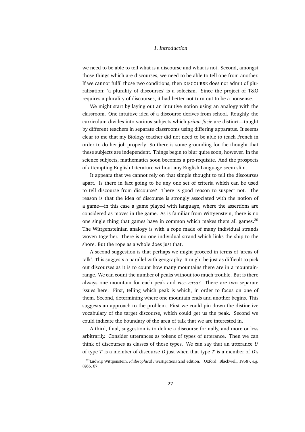we need to be able to tell what is a discourse and what is not. Second, amongst those things which are discourses, we need to be able to tell one from another. If we cannot fulfil those two conditions, then DISCOURSE does not admit of pluralisation; 'a plurality of discourses' is a solecism. Since the project of T&O requires a plurality of discourses, it had better not turn out to be a nonsense.

We might start by laying out an intuitive notion using an analogy with the classroom. One intuitive idea of a discourse derives from school. Roughly, the curriculum divides into various subjects which *prima facie* are distinct—taught by different teachers in separate classrooms using differing apparatus. It seems clear to me that my Biology teacher did not need to be able to teach French in order to do her job properly. So there is some grounding for the thought that these subjects are independent. Things begin to blur quite soon, however. In the science subjects, mathematics soon becomes a pre-requisite. And the prospects of attempting English Literature without any English Language seem slim.

It appears that we cannot rely on that simple thought to tell the discourses apart. Is there in fact going to be any one set of criteria which can be used to tell discourse from discourse? There is good reason to suspect not. The reason is that the idea of discourse is strongly associated with the notion of a game—in this case a game played with language, where the assertions are considered as moves in the game. As is familiar from Wittgenstein, there is no one single thing that games have in common which makes them all games. $^{20}$ The Wittgensteinian analogy is with a rope made of many individual strands woven together. There is no one individual strand which links the ship to the shore. But the rope as a whole does just that.

A second suggestion is that perhaps we might proceed in terms of 'areas of talk'. This suggests a parallel with geography. It might be just as difficult to pick out discourses as it is to count how many mountains there are in a mountainrange. We can count the number of peaks without too much trouble. But is there always one mountain for each peak and *vice-versa*? There are two separate issues here. First, telling which peak is which, in order to focus on one of them. Second, determining where one mountain ends and another begins. This suggests an approach to the problem. First we could pin down the distinctive vocabulary of the target discourse, which could get us the peak. Second we could indicate the boundary of the area of talk that we are interested in.

A third, final, suggestion is to define a discourse formally, and more or less arbitrarily. Consider utterances as tokens of types of utterance. Then we can think of discourses as classes of those types. We can say that an utterance *U* of type *T* is a member of discourse *D* just when that type *T* is a member of *D*'s

<sup>20</sup>Ludwig Wittgenstein, *Philosophical Investigations* 2nd edition. (Oxford: Blackwell, 1958), *e.g.* §§66, 67.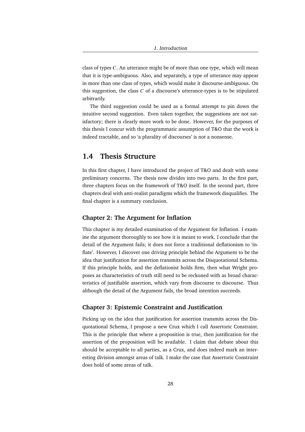class of types *C*. An utterance might be of more than one type, which will mean that it is type-ambiguous. Also, and separately, a type of utterance may appear in more than one class of types, which would make it discourse-ambiguous. On this suggestion, the class *C* of a discourse's utterance-types is to be stipulated arbitrarily.

The third suggestion could be used as a formal attempt to pin down the intuitive second suggestion. Even taken together, the suggestions are not satisfactory; there is clearly more work to be done. However, for the purposes of this thesis I concur with the programmatic assumption of T&O that the work is indeed tractable, and so 'a plurality of discourses' is not a nonsense.

## **1.4 Thesis Structure**

In this first chapter, I have introduced the project of T&O and dealt with some preliminary concerns. The thesis now divides into two parts. In the first part, three chapters focus on the framework of T&O itself. In the second part, three chapters deal with anti-realist paradigms which the framework disqualifies. The final chapter is a summary conclusion.

## **Chapter 2: The Argument for Inflation**

This chapter is my detailed examination of the Argument for Inflation. I examine the argument thoroughly to see how it is meant to work. I conclude that the detail of the Argument fails; it does not force a traditional deflationism to 'inflate'. However, I discover one driving principle behind the Argument to be the idea that justification for assertion transmits across the Disquotational Schema. If this principle holds, and the deflationist holds firm, then what Wright proposes as characteristics of truth still need to be reckoned with as broad characteristics of justifiable assertion, which vary from discourse to discourse. Thus although the detail of the Argument fails, the broad intention succeeds.

## **Chapter 3: Epistemic Constraint and Justification**

Picking up on the idea that justification for assertion transmits across the Disquotational Schema, I propose a new Crux which I call Assertoric Constraint. This is the principle that where a proposition is true, then justification for the assertion of the proposition will be available. I claim that debate about this should be acceptable to all parties, as a Crux, and does indeed mark an interesting division amongst areas of talk. I make the case that Assertoric Constraint does hold of some areas of talk.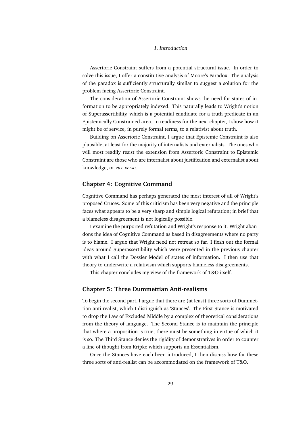Assertoric Constraint suffers from a potential structural issue. In order to solve this issue, I offer a constitutive analysis of Moore's Paradox. The analysis of the paradox is sufficiently structurally similar to suggest a solution for the problem facing Assertoric Constraint.

The consideration of Assertoric Constraint shows the need for states of information to be appropriately indexed. This naturally leads to Wright's notion of Superassertibility, which is a potential candidate for a truth predicate in an Epistemically Constrained area. In readiness for the next chapter, I show how it might be of service, in purely formal terms, to a relativist about truth.

Building on Assertoric Constraint, I argue that Epistemic Constraint is also plausible, at least for the majority of internalists and externalists. The ones who will most readily resist the extension from Assertoric Constraint to Epistemic Constraint are those who are internalist about justification and externalist about knowledge, or *vice versa*.

#### **Chapter 4: Cognitive Command**

Cognitive Command has perhaps generated the most interest of all of Wright's proposed Cruces. Some of this criticism has been very negative and the principle faces what appears to be a very sharp and simple logical refutation; in brief that a blameless disagreement is not logically possible.

I examine the purported refutation and Wright's response to it. Wright abandons the idea of Cognitive Command as based in disagreements where no party is to blame. I argue that Wright need not retreat so far. I flesh out the formal ideas around Superassertibility which were presented in the previous chapter with what I call the Dossier Model of states of information. I then use that theory to underwrite a relativism which supports blameless disagreements.

This chapter concludes my view of the framework of T&O itself.

## **Chapter 5: Three Dummettian Anti-realisms**

To begin the second part, I argue that there are (at least) three sorts of Dummettian anti-realist, which I distinguish as 'Stances'. The First Stance is motivated to drop the Law of Excluded Middle by a complex of theoretical considerations from the theory of language. The Second Stance is to maintain the principle that where a proposition is true, there must be something in virtue of which it is so. The Third Stance denies the rigidity of demonstratives in order to counter a line of thought from Kripke which supports an Essentialism.

Once the Stances have each been introduced, I then discuss how far these three sorts of anti-realist can be accommodated on the framework of T&O.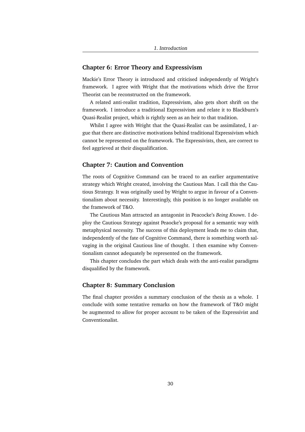## **Chapter 6: Error Theory and Expressivism**

Mackie's Error Theory is introduced and criticised independently of Wright's framework. I agree with Wright that the motivations which drive the Error Theorist can be reconstructed on the framework.

A related anti-realist tradition, Expressivism, also gets short shrift on the framework. I introduce a traditional Expressivism and relate it to Blackburn's Quasi-Realist project, which is rightly seen as an heir to that tradition.

Whilst I agree with Wright that the Quasi-Realist can be assimilated, I argue that there are distinctive motivations behind traditional Expressivism which cannot be represented on the framework. The Expressivists, then, are correct to feel aggrieved at their disqualification.

### **Chapter 7: Caution and Convention**

The roots of Cognitive Command can be traced to an earlier argumentative strategy which Wright created, involving the Cautious Man. I call this the Cautious Strategy. It was originally used by Wright to argue in favour of a Conventionalism about necessity. Interestingly, this position is no longer available on the framework of T&O.

The Cautious Man attracted an antagonist in Peacocke's *Being Known*. I deploy the Cautious Strategy against Peaocke's proposal for a semantic way with metaphysical necessity. The success of this deployment leads me to claim that, independently of the fate of Cognitive Command, there is something worth salvaging in the original Cautious line of thought. I then examine why Conventionalism cannot adequately be represented on the framework.

This chapter concludes the part which deals with the anti-realist paradigms disqualified by the framework.

### **Chapter 8: Summary Conclusion**

The final chapter provides a summary conclusion of the thesis as a whole. I conclude with some tentative remarks on how the framework of T&O might be augmented to allow for proper account to be taken of the Expressivist and Conventionalist.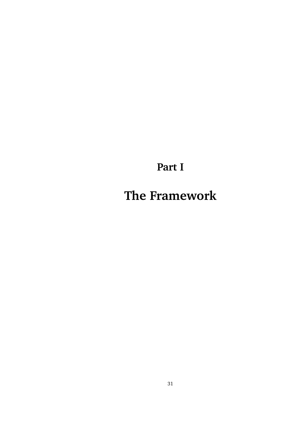**Part I**

**The Framework**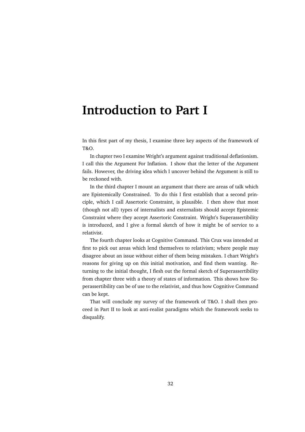## **Introduction to Part I**

In this first part of my thesis, I examine three key aspects of the framework of T&O.

In chapter two I examine Wright's argument against traditional deflationism. I call this the Argument For Inflation. I show that the letter of the Argument fails. However, the driving idea which I uncover behind the Argument is still to be reckoned with.

In the third chapter I mount an argument that there are areas of talk which are Epistemically Constrained. To do this I first establish that a second principle, which I call Assertoric Constraint, is plausible. I then show that most (though not all) types of internalists and externalists should accept Epistemic Constraint where they accept Assertoric Constraint. Wright's Superassertibility is introduced, and I give a formal sketch of how it might be of service to a relativist.

The fourth chapter looks at Cognitive Command. This Crux was intended at first to pick out areas which lend themselves to relativism; where people may disagree about an issue without either of them being mistaken. I chart Wright's reasons for giving up on this initial motivation, and find them wanting. Returning to the initial thought, I flesh out the formal sketch of Superassertibility from chapter three with a theory of states of information. This shows how Superassertibility can be of use to the relativist, and thus how Cognitive Command can be kept.

That will conclude my survey of the framework of T&O. I shall then proceed in Part II to look at anti-realist paradigms which the framework seeks to disqualify.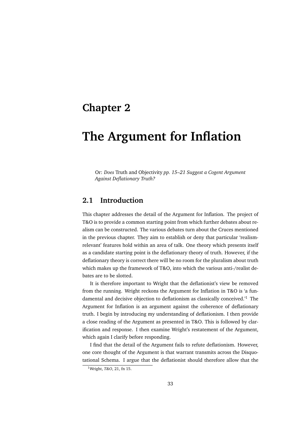## **Chapter 2**

# **The Argument for Inflation**

Or: *Does* Truth and Objectivity *pp. 15–21 Suggest a Cogent Argument Against Deflationary Truth?*

## **2.1 Introduction**

This chapter addresses the detail of the Argument for Inflation. The project of T&O is to provide a common starting point from which further debates about realism can be constructed. The various debates turn about the Cruces mentioned in the previous chapter. They aim to establish or deny that particular 'realismrelevant' features hold within an area of talk. One theory which presents itself as a candidate starting point is the deflationary theory of truth. However, if the deflationary theory is correct there will be no room for the pluralism about truth which makes up the framework of T&O, into which the various anti-/realist debates are to be slotted.

It is therefore important to Wright that the deflationist's view be removed from the running. Wright reckons the Argument for Inflation in T&O is 'a fundamental and decisive objection to deflationism as classically conceived.'<sup>1</sup> The Argument for Inflation is an argument against the coherence of deflationary truth. I begin by introducing my understanding of deflationism. I then provide a close reading of the Argument as presented in T&O. This is followed by clarification and response. I then examine Wright's restatement of the Argument, which again I clarify before responding.

I find that the detail of the Argument fails to refute deflationism. However, one core thought of the Argument is that warrant transmits across the Disquotational Schema. I argue that the deflationist should therefore allow that the

<sup>1</sup>Wright, *T&O*, 21, fn 15.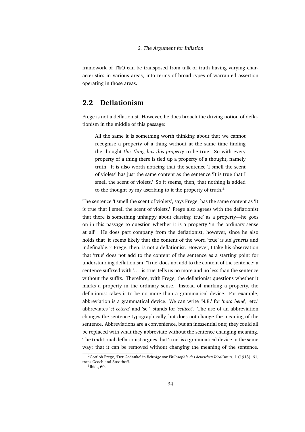framework of T&O can be transposed from talk of truth having varying characteristics in various areas, into terms of broad types of warranted assertion operating in those areas.

## **2.2 Deflationism**

Frege is not a deflationist. However, he does broach the driving notion of deflationism in the middle of this passage:

All the same it is something worth thinking about that we cannot recognise a property of a thing without at the same time finding the thought *this thing has this property* to be true. So with every property of a thing there is tied up a property of a thought, namely truth. It is also worth noticing that the sentence 'I smell the scent of violets' has just the same content as the sentence 'It is true that I smell the scent of violets.' So it seems, then, that nothing is added to the thought by my ascribing to it the property of truth. $2$ 

The sentence 'I smell the scent of violets', says Frege, has the same content as 'It is true that I smell the scent of violets.' Frege also agrees with the deflationist that there is something unhappy about classing 'true' as a property—he goes on in this passage to question whether it is a property 'in the ordinary sense at all'. He does part company from the deflationist, however, since he also holds that 'it seems likely that the content of the word 'true' is *sui generis* and indefinable.'<sup>3</sup> Frege, then, is not a deflationist. However, I take his observation that 'true' does not add to the content of the sentence as a starting point for understanding deflationism. 'True' does not add to the content of the sentence; a sentence suffixed with '... is true' tells us no more and no less than the sentence without the suffix. Therefore, with Frege, the deflationist questions whether it marks a property in the ordinary sense. Instead of marking a property, the deflationist takes it to be no more than a grammatical device. For example, abbreviation is a grammatical device. We can write 'N.B.' for '*nota bene*', 'etc.' abbreviates '*et cetera*' and 'sc.' stands for '*scilicet*'. The use of an abbreviation changes the sentence typographically, but does not change the meaning of the sentence. Abbreviations are a convenience, but an inessential one; they could all be replaced with what they abbreviate without the sentence changing meaning. The traditional deflationist argues that 'true' is a grammatical device in the same way; that it can be removed without changing the meaning of the sentence.

<sup>&</sup>lt;sup>2</sup>Gottlob Frege, 'Der Gedanke' in *Beiträge zur Philosophie des deutschen Idealismus*, 1 (1918), 61, trans Geach and Stoothoff.

<sup>3</sup> Ibid., 60.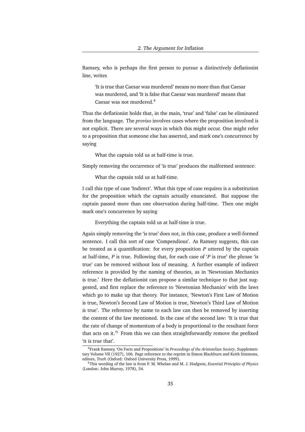Ramsey, who is perhaps the first person to pursue a distinctively deflationist line, writes

'It is true that Caesar was murdered' means no more than that Caesar was murdered, and 'It is false that Caesar was murdered' means that Caesar was not murdered.<sup>4</sup>

Thus the deflationist holds that, in the main, 'true' and 'false' can be eliminated from the language. The *proviso* involves cases where the proposition involved is not explicit. There are several ways in which this might occur. One might refer to a proposition that someone else has asserted, and mark one's concurrence by saying

What the captain told us at half-time is true.

Simply removing the occurrence of 'is true' produces the malformed sentence:

What the captain told us at half-time.

I call this type of case 'Indirect'. What this type of case requires is a substitution for the proposition which the captain actually enunciated. But suppose the captain passed more than one observation during half-time. Then one might mark one's concurrence by saying

Everything the captain told us at half-time is true.

Again simply removing the 'is true' does not, in this case, produce a well-formed sentence. I call this sort of case 'Compendious'. As Ramsey suggests, this can be treated as a quantification: for every proposition *P* uttered by the captain at half-time, *P* is true. Following that, for each case of '*P* is true' the phrase 'is true' can be removed without loss of meaning. A further example of indirect reference is provided by the naming of theories, as in 'Newtonian Mechanics is true.' Here the deflationist can propose a similar technique to that just suggested, and first replace the reference to 'Newtonian Mechanics' with the laws which go to make up that theory. For instance, 'Newton's First Law of Motion is true, Newton's Second Law of Motion is true, Newton's Third Law of Motion is true'. The reference by name to each law can then be removed by inserting the content of the law mentioned. In the case of the second law: 'It is true that the rate of change of momentum of a body is proportional to the resultant force that acts on it.'<sup>5</sup> From this we can then straightforwardly remove the prefixed 'it is true that'.

<sup>4</sup>Frank Ramsey, 'On Facts and Propositions' in *Proceedings of the Aristotelian Society*, Supplementary Volume VII (1927), 106. Page reference to the reprint in Simon Blackburn and Keith Simmons, editors, *Truth* (Oxford: Oxford University Press, 1999).

<sup>5</sup>This wording of the law is from P. M. Whelan and M. J. Hodgson, *Essential Principles of Physics* (London: John Murray, 1978), 34.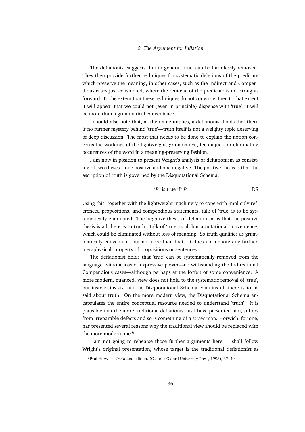The deflationist suggests that in general 'true' can be harmlessly removed. They then provide further techniques for systematic deletions of the predicate which preserve the meaning, in other cases, such as the Indirect and Compendious cases just considered, where the removal of the predicate is not straightforward. To the extent that these techniques do not convince, then to that extent it will appear that we could not (even in principle) dispense with 'true'; it will be more than a grammatical convenience.

I should also note that, as the name implies, a deflationist holds that there is no further mystery behind 'true'—truth itself is not a weighty topic deserving of deep discussion. The most that needs to be done to explain the notion concerns the workings of the lightweight, grammatical, techniques for eliminating occurences of the word in a meaning-preserving fashion.

I am now in position to present Wright's analysis of deflationism as consisting of two theses—one positive and one negative. The positive thesis is that the ascription of truth is governed by the Disquotational Schema:

$$
P' \text{ is true iff } P \qquad \qquad \text{DS}
$$

Using this, together with the lightweight machinery to cope with implicitly referenced propositions, and compendious statements, talk of 'true' is to be systematically eliminated. The negative thesis of deflationism is that the positive thesis is all there is to truth. Talk of 'true' is all but a notational convenience, which could be eliminated without loss of meaning. So truth qualifies as grammatically convenient, but no more than that. It does not denote any further, metaphysical, property of propositions or sentences.

The deflationist holds that 'true' can be systematically removed from the language without loss of expressive power—notwithstanding the Indirect and Compendious cases—although perhaps at the forfeit of some convenience. A more modern, nuanced, view does not hold to the systematic removal of 'true', but instead insists that the Disquotational Schema contains all there is to be said about truth. On the more modern view, the Disquotational Schema encapsulates the entire conceptual resource needed to understand 'truth'. It is plausible that the more traditional deflationist, as I have presented him, suffers from irreparable defects and so is something of a straw man. Horwich, for one, has presented several reasons why the traditional view should be replaced with the more modern one.<sup>6</sup>

I am not going to rehearse those further arguments here. I shall follow Wright's original presentation, whose target is the traditional deflationist as

<sup>6</sup>Paul Horwich, *Truth* 2nd edition. (Oxford: Oxford University Press, 1998), 37–40.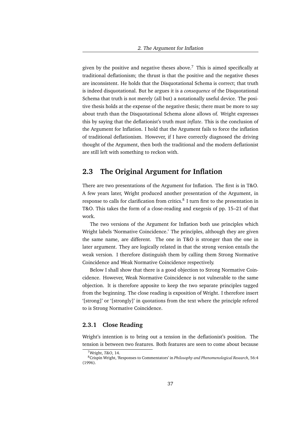given by the positive and negative theses above.<sup>7</sup> This is aimed specifically at traditional deflationism; the thrust is that the positive and the negative theses are inconsistent. He holds that the Disquotational Schema is correct; that truth is indeed disquotational. But he argues it is a *consequence* of the Disquotational Schema that truth is not merely (all but) a notationally useful device. The positive thesis holds at the expense of the negative thesis; there must be more to say about truth than the Disquotational Schema alone allows of. Wright expresses this by saying that the deflationist's truth must *inflate*. This is the conclusion of the Argument for Inflation. I hold that the Argument fails to force the inflation of traditional deflationism. However, if I have correctly diagnosed the driving thought of the Argument, then both the traditional and the modern deflationist are still left with something to reckon with.

# **2.3 The Original Argument for Inflation**

There are two presentations of the Argument for Inflation. The first is in T&O. A few years later, Wright produced another presentation of the Argument, in response to calls for clarification from critics.<sup>8</sup> I turn first to the presentation in T&O. This takes the form of a close-reading and exegesis of pp. 15–21 of that work.

The two versions of the Argument for Inflation both use principles which Wright labels 'Normative Coincidence.' The principles, although they are given the same name, are different. The one in T&O is stronger than the one in later argument. They are logically related in that the strong version entails the weak version. I therefore distinguish them by calling them Strong Normative Coincidence and Weak Normative Coincidence respectively.

Below I shall show that there is a good objection to Strong Normative Coincidence. However, Weak Normative Coincidence is not vulnerable to the same objection. It is therefore apposite to keep the two separate principles tagged from the beginning. The close reading is exposition of Wright. I therefore insert '[strong]' or '[strongly]' in quotations from the text where the principle refered to is Strong Normative Coincidence.

#### **2.3.1 Close Reading**

Wright's intention is to bring out a tension in the deflationist's position. The tension is between two features. Both features are seen to come about because

<sup>7</sup>Wright, *T&O*, 14.

<sup>8</sup>Crispin Wright, 'Responses to Commentators' in *Philosophy and Phenomenological Research*, 56:4 (1996).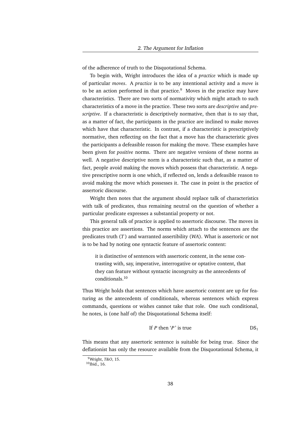of the adherence of truth to the Disquotational Schema.

To begin with, Wright introduces the idea of a *practice* which is made up of particular *moves*. A *practice* is to be any intentional activity and a *move* is to be an action performed in that practice.<sup>9</sup> Moves in the practice may have characteristics. There are two sorts of normativity which might attach to such characteristics of a move in the practice. These two sorts are *descriptive* and *prescriptive*. If a characteristic is descriptively normative, then that is to say that, as a matter of fact, the participants in the practice are inclined to make moves which have that characteristic. In contrast, if a characteristic is prescriptively normative, then reflecting on the fact that a move has the characteristic gives the participants a defeasible reason for making the move. These examples have been given for *positive* norms. There are negative versions of these norms as well. A negative descriptive norm is a characteristic such that, as a matter of fact, people avoid making the moves which possess that characteristic. A negative prescriptive norm is one which, if reflected on, lends a defeasible reason to avoid making the move which possesses it. The case in point is the practice of assertoric discourse.

Wright then notes that the argument should replace talk of characteristics with talk of predicates, thus remaining neutral on the question of whether a particular predicate expresses a substantial property or not.

This general talk of practice is applied to assertoric discourse. The moves in this practice are assertions. The norms which attach to the sentences are the predicates truth (*T* ) and warranted assertibility (*WA*). What is assertoric or not is to be had by noting one syntactic feature of assertoric content:

it is distinctive of sentences with assertoric content, in the sense contrasting with, say, imperative, interrogative or optative content, that they can feature without syntactic incongruity as the antecedents of conditionals.<sup>10</sup>

Thus Wright holds that sentences which have assertoric content are up for featuring as the antecedents of conditionals, whereas sentences which express commands, questions or wishes cannot take that role. One such conditional, he notes, is (one half of) the Disquotational Schema itself:

If *P* then '*P*' is true 
$$
DS_1
$$

This means that any assertoric sentence is suitable for being true. Since the deflationist has only the resource available from the Disquotational Schema, it

<sup>9</sup>Wright, *T&O*, 15.

<sup>10</sup>Ibid., 16.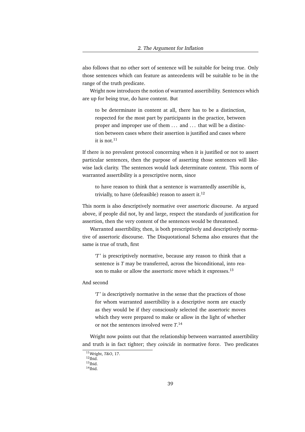also follows that no other sort of sentence will be suitable for being true. Only those sentences which can feature as antecedents will be suitable to be in the range of the truth predicate.

Wright now introduces the notion of warranted assertibility. Sentences which are up for being true, do have content. But

to be determinate in content at all, there has to be a distinction, respected for the most part by participants in the practice, between proper and improper use of them ... and ... that will be a distinction between cases where their assertion is justified and cases where it is not. $11$ 

If there is no prevalent protocol concerning when it is justified or not to assert particular sentences, then the purpose of asserting those sentences will likewise lack clarity. The sentences would lack determinate content. This norm of warranted assertibility is a prescriptive norm, since

to have reason to think that a sentence is warrantedly assertible is, trivially, to have (defeasible) reason to assert it. $^{12}$ 

This norm is also descriptively normative over assertoric discourse. As argued above, if people did not, by and large, respect the standards of justification for assertion, then the very content of the sentences would be threatened.

Warranted assertibility, then, is both prescriptively and descriptively normative of assertoric discourse. The Disquotational Schema also ensures that the same is true of truth, first

'*T* ' is prescriptively normative, because any reason to think that a sentence is *T* may be transferred, across the biconditional, into reason to make or allow the assertoric move which it expresses.<sup>13</sup>

#### And second

'*T* ' is descriptively normative in the sense that the practices of those for whom warranted assertibility is a descriptive norm are exactly as they would be if they consciously selected the assertoric moves which they were prepared to make or allow in the light of whether or not the sentences involved were *T*. 14

Wright now points out that the relationship between warranted assertibility and truth is in fact tighter; they *coincide* in normative force. Two predicates

<sup>11</sup>Wright, *T&O*, 17.

 $^{12}$ Ibid.  $13$ Ibid.

 $14$ Ibid.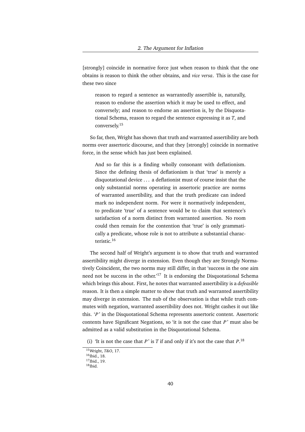[strongly] coincide in normative force just when reason to think that the one obtains is reason to think the other obtains, and *vice versa*. This is the case for these two since

reason to regard a sentence as warrantedly assertible is, naturally, reason to endorse the assertion which it may be used to effect, and conversely; and reason to endorse an assertion is, by the Disquotational Schema, reason to regard the sentence expressing it as *T*, and conversely.<sup>15</sup>

So far, then, Wright has shown that truth and warranted assertibility are both norms over assertoric discourse, and that they [strongly] coincide in normative force, in the sense which has just been explained.

And so far this is a finding wholly consonant with deflationism. Since the defining thesis of deflationism is that 'true' is merely a disquotational device . . . a deflationist must of course insist that the only substantial norms operating in assertoric practice are norms of warranted assertibility, and that the truth predicate can indeed mark no independent norm. For were it normatively independent, to predicate 'true' of a sentence would be to claim that sentence's satisfaction of a norm distinct from warranted assertion. No room could then remain for the contention that 'true' is only grammatically a predicate, whose role is not to attribute a substantial characteristic.<sup>16</sup>

The second half of Wright's argument is to show that truth and warranted assertibility might diverge in extension. Even though they are Strongly Normatively Coincident, the two norms may still differ, in that 'success in the one aim need not be success in the other.<sup> $17$ </sup> It is endorsing the Disquotational Schema which brings this about. First, he notes that warranted assertibility is a *defeasible* reason. It is then a simple matter to show that truth and warranted assertibility may diverge in extension. The nub of the observation is that while truth commutes with negation, warranted assertibility does not. Wright cashes it out like this. '*P* ' in the Disquotational Schema represents assertoric content. Assertoric contents have Significant Negations, so 'it is not the case that *P* ' must also be admitted as a valid substitution in the Disquotational Schema.

<sup>(</sup>i) 'It is not the case that *P*' is *T* if and only if it's not the case that  $P$ .<sup>18</sup>

<sup>15</sup>Wright, *T&O*, 17.

 $16$ Ibid., 18.

<sup>17</sup>Ibid., 19.

 $18$ Ibid.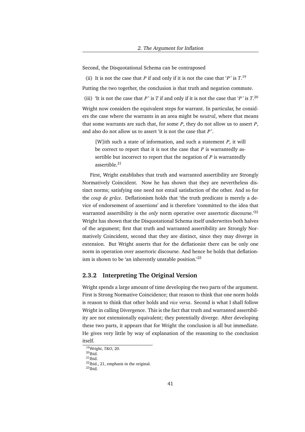Second, the Disquotational Schema can be contraposed

(ii) It is not the case that *P* if and only if it is not the case that '*P*' is  $T^{19}$ .

Putting the two together, the conclusion is that truth and negation commute.

(iii) 'It is not the case that *P*' is *T* if and only if it is not the case that '*P*' is  $T$ .<sup>20</sup>

Wright now considers the equivalent steps for warrant. In particular, he considers the case where the warrants in an area might be *neutral*, where that means that some warrants are such that, for some *P*, they do not allow us to assert *P*, and also do not allow us to assert 'it is not the case that *P* '.

[W]ith such a state of information, and such a statement *P*, it will be correct to report that it is not the case that *P* is warrantedly assertible but incorrect to report that the negation of *P* is warrantedly assertible.<sup>21</sup>

First, Wright establishes that truth and warranted assertibility are Strongly Normatively Coincident. Now he has shown that they are nevertheless distinct norms; satisfying one need not entail satisfaction of the other. And so for the *coup de grâce*. Deflationism holds that 'the truth predicate is merely a device of endorsement of assertions' and is therefore 'committed to the idea that warranted assertibility is the *only* norm operative over assertoric discourse.<sup>22</sup> Wright has shown that the Disquotational Schema itself underwrites both halves of the argument; first that truth and warranted assertibility are Strongly Normatively Coincident, second that they are distinct, since they may diverge in extension. But Wright asserts that for the deflationist there can be only one norm in operation over assertoric discourse. And hence he holds that deflationism is shown to be 'an inherently unstable position.<sup>'23</sup>

#### **2.3.2 Interpreting The Original Version**

Wright spends a large amount of time developing the two parts of the argument. First is Strong Normative Coincidence; that reason to think that one norm holds is reason to think that other holds and *vice versa*. Second is what I shall follow Wright in calling Divergence. This is the fact that truth and warranted assertibility are not extensionally equivalent; they potentially diverge. After developing these two parts, it appears that for Wright the conclusion is all but immediate. He gives very little by way of explanation of the reasoning to the conclusion itself.

<sup>19</sup>Wright, *T&O*, 20.  $^{20}$ Ibid.  $^{21}$ Ibid. <sup>22</sup>Ibid., 21, emphasis in the original.  $^{23}$ Ibid.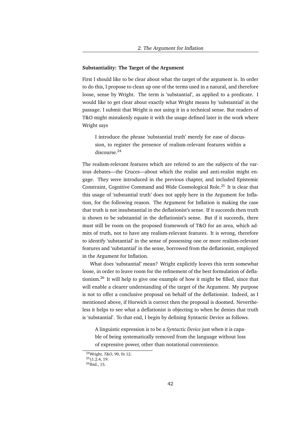#### **Substantiality: The Target of the Argument**

First I should like to be clear about what the target of the argument is. In order to do this, I propose to clean up one of the terms used in a natural, and therefore loose, sense by Wright. The term is 'substantial', as applied to a predicate. I would like to get clear about exactly what Wright means by 'substantial' in the passage. I submit that Wright is not using it in a technical sense. But readers of T&O might mistakenly equate it with the usage defined later in the work where Wright says

I introduce the phrase 'substantial truth' merely for ease of discussion, to register the presence of realism-relevant features within a discourse.<sup>24</sup>

The realism-relevant features which are refered to are the subjects of the various debates—the Cruces—about which the realist and anti-realist might engage. They were introduced in the previous chapter, and included Epistemic Constraint, Cognitive Command and Wide Cosmological Role.<sup>25</sup> It is clear that this usage of 'substantial truth' does not apply here in the Argument for Inflation, for the following reason. The Argument for Inflation is making the case that truth is not insubstantial in the deflationist's sense. If it succeeds then truth is shown to be substantial in the deflationist's sense. But if it succeeds, there must still be room on the proposed framework of T&O for an area, which admits of truth, not to have any realism-relevant features. It is wrong, therefore to identify 'substantial' in the sense of possessing one or more realism-relevant features and 'substantial' in the sense, borrowed from the deflationist, employed in the Argument for Inflation.

What does 'substantial' mean? Wright explicitly leaves this term somewhat loose, in order to leave room for the refinement of the best formulation of deflationism.<sup>26</sup> It will help to give one example of how it might be filled, since that will enable a clearer understanding of the target of the Argument. My purpose is not to offer a conclusive proposal on behalf of the deflationist. Indeed, as I mentioned above, if Horwich is correct then the proposal is doomed. Nevertheless it helps to see what a deflationist is objecting to when he denies that truth is 'substantial'. To that end, I begin by defining Syntactic Device as follows.

A linguistic expression is to be a *Syntactic Device* just when it is capable of being systematically removed from the language without loss of expressive power, other than notational convenience.

<sup>24</sup>Wright, *T&O*, 90, fn 12.

 $25$ §1.2.4, 19.

 $^{26}$ Ibid., 15.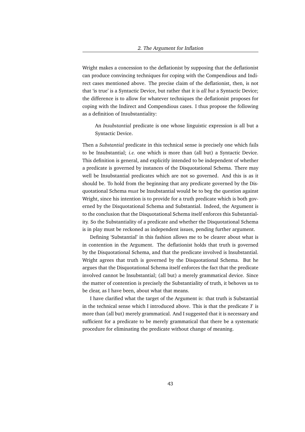Wright makes a concession to the deflationist by supposing that the deflationist can produce convincing techniques for coping with the Compendious and Indirect cases mentioned above. The precise claim of the deflationist, then, is not that 'is true' is a Syntactic Device, but rather that it is *all but* a Syntactic Device; the difference is to allow for whatever techniques the deflationist proposes for coping with the Indirect and Compendious cases. I thus propose the following as a definition of Insubstantiality:

An *Insubstantial* predicate is one whose linguistic expression is all but a Syntactic Device.

Then a *Substantial* predicate in this technical sense is precisely one which fails to be Insubstantial; *i.e.* one which is more than (all but) a Syntactic Device. This definition is general, and explicitly intended to be independent of whether a predicate is governed by instances of the Disquotational Schema. There may well be Insubstantial predicates which are not so governed. And this is as it should be. To hold from the beginning that any predicate governed by the Disquotational Schema *must* be Insubstantial would be to beg the question against Wright, since his intention is to provide for a truth predicate which is both governed by the Disquotational Schema and Substantial. Indeed, the Argument is to the conclusion that the Disquotational Schema itself enforces this Substantiality. So the Substantiality of a predicate and whether the Disquotational Schema is in play must be reckoned as independent issues, pending further argument.

Defining 'Substantial' in this fashion allows me to be clearer about what is in contention in the Argument. The deflationist holds that truth is governed by the Disquotational Schema, and that the predicate involved is Insubstantial. Wright agrees that truth is governed by the Disquotational Schema. But he argues that the Disquotational Schema itself enforces the fact that the predicate involved cannot be Insubstantial; (all but) a merely grammatical device. Since the matter of contention is precisely the Substantiality of truth, it behoves us to be clear, as I have been, about what that means.

I have clarified what the target of the Argument is: that truth is Substantial in the technical sense which I introduced above. This is that the predicate *T* is more than (all but) merely grammatical. And I suggested that it is necessary and sufficient for a predicate to be merely grammatical that there be a systematic procedure for eliminating the predicate without change of meaning.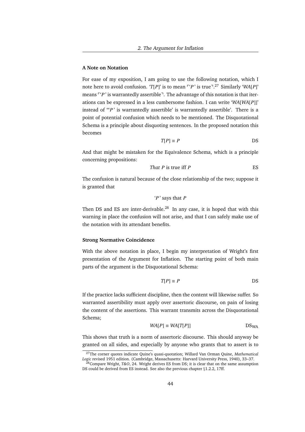#### **A Note on Notation**

For ease of my exposition, I am going to use the following notation, which I note here to avoid confusion. '*T*[*P*]' is to mean <sup>r</sup>'*P*' is true<sup>-27</sup> Similarly '*WA*[*P*]' means  $\lceil 'P' \rceil$  is warrantedly assertible<sup> $\lceil \cdot \rceil$ . The advantage of this notation is that iter-</sup> ations can be expressed in a less cumbersome fashion. I can write '*WA*[*WA*[*P*]]' instead of "'*P* ' is warrantedly assertible' is warrantedly assertible'. There is a point of potential confusion which needs to be mentioned. The Disquotational Schema is a principle about disquoting sentences. In the proposed notation this becomes

$$
T[P] \equiv P
$$
DS

And that might be mistaken for the Equivalence Schema, which is a principle concerning propositions:

That 
$$
P
$$
 is true iff  $P$ 

The confusion is natural because of the close relationship of the two; suppose it is granted that

'*P* ' says that *P*

Then DS and ES are inter-derivable. $^{28}$  In any case, it is hoped that with this warning in place the confusion will not arise, and that I can safely make use of the notation with its attendant benefits.

#### **Strong Normative Coincidence**

With the above notation in place, I begin my interpretation of Wright's first presentation of the Argument for Inflation. The starting point of both main parts of the argument is the Disquotational Schema:

$$
T[P] \equiv P
$$
DS

If the practice lacks sufficient discipline, then the content will likewise suffer. So warranted assertibility must apply over assertoric discourse, on pain of losing the content of the assertions. This warrant transmits across the Disquotational Schema;

$$
WA[P] \equiv WA[T[P]]
$$
DS<sub>WA</sub>

This shows that truth is a norm of assertoric discourse. This should anyway be granted on all sides, and especially by anyone who grants that to assert is to

<sup>27</sup>The corner quotes indicate Quine's quasi-quotation; Willard Van Orman Quine, *Mathematical Logic* revised 1951 edition. (Cambridge, Massachusetts: Harvard University Press, 1940), 33–37.

<sup>28</sup>Compare Wright, *T&O*, 24. Wright derives ES from DS; it is clear that on the same assumption DS could be derived from ES instead. See also the previous chapter §1.2.2, 17ff.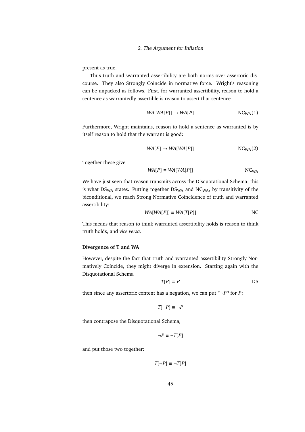present as true.

Thus truth and warranted assertibility are both norms over assertoric discourse. They also Strongly Coincide in normative force. Wright's reasoning can be unpacked as follows. First, for warranted assertibility, reason to hold a sentence as warrantedly assertible is reason to assert that sentence

$$
WA[WA[P]] \rightarrow WA[P] \qquad NC_{WA}(1)
$$

Furthermore, Wright maintains, reason to hold a sentence as warranted is by itself reason to hold that the warrant is good:

$$
WA[P] \rightarrow WA[WA[P]]
$$
 NC<sub>WA</sub>(2)

Together these give

$$
WA[P] \equiv WA[WA[P]]
$$
 NC<sub>WA</sub>

We have just seen that reason transmits across the Disquotational Schema; this is what  $DS_{WA}$  states. Putting together  $DS_{WA}$  and  $NC_{WA}$ , by transitivity of the biconditional, we reach Strong Normative Coincidence of truth and warranted assertibility:

$$
WA[WA[P]] \equiv WA[T[P]]
$$
 NC

This means that reason to think warranted assertibility holds is reason to think truth holds, and *vice versa*.

#### **Divergence of T and WA**

However, despite the fact that truth and warranted assertibility Strongly Normatively Coincide, they might diverge in extension. Starting again with the Disquotational Schema

$$
T[P] \equiv P
$$
DS

then since any assertoric content has a negation, we can put  $\neg P$ <sup> $\neg$ </sup> for *P*:

$$
T[\neg P] \equiv \neg P
$$

then contrapose the Disquotational Schema,

$$
\neg P \equiv \neg T[P]
$$

and put those two together:

$$
T[\neg P] \equiv \neg T[P]
$$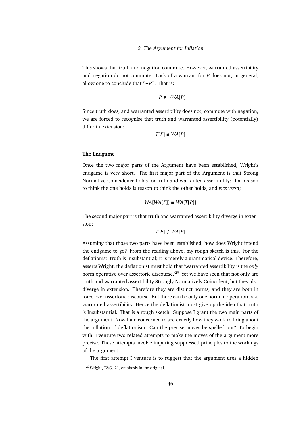This shows that truth and negation commute. However, warranted assertibility and negation do not commute. Lack of a warrant for *P* does not, in general, allow one to conclude that  $\neg P$ <sup> $\neg$ </sup>. That is:

$$
\neg P \not\equiv \neg WA[P]
$$

Since truth does, and warranted assertibility does not, commute with negation, we are forced to recognise that truth and warranted assertibility (potentially) differ in extension:

$$
T[P] \neq WA[P]
$$

#### **The Endgame**

Once the two major parts of the Argument have been established, Wright's endgame is very short. The first major part of the Argument is that Strong Normative Coincidence holds for truth and warranted assertibility: that reason to think the one holds is reason to think the other holds, and *vice versa*;

$$
WA[WA[P]] \equiv WA[T[P]]
$$

The second major part is that truth and warranted assertibility diverge in extension;

$$
T[P] \neq WA[P]
$$

Assuming that those two parts have been established, how does Wright intend the endgame to go? From the reading above, my rough sketch is this. For the deflationist, truth is Insubstantial; it is merely a grammatical device. Therefore, asserts Wright, the deflationist must hold that 'warranted assertibility is the *only* norm operative over assertoric discourse.<sup>29</sup> Yet we have seen that not only are truth and warranted assertibility Strongly Normatively Coincident, but they also diverge in extension. Therefore they are distinct norms, and they are both in force over assertoric discourse. But there can be only one norm in operation; *viz.* warranted assertibility. Hence the deflationist must give up the idea that truth is Insubstantial. That is a rough sketch. Suppose I grant the two main parts of the argument. Now I am concerned to see exactly how they work to bring about the inflation of deflationism. Can the precise moves be spelled out? To begin with, I venture two related attempts to make the moves of the argument more precise. These attempts involve imputing suppressed principles to the workings of the argument.

The first attempt I venture is to suggest that the argument uses a hidden

<sup>29</sup>Wright, *T&O*, 21, emphasis in the original.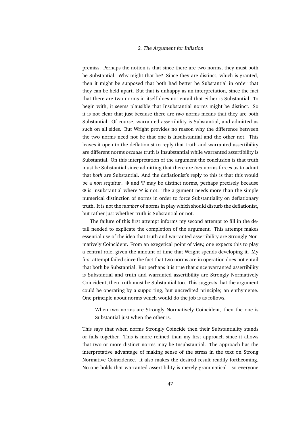premiss. Perhaps the notion is that since there are two norms, they must both be Substantial. Why might that be? Since they are distinct, which is granted, then it might be supposed that both had better be Substantial in order that they can be held apart. But that is unhappy as an interpretation, since the fact that there are two norms in itself does not entail that either is Substantial. To begin with, it seems plausible that Insubstantial norms might be distinct. So it is not clear that just because there are *two* norms means that they are both Substantial. Of course, warranted assertibility is Substantial, and admitted as such on all sides. But Wright provides no reason why the difference between the two norms need not be that one is Insubstantial and the other not. This leaves it open to the deflationist to reply that truth and warranted assertibility are different norms *because* truth is Insubstantial while warranted assertibility is Substantial. On this interpretation of the argument the conclusion is that truth must be Substantial since admitting that there are *two* norms forces us to admit that *both* are Substantial. And the deflationist's reply to this is that this would be a *non sequitur*. Φ and Ψ may be distinct norms, perhaps precisely because  $Φ$  is Insubstantial where Ψ is not. The argument needs more than the simple numerical distinction of norms in order to force Substantiality on deflationary truth. It is not the *number* of norms in play which should disturb the deflationist, but rather just whether truth is Substantial or not.

The failure of this first attempt informs my second attempt to fill in the detail needed to explicate the completion of the argument. This attempt makes essential use of the idea that truth and warranted assertibility are Strongly Normatively Coincident. From an exegetical point of view, one expects this to play a central role, given the amount of time that Wright spends developing it. My first attempt failed since the fact that two norms are in operation does not entail that both be Substantial. But perhaps it is true that since warranted assertibility is Substantial and truth and warranted assertibility are Strongly Normatively Coincident, then truth must be Substantial too. This suggests that the argument could be operating by a supporting, but uncredited principle; an enthymeme. One principle about norms which would do the job is as follows.

When two norms are Strongly Normatively Coincident, then the one is Substantial just when the other is.

This says that when norms Strongly Coincide then their Substantiality stands or falls together. This is more refined than my first approach since it allows that two or more distinct norms may be Insubstantial. The approach has the interpretative advantage of making sense of the stress in the text on Strong Normative Coincidence. It also makes the desired result readily forthcoming. No one holds that warranted assertibility is merely grammatical—so everyone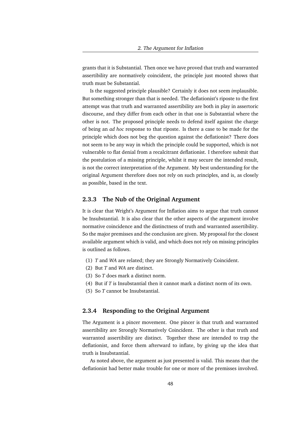grants that it is Substantial. Then once we have proved that truth and warranted assertibility are normatively coincident, the principle just mooted shows that truth must be Substantial.

Is the suggested principle plausible? Certainly it does not seem *im*plausible. But something stronger than that is needed. The deflationist's riposte to the first attempt was that truth and warranted assertibility are both in play in assertoric discourse, and they differ from each other in that one is Substantial where the other is not. The proposed principle needs to defend itself against the charge of being an *ad hoc* response to that riposte. Is there a case to be made for the principle which does not beg the question against the deflationist? There does not seem to be any way in which the principle could be supported, which is not vulnerable to flat denial from a recalcitrant deflationist. I therefore submit that the postulation of a missing principle, whilst it may secure the intended result, is not the correct interpretation of the Argument. My best understanding for the original Argument therefore does not rely on such principles, and is, as closely as possible, based in the text.

#### **2.3.3 The Nub of the Original Argument**

It is clear that Wright's Argument for Inflation aims to argue that truth cannot be Insubstantial. It is also clear that the other aspects of the argument involve normative coincidence and the distinctness of truth and warranted assertibility. So the major premisses and the conclusion are given. My proposal for the closest available argument which is valid, and which does not rely on missing principles is outlined as follows.

- (1) *T* and *WA* are related; they are Strongly Normatively Coincident.
- (2) But *T* and *WA* are distinct.
- (3) So *T* does mark a distinct norm.
- (4) But if *T* is Insubstantial then it cannot mark a distinct norm of its own.
- (5) So *T* cannot be Insubstantial.

#### **2.3.4 Responding to the Original Argument**

The Argument is a pincer movement. One pincer is that truth and warranted assertibility are Strongly Normatively Coincident. The other is that truth and warranted assertibility are distinct. Together these are intended to trap the deflationist, and force them afterward to inflate, by giving up the idea that truth is Insubstantial.

As noted above, the argument as just presented is valid. This means that the deflationist had better make trouble for one or more of the premisses involved.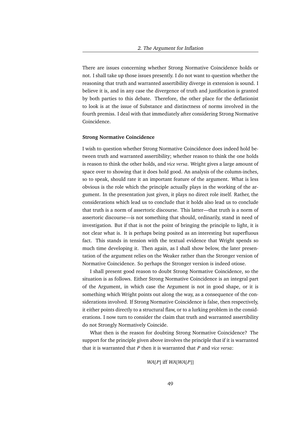There are issues concerning whether Strong Normative Coincidence holds or not. I shall take up those issues presently. I do not want to question whether the reasoning that truth and warranted assertibility diverge in extension is sound. I believe it is, and in any case the divergence of truth and justification is granted by both parties to this debate. Therefore, the other place for the deflationist to look is at the issue of Substance and distinctness of norms involved in the fourth premiss. I deal with that immediately after considering Strong Normative Coincidence.

#### **Strong Normative Coincidence**

I wish to question whether Strong Normative Coincidence does indeed hold between truth and warranted assertibility; whether reason to think the one holds is reason to think the other holds, and *vice versa*. Wright gives a large amount of space over to showing that it does hold good. An analysis of the column-inches, so to speak, should rate it an important feature of the argument. What is less obvious is the role which the principle actually plays in the working of the argument. In the presentation just given, it plays no direct role itself. Rather, the considerations which lead us to conclude that it holds also lead us to conclude that truth is a norm of assertoric discourse. This latter—that truth is a norm of assertoric discourse—is not something that should, ordinarily, stand in need of investigation. But if that is not the point of bringing the principle to light, it is not clear what is. It is perhaps being posited as an interesting but superfluous fact. This stands in tension with the textual evidence that Wright spends so much time developing it. Then again, as I shall show below, the later presentation of the argument relies on the Weaker rather than the Stronger version of Normative Coincidence. So perhaps the Stronger version is indeed otiose.

I shall present good reason to doubt Strong Normative Coincidence, so the situation is as follows. Either Strong Normative Coincidence is an integral part of the Argument, in which case the Argument is not in good shape, or it is something which Wright points out along the way, as a consequence of the considerations involved. If Strong Normative Coincidence is false, then respectively, it either points directly to a structural flaw, or to a lurking problem in the considerations. I now turn to consider the claim that truth and warranted assertibility do not Strongly Normatively Coincide.

What then is the reason for doubting Strong Normative Coincidence? The support for the principle given above involves the principle that if it is warranted that it is warranted that *P* then it is warranted that *P* and *vice versa*:

#### *WA*[*P*] iff *WA*[*WA*[*P*]]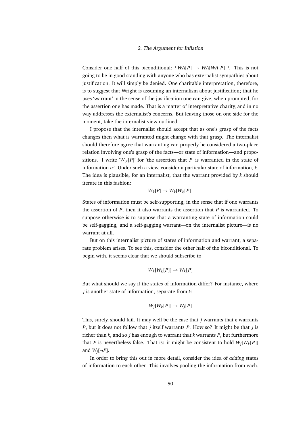Consider one half of this biconditional:  $\ulcorner WA[P] \rightarrow WA[WA[P]] \urcorner$ . This is not going to be in good standing with anyone who has externalist sympathies about justification. It will simply be denied. One charitable interpretation, therefore, is to suggest that Wright is assuming an internalism about justification; that he uses 'warrant' in the sense of the justification one can give, when prompted, for the assertion one has made. That is a matter of interpretative charity, and in no way addresses the externalist's concerns. But leaving those on one side for the moment, take the internalist view outlined.

I propose that the internalist should accept that as one's grasp of the facts changes then what is warranted might change with that grasp. The internalist should therefore agree that warranting can properly be considered a two-place relation involving one's grasp of the facts—or state of information—and propositions. I write ' $W_{\sigma}[P]$ ' for 'the assertion that *P* is warranted in the state of information  $\sigma'$ . Under such a view, consider a particular state of information,  $k$ . The idea is plausible, for an internalist, that the warrant provided by *k* should iterate in this fashion:

$$
W_k[P] \to W_k[W_k[P]]
$$

States of information must be self-supporting, in the sense that if one warrants the assertion of *P*, then it also warrants the assertion that *P* is warranted. To suppose otherwise is to suppose that a warranting state of information could be self-gagging, and a self-gagging warrant—on the internalist picture—is no warrant at all.

But on this internalist picture of states of information and warrant, a separate problem arises. To see this, consider the other half of the biconditional. To begin with, it seems clear that we should subscribe to

$$
W_k[W_k[P]] \to W_k[P]
$$

But what should we say if the states of information differ? For instance, where *j* is another state of information, separate from *k*:

$$
W_j[W_k[P]] \to W_j[P]
$$

This, surely, should fail. It may well be the case that *j* warrants that *k* warrants *P*, but it does not follow that *j* itself warrants *P*. How so? It might be that *j* is richer than *k*, and so *j* has enough to warrant that *k* warrants *P*, but furthermore that *P* is nevertheless false. That is: it might be consistent to hold *Wj* [*Wk* [*P*]] and  $W_j[\neg P]$ .

In order to bring this out in more detail, consider the idea of *adding* states of information to each other. This involves pooling the information from each.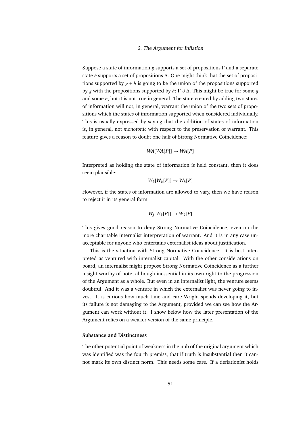Suppose a state of information *g* supports a set of propositions Γ and a separate state *h* supports a set of propositions ∆. One might think that the set of propositions supported by  $g + h$  is going to be the union of the propositions supported by *g* with the propositions supported by *h*; Γ ∪ ∆. This might be true for some *g* and some *h*, but it is not true in general. The state created by adding two states of information will not, in general, warrant the union of the two sets of propositions which the states of information supported when considered individually. This is usually expressed by saying that the addition of states of information is, in general, not *monotonic* with respect to the preservation of warrant. This feature gives a reason to doubt one half of Strong Normative Coincidence:

$$
WA[WA[P]] \rightarrow WA[P]
$$

Interpreted as holding the state of information is held constant, then it does seem plausible:

$$
W_k[W_k[P]] \to W_k[P]
$$

However, if the states of information are allowed to vary, then we have reason to reject it in its general form

$$
W_j[W_k[P]] \to W_k[P]
$$

This gives good reason to deny Strong Normative Coincidence, even on the more charitable internalist interpretation of warrant. And it is in any case unacceptable for anyone who entertains externalist ideas about justification.

This is the situation with Strong Normative Coincidence. It is best interpreted as ventured with internalist capital. With the other considerations on board, an internalist might propose Strong Normative Coincidence as a further insight worthy of note, although inessential in its own right to the progression of the Argument as a whole. But even in an internalist light, the venture seems doubtful. And it was a venture in which the externalist was never going to invest. It is curious how much time and care Wright spends developing it, but its failure is not damaging to the Argument, provided we can see how the Argument can work without it. I show below how the later presentation of the Argument relies on a weaker version of the same principle.

#### **Substance and Distinctness**

The other potential point of weakness in the nub of the original argument which was identified was the fourth premiss, that if truth is Insubstantial then it cannot mark its own distinct norm. This needs some care. If a deflationist holds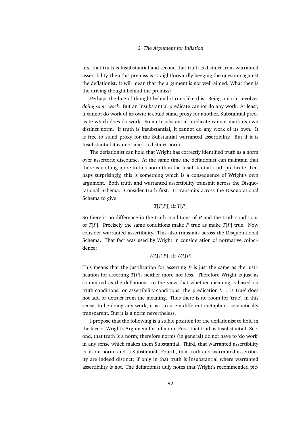first that truth is Insubstantial and second that truth is distinct from warranted assertibility, then this premiss is straightforwardly begging the question against the deflationist. It will mean that the argument is not well-aimed. What then is the driving thought behind the premiss?

Perhaps the line of thought behind it runs like this. Being a norm involves *doing some work*. But an Insubstantial predicate cannot do any work. At least, it cannot do work of its own; it could stand proxy for another, Substantial predicate which does do work. So an Insubstantial predicate cannot mark its own distinct norm. If truth is Insubstantial, it cannot do any work of its own. It is free to stand proxy for the Substantial warranted assertibility. But if it is Insubstantial it cannot mark a distinct norm.

The deflationist can hold that Wright has correctly identified truth as a norm over assertoric discourse. At the same time the deflationist can maintain that there is nothing more to this norm than the Insubstantial truth predicate. Perhaps surprisingly, this is something which is a consequence of Wright's own argument. Both truth and warranted assertibility transmit across the Disquotational Schema. Consider truth first. It transmits across the Disquotational Schema to give

#### *T*[*T*[*P*]] iff *T*[*P*]

So there is no difference in the truth-conditions of *P* and the truth-conditions of *T*[*P*]. Precisely the same conditions make *P* true as make *T*[*P*] true. Now consider warranted assertibility. This also transmits across the Disquotational Schema. That fact was used by Wright in consideration of normative coincidence:

#### *WA*[*T*[*P*]] iff *WA*[*P*]

This means that the justification for asserting *P* is just the same as the justification for asserting *T*[*P*]; neither more nor less. Therefore Wright is just as committed as the deflationist to the view that whether meaning is based on truth-conditions, or assertibility-conditions, the predication '. . . is true' does not add or detract from the meaning. Thus there is no room for 'true', in this sense, to be doing any work; it is—to use a different metaphor—semantically transparent. But it is a norm nevertheless.

I propose that the following is a stable position for the deflationist to hold in the face of Wright's Argument for Inflation. First, that truth is Insubstantial. Second, that truth is a norm; therefore norms (in general) do not have to 'do work' in any sense which makes them Substantial. Third, that warranted assertibility is also a norm, and is Substantial. Fourth, that truth and warranted assertibility are indeed distinct; if only in that truth is Insubstantial where warranted assertibility is not. The deflationist duly notes that Wright's recommended pic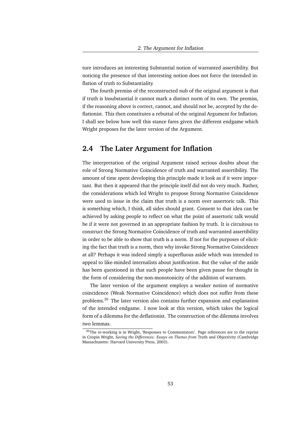ture introduces an interesting Substantial notion of warranted assertibility. But noticing the presence of that interesting notion does not force the intended inflation of truth to Substantiality.

The fourth premiss of the reconstructed nub of the original argument is that if truth is Insubstantial it cannot mark a distinct norm of its own. The premiss, if the reasoning above is correct, cannot, and should not be, accepted by the deflationist. This then constitutes a rebuttal of the original Argument for Inflation. I shall see below how well this stance fares given the different endgame which Wright proposes for the later version of the Argument.

## **2.4 The Later Argument for Inflation**

The interpretation of the original Argument raised serious doubts about the role of Strong Normative Coincidence of truth and warranted assertibility. The amount of time spent developing this principle made it look as if it were important. But then it appeared that the principle itself did not do very much. Rather, the considerations which led Wright to propose Strong Normative Coincidence were used to issue in the claim that truth is a norm over assertoric talk. This is something which, I think, all sides should grant. Consent to that idea can be achieved by asking people to reflect on what the point of assertoric talk would be if it were not governed in an appropriate fashion by truth. It is circuitous to construct the Strong Normative Coincidence of truth and warranted assertibility in order to be able to show that truth is a norm. If not for the purposes of eliciting the fact that truth is a norm, then why invoke Strong Normative Coincidence at all? Perhaps it was indeed simply a superfluous aside which was intended to appeal to like-minded internalists about justification. But the value of the aside has been questioned in that such people have been given pause for thought in the form of considering the non-monotonicity of the addition of warrants.

The later version of the argument employs a weaker notion of normative coincidence (Weak Normative Coincidence) which does not suffer from these problems.<sup>30</sup> The later version also contains further expansion and explanation of the intended endgame. I now look at this version, which takes the logical form of a dilemma for the deflationist. The construction of the dilemma involves two lemmas.

<sup>&</sup>lt;sup>30</sup>The re-working is in Wright, 'Responses to Commentators'. Page references are to the reprint in Crispin Wright, *Saving the Differences: Essays on Themes from* Truth and Objectivity (Cambridge Massachusetts: Harvard University Press, 2003).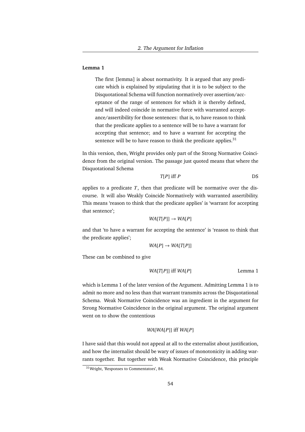#### **Lemma 1**

The first [lemma] is about normativity. It is argued that any predicate which is explained by stipulating that it is to be subject to the Disquotational Schema will function normatively over assertion/acceptance of the range of sentences for which it is thereby defined, and will indeed coincide in normative force with warranted acceptance/assertibility for those sentences: that is, to have reason to think that the predicate applies to a sentence will be to have a warrant for accepting that sentence; and to have a warrant for accepting the sentence will be to have reason to think the predicate applies. $31$ 

In this version, then, Wright provides only part of the Strong Normative Coincidence from the original version. The passage just quoted means that where the Disquotational Schema

$$
T[P] \tiff P \t\t\t\t DS
$$

applies to a predicate  $T$ , then that predicate will be normative over the discourse. It will also Weakly Coincide Normatively with warranted assertibility. This means 'reason to think that the predicate applies' is 'warrant for accepting that sentence';

$$
WA[T[P]] \rightarrow WA[P]
$$

and that 'to have a warrant for accepting the sentence' is 'reason to think that the predicate applies';

$$
WA[P] \rightarrow WA[T[P]]
$$

These can be combined to give

*WA*[*T*[*P*]] iff *WA*[*P*] Lemma 1

which is Lemma 1 of the later version of the Argument. Admitting Lemma 1 is to admit no more and no less than that warrant transmits across the Disquotational Schema. Weak Normative Coincidence was an ingredient in the argument for Strong Normative Coincidence in the original argument. The original argument went on to show the contentious

#### *WA*[*WA*[*P*]] iff *WA*[*P*]

I have said that this would not appeal at all to the externalist about justification, and how the internalist should be wary of issues of monotonicity in adding warrants together. But together with Weak Normative Coincidence, this principle

<sup>31</sup>Wright, 'Responses to Commentators', 84.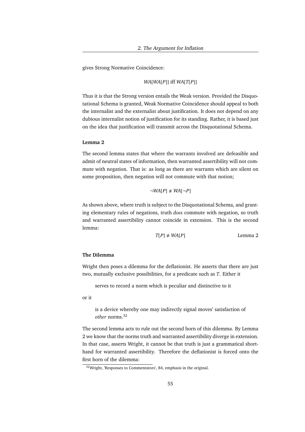gives Strong Normative Coincidence:

#### *WA*[*WA*[*P*]] iff *WA*[*T*[*P*]]

Thus it is that the Strong version entails the Weak version. Provided the Disquotational Schema is granted, Weak Normative Coincidence should appeal to both the internalist and the externalist about justification. It does not depend on any dubious internalist notion of justification for its standing. Rather, it is based just on the idea that justification will transmit across the Disquotational Schema.

#### **Lemma 2**

The second lemma states that where the warrants involved are defeasible and admit of neutral states of information, then warranted assertibility will not commute with negation. That is: as long as there are warrants which are silent on some proposition, then negation will not commute with that notion;

$$
\neg WA[P] \neq WA[\neg P]
$$

As shown above, where truth is subject to the Disquotational Schema, and granting elementary rules of negations, truth *does* commute with negation, so truth and warranted assertibility cannot coincide in extension. This is the second lemma:

$$
T[P] \neq WA[P]
$$
 Lemma 2

#### **The Dilemma**

Wright then poses a dilemma for the deflationist. He asserts that there are just two, mutually exclusive possibilities, for a predicate such as *T*. Either it

serves to record a norm which is peculiar and distinctive to it

or it

is a device whereby one may indirectly signal moves' satisfaction of *other* norms.<sup>32</sup>

The second lemma acts to rule out the second horn of this dilemma. By Lemma 2 we know that the norms truth and warranted assertibility diverge in extension. In that case, asserts Wright, it cannot be that truth is just a grammatical shorthand for warranted assertibility. Therefore the deflationist is forced onto the first horn of the dilemma:

<sup>32</sup>Wright, 'Responses to Commentators', 84, emphasis in the original.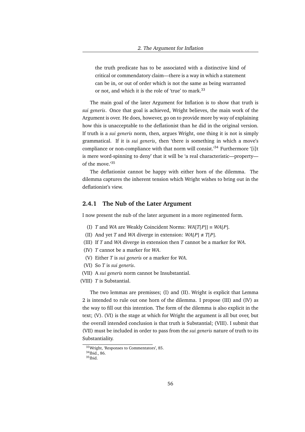the truth predicate has to be associated with a distinctive kind of critical or commendatory claim—there is a way in which a statement can be in, or out of order which is not the same as being warranted or not, and which it is the role of 'true' to mark.<sup>33</sup>

The main goal of the later Argument for Inflation is to show that truth is *sui generis*. Once that goal is achieved, Wright believes, the main work of the Argument is over. He does, however, go on to provide more by way of explaining how this is unacceptable to the deflationist than he did in the original version. If truth is a *sui generis* norm, then, argues Wright, one thing it is not is simply grammatical. If it is *sui generis*, then 'there is something in which a move's compliance or non-compliance with that norm will consist.<sup>34</sup> Furthermore '[i]t is mere word-spinning to deny' that it will be 'a real characteristic—property of the move.'<sup>35</sup>

The deflationist cannot be happy with either horn of the dilemma. The dilemma captures the inherent tension which Wright wishes to bring out in the deflationist's view.

#### **2.4.1 The Nub of the Later Argument**

I now present the nub of the later argument in a more regimented form.

- (I) *T* and *WA* are Weakly Coincident Norms: *WA*[*T*[*P*]] ≡ *WA*[*P*].
- (II) And yet *T* and *WA* diverge in extension:  $WA[P] \neq T[P]$ .
- (III) If *T* and *WA* diverge in extension then *T* cannot be a marker for *WA*.
- (IV) *T* cannot be a marker for *WA*.
- (V) Either *T* is *sui generis* or a marker for *WA*.
- (VI) So *T* is *sui generis*.
- (VII) A *sui generis* norm cannot be Insubstantial.
- (VIII) *T* is Substantial.

The two lemmas are premisses; (I) and (II). Wright is explicit that Lemma 2 is intended to rule out one horn of the dilemma. I propose (III) and (IV) as the way to fill out this intention. The form of the dilemma is also explicit in the text; (V). (VI) is the stage at which for Wright the argument is all but over, but the overall intended conclusion is that truth is Substantial; (VIII). I submit that (VII) must be included in order to pass from the *sui generis* nature of truth to its Substantiality.

<sup>33</sup>Wright, 'Responses to Commentators', 85.

 $34$ Ibid., 86.

 $35$ Ibid.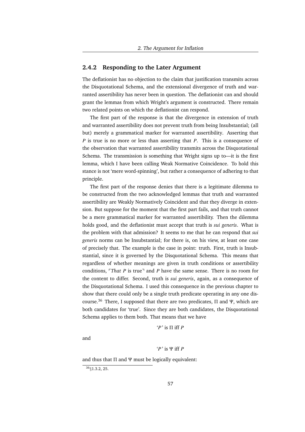#### **2.4.2 Responding to the Later Argument**

The deflationist has no objection to the claim that justification transmits across the Disquotational Schema, and the extensional divergence of truth and warranted assertibility has never been in question. The deflationist can and should grant the lemmas from which Wright's argument is constructed. There remain two related points on which the deflationist can respond.

The first part of the response is that the divergence in extension of truth and warranted assertibility does not prevent truth from being Insubstantial; (all but) merely a grammatical marker for warranted assertibility. Asserting that *P* is true is no more or less than asserting that *P*. This is a consequence of the observation that warranted assertibility transmits across the Disquotational Schema. The transmission is something that Wright signs up to—it is the first lemma, which I have been calling Weak Normative Coincidence. To hold this stance is not 'mere word-spinning', but rather a consequence of adhering to that principle.

The first part of the response denies that there is a legitimate dilemma to be constructed from the two acknowledged lemmas that truth and warranted assertibility are Weakly Normatively Coincident and that they diverge in extension. But suppose for the moment that the first part fails, and that truth cannot be a mere grammatical marker for warranted assertibility. Then the dilemma holds good, and the deflationist must accept that truth is *sui generis*. What is the problem with that admission? It seems to me that he can respond that *sui generis* norms can be Insubstantial; for there is, on his view, at least one case of precisely that. The example is the case in point: truth. First, truth is Insubstantial, since it is governed by the Disquotational Schema. This means that regardless of whether meanings are given in truth conditions or assertibility conditions,  $\ulcorner$ That *P* is true $\urcorner$  and *P* have the same sense. There is no room for the content to differ. Second, truth is *sui generis*, again, as a consequence of the Disquotational Schema. I used this consequence in the previous chapter to show that there could only be a single truth predicate operating in any one discourse.<sup>36</sup> There, I supposed that there are two predicates,  $\Pi$  and  $\Psi$ , which are both candidates for 'true'. Since they are both candidates, the Disquotational Schema applies to them both. That means that we have

$$
P'
$$
 is  $\Pi$  iff  $P$ 

and

$$
P'
$$
 is  $\Psi$  iff  $P$ 

and thus that  $\Pi$  and  $\Psi$  must be logically equivalent:

<sup>36</sup>§1.3.2, 25.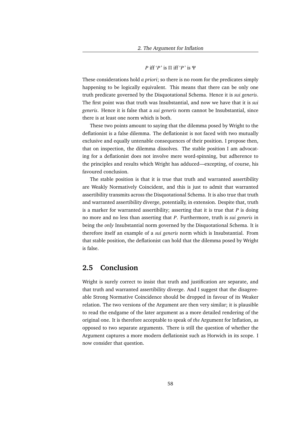#### *P* iff '*P* ' is Π iff '*P* ' is Ψ

These considerations hold *a priori*; so there is no room for the predicates simply happening to be logically equivalent. This means that there can be only one truth predicate governed by the Disquotational Schema. Hence it is *sui generis*. The first point was that truth was Insubstantial, and now we have that it is *sui generis*. Hence it is false that a *sui generis* norm cannot be Insubstantial, since there is at least one norm which is both.

These two points amount to saying that the dilemma posed by Wright to the deflationist is a false dilemma. The deflationist is not faced with two mutually exclusive and equally untenable consequences of their position. I propose then, that on inspection, the dilemma dissolves. The stable position I am advocating for a deflationist does not involve mere word-spinning, but adherence to the principles and results which Wright has adduced—excepting, of course, his favoured conclusion.

The stable position is that it is true that truth and warranted assertibility are Weakly Normatively Coincident, and this is just to admit that warranted assertibility transmits across the Disquotational Schema. It is also true that truth and warranted assertibility diverge, potentially, in extension. Despite that, truth is a marker for warranted assertibility; asserting that it is true that *P* is doing no more and no less than asserting that *P*. Furthermore, truth is *sui generis* in being the *only* Insubstantial norm governed by the Disquotational Schema. It is therefore itself an example of a *sui generis* norm which is Insubstantial. From that stable position, the deflationist can hold that the dilemma posed by Wright is false.

# **2.5 Conclusion**

Wright is surely correct to insist that truth and justification are separate, and that truth and warranted assertibility diverge. And I suggest that the disagreeable Strong Normative Coincidence should be dropped in favour of its Weaker relation. The two versions of the Argument are then very similar; it is plausible to read the endgame of the later argument as a more detailed rendering of the original one. It is therefore acceptable to speak of *the* Argument for Inflation, as opposed to two separate arguments. There is still the question of whether the Argument captures a more modern deflationist such as Horwich in its scope. I now consider that question.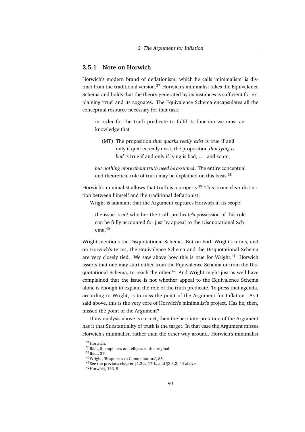#### **2.5.1 Note on Horwich**

Horwich's modern brand of deflationism, which he calls 'minimalism' is distinct from the traditional version.<sup>37</sup> Horwich's minimalist takes the Equivalence Schema and holds that the theory generated by its instances is sufficient for explaining 'true' and its cognates. The Equivalence Schema encapsulates all the conceptual resource necessary for that task:

in order for the truth predicate to fulfil its function we must acknowledge that

(MT) The proposition *that quarks really exist* is true if and only if quarks really exist, the proposition *that lying is bad* is true if and only if lying is bad, . . . and so on,

*but nothing more about truth need be assumed*. The entire conceptual and theoretical role of truth may be explained on this basis.<sup>38</sup>

Horwich's minimalist allows that truth is a property.<sup>39</sup> This is one clear distinction between himself and the traditional deflationist.

Wright is adamant that the Argument captures Horwich in its scope:

the issue is *not* whether the truth predicate's possession of this role can be fully accounted for just by appeal to the Disquotational Schema.<sup>40</sup>

Wright mentions the Disquotational Schema. But on both Wright's terms, and on Horwich's terms, the Equivalence Schema and the Disquotational Schema are very closely tied. We saw above how this is true for Wright. $41$  Horwich asserts that one may start either from the Equivalence Schema or from the Disquotational Schema, to reach the other.<sup>42</sup> And Wright might just as well have complained that the issue is not whether appeal to the Equivalence Schema alone is enough to explain the role of the truth predicate. To press that agenda, according to Wright, is to miss the point of the Argument for Inflation. As I said above, this is the very core of Horwich's minimalist's project. Has he, then, missed the point of the Argument?

If my analysis above is correct, then the best interpretation of the Argument has it that Substantiality of truth is the target. In that case the Argument misses Horwich's minimalist, rather than the other way around. Horwich's minimalist

<sup>37</sup>Horwich.

<sup>38</sup>Ibid., 5, emphases and ellipsis in the original.

<sup>39</sup>Ibid., 37.

<sup>40</sup>Wright, 'Responses to Commentators', 85.

<sup>41</sup>See the previous chapter §1.2.2, 17ff., and §2.3.2, 44 above.

<sup>42</sup>Horwich, 133–5.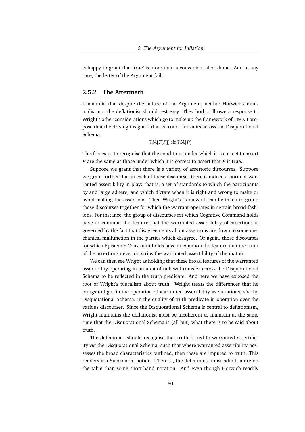is happy to grant that 'true' is more than a convenient short-hand. And in any case, the letter of the Argument fails.

#### **2.5.2 The Aftermath**

I maintain that despite the failure of the Argument, neither Horwich's minimalist nor the deflationist should rest easy. They both still owe a response to Wright's other considerations which go to make up the framework of T&O. I propose that the driving insight is that warrant transmits across the Disquotational Schema:

#### *WA*[*T*[*P*]] iff *WA*[*P*]

This forces us to recognise that the conditions under which it is correct to assert *P* are the same as those under which it is correct to assert that *P* is true.

Suppose we grant that there is a variety of assertoric discourses. Suppose we grant further that in each of these discourses there is indeed a norm of warranted assertibility in play: that is, a set of standards to which the participants by and large adhere, and which dictate when it is right and wrong to make or avoid making the assertions. Then Wright's framework can be taken to group those discourses together for which the warrant operates in certain broad fashions. For instance, the group of discourses for which Cognitive Command holds have in common the feature that the warranted assertibility of assertions is governed by the fact that disagreements about assertions are down to some mechanical malfunction in the parties which disagree. Or again, those discourses for which Epistemic Constraint holds have in common the feature that the truth of the assertions never outstrips the warranted assertibility of the matter.

We can then see Wright as holding that these broad features of the warranted assertibility operating in an area of talk will transfer across the Disquotational Schema to be reflected in the truth predicate. And here we have exposed the root of Wright's pluralism about truth. Wright treats the differences that he brings to light in the operation of warranted assertibility as variations, *via* the Disquotational Schema, in the quality of truth predicate in operation over the various discourses. Since the Disquotational Schema is central to deflationism, Wright maintains the deflationist must be incoherent to maintain at the same time that the Disquotational Schema is (all but) what there is to be said about truth.

The deflationist should recognise that truth is tied to warranted assertibility *via* the Disquotational Schema, such that where warranted assertibility possesses the broad characteristics outlined, then these are imputed to truth. This renders it a Substantial notion. There is, the deflationist must admit, more on the table than some short-hand notation. And even though Horwich readily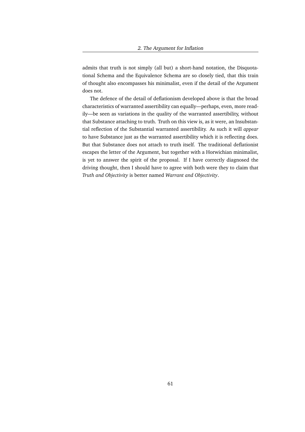admits that truth is not simply (all but) a short-hand notation, the Disquotational Schema and the Equivalence Schema are so closely tied, that this train of thought also encompasses his minimalist, even if the detail of the Argument does not.

The defence of the detail of deflationism developed above is that the broad characteristics of warranted assertibility can equally—perhaps, even, more readily—be seen as variations in the quality of the warranted assertibility, without that Substance attaching to truth. Truth on this view is, as it were, an Insubstantial reflection of the Substantial warranted assertibility. As such it will *appear* to have Substance just as the warranted assertibility which it is reflecting does. But that Substance does not attach to truth itself. The traditional deflationist escapes the letter of the Argument, but together with a Horwichian minimalist, is yet to answer the spirit of the proposal. If I have correctly diagnosed the driving thought, then I should have to agree with both were they to claim that *Truth and Objectivity* is better named *Warrant and Objectivity*.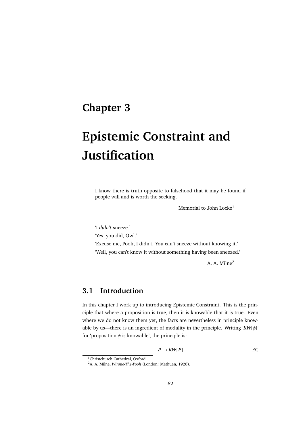# **Chapter 3**

# **Epistemic Constraint and Justification**

I know there is truth opposite to falsehood that it may be found if people will and is worth the seeking.

Memorial to John Locke<sup>1</sup>

'I *didn't* sneeze.' 'Yes, you did, Owl.' 'Excuse me, Pooh, I didn't. You can't sneeze without knowing it.' 'Well, you can't know it without something having been sneezed.'

A. A. Milne<sup>2</sup>

# **3.1 Introduction**

In this chapter I work up to introducing Epistemic Constraint. This is the principle that where a proposition is true, then it is knowable that it is true. Even where we do not know them yet, the facts are nevertheless in principle knowable by us—there is an ingredient of modality in the principle. Writing '*KW*[φ]' for 'proposition  $\phi$  is knowable', the principle is:

$$
P \to KW[P] \qquad \qquad \text{EC}
$$

<sup>1</sup>Christchurch Cathedral, Oxford.

<sup>2</sup>A. A. Milne, *Winnie-The-Pooh* (London: Methuen, 1926).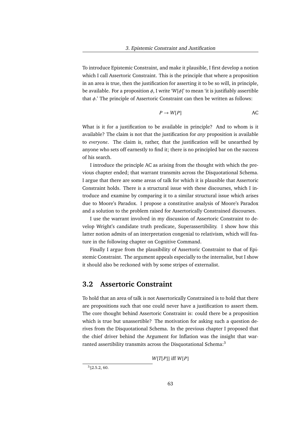To introduce Epistemic Constraint, and make it plausible, I first develop a notion which I call Assertoric Constraint. This is the principle that where a proposition in an area is true, then the justification for asserting it to be so will, in principle, be available. For a proposition  $\phi$ , I write ' $W[\phi]$ ' to mean 'it is justifiably assertible that  $\phi$ .' The principle of Assertoric Constraint can then be written as follows:

$$
P \to W[P] \qquad \qquad \text{AC}
$$

What is it for a justification to be available in principle? And to whom is it available? The claim is not that the justification for *any* proposition is available to *everyone*. The claim is, rather, that the justification will be unearthed by anyone who sets off earnestly to find it; there is no principled bar on the success of his search.

I introduce the principle AC as arising from the thought with which the previous chapter ended; that warrant transmits across the Disquotational Schema. I argue that there are some areas of talk for which it is plausible that Assertoric Constraint holds. There is a structural issue with these discourses, which I introduce and examine by comparing it to a similar structural issue which arises due to Moore's Paradox. I propose a constitutive analysis of Moore's Paradox and a solution to the problem raised for Assertorically Constrained discourses.

I use the warrant involved in my discussion of Assertoric Constraint to develop Wright's candidate truth predicate, Superassertibility. I show how this latter notion admits of an interpretation congenial to relativism, which will feature in the following chapter on Cognitive Command.

Finally I argue from the plausibility of Assertoric Constraint to that of Epistemic Constraint. The argument appeals especially to the internalist, but I show it should also be reckoned with by some stripes of externalist.

### **3.2 Assertoric Constraint**

To hold that an area of talk is not Assertorically Constrained is to hold that there are propositions such that one could never have a justification to assert them. The core thought behind Assertoric Constraint is: could there be a proposition which is true but unassertible? The motivation for asking such a question derives from the Disquotational Schema. In the previous chapter I proposed that the chief driver behind the Argument for Inflation was the insight that warranted assertibility transmits across the Disquotational Schema:<sup>3</sup>

*W*[*T*[*P*]] iff *W*[*P*]

 $3\S2.5.2, 60.$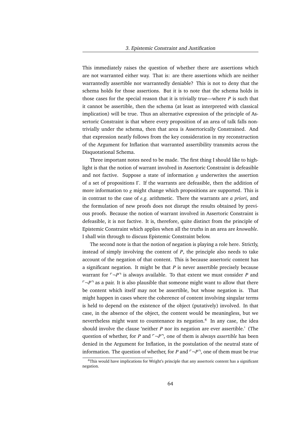This immediately raises the question of whether there are assertions which are not warranted either way. That is: are there assertions which are neither warrantedly assertible nor warrantedly deniable? This is not to deny that the schema holds for those assertions. But it is to note that the schema holds in those cases for the special reason that it is trivially true—where *P* is such that it cannot be assertible, then the schema (at least as interpreted with classical implication) will be true. Thus an alternative expression of the principle of Assertoric Constraint is that where every proposition of an area of talk falls nontrivially under the schema, then that area is Assertorically Constrained. And that expression neatly follows from the key consideration in my reconstruction of the Argument for Inflation that warranted assertibility transmits across the Disquotational Schema.

Three important notes need to be made. The first thing I should like to highlight is that the notion of warrant involved in Assertoric Constraint is defeasible and not factive. Suppose a state of information *g* underwrites the assertion of a set of propositions Γ. If the warrants are defeasible, then the addition of more information to *g* might change which propositions are supported. This is in contrast to the case of *e.g.* arithmetic. There the warrants are *a priori*, and the formulation of new proofs does not disrupt the results obtained by previous proofs. Because the notion of warrant involved in Assertoric Constraint is defeasible, it is not factive. It is, therefore, quite distinct from the principle of Epistemic Constraint which applies when all the truths in an area are *knowable*. I shall win through to discuss Epistemic Constraint below.

The second note is that the notion of negation is playing a role here. Strictly, instead of simply involving the content of *P*, the principle also needs to take account of the negation of that content. This is because assertoric content has a significant negation. It might be that *P* is never assertible precisely because warrant for  $\neg P$ <sup> $\neg$ </sup> is always available. To that extent we must consider *P* and  $\lceil \neg P \rceil$  as a pair. It is also plausible that someone might want to allow that there be content which itself may not be assertible, but whose negation is. That might happen in cases where the coherence of content involving singular terms is held to depend on the existence of the object (putatively) involved. In that case, in the absence of the object, the content would be meaningless, but we nevertheless might want to countenance its negation.<sup>4</sup> In any case, the idea should involve the clause 'neither *P* nor its negation are ever assertible.' (The question of whether, for *P* and  $\neg P$ <sup> $\neg$ </sup>, one of them is always *assertible* has been denied in the Argument for Inflation, in the postulation of the neutral state of information. The question of whether, for *P* and  $\neg P^{\dagger}$ , one of them must be *true* 

<sup>&</sup>lt;sup>4</sup>This would have implications for Wright's principle that any assertoric content has a significant negation.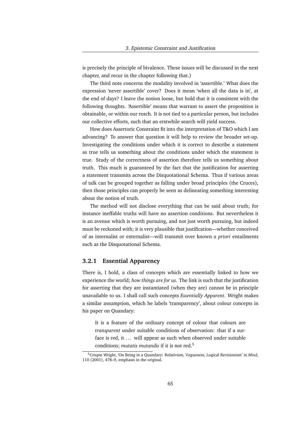is precisely the principle of bivalence. These issues will be discussed in the next chapter, and recur in the chapter following that.)

The third note concerns the modality involved in 'assertible.' What does the expression 'never assertible' cover? Does it mean 'when all the data is in', at the end of days? I leave the notion loose, but hold that it is consistent with the following thoughts. 'Assertible' means that warrant to assert the proposition is obtainable, or within our reach. It is not tied to a particular person, but includes our collective efforts, such that an erstwhile search will yield success.

How does Assertoric Constraint fit into the interpretation of T&O which I am advancing? To answer that question it will help to review the broader set-up. Investigating the conditions under which it is correct to describe a statement as true tells us something about the conditions under which the statement is true. Study of the correctness of assertion therefore tells us something about truth. This much is guaranteed by the fact that the justification for asserting a statement transmits across the Disquotational Schema. Thus if various areas of talk can be grouped together as falling under broad principles (the Cruces), then those principles can properly be seen as delineating something interesting about the notion of truth.

The method will not disclose everything that can be said about truth; for instance ineffable truths will have no assertion conditions. But nevertheless it is an avenue which is worth pursuing, and not just worth pursuing, but indeed must be reckoned with; it is very plausible that justification—whether conceived of as internalist or externalist—will transmit over known *a priori* entailments such as the Disquotational Schema.

#### **3.2.1 Essential Apparency**

There is, I hold, a class of concepts which are essentially linked to how we experience the world; *how things are for us*. The link is such that the justification for asserting that they are instantiated (when they are) cannot be in principle unavailable to us. I shall call such concepts *Essentially Apparent*. Wright makes a similar assumption, which he labels 'transparency', about colour concepts in his paper on Quandary:

It is a feature of the ordinary concept of colour that colours are *transparent* under suitable conditions of observation: that if a surface is red, it ... will appear as such when observed under suitable conditions; *mutatis mutandis* if it is not red.<sup>5</sup>

<sup>5</sup>Crispin Wright, 'On Being in a Quandary: Relativism, Vagueness, Logical Revisionism' in *Mind*, 110 (2001), 478–9, emphasis in the original.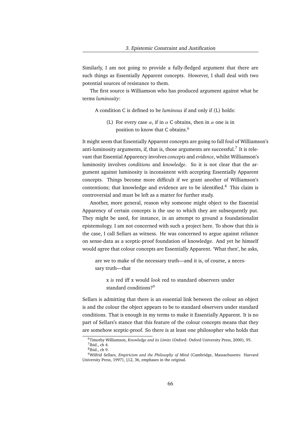Similarly, I am not going to provide a fully-fledged argument that there are such things as Essentially Apparent concepts. However, I shall deal with two potential sources of resistance to them.

The first source is Williamson who has produced argument against what he terms *luminosity*:

A condition C is defined to be *luminous* if and only if (L) holds:

(L) For every case  $\alpha$ , if in  $\alpha$  C obtains, then in  $\alpha$  one is in position to know that C obtains.<sup>6</sup>

It might seem that Essentially Apparent concepts are going to fall foul of Williamson's anti-luminosity arguments, if, that is, those arguments are successful.<sup>7</sup> It is relevant that Essential Apparency involves *concepts* and *evidence*, whilst Williamson's luminosity involves *conditions* and *knowledge*. So it is not clear that the argument against luminosity is inconsistent with accepting Essentially Apparent concepts. Things become more difficult if we grant another of Williamson's contentions; that knowledge and evidence are to be identified. $8$  This claim is controversial and must be left as a matter for further study.

Another, more general, reason why someone might object to the Essential Apparency of certain concepts is the use to which they are subsequently put. They might be used, for instance, in an attempt to ground a foundationalist epistemology. I am not concerned with such a project here. To show that this is the case, I call Sellars as witness. He was concerned to argue against reliance on sense-data as a sceptic-proof foundation of knowledge. And yet he himself would agree that colour concepts are Essentially Apparent. 'What then', he asks,

are we to make of the necessary truth—and it is, of course, a necessary truth—that

x *is* red iff x would *look* red to standard observers under standard conditions?<sup>9</sup>

Sellars is admitting that there is an essential link between the colour an object is and the colour the object appears to be to standard observers under standard conditions. That is enough in my terms to make it Essentially Apparent. It is no part of Sellars's stance that this feature of the colour concepts means that they are somehow sceptic-proof. So there is at least one philosopher who holds that

<sup>6</sup>Timothy Williamson, *Knowledge and its Limits* (Oxford: Oxford University Press, 2000), 95.

 $<sup>7</sup>$  Ibid., ch 4.</sup>

<sup>8</sup> Ibid., ch 9.

<sup>9</sup>Wilfrid Sellars, *Empiricism and the Philosophy of Mind* (Cambridge, Massachusetts: Harvard University Press, 1997), §12, 36, emphases in the original.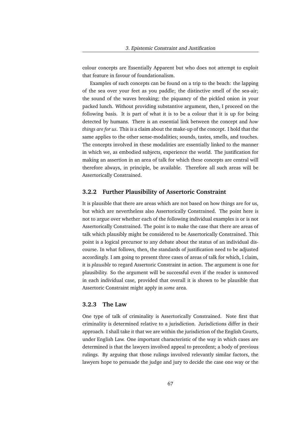colour concepts are Essentially Apparent but who does not attempt to exploit that feature in favour of foundationalism.

Examples of such concepts can be found on a trip to the beach: the lapping of the sea over your feet as you paddle; the distinctive smell of the sea-air; the sound of the waves breaking; the piquancy of the pickled onion in your packed lunch. Without providing substantive argument, then, I proceed on the following basis. It is part of what it is to be a colour that it is up for being detected by humans. There is an essential link between the concept and *how things are for us*. This is a claim about the make-up of the concept. I hold that the same applies to the other sense-modalities; sounds, tastes, smells, and touches. The concepts involved in these modalities are essentially linked to the manner in which we, as embodied subjects, experience the world. The justification for making an assertion in an area of talk for which these concepts are central will therefore always, in principle, be available. Therefore all such areas will be Assertorically Constrained.

#### **3.2.2 Further Plausibility of Assertoric Constraint**

It is plausible that there are areas which are not based on how things are for us, but which are nevertheless also Assertorically Constrained. The point here is not to argue over whether each of the following individual examples is or is not Assertorically Constrained. The point is to make the case that there are areas of talk which plausibly might be considered to be Assertorically Constrained. This point is a logical precursor to any debate about the status of an individual discourse. In what follows, then, the standards of justification need to be adjusted accordingly. I am going to present three cases of areas of talk for which, I claim, it is *plausible* to regard Assertoric Constraint in action. The argument is one for plausibility. So the argument will be successful even if the reader is unmoved in each individual case, provided that overall it is shown to be plausible that Assertoric Constraint might apply in *some* area.

#### **3.2.3 The Law**

One type of talk of criminality is Assertorically Constrained. Note first that criminality is determined relative to a jurisdiction. Jurisdictions differ in their approach. I shall take it that we are within the jurisdiction of the English Courts, under English Law. One important characteristic of the way in which cases are determined is that the lawyers involved appeal to precedent; a body of previous rulings. By arguing that those rulings involved relevantly similar factors, the lawyers hope to persuade the judge and jury to decide the case one way or the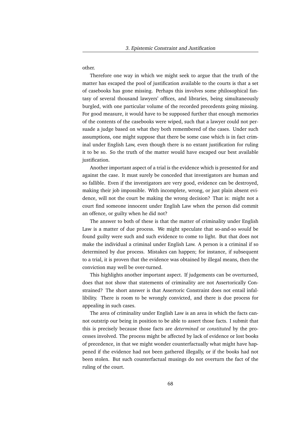other.

Therefore one way in which we might seek to argue that the truth of the matter has escaped the pool of justification available to the courts is that a set of casebooks has gone missing. Perhaps this involves some philosophical fantasy of several thousand lawyers' offices, and libraries, being simultaneously burgled, with one particular volume of the recorded precedents going missing. For good measure, it would have to be supposed further that enough memories of the contents of the casebooks were wiped, such that a lawyer could not persuade a judge based on what they both remembered of the cases. Under such assumptions, one might suppose that there be some case which is in fact criminal under English Law, even though there is no extant justification for ruling it to be so. So the truth of the matter would have escaped our best available justification.

Another important aspect of a trial is the evidence which is presented for and against the case. It must surely be conceded that investigators are human and so fallible. Even if the investigators are very good, evidence can be destroyed, making their job impossible. With incomplete, wrong, or just plain absent evidence, will not the court be making the wrong decision? That is: might not a court find someone innocent under English Law when the person did commit an offence, or guilty when he did not?

The answer to both of these is that the matter of criminality under English Law is a matter of due process. We might speculate that so-and-so *would* be found guilty were such and such evidence to come to light. But that does not make the individual a criminal under English Law. A person is a criminal if so determined by due process. Mistakes can happen; for instance, if subsequent to a trial, it is proven that the evidence was obtained by illegal means, then the conviction may well be over-turned.

This highlights another important aspect. If judgements can be overturned, does that not show that statements of criminality are not Assertorically Constrained? The short answer is that Assertoric Constraint does not entail infallibility. There is room to be wrongly convicted, and there is due process for appealing in such cases.

The area of criminality under English Law is an area in which the facts cannot outstrip our being in position to be able to assert those facts. I submit that this is precisely because those facts are *determined* or *constituted* by the processes involved. The process might be affected by lack of evidence or lost books of precedence, in that we might wonder counterfactually what might have happened if the evidence had not been gathered illegally, or if the books had not been stolen. But such counterfactual musings do not overturn the fact of the ruling of the court.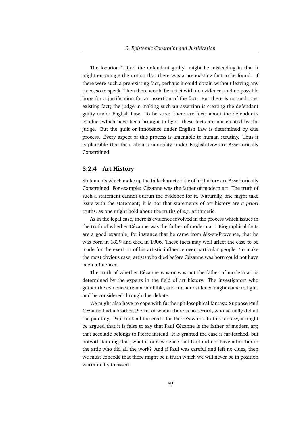The locution "I find the defendant guilty" might be misleading in that it might encourage the notion that there was a pre-existing fact to be found. If there were such a pre-existing fact, perhaps it could obtain without leaving any trace, so to speak. Then there would be a fact with no evidence, and no possible hope for a justification for an assertion of the fact. But there is no such preexisting fact; the judge in making such an assertion is creating the defendant guilty under English Law. To be sure: there are facts about the defendant's conduct which have been brought to light; these facts are not created by the judge. But the guilt or innocence under English Law is determined by due process. Every aspect of this process is amenable to human scrutiny. Thus it is plausible that facts about criminality under English Law are Assertorically Constrained.

#### **3.2.4 Art History**

Statements which make up the talk characteristic of art history are Assertorically Constrained. For example: Cézanne was the father of modern art. The truth of such a statement cannot outrun the evidence for it. Naturally, one might take issue with the statement; it is not that statements of art history are *a priori* truths, as one might hold about the truths of *e.g.* arithmetic.

As in the legal case, there is evidence involved in the process which issues in the truth of whether Cézanne was the father of modern art. Biographical facts are a good example; for instance that he came from Aix-en-Provence, that he was born in 1839 and died in 1906. These facts may well affect the case to be made for the exertion of his artistic influence over particular people. To make the most obvious case, artists who died before Cézanne was born could not have been influenced.

The truth of whether Cézanne was or was not the father of modern art is determined by the experts in the field of art history. The investigators who gather the evidence are not infallible, and further evidence might come to light, and be considered through due debate.

We might also have to cope with further philosophical fantasy. Suppose Paul Cézanne had a brother, Pierre, of whom there is no record, who actually did all the painting. Paul took all the credit for Pierre's work. In this fantasy, it might be argued that it is false to say that Paul Cézanne is the father of modern art; that accolade belongs to Pierre instead. It is granted the case is far-fetched, but notwithstanding that, what is our evidence that Paul did not have a brother in the attic who did all the work? And if Paul was careful and left no clues, then we must concede that there might be a truth which we will never be in position warrantedly to assert.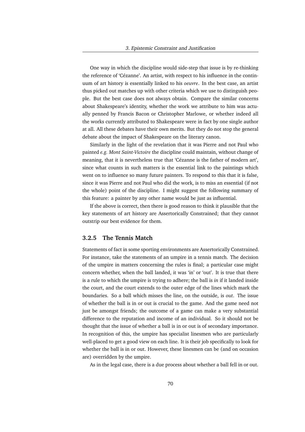One way in which the discipline would side-step that issue is by re-thinking the reference of 'Cézanne'. An artist, with respect to his influence in the continuum of art history is essentially linked to his *oeuvre*. In the best case, an artist thus picked out matches up with other criteria which we use to distinguish people. But the best case does not always obtain. Compare the similar concerns about Shakespeare's identity, whether the work we attribute to him was actually penned by Francis Bacon or Christopher Marlowe, or whether indeed all the works currently attributed to Shakespeare were in fact by one single author at all. All these debates have their own merits. But they do not stop the general debate about the impact of Shakespeare on the literary canon.

Similarly in the light of the revelation that it was Pierre and not Paul who painted *e.g. Mont Saint-Victoire* the discipline could maintain, without change of meaning, that it is nevertheless true that 'Cézanne is the father of modern art', since what counts in such matters is the essential link to the paintings which went on to influence so many future painters. To respond to this that it is false, since it was Pierre and not Paul who did the work, is to miss an essential (if not the whole) point of the discipline. I might suggest the following summary of this feature: a painter by any other name would be just as influential.

If the above is correct, then there is good reason to think it plausible that the key statements of art history are Assertorically Constrained; that they cannot outstrip our best evidence for them.

#### **3.2.5 The Tennis Match**

Statements of fact in some sporting environments are Assertorically Constrained. For instance, take the statements of an umpire in a tennis match. The decision of the umpire in matters concerning the rules is final; a particular case might concern whether, when the ball landed, it was 'in' or 'out'. It is true that there is a rule to which the umpire is trying to adhere; the ball is *in* if it landed inside the court, and the court extends to the outer edge of the lines which mark the boundaries. So a ball which misses the line, on the outside, is *out*. The issue of whether the ball is in or out is crucial to the game. And the game need not just be amongst friends; the outcome of a game can make a very substantial difference to the reputation and income of an individual. So it should not be thought that the issue of whether a ball is in or out is of secondary importance. In recognition of this, the umpire has specialist linesmen who are particularly well-placed to get a good view on each line. It is their job specifically to look for whether the ball is in or out. However, these linesmen can be (and on occasion are) overridden by the umpire.

As in the legal case, there is a due process about whether a ball fell in or out.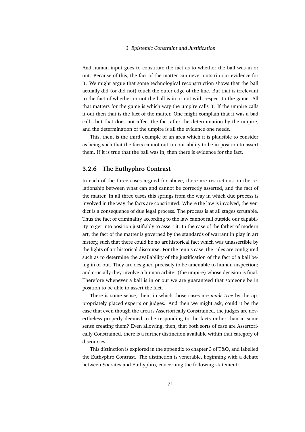And human input goes to constitute the fact as to whether the ball was in or out. Because of this, the fact of the matter can never outstrip our evidence for it. We might argue that some technological reconstruction shows that the ball actually did (or did not) touch the outer edge of the line. But that is irrelevant to the fact of whether or not the ball is in or out with respect to the game. All that matters for the game is which way the umpire calls it. If the umpire calls it out then that is the fact of the matter. One might complain that it was a bad call—but that does not affect the fact after the determination by the umpire, and the determination of the umpire is all the evidence one needs.

This, then, is the third example of an area which it is plausible to consider as being such that the facts cannot outrun our ability to be in position to assert them. If it is true that the ball was in, then there is evidence for the fact.

#### **3.2.6 The Euthyphro Contrast**

In each of the three cases argued for above, there are restrictions on the relationship between what can and cannot be correctly asserted, and the fact of the matter. In all three cases this springs from the way in which due process is involved in the way the facts are constituted. Where the law is involved, the verdict is a consequence of due legal process. The process is at all stages scrutable. Thus the fact of criminality according to the law cannot fall outside our capability to get into position justifiably to assert it. In the case of the father of modern art, the fact of the matter is governed by the standards of warrant in play in art history, such that there could be no art historical fact which was unassertible by the lights of art historical discourse. For the tennis case, the rules are configured such as to determine the availability of the justification of the fact of a ball being in or out. They are designed precisely to be amenable to human inspection; and crucially they involve a human arbiter (the umpire) whose decision is final. Therefore whenever a ball is in or out we are guaranteed that someone be in position to be able to assert the fact.

There is some sense, then, in which those cases are *made true* by the appropriately placed experts or judges. And then we might ask, could it be the case that even though the area is Assertorically Constrained, the judges are nevertheless properly deemed to be responding to the facts rather than in some sense creating them? Even allowing, then, that both sorts of case are Assertorically Constrained, there is a further distinction available within that category of discourses.

This distinction is explored in the appendix to chapter 3 of T&O, and labelled the Euthyphro Contrast. The distinction is venerable, beginning with a debate between Socrates and Euthyphro, concerning the following statement: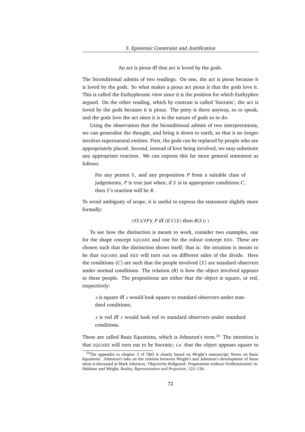An act is pious iff that act is loved by the gods.

The biconditional admits of two readings. On one, the act is pious because it is loved by the gods. So what makes a pious act pious is that the gods love it. This is called the Euthyphronic view since it is the position for which Euthyphro argued. On the other reading, which by contrast is called 'Socratic', the act is loved by the gods because it is pious. The piety is there anyway, so to speak, and the gods love the act since it is in the nature of gods so to do.

Using the observation that the biconditional admits of two interpretations, we can generalise the thought, and bring it down to earth, so that it no longer involves supernatural entities. First, the gods can be replaced by people who are appropriately placed. Second, instead of love being involved, we may substitute any appropriate reaction. We can express this far more general statement as follows.

For any person *S* , and any proposition *P* from a suitable class of judgements,  $P$  is true just when, if  $S$  is in appropriate conditions  $C$ , then *S* 's reaction will be *R*.

To avoid ambiguity of scope, it is useful to express the statement slightly more formally:

#### (∀*S* )(∀*P*)( *P* iff (if *C*(*S* ) then *R*(*S* )) )

To see how the distinction is meant to work, consider two examples, one for the shape concept SQUARE and one for the colour concept RED. These are chosen such that the distinction shows itself; that is: the intuition is meant to be that SQUARE and RED will turn out on different sides of the divide. Here the conditions (*C*) are such that the people involved (*S* ) are standard observers under normal conditions. The relation (*R*) is how the object involved appears to these people. The propositions are either that the object is square, or red, respectively:

*x* is square iff *x* would look square to standard observers under standard conditions;

*x* is red iff *x* would look red to standard observers under standard conditions.

These are called Basic Equations, which is Johnston's term.<sup>10</sup> The intention is that SQUARE will turn out to be Socratic; *i.e.* that the object appears square to

 $10$ The appendix to chapter 3 of T&O is closely based on Wright's manuscript 'Notes on Basic Equations'. Johnston's take on the relation between Wright's and Johnston's development of these ideas is discussed at Mark Johnston, 'Objectivity Refigured: Pragmatism without Verificationism' in: Haldane and Wright, *Reality, Representation and Projection*, 121–126.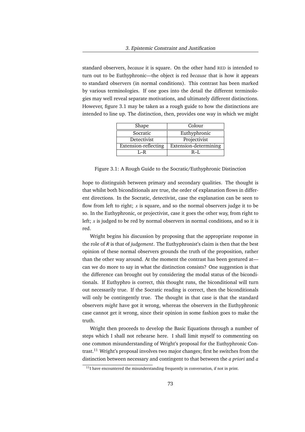standard observers, *because* it is square. On the other hand RED is intended to turn out to be Euthyphronic—the object is red *because* that is how it appears to standard observers (in normal conditions). This contrast has been marked by various terminologies. If one goes into the detail the different terminologies may well reveal separate motivations, and ultimately different distinctions. However, figure 3.1 may be taken as a rough guide to how the distinctions are intended to line up. The distinction, then, provides one way in which we might

| Shape                | Colour                |  |
|----------------------|-----------------------|--|
| Socratic             | Euthyphronic          |  |
| Detectivist          | Projectivist          |  |
| Extension-reflecting | Extension-determining |  |
| $L_R$                | $R-I.$                |  |

Figure 3.1: A Rough Guide to the Socratic/Euthyphronic Distinction

hope to distinguish between primary and secondary qualities. The thought is that whilst both biconditionals are true, the order of explanation flows in different directions. In the Socratic, detectivist, case the explanation can be seen to flow from left to right;  $x$  is square, and so the normal observers judge it to be so. In the Euthyphronic, or projectivist, case it goes the other way, from right to left;  $x$  is judged to be red by normal observers in normal conditions, and so it is red.

Wright begins his discussion by proposing that the appropriate response in the role of *R* is that of *judgement*. The Euthyphronist's claim is then that the best opinion of these normal observers grounds the truth of the proposition, rather than the other way around. At the moment the contrast has been gestured at can we do more to say in what the distinction consists? One suggestion is that the difference can brought out by considering the modal status of the biconditionals. If Euthyphro is correct, this thought runs, the biconditional will turn out necessarily true. If the Socratic reading is correct, then the biconditionals will only be contingently true. The thought in that case is that the standard observers *might* have got it wrong, whereas the observers in the Euthyphronic case cannot get it wrong, since their opinion in some fashion goes to make the truth.

Wright then proceeds to develop the Basic Equations through a number of steps which I shall not rehearse here. I shall limit myself to commenting on one common misunderstanding of Wright's proposal for the Euthyphronic Contrast.<sup>11</sup> Wright's proposal involves two major changes; first he switches from the distinction between necessary and contingent to that between the *a priori* and *a*

 $11$ I have encountered the misunderstanding frequently in conversation, if not in print.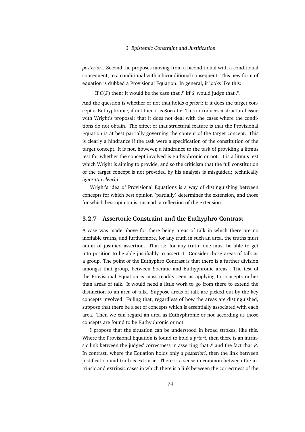*posteriori*. Second, he proposes moving from a biconditional with a conditional consequent, to a conditional with a biconditional consequent. This new form of equation is dubbed a Provisional Equation. In general, it looks like this:

If *C*(*S* ) then: it would be the case that *P* iff *S* would judge that *P*.

And the question is whether or not that holds *a priori*; if it does the target concept is Euthyphronic, if not then it is Socratic. This introduces a structural issue with Wright's proposal; that it does not deal with the cases where the conditions do not obtain. The effect of that structural feature is that the Provisional Equation is at best partially governing the content of the target concept. This is clearly a hindrance if the task were a specification of the constitution of the target concept. It is not, however, a hindrance to the task of providing a litmus test for whether the concept involved is Euthyphronic or not. It is a litmus test which Wright is aiming to provide, and so the criticism that the full constitution of the target concept is not provided by his analysis is misguided; technically *ignoratio elenchi*.

Wright's idea of Provisional Equations is a way of distinguishing between concepts for which best opinion (partially) determines the extension, and those for which best opinion is, instead, a reflection of the extension.

### **3.2.7 Assertoric Constraint and the Euthyphro Contrast**

A case was made above for there being areas of talk in which there are no ineffable truths, and furthermore, for any truth in such an area, the truths must admit of justified assertion. That is: for any truth, one must be able to get into position to be able justifiably to assert it. Consider those areas of talk as a group. The point of the Euthyphro Contrast is that there is a further division amongst that group, between Socratic and Euthyphronic areas. The test of the Provisional Equation is most readily seen as applying to concepts rather than areas of talk. It would need a little work to go from there to extend the distinction to an area of talk. Suppose areas of talk are picked out by the key concepts involved. Failing that, regardless of how the areas are distinguished, suppose that there be a set of concepts which is essentially associated with each area. Then we can regard an area as Euthyphronic or not according as those concepts are found to be Euthyphronic or not.

I propose that the situation can be understood in broad strokes, like this. Where the Provisional Equation is found to hold *a priori*, then there is an intrinsic link between the judges' correctness in asserting that *P* and the fact that *P*. In contrast, where the Equation holds only *a posteriori*, then the link between justification and truth is extrinsic. There is a sense in common between the intrinsic and extrinsic cases in which there is a link between the correctness of the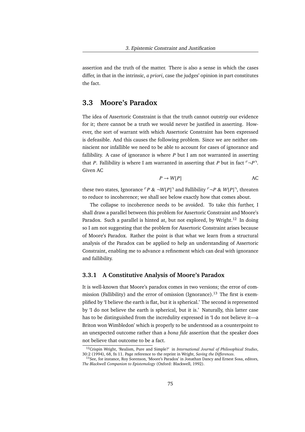assertion and the truth of the matter. There is also a sense in which the cases differ, in that in the intrinsic, *a priori*, case the judges' opinion in part constitutes the fact.

# **3.3 Moore's Paradox**

The idea of Assertoric Constraint is that the truth cannot outstrip our evidence for it; there cannot be a truth we would never be justified in asserting. However, the sort of warrant with which Assertoric Constraint has been expressed is defeasible. And this causes the following problem. Since we are neither omniscient nor infallible we need to be able to account for cases of ignorance and fallibility. A case of ignorance is where *P* but I am not warranted in asserting that *P*. Fallibility is where I am warranted in asserting that *P* but in fact  $\neg P$ . Given AC

$$
P \to W[P] \qquad \qquad \text{AC}
$$

these two states, Ignorance  $\Gamma P \& \neg W[P]$  and Fallibility  $\Gamma \neg P \& W[P]$ , threaten to reduce to incoherence; we shall see below exactly how that comes about.

The collapse to incoherence needs to be avoided. To take this further, I shall draw a parallel between this problem for Assertoric Constraint and Moore's Paradox. Such a parallel is hinted at, but not explored, by Wright.<sup>12</sup> In doing so I am not suggesting that the problem for Assertoric Constraint arises because of Moore's Paradox. Rather the point is that what we learn from a structural analysis of the Paradox can be applied to help an understanding of Assertoric Constraint, enabling me to advance a refinement which can deal with ignorance and fallibility.

### **3.3.1 A Constitutive Analysis of Moore's Paradox**

It is well-known that Moore's paradox comes in two versions; the error of commission (Fallibility) and the error of omission (Ignorance).<sup>13</sup> The first is exemplified by 'I believe the earth is flat, but it is spherical.' The second is represented by 'I do not believe the earth is spherical, but it is.' Naturally, this latter case has to be distinguished from the incredulity expressed in 'I do not believe it—a Briton won Wimbledon' which is properly to be understood as a counterpoint to an unexpected outcome rather than a *bona fide* assertion that the speaker does not believe that outcome to be a fact.

<sup>12</sup>Crispin Wright, 'Realism, Pure and Simple?' in *International Journal of Philosophical Studies*, 30:2 (1994), 68, fn 11. Page reference to the reprint in Wright, *Saving the Differences*.

<sup>&</sup>lt;sup>13</sup>See, for instance, Roy Sorenson, 'Moore's Paradox' in Jonathan Dancy and Ernest Sosa, editors, *The Blackwell Companion to Epistemology* (Oxford: Blackwell, 1992).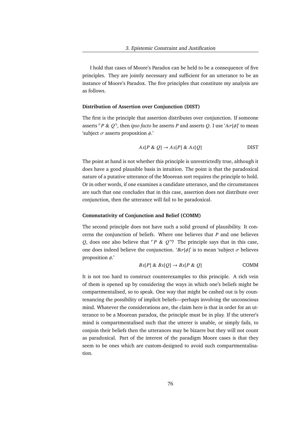I hold that cases of Moore's Paradox can be held to be a consequence of five principles. They are jointly necessary and sufficient for an utterance to be an instance of Moore's Paradox. The five principles that constitute my analysis are as follows.

### **Distribution of Assertion over Conjunction (DIST)**

The first is the principle that assertion distributes over conjunction. If someone asserts  $\Gamma P \& Q$ <sup>-</sup>, then *ipso facto* he asserts *P* and asserts *Q*. I use ' $A\sigma[\phi]$ ' to mean 'subject  $\sigma$  asserts proposition  $\phi$ .'

$$
Ax[P \& Q] \rightarrow Ax[P] \& Ax[Q] \qquad \qquad \text{DIST}
$$

The point at hand is not whether this principle is unrestrictedly true, although it does have a good plausible basis in intuition. The point is that the paradoxical nature of a putative utterance of the Moorean sort requires the principle to hold. Or in other words, if one examines a candidate utterance, and the circumstances are such that one concludes that in this case, assertion does not distribute over conjunction, then the utterance will fail to be paradoxical.

### **Commutativity of Conjunction and Belief (COMM)**

The second principle does not have such a solid ground of plausibility. It concerns the conjunction of beliefs. Where one believes that *P* and one believes *Q*, does one also believe that  $\ulcorner P \& Q \urcorner?$  The principle says that in this case, one does indeed believe the conjunction. ' $B\sigma[\phi]$ ' is to mean 'subject  $\sigma$  believes proposition  $\phi$ .

$$
Bx[P] \& Bx[Q] \rightarrow Bx[P \& Q]
$$
COMM

It is not too hard to construct counterexamples to this principle. A rich vein of them is opened up by considering the ways in which one's beliefs might be compartmentalised, so to speak. One way that might be cashed out is by countenancing the possibility of implicit beliefs—perhaps involving the unconscious mind. Whatever the considerations are, the claim here is that in order for an utterance to be a Moorean paradox, the principle must be in play. If the utterer's mind is compartmentalised such that the utterer is unable, or simply fails, to conjoin their beliefs then the utterances may be bizarre but they will not count as paradoxical. Part of the interest of the paradigm Moore cases is that they seem to be ones which are custom-designed to avoid such compartmentalisation.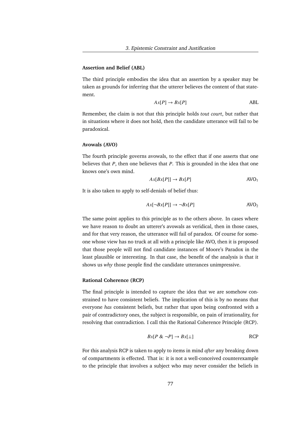### **Assertion and Belief (ABL)**

The third principle embodies the idea that an assertion by a speaker may be taken as grounds for inferring that the utterer believes the content of that statement.

$$
Ax[P] \to Bx[P] \tag{ABL}
$$

Remember, the claim is not that this principle holds *tout court*, but rather that in situations where it does not hold, then the candidate utterance will fail to be paradoxical.

### **Avowals (AVO)**

The fourth principle governs avowals, to the effect that if one asserts that one believes that *P*, then one believes that *P*. This is grounded in the idea that one knows one's own mind.

$$
Ax[Bx[P]] \to Bx[P] \qquad \qquad \text{AVO}_1
$$

It is also taken to apply to self-denials of belief thus:

$$
Ax[\neg Bx[P]] \to \neg Bx[P] \qquad \qquad \text{AVO}_2
$$

The same point applies to this principle as to the others above. In cases where we have reason to doubt an utterer's avowals as veridical, then in those cases, and for that very reason, the utterance will fail of paradox. Of course for someone whose view has no truck at all with a principle like AVO, then it is proposed that those people will not find candidate instances of Moore's Paradox in the least plausible or interesting. In that case, the benefit of the analysis is that it shows us *why* those people find the candidate utterances unimpressive.

### **Rational Coherence (RCP)**

The final principle is intended to capture the idea that we are somehow constrained to have consistent beliefs. The implication of this is by no means that everyone *has* consistent beliefs, but rather that upon being confronted with a pair of contradictory ones, the subject is responsible, on pain of irrationality, for resolving that contradiction. I call this the Rational Coherence Principle (RCP).

$$
Bx[P \& \neg P] \to Bx[\perp]
$$
 RCP

For this analysis RCP is taken to apply to items in mind *after* any breaking down of compartments is effected. That is: it is not a well-conceived counterexample to the principle that involves a subject who may never consider the beliefs in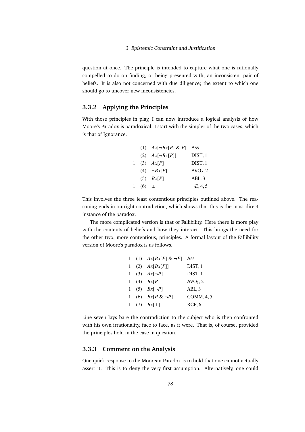question at once. The principle is intended to capture what one is rationally compelled to do on finding, or being presented with, an inconsistent pair of beliefs. It is also not concerned with due diligence; the extent to which one should go to uncover new inconsistencies.

# **3.3.2 Applying the Principles**

With those principles in play, I can now introduce a logical analysis of how Moore's Paradox is paradoxical. I start with the simpler of the two cases, which is that of Ignorance.

|  |               | 1 (1) $Ax[\neg Bx[P] \& P]$ Ass |                      |
|--|---------------|---------------------------------|----------------------|
|  |               | 1 (2) $Ax[\neg Bx[P]]$          | DIST, 1              |
|  |               | 1 (3) $Ax[P]$                   | DIST, 1              |
|  |               | 1 (4) $\neg Bx[P]$              | AVO <sub>2</sub> , 2 |
|  |               | 1 (5) $Bx[P]$                   | ABL, 3               |
|  | 1 (6) $\perp$ |                                 | $\neg E, 4, 5$       |
|  |               |                                 |                      |

This involves the three least contentious principles outlined above. The reasoning ends in outright contradiction, which shows that this is the most direct instance of the paradox.

The more complicated version is that of Fallibility. Here there is more play with the contents of beliefs and how they interact. This brings the need for the other two, more contentious, principles. A formal layout of the Fallibility version of Moore's paradox is as follows.

|  | 1 (1) $Ax[Bx[P] \& \neg P]$ Ass |            |
|--|---------------------------------|------------|
|  | 1 (2) $Ax[Bx[P]]$               | DIST, 1    |
|  | 1 (3) $Ax[\neg P]$              | DIST, 1    |
|  | 1 (4) $Bx[P]$                   | $AVO1$ , 2 |
|  | 1 (5) $Bx[\neg P]$              | ABL, 3     |
|  | 1 (6) $Bx[P \& \neg P]$         | COMM, 4, 5 |
|  | 1 (7) $Bx[\perp]$               | RCP, 6     |
|  |                                 |            |

Line seven lays bare the contradiction to the subject who is then confronted with his own irrationality, face to face, as it were. That is, of course, provided the principles hold in the case in question.

## **3.3.3 Comment on the Analysis**

One quick response to the Moorean Paradox is to hold that one cannot actually assert it. This is to deny the very first assumption. Alternatively, one could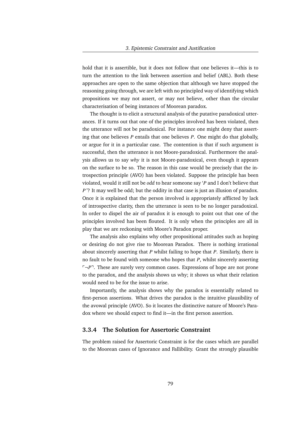hold that it is assertible, but it does not follow that one believes it—this is to turn the attention to the link between assertion and belief (ABL). Both these approaches are open to the same objection that although we have stopped the reasoning going through, we are left with no principled way of identifying which propositions we may not assert, or may not believe, other than the circular characterisation of being instances of Moorean paradox.

The thought is to elicit a structural analysis of the putative paradoxical utterances. If it turns out that one of the principles involved has been violated, then the utterance will not be paradoxical. For instance one might deny that asserting that one believes *P* entails that one believes *P*. One might do that globally, or argue for it in a particular case. The contention is that if such argument is successful, then the utterance is not Moore-paradoxical. Furthermore the analysis allows us to say *why* it is not Moore-paradoxical, even though it appears on the surface to be so. The reason in this case would be precisely that the introspection principle (AVO) has been violated. Suppose the principle has been violated, would it still not be *odd* to hear someone say '*P* and I don't believe that *P*'? It may well be odd; but the oddity in that case is just an illusion of paradox. Once it is explained that the person involved is appropriately afflicted by lack of introspective clarity, then the utterance is seen to be no longer paradoxical. In order to dispel the air of paradox it is enough to point out that one of the principles involved has been flouted. It is only when the principles are all in play that we are reckoning with Moore's Paradox proper.

The analysis also explains why other propositional attitudes such as hoping or desiring do not give rise to Moorean Paradox. There is nothing irrational about sincerely asserting that *P* whilst failing to hope that *P*. Similarly, there is no fault to be found with someone who hopes that *P*, whilst sincerely asserting  $\lceil \neg P \rceil$ . These are surely very common cases. Expressions of hope are not prone to the paradox, and the analysis shows us why; it shows us what their relation would need to be for the issue to arise.

Importantly, the analysis shows why the paradox is essentially related to first-person assertions. What drives the paradox is the intuitive plausibility of the avowal principle (AVO). So it locates the distinctive nature of Moore's Paradox where we should expect to find it—in the first person assertion.

## **3.3.4 The Solution for Assertoric Constraint**

The problem raised for Assertoric Constraint is for the cases which are parallel to the Moorean cases of Ignorance and Fallibility. Grant the strongly plausible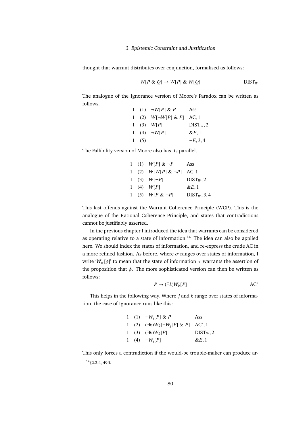thought that warrant distributes over conjunction, formalised as follows:

$$
W[P \& Q] \rightarrow W[P] \& W[Q] \qquad \qquad \text{DIST}_W
$$

The analogue of the Ignorance version of Moore's Paradox can be written as follows.

|  |               | 1 (1) $\neg W[P] \& P$          | Ass            |
|--|---------------|---------------------------------|----------------|
|  |               | 1 (2) $W[\neg W[P] \& P]$ AC, 1 |                |
|  |               | 1 (3) $W[P]$                    | $DIST_w, 2$    |
|  |               | 1 (4) $\neg W[P]$               | $\&E,1$        |
|  | 1 (5) $\perp$ |                                 | $\neg E, 3, 4$ |
|  |               |                                 |                |

The Fallibility version of Moore also has its parallel.

|  | 1 (1) $W[P] \& \neg P$          | Ass            |
|--|---------------------------------|----------------|
|  | 1 (2) $W[W[P] \& \neg P]$ AC, 1 |                |
|  | 1 (3) $W[\neg P]$               | $DIST_w, 2$    |
|  | 1 (4) $W[P]$                    | $\&E.1$        |
|  | 1 (5) $W[P \& \neg P]$          | $DIST_W, 3, 4$ |
|  |                                 |                |

This last offends against the Warrant Coherence Principle (WCP). This is the analogue of the Rational Coherence Principle, and states that contradictions cannot be justifiably asserted.

In the previous chapter I introduced the idea that warrants can be considered as operating relative to a state of information.<sup>14</sup> The idea can also be applied here. We should index the states of information, and re-express the crude AC in a more refined fashion. As before, where  $\sigma$  ranges over states of information, I write ' $W_{\sigma}[\phi]$ ' to mean that the state of information  $\sigma$  warrants the assertion of the proposition that  $\phi$ . The more sophisticated version can then be written as follows:

$$
P \to (\exists k)W_k[P] \qquad \qquad \text{AC}^*
$$

This helps in the following way. Where *j* and *k* range over states of information, the case of Ignorance runs like this:

|  | 1 (1) $\neg W_i[P] \& P$                                     | Ass         |
|--|--------------------------------------------------------------|-------------|
|  | 1 (2) $(\exists k)W_k[\neg W_j[P] \& P]$ AC <sup>*</sup> , 1 |             |
|  | 1 (3) $(\exists k)W_k[P]$                                    | $DIST_w, 2$ |
|  | 1 (4) $\neg W_i[P]$                                          | $\&E,1$     |
|  |                                                              |             |

This only forces a contradiction if the would-be trouble-maker can produce ar-

 $14$ §2.3.4, 49ff.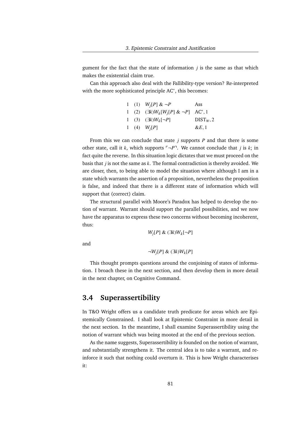gument for the fact that the state of information *j* is the same as that which makes the existential claim true.

Can this approach also deal with the Fallibility-type version? Re-interpreted with the more sophisticated principle AC<sup>\*</sup>, this becomes:

|  | 1 (1) $W_j[P] \& \neg P$                                     | Ass         |
|--|--------------------------------------------------------------|-------------|
|  | 1 (2) $(\exists k)W_k[W_j[P] \& \neg P]$ AC <sup>*</sup> , 1 |             |
|  | 1 (3) $(\exists k)W_k[\neg P]$                               | $DIST_w, 2$ |
|  | 1 (4) $W_i[P]$                                               | $\&E,1$     |
|  |                                                              |             |

From this we can conclude that state *j* supports *P* and that there is some other state, call it *k*, which supports  $\neg P$ <sup> $\neg$ </sup>. We cannot conclude that *j* is *k*; in fact quite the reverse. In this situation logic dictates that we must proceed on the basis that *j* is not the same as *k*. The formal contradiction is thereby avoided. We are closer, then, to being able to model the situation where although I am in a state which warrants the assertion of a proposition, nevertheless the proposition is false, and indeed that there is a different state of information which will support that (correct) claim.

The structural parallel with Moore's Paradox has helped to develop the notion of warrant. Warrant should support the parallel possibilities, and we now have the apparatus to express these two concerns without becoming incoherent, thus:

*Wj* [*P*] & (∃*k*)*W<sup>k</sup>* [¬*P*]

and

$$
\neg W_j[P] \& (\exists k) W_k[P]
$$

This thought prompts questions around the conjoining of states of information. I broach these in the next section, and then develop them in more detail in the next chapter, on Cognitive Command.

# **3.4 Superassertibility**

In T&O Wright offers us a candidate truth predicate for areas which are Epistemically Constrained. I shall look at Epistemic Constraint in more detail in the next section. In the meantime, I shall examine Superassertibility using the notion of warrant which was being mooted at the end of the previous section.

As the name suggests, Superassertibility is founded on the notion of warrant, and substantially strengthens it. The central idea is to take a warrant, and reinforce it such that nothing could overturn it. This is how Wright characterises it: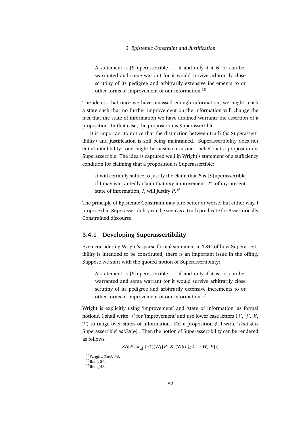A statement is [S]uperassertible . . . if and only if it is, or can be, warranted and some warrant for it would survive arbitrarily close scrutiny of its pedigree and arbitrarily extensive increments to or other forms of improvement of our information.<sup>15</sup>

The idea is that once we have amassed enough information, we might reach a state such that no further improvement on the information will change the fact that the state of information we have attained warrants the assertion of a proposition. In that case, the proposition is Superassertible.

It is important to notice that the distinction between truth (as Superassertibility) and justification is still being maintained. Superassertibility does not entail infallibility: one might be mistaken in one's belief that a proposition is Superassertible. The idea is captured well in Wright's statement of a sufficiency condition for claiming that a proposition is Superassertible:

It will certainly suffice to justify the claim that *P* is [S]uperassertible if I may warrantedly claim that *any* improvement, *I* ∗ , of my present state of information, *I*, will justify *P*. 16

The principle of Epistemic Constraint may fare better or worse, but either way, I propose that Superassertibility can be seen as a truth predicate for Assertorically Constrained discourse.

## **3.4.1 Developing Superassertibility**

Even considering Wright's sparse formal statement in T&O of how Superassertibility is intended to be constituted, there is an important issue in the offing. Suppose we start with the quoted notion of Superassertibility:

A statement is [S]uperassertible ... if and only if it is, or can be, warranted and some warrant for it would survive arbitrarily close scrutiny of its pedigree and arbitrarily extensive increments to or other forms of improvement of our information.<sup>17</sup>

Wright is explicitly using 'improvement' and 'state of information' as formal notions. I shall write ' $\geq$ ' for 'improvement' and use lower case letters ('*i*', '*j*', '*k*', '*l*') to range over states of information. For a proposition  $\phi$ , I write '*That*  $\phi$  is Superassertible' as '*SA*[φ]'. Then the notion of Superassertibility can be rendered as follows.

 $SA[P] = \frac{d}{dt} (\exists k)(W_k[P] \& (\forall i)(i \geq k \rightarrow W_i[P]))$ 

<sup>15</sup>Wright, *T&O*, 48.

 $16$ Ibid., 56.

<sup>17</sup>Ibid., 48.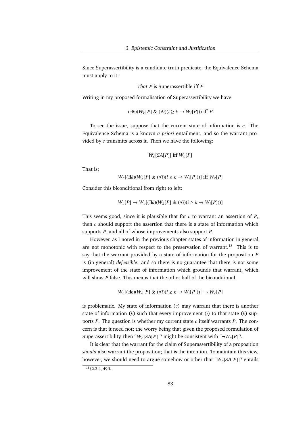Since Superassertibility is a candidate truth predicate, the Equivalence Schema must apply to it:

*That P* is Superassertible iff *P*

Writing in my proposed formalisation of Superassertibility we have

(∃*k*)(*W<sup>k</sup>* [*P*] & (∀*i*)(*i* ≥ *k* → *W<sup>i</sup>* [*P*])) iff *P*

To see the issue, suppose that the current state of information is *c*. The Equivalence Schema is a known *a priori* entailment, and so the warrant provided by *c* transmits across it. Then we have the following:

$$
W_c[SA[P]] \text{ iff } W_c[P]
$$

That is:

*W*<sup>*c*</sup>[(∃*k*)(*W*<sub>*k*</sub>[*P*] & (∀*i*)(*i* ≥ *k* → *W*<sub>*i*</sub>[*P*]))] iff *W*<sup>*c*</sup>[*P*]

Consider this biconditional from right to left:

$$
W_c[P] \to W_c[(\exists k)(W_k[P] \& (\forall i)(i \ge k \to W_i[P]))]
$$

This seems good, since it is plausible that for *c* to warrant an assertion of *P*, then *c* should support the assertion that there is a state of information which supports *P*, and all of whose improvements also support *P*.

However, as I noted in the previous chapter states of information in general are not monotonic with respect to the preservation of warrant.<sup>18</sup> This is to say that the warrant provided by a state of information for the proposition *P* is (in general) *defeasible*: and so there is no guarantee that there is not some improvement of the state of information which grounds that warrant, which will show *P* false. This means that the other half of the biconditional

 $W_c$ [(∃*k*)( $W_k$ [*P*] & ( $\forall i$ )( $i \ge k$  →  $W_i$ [*P*]))] →  $W_c$ [*P*]

is problematic. My state of information (*c*) may warrant that there is another state of information (*k*) such that every improvement (*i*) to that state (*k*) supports *P*. The question is whether my current state *c* itself warrants *P*. The concern is that it need not; the worry being that given the proposed formulation of Superassertibility, then  $\lceil W_c[SA[P]] \rceil$  might be consistent with  $\lceil \neg W_c[P] \rceil$ .

It is clear that the warrant for the claim of Superassertibility of a proposition *should* also warrant the proposition; that is the intention. To maintain this view, however, we should need to argue somehow or other that  $\lceil W_c[SA[P]] \rceil$  entails

 $18$ §2.3.4, 49ff.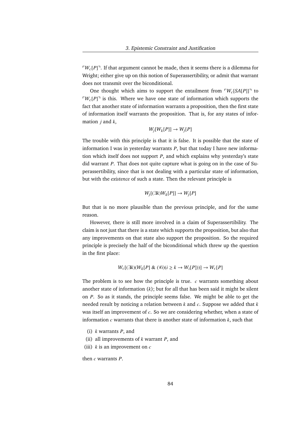$\lceil W_c[P] \rceil$ . If that argument cannot be made, then it seems there is a dilemma for Wright; either give up on this notion of Superassertibility, or admit that warrant does not transmit over the biconditional.

One thought which aims to support the entailment from  $W_c$ [*SA*[*P*]]<sup> $\bar{\text{}}$  to</sup>  $\lceil W_c[P] \rceil$  is this. Where we have one state of information which supports the fact that another state of information warrants a proposition, then the first state of information itself warrants the proposition. That is, for any states of information *j* and *k*,

$$
W_j[W_k[P]] \to W_j[P]
$$

The trouble with this principle is that it is false. It is possible that the state of information I was in yesterday warrants *P*, but that today I have new information which itself does not support *P*, and which explains why yesterday's state did warrant *P*. That does not quite capture what is going on in the case of Superassertibility, since that is not dealing with a particular state of information, but with the *existence* of such a state. Then the relevant principle is

$$
W_j[(\exists k)W_k[P]] \to W_j[P]
$$

But that is no more plausible than the previous principle, and for the same reason.

However, there is still more involved in a claim of Superassertibility. The claim is not just that there is a state which supports the proposition, but also that any improvements on that state also support the proposition. So the required principle is precisely the half of the biconditional which threw up the question in the first place:

$$
W_c[(\exists k)(W_k[P] \& (\forall i)(i \geq k \rightarrow W_i[P]))] \rightarrow W_c[P]
$$

The problem is to see how the principle is true. *c* warrants something about another state of information (*k*); but for all that has been said it might be silent on *P*. So as it stands, the principle seems false. We might be able to get the needed result by noticing a relation between *k* and *c*. Suppose we added that *k* was itself an improvement of *c*. So we are considering whether, when a state of information *c* warrants that there is another state of information *k*, such that

- (i) *k* warrants *P*, and
- (ii) all improvements of *k* warrant *P*, and
- (iii) *k* is an improvement on *c*

then *c* warrants *P*.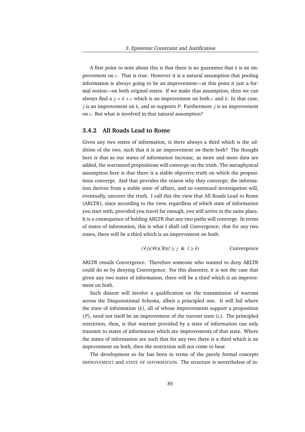A first point to note about this is that there is no guarantee that *k* is an improvement on *c*. That is true. However it is a natural assumption that pooling information is always going to be an improvement—at this point it just a formal notion—on both original states. If we make that assumption, then we can always find a  $j = k + c$  which is an improvement on both  $c$  and  $k$ . In that case, *j* is an improvement on *k*, and so supports *P*. Furthermore *j* is an improvement on *c*. But what is involved in that natural assumption?

## **3.4.2 All Roads Lead to Rome**

Given any two states of information, is there always a third which is the addition of the two, such that it is an improvement on them both? The thought here is that as our states of information increase, as more and more data are added, the warranted propositions will converge on the truth. The metaphysical assumption here is that there is a stable objective truth on which the propositions converge. And that provides the reason why they converge; the information derives from a stable state of affairs, and so continued investigation will, eventually, uncover the truth. I call this the view that All Roads Lead to Rome (ARLTR), since according to the view, regardless of which state of information you start with, provided you travel far enough, you will arrive in the same place. It is a consequence of holding ARLTR that any two paths will converge. In terms of states of information, this is what I shall call Convergence; that for any two states, there will be a third which is an improvement on both:

$$
(\forall j)(\forall k)(\exists l)(l \ge j \& l \ge k) \qquad \text{Convergence}
$$

ARLTR entails Convergence. Therefore someone who wanted to deny ARLTR could do so by denying Convergence. For this dissenter, it is not the case that given any two states of information, there will be a third which is an improvement on both.

Such dissent will involve a qualification on the transmission of warrant across the Disquotational Schema, albeit a principled one. It will fail where the state of information (*k*), all of whose improvements support a proposition (*P*), need not itself be an improvement of the current state (*c*). The principled restriction, then, is that warrant provided by a state of information can only transmit to states of information which are improvements of that state. Where the states of information are such that for any two there is a third which is an improvement on both, then the restriction will not come to bear.

The development so far has been in terms of the purely formal concepts IMPROVEMENT and STATE OF INFORMATION. The structure is nevertheless of in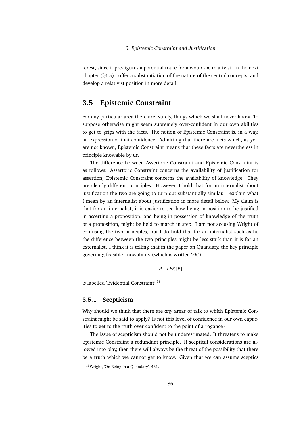terest, since it pre-figures a potential route for a would-be relativist. In the next chapter (§4.5) I offer a substantiation of the nature of the central concepts, and develop a relativist position in more detail.

# **3.5 Epistemic Constraint**

For any particular area there are, surely, things which we shall never know. To suppose otherwise might seem supremely over-confident in our own abilities to get to grips with the facts. The notion of Epistemic Constraint is, in a way, an expression of that confidence. Admitting that there are facts which, as yet, are not known, Epistemic Constraint means that these facts are nevertheless in principle knowable by us.

The difference between Assertoric Constraint and Epistemic Constraint is as follows: Assertoric Constraint concerns the availability of justification for assertion; Epistemic Constraint concerns the availability of knowledge. They are clearly different principles. However, I hold that for an internalist about justification the two are going to turn out substantially similar. I explain what I mean by an internalist about justification in more detail below. My claim is that for an internalist, it is easier to see how being in position to be justified in asserting a proposition, and being in possession of knowledge of the truth of a proposition, might be held to march in step. I am not accusing Wright of confusing the two principles, but I do hold that for an internalist such as he the difference between the two principles might be less stark than it is for an externalist. I think it is telling that in the paper on Quandary, the key principle governing feasible knowability (which is written '*FK*')

 $P \rightarrow FK[P]$ 

is labelled 'Evidential Constraint'.<sup>19</sup>

## **3.5.1 Scepticism**

Why should we think that there are *any* areas of talk to which Epistemic Constraint might be said to apply? Is not this level of confidence in our own capacities to get to the truth over-confident to the point of arrogance?

The issue of scepticism should not be underestimated. It threatens to make Epistemic Constraint a redundant principle. If sceptical considerations are allowed into play, then there will always be the threat of the possibility that there be a truth which we cannot get to know. Given that we can assume sceptics

<sup>19</sup>Wright, 'On Being in a Quandary', 461.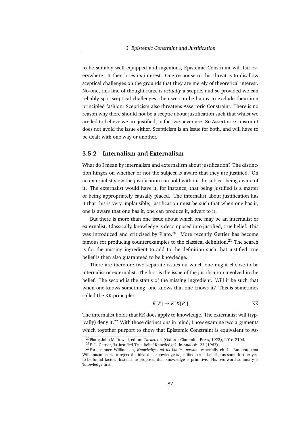to be suitably well equipped and ingenious, Epistemic Constraint will fail everywhere. It then loses its interest. One response to this threat is to disallow sceptical challenges on the grounds that they are merely of theoretical interest. No-one, this line of thought runs, is *actually* a sceptic, and so provided we can reliably spot sceptical challenges, then we can be happy to exclude them in a principled fashion. Scepticism also threatens Assertoric Constraint. There is no reason why there should not be a sceptic about justification such that whilst we are led to believe we are justified, in fact we never are. So Assertoric Constraint does not avoid the issue either. Scepticism is an issue for both, and will have to be dealt with one way or another.

## **3.5.2 Internalism and Externalism**

What do I mean by internalism and externalism about justification? The distinction hinges on whether or not the subject is aware that they are justified. On an externalist view the justification can hold without the subject being aware of it. The externalist would have it, for instance, that being justified is a matter of being appropriately causally placed. The internalist about justification has it that this is very implausible; justification must be such that when one has it, one is aware that one has it, one can produce it, advert to it.

But there is more than one issue about which one may be an internalist or externalist. Classically, knowledge is decomposed into justified, true belief. This was introduced and criticised by Plato.<sup>20</sup> More recently Gettier has become famous for producing counterexamples to the classical definition.<sup>21</sup> The search is for the missing ingredient to add to the definition such that justified true belief is then also guaranteed to be knowledge.

There are therefore two separate issues on which one might choose to be internalist or externalist. The first is the issue of the justification involved in the belief. The second is the status of the missing ingredient. Will it be such that when one knows something, one knows that one knows it? This is sometimes called the KK principle:

$$
K[P] \to K[K[P]]
$$
 KK

The internalist holds that KK does apply to knowledge. The externalist will (typically) deny it.<sup>22</sup> With those distinctions in mind, I now examine two arguments which together purport to show that Epistemic Constraint is equivalent to As-

<sup>20</sup>Plato; John McDowell, editor, *Theaetetus* (Oxford: Clarendon Press, 1973), 201c–210d.

<sup>21</sup>E. L. Gettier, 'Is Justified True Belief Knowledge?' in *Analysis*, 23 (1963).

<sup>22</sup>For instance Williamson, *Knowledge and its Limits*, *passim*, especially ch 4. But note that Williamson seeks to reject the idea that knowledge is justified, true, belief plus some further yetto-be-found factor. Instead he proposes that knowledge is primitive. His two-word summary is 'knowledge first'.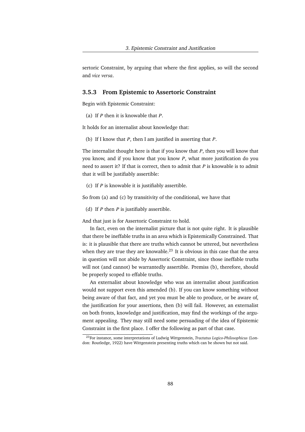sertoric Constraint, by arguing that where the first applies, so will the second and *vice versa*.

## **3.5.3 From Epistemic to Assertoric Constraint**

Begin with Epistemic Constraint:

(a) If *P* then it is knowable that *P*.

It holds for an internalist about knowledge that:

(b) If I know that *P*, then I am justified in asserting that *P*.

The internalist thought here is that if you know that *P*, then you will know that you know, and if you know that you know *P*, what more justification do you need to assert it? If that is correct, then to admit that *P* is knowable is to admit that it will be justifiably assertible:

(c) If *P* is knowable it is justifiably assertible.

So from (a) and (c) by transitivity of the conditional, we have that

(d) If *P* then *P* is justifiably assertible.

And that just is for Assertoric Constraint to hold.

In fact, even on the internalist picture that is not quite right. It is plausible that there be ineffable truths in an area which is Epistemically Constrained. That is: it is plausible that there are truths which cannot be uttered, but nevertheless when they are true they are knowable.<sup>23</sup> It is obvious in this case that the area in question will not abide by Assertoric Constraint, since those ineffable truths will not (and cannot) be warrantedly assertible. Premiss (b), therefore, should be properly scoped to effable truths.

An externalist about knowledge who was an internalist about justification would not support even this amended (b). If you can know something without being aware of that fact, and yet you must be able to produce, or be aware of, the justification for your assertions, then (b) will fail. However, an externalist on both fronts, knowledge and justification, may find the workings of the argument appealing. They may still need some persuading of the idea of Epistemic Constraint in the first place. I offer the following as part of that case.

<sup>23</sup>For instance, some interpretations of Ludwig Wittgenstein, *Tractatus Logico-Philosophicus* (London: Routledge, 1922) have Wittgenstein presenting truths which can be shown but not said.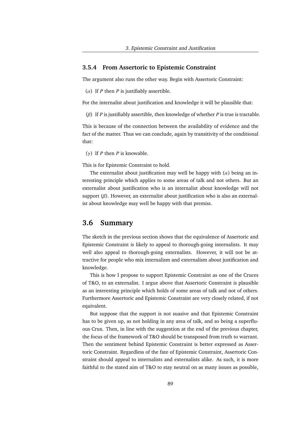## **3.5.4 From Assertoric to Epistemic Constraint**

The argument also runs the other way. Begin with Assertoric Constraint:

(α) If *<sup>P</sup>* then *<sup>P</sup>* is justifiably assertible.

For the internalist about justification and knowledge it will be plausible that:

(β) If *<sup>P</sup>* is justifiably assertible, then knowledge of whether *<sup>P</sup>* is true is tractable.

This is because of the connection between the availability of evidence and the fact of the matter. Thus we can conclude, again by transitivity of the conditional that:

(γ) If *P* then *P* is knowable.

This is for Epistemic Constraint to hold.

The externalist about justification may well be happy with  $(\alpha)$  being an interesting principle which applies to some areas of talk and not others. But an externalist about justification who is an internalist about knowledge will not support  $(\beta)$ . However, an externalist about justification who is also an externalist about knowledge may well be happy with that premiss.

# **3.6 Summary**

The sketch in the previous section shows that the equivalence of Assertoric and Epistemic Constraint is likely to appeal to thorough-going internalists. It may well also appeal to thorough-going externalists. However, it will not be attractive for people who mix internalism and externalism about justification and knowledge.

This is how I propose to support Epistemic Constraint as one of the Cruces of T&O, to an externalist. I argue above that Assertoric Constraint is plausible as an interesting principle which holds of some areas of talk and not of others. Furthermore Assertoric and Epistemic Constraint are very closely related, if not equivalent.

But suppose that the support is not suasive and that Epistemic Constraint has to be given up, as not holding in any area of talk, and so being a superfluous Crux. Then, in line with the suggestion at the end of the previous chapter, the focus of the framework of T&O should be transposed from truth to warrant. Then the sentiment behind Epistemic Constraint is better expressed as Assertoric Constraint. Regardless of the fate of Epistemic Constraint, Assertoric Constraint should appeal to internalists and externalists alike. As such, it is more faithful to the stated aim of T&O to stay neutral on as many issues as possible,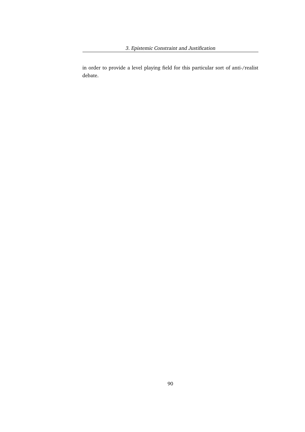3. Epistemic Constraint and Justification

in order to provide a level playing field for this particular sort of anti-/realist debate.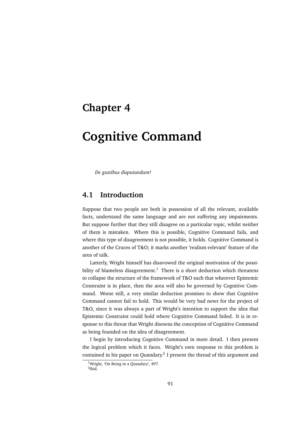# **Chapter 4**

# **Cognitive Command**

*De gustibus disputandum!*

# **4.1 Introduction**

Suppose that two people are both in possession of all the relevant, available facts, understand the same language and are not suffering any impairments. But suppose further that they still disagree on a particular topic, whilst neither of them is mistaken. Where this is possible, Cognitive Command fails, and where this type of disagreement is not possible, it holds. Cognitive Command is another of the Cruces of T&O; it marks another 'realism-relevant' feature of the area of talk.

Latterly, Wright himself has disavowed the original motivation of the possibility of blameless disagreement.<sup>1</sup> There is a short deduction which threatens to collapse the structure of the framework of T&O such that wherever Epistemic Constraint is in place, then the area will also be governed by Cognitive Command. Worse still, a very similar deduction promises to show that Cognitive Command cannot fail to hold. This would be very bad news for the project of T&O, since it was always a part of Wright's intention to support the idea that Epistemic Constraint could hold where Cognitive Command failed. It is in response to this threat that Wright disowns the conception of Cognitive Command as being founded on the idea of disagreement.

I begin by introducing Cognitive Command in more detail. I then present the logical problem which it faces. Wright's own response to this problem is contained in his paper on Quandary.<sup>2</sup> I present the thread of this argument and

 $\frac{1}{1}$ Wright, 'On Being in a Quandary', 497. 2 Ibid.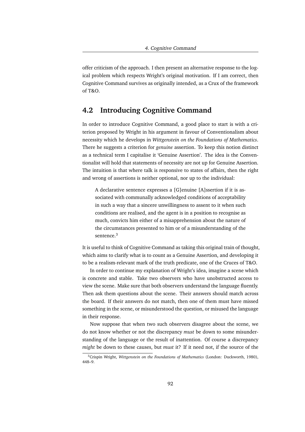offer criticism of the approach. I then present an alternative response to the logical problem which respects Wright's original motivation. If I am correct, then Cognitive Command survives as originally intended, as a Crux of the framework of T&O.

# **4.2 Introducing Cognitive Command**

In order to introduce Cognitive Command, a good place to start is with a criterion proposed by Wright in his argument in favour of Conventionalism about necessity which he develops in *Wittgenstein on the Foundations of Mathematics*. There he suggests a criterion for *genuine* assertion. To keep this notion distinct as a technical term I capitalise it 'Genuine Assertion'. The idea is the Conventionalist will hold that statements of necessity are not up for Genuine Assertion. The intuition is that where talk is responsive to states of affairs, then the right and wrong of assertions is neither optional, nor up to the individual:

A declarative sentence expresses a [G]enuine [A]ssertion if it is associated with communally acknowledged conditions of acceptability in such a way that a sincere unwillingness to assent to it when such conditions are realised, and the agent is in a position to recognise as much, convicts him either of a misapprehension about the nature of the circumstances presented to him or of a misunderstanding of the sentence.<sup>3</sup>

It is useful to think of Cognitive Command as taking this original train of thought, which aims to clarify what is to count as a Genuine Assertion, and developing it to be a realism-relevant mark of the truth predicate, one of the Cruces of T&O.

In order to continue my explanation of Wright's idea, imagine a scene which is concrete and stable. Take two observers who have unobstructed access to view the scene. Make sure that both observers understand the language fluently. Then ask them questions about the scene. Their answers should match across the board. If their answers do not match, then one of them must have missed something in the scene, or misunderstood the question, or misused the language in their response.

Now suppose that when two such observers disagree about the scene, we do not know whether or not the discrepancy *must* be down to some misunderstanding of the language or the result of inattention. Of course a discrepancy *might* be down to these causes, but *must* it? If it need not, if the source of the

<sup>3</sup>Crispin Wright, *Wittgenstein on the Foundations of Mathematics* (London: Duckworth, 1980), 448–9.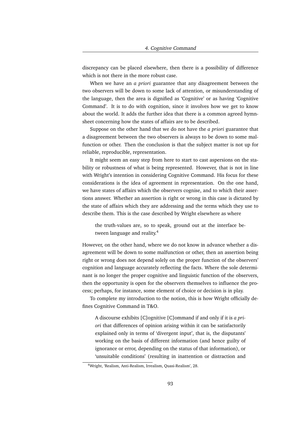discrepancy can be placed elsewhere, then there is a possibility of difference which is not there in the more robust case.

When we have an *a priori* guarantee that any disagreement between the two observers will be down to some lack of attention, or misunderstanding of the language, then the area is dignified as 'Cognitive' or as having 'Cognitive Command'. It is to do with cognition, since it involves how we get to know about the world. It adds the further idea that there is a common agreed hymnsheet concerning how the states of affairs are to be described.

Suppose on the other hand that we do not have the *a priori* guarantee that a disagreement between the two observers is always to be down to some malfunction or other. Then the conclusion is that the subject matter is not up for reliable, reproducible, representation.

It might seem an easy step from here to start to cast aspersions on the stability or robustness of what is being represented. However, that is not in line with Wright's intention in considering Cognitive Command. His focus for these considerations is the idea of agreement in representation. On the one hand, we have states of affairs which the observers cognise, and to which their assertions answer. Whether an assertion is right or wrong in this case is dictated by the state of affairs which they are addressing and the terms which they use to describe them. This is the case described by Wright elsewhere as where

the truth-values are, so to speak, ground out at the interface between language and reality.<sup>4</sup>

However, on the other hand, where we do not know in advance whether a disagreement will be down to some malfunction or other, then an assertion being right or wrong does not depend solely on the proper function of the observers' cognition and language accurately reflecting the facts. Where the sole determinant is no longer the proper cognitive and linguistic function of the observers, then the opportunity is open for the observers themselves to influence the process; perhaps, for instance, some element of choice or decision is in play.

To complete my introduction to the notion, this is how Wright officially defines Cognitive Command in T&O.

A discourse exhibits [C]ognitive [C]ommand if and only if it is *a priori* that differences of opinion arising within it can be satisfactorily explained only in terms of 'divergent input', that is, the disputants' working on the basis of different information (and hence guilty of ignorance or error, depending on the status of that information), or 'unsuitable conditions' (resulting in inattention or distraction and

<sup>4</sup>Wright, 'Realism, Anti-Realism, Irrealism, Quasi-Realism', 28.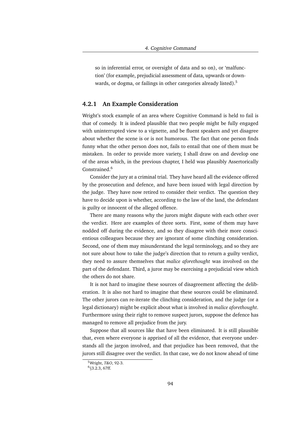so in inferential error, or oversight of data and so on), or 'malfunction' (for example, prejudicial assessment of data, upwards or downwards, or dogma, or failings in other categories already listed).<sup>5</sup>

## **4.2.1 An Example Consideration**

Wright's stock example of an area where Cognitive Command is held to fail is that of comedy. It is indeed plausible that two people might be fully engaged with uninterrupted view to a vignette, and be fluent speakers and yet disagree about whether the scene is or is not humorous. The fact that one person finds funny what the other person does not, fails to entail that one of them must be mistaken. In order to provide more variety, I shall draw on and develop one of the areas which, in the previous chapter, I held was plausibly Assertorically Constrained.<sup>6</sup>

Consider the jury at a criminal trial. They have heard all the evidence offered by the prosecution and defence, and have been issued with legal direction by the judge. They have now retired to consider their verdict. The question they have to decide upon is whether, according to the law of the land, the defendant is guilty or innocent of the alleged offence.

There are many reasons why the jurors might dispute with each other over the verdict. Here are examples of three sorts. First, some of them may have nodded off during the evidence, and so they disagree with their more conscientious colleagues because they are ignorant of some clinching consideration. Second, one of them may misunderstand the legal terminology, and so they are not sure about how to take the judge's direction that to return a guilty verdict, they need to assure themselves that *malice aforethought* was involved on the part of the defendant. Third, a juror may be exercising a prejudicial view which the others do not share.

It is not hard to imagine these sources of disagreement affecting the deliberation. It is also not hard to imagine that these sources could be eliminated. The other jurors can re-iterate the clinching consideration, and the judge (or a legal dictionary) might be explicit about what is involved in *malice aforethought*. Furthermore using their right to remove suspect jurors, suppose the defence has managed to remove all prejudice from the jury.

Suppose that all sources like that have been eliminated. It is still plausible that, even where everyone is apprised of all the evidence, that everyone understands all the jargon involved, and that prejudice has been removed, that the jurors still disagree over the verdict. In that case, we do not know ahead of time

<sup>5</sup>Wright, *T&O*, 92-3.

<sup>&</sup>lt;sup>6</sup>§3.2.3, 67ff.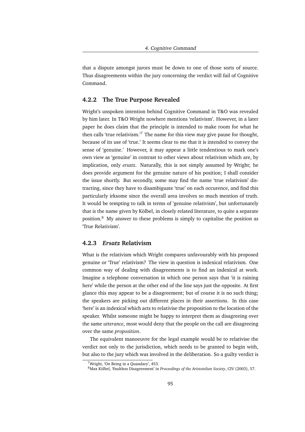that a dispute amongst jurors must be down to one of those sorts of source. Thus disagreements within the jury concerning the verdict will fail of Cognitive Command.

### **4.2.2 The True Purpose Revealed**

Wright's unspoken intention behind Cognitive Command in T&O was revealed by him later. In T&O Wright nowhere mentions 'relativism'. However, in a later paper he does claim that the principle is intended to make room for what he then calls 'true relativism.'<sup>7</sup> The name for this view may give pause for thought, because of its use of 'true.' It seems clear to me that it is intended to convey the sense of 'genuine.' However, it may appear a little tendentious to mark one's own view as 'genuine' in contrast to other views about relativism which are, by implication, only *ersatz*. Naturally, this is not simply assumed by Wright; he does provide argument for the genuine nature of his position; I shall consider the issue shortly. But secondly, some may find the name 'true relativism' distracting, since they have to disambiguate 'true' on each occurence, and find this particularly irksome since the overall area involves so much mention of truth. It would be tempting to talk in terms of 'genuine relativism', but unfortunately that is the name given by Kölbel, in closely related literature, to quite a separate position.<sup>8</sup> My answer to these problems is simply to capitalise the position as 'True Relativism'.

# **4.2.3** *Ersatz* **Relativism**

What is the relativism which Wright compares unfavourably with his proposed genuine or 'True' relativism? The view in question is indexical relativism. One common way of dealing with disagreements is to find an indexical at work. Imagine a telephone conversation in which one person says that 'it is raining here' while the person at the other end of the line says just the opposite. At first glance this may appear to be a disagreement; but of course it is no such thing; the speakers are picking out different places in their assertions. In this case 'here' is an indexical which acts to relativise the proposition to the location of the speaker. Whilst someone might be happy to interpret them as disagreeing over the same *utterance*, most would deny that the people on the call are disagreeing over the same *proposition*.

The equivalent manoeuvre for the legal example would be to relativise the verdict not only to the jurisdiction, which needs to be granted to begin with, but also to the jury which was involved in the deliberation. So a guilty verdict is

<sup>7</sup>Wright, 'On Being in a Quandary', 453.

<sup>&</sup>lt;sup>8</sup>Max Kölbel, 'Faultless Disagreement' in *Proceedings of the Aristotelian Society*, CIV (2003), 57.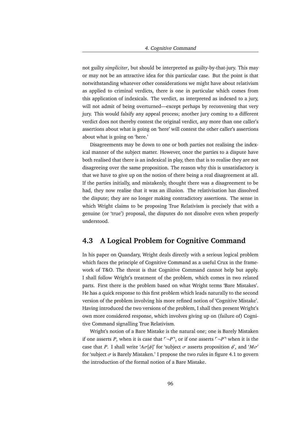not guilty *simpliciter*, but should be interpreted as guilty-by-that-jury. This may or may not be an attractive idea for this particular case. But the point is that notwithstanding whatever other considerations we might have about relativism as applied to criminal verdicts, there is one in particular which comes from this application of indexicals. The verdict, as interpreted as indexed to a jury, will not admit of being overturned—except perhaps by reconvening that very jury. This would falsify any appeal process; another jury coming to a different verdict does not thereby contest the original verdict, any more than one caller's assertions about what is going on 'here' will contest the other caller's assertions about what is going on 'here.'

Disagreements may be down to one or both parties not realising the indexical manner of the subject matter. However, once the parties to a dispute have both realised that there is an indexical in play, then that is to realise they are not disagreeing over the same proposition. The reason why this is unsatisfactory is that we have to give up on the notion of there being a real disagreement at all. If the parties initially, and mistakenly, thought there was a disagreement to be had, they now realise that it was an illusion. The relativisation has dissolved the dispute; they are no longer making contradictory assertions. The sense in which Wright claims to be proposing True Relativism is precisely that with a genuine (or 'true') proposal, the disputes do not dissolve even when properly understood.

# **4.3 A Logical Problem for Cognitive Command**

In his paper on Quandary, Wright deals directly with a serious logical problem which faces the principle of Cognitive Command as a useful Crux in the framework of T&O. The threat is that Cognitive Command cannot help but apply. I shall follow Wright's treatment of the problem, which comes in two related parts. First there is the problem based on what Wright terms 'Bare Mistakes'. He has a quick response to this first problem which leads naturally to the second version of the problem involving his more refined notion of 'Cognitive Mistake'. Having introduced the two versions of the problem, I shall then present Wright's own more considered response, which involves giving up on (failure of) Cognitive Command signalling True Relativism.

Wright's notion of a Bare Mistake is the natural one; one is Barely Mistaken if one asserts *P*, when it is case that  $\neg P$ <sup> $\neg$ </sup>, or if one asserts  $\neg P$ <sup> $\neg$ </sup> when it is the case that *P*. I shall write ' $A\sigma[\phi]$ ' for 'subject  $\sigma$  asserts proposition  $\phi'$ , and ' $M\sigma'$ ' for 'subject  $\sigma$  is Barely Mistaken.' I propose the two rules in figure 4.1 to govern the introduction of the formal notion of a Bare Mistake.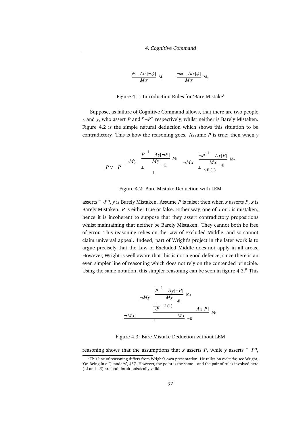$$
\frac{\phi \quad A\sigma[\neg\phi]}{M\sigma} \text{ M}_1 \qquad \frac{\neg\phi \quad A\sigma[\phi]}{M\sigma} \text{ M}_2
$$

Figure 4.1: Introduction Rules for 'Bare Mistake'

Suppose, as failure of Cognitive Command allows, that there are two people *x* and *y*, who assert *P* and  $\neg P$ <sup> $\neg$ </sup> respectively, whilst neither is Barely Mistaken. Figure 4.2 is the simple natural deduction which shows this situation to be contradictory. This is how the reasoning goes. Assume *P* is true; then when *y*

$$
P \vee \neg P \xrightarrow{\neg My} \frac{\overline{P}^{1} \quad Ay[\neg P]}{\bot} M_1 \qquad \frac{\neg Mx}{\neg Mx} \frac{\overline{\neg P}^{1} \quad Ax[P]}{\bot} M_2}{\bot} M_3 \neg E
$$

Figure 4.2: Bare Mistake Deduction with LEM

asserts  $\lceil \neg P \rceil$ , *y* is Barely Mistaken. Assume *P* is false; then when *x* asserts *P*, *x* is Barely Mistaken. *P* is either true or false. Either way, one of *x* or *y* is mistaken, hence it is incoherent to suppose that they assert contradictory propositions whilst maintaining that neither be Barely Mistaken. They cannot both be free of error. This reasoning relies on the Law of Excluded Middle, and so cannot claim universal appeal. Indeed, part of Wright's project in the later work is to argue precisely that the Law of Excluded Middle does not apply in all areas. However, Wright is well aware that this is not a good defence, since there is an even simpler line of reasoning which does not rely on the contended principle. Using the same notation, this simpler reasoning can be seen in figure 4.3. $\degree$  This

$$
\frac{1}{\frac{-My}{1-\frac{P}{1-\frac{P}{1-\frac{P}{1-\frac{P}{1-\frac{P}{1-\frac{P}{1-\frac{P}{1-\frac{P}{1-\frac{P}{1-\frac{P}{1-\frac{P}{1-\frac{P}{1-\frac{P}{1-\frac{P}{1-\frac{P}{1-\frac{P}{1-\frac{P}{1-\frac{P}{1-\frac{P}{1-\frac{P}{1-\frac{P}{1-\frac{P}{1-\frac{P}{1-\frac{P}{1-\frac{P}{1-\frac{P}{1-\frac{P}{1-\frac{P}{1-\frac{P}{1-\frac{P}{1-\frac{P}{1-\frac{P}{1-\frac{P}{1-\frac{P}{1-\frac{P}{1-\frac{P}{1-\frac{P}{1-\frac{P}{1-\frac{P}{1-\frac{P}{1-\frac{P}{1-\frac{P}{1-\frac{P}{1-\frac{P}{1-\frac{P}{1-\frac{P}{1-\frac{P}{1-\frac{P}{1-\frac{P}{1-\frac{P}{1-\frac{P}{1-\frac{P}{1-\frac{P}{1-\frac{P}{1-\frac{P}{1-\frac{P}{1-\frac{P}{1-\frac{P}{1-\frac{P}{1-\frac{P}{1-\frac{P}{1-\frac{P}{1-\frac{P}{1-\frac{P}{1-\frac{P}{1-\frac{P}{1-\frac{P}{1-\frac{P}{1-\frac{P}{1-\frac{P}{1-\frac{P}{1-\frac{P}{1-\frac{P}{1-\frac{P}{1-\frac{P}{1-\frac{P}{1-\frac{P}{1-\frac{P}{1-\frac{P}{1-\frac{P}{1-\frac{P}{1-\frac{P}{1-\frac{P}{1-\frac{P}{1-\frac{P}{1-\frac{P}{1-\frac{P}{1-\frac{P}{1-\frac{P}{1-\frac{P}{1-\frac{P}{1-\frac{P}{1-\frac{P}{1-\frac{P}{1-\frac{P}{1-\frac{P}{1-\frac{P}{1-\frac{P}{1-\frac{P}{1-\frac{P}{1-\frac{P}{1-\frac{P}{1-\frac{P}{1-\frac{P}{1-\frac{P}{1-\frac{P}{1-\frac{P}{1-\frac{P}{1-\frac{P}{1-\frac{P}{1-\frac{P}{1-\frac{P}{1-\frac{P}{1-\frac{P}{1-\frac{P}{1-\frac{P}{1-\frac{P}{1-\frac{P}{1-\frac{P}{1-\frac{P}{1-\frac{P}{1-\frac{P}{1-\frac{P}{1-\frac{P}{1-\frac{P}{
$$

Figure 4.3: Bare Mistake Deduction without LEM

reasoning shows that the assumptions that *x* asserts *P*, while *y* asserts  $\lceil \neg P \rceil$ ,

<sup>9</sup>This line of reasoning differs from Wright's own presentation. He relies on *reductio*; see Wright, 'On Being in a Quandary', 457. However, the point is the same—and the pair of rules involved here (¬I and ¬E) are both intuitionistically valid.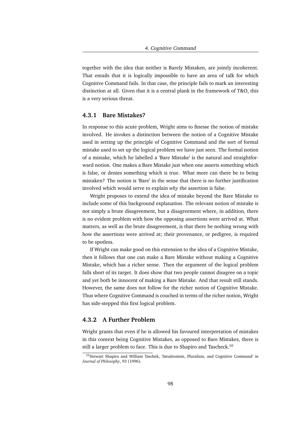together with the idea that neither is Barely Mistaken, are jointly incoherent. That entails that it is logically impossible to have an area of talk for which Cognitive Command fails. In that case, the principle fails to mark an interesting distinction at all. Given that it is a central plank in the framework of T&O, this is a very serious threat.

### **4.3.1 Bare Mistakes?**

In response to this acute problem, Wright aims to finesse the notion of mistake involved. He invokes a distinction between the notion of a Cognitive Mistake used in setting up the principle of Cognitive Command and the sort of formal mistake used to set up the logical problem we have just seen. The formal notion of a mistake, which he labelled a 'Bare Mistake' is the natural and straightforward notion. One makes a Bare Mistake just when one asserts something which is false, or denies something which is true. What more can there be to being mistaken? The notion is 'Bare' in the sense that there is no further justification involved which would serve to explain *why* the assertion is false.

Wright proposes to extend the idea of mistake beyond the Bare Mistake to include some of this background explanation. The relevant notion of mistake is not simply a brute disagreement, but a disagreement where, in addition, there is no evident problem with how the opposing assertions were arrived at. What matters, as well as the brute disagreement, is that there be nothing wrong with how the assertions were arrived at; their provenance, or pedigree, is required to be spotless.

If Wright can make good on this extension to the idea of a Cognitive Mistake, then it follows that one can make a Bare Mistake without making a Cognitive Mistake, which has a richer sense. Then the argument of the logical problem falls short of its target. It does show that two people cannot disagree on a topic and yet both be innocent of making a Bare Mistake. And that result still stands. However, the same does not follow for the richer notion of Cognitive Mistake. Thus where Cognitive Command is couched in terms of the richer notion, Wright has side-stepped this first logical problem.

# **4.3.2 A Further Problem**

Wright grants that even if he is allowed his favoured interpretation of mistakes in this context being Cognitive Mistakes, as opposed to Bare Mistakes, there is still a larger problem to face. This is due to Shapiro and Tascheck.<sup>10</sup>

<sup>&</sup>lt;sup>10</sup>Stewart Shapiro and William Taschek, 'Intuitionism, Pluralism, and Cognitive Command' in *Journal of Philosophy*, 93 (1996).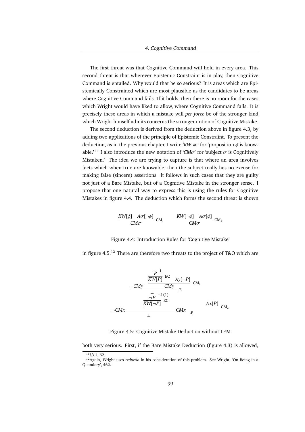The first threat was that Cognitive Command will hold in every area. This second threat is that wherever Epistemic Constraint is in play, then Cognitive Command is entailed. Why would that be so serious? It is areas which are Epistemically Constrained which are most plausible as the candidates to be areas where Cognitive Command fails. If it holds, then there is no room for the cases which Wright would have liked to allow, where Cognitive Command fails. It is precisely these areas in which a mistake will *per force* be of the stronger kind which Wright himself admits concerns the stronger notion of Cognitive Mistake.

The second deduction is derived from the deduction above in figure 4.3, by adding two applications of the principle of Epistemic Constraint. To present the deduction, as in the previous chapter, I write ' $KW[\phi]$ ' for 'proposition  $\phi$  is knowable.<sup>'11</sup> I also introduce the new notation of '*CM* $\sigma$ ' for 'subject  $\sigma$  is Cognitively Mistaken.' The idea we are trying to capture is that where an area involves facts which when true are knowable, then the subject really has no excuse for making false (sincere) assertions. It follows in such cases that they are guilty not just of a Bare Mistake, but of a Cognitive Mistake in the stronger sense. I propose that one natural way to express this is using the rules for Cognitive Mistakes in figure 4.4. The deduction which forms the second threat is shown

$$
\frac{KW[\phi] \quad A\sigma[\neg\phi]}{CM\sigma} \quad CM_1 \qquad \frac{KW[\neg\phi] \quad A\sigma[\phi]}{CM\sigma} \quad CM_2
$$

Figure 4.4: Introduction Rules for 'Cognitive Mistake'

in figure  $4.5^{12}$  There are therefore two threats to the project of T&O which are

$$
\frac{\frac{\overline{P}^{1}}{\overline{KW_1P}^{1}} \text{ EC} \quad A_{\mathcal{Y}}[\neg P]}{\neg CM_{\mathcal{Y}} \quad \neg E} \text{CM}_{1}
$$
\n
$$
\frac{\frac{\bot}{\neg P} \neg I(1)}{\frac{\overline{KW_1} \neg P}{\neg M_{\mathcal{Y}}}} \neg E} \neg L_{\mathcal{X}}[P] \quad \text{CM}_{2}
$$
\n
$$
\frac{\neg CM_{\mathcal{X}}}{\bot} \quad \frac{\overline{CM_{\mathcal{X}}}}{\bot} \neg E}
$$

Figure 4.5: Cognitive Mistake Deduction without LEM

both very serious. First, if the Bare Mistake Deduction (figure 4.3) is allowed,

 $11$  § 3.1, 62.

<sup>12</sup>Again, Wright uses *reductio* in his consideration of this problem. See Wright, 'On Being in a Quandary', 462.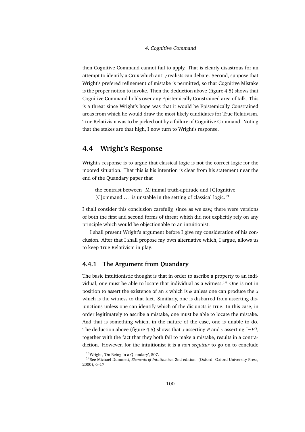then Cognitive Command cannot fail to apply. That is clearly disastrous for an attempt to identify a Crux which anti-/realists can debate. Second, suppose that Wright's prefered refinement of mistake is permitted, so that Cognitive Mistake is the proper notion to invoke. Then the deduction above (figure 4.5) shows that Cognitive Command holds over any Epistemically Constrained area of talk. This is a threat since Wright's hope was that it would be Epistemically Constrained areas from which he would draw the most likely candidates for True Relativism. True Relativism was to be picked out by a failure of Cognitive Command. Noting that the stakes are that high, I now turn to Wright's response.

# **4.4 Wright's Response**

Wright's response is to argue that classical logic is not the correct logic for the mooted situation. That this is his intention is clear from his statement near the end of the Quandary paper that

the contrast between [M]inimal truth-aptitude and [C]ognitive [C]ommand  $\ldots$  is unstable in the setting of classical logic.<sup>13</sup>

I shall consider this conclusion carefully, since as we saw, there were versions of both the first and second forms of threat which did not explicitly rely on any principle which would be objectionable to an intuitionist.

I shall present Wright's argument before I give my consideration of his conclusion. After that I shall propose my own alternative which, I argue, allows us to keep True Relativism in play.

# **4.4.1 The Argument from Quandary**

The basic intuitionistic thought is that in order to ascribe a property to an individual, one must be able to locate that individual as a witness.<sup>14</sup> One is not in position to assert the existence of an  $x$  which is  $\phi$  unless one can produce the  $x$ which is the witness to that fact. Similarly, one is disbarred from asserting disjunctions unless one can identify which of the disjuncts is true. In this case, in order legitimately to ascribe a mistake, one must be able to locate the mistake. And that is something which, in the nature of the case, one is unable to do. The deduction above (figure 4.5) shows that *x* asserting *P* and *y* asserting  $\lceil \neg P \rceil$ , together with the fact that they both fail to make a mistake, results in a contradiction. However, for the intuitionist it is a *non sequitur* to go on to conclude

<sup>13</sup>Wright, 'On Being in a Quandary', 507.

<sup>14</sup>See Michael Dummett, *Elements of Intuitionism* 2nd edition. (Oxford: Oxford University Press, 2000), 6–17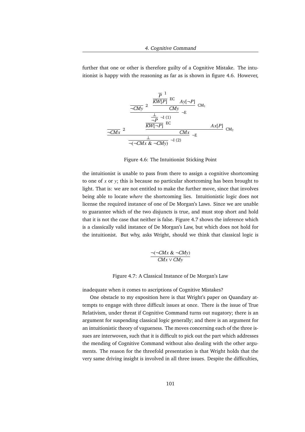further that one or other is therefore guilty of a Cognitive Mistake. The intuitionist is happy with the reasoning as far as is shown in figure 4.6. However,

$$
\frac{\frac{\overline{P}^1}{\sqrt{C}My} \text{ EC} \quad \text{Ay}[\neg P]}{\neg \text{CMy}} \text{ CM}_1
$$
\n
$$
\frac{\frac{1}{\neg P} \neg I \text{ (1)}}{\frac{\frac{1}{\sqrt{C}W}}{\neg P} \text{ EC}} \text{ A}x[P] \text{ CM}_2
$$
\n
$$
\frac{\frac{1}{\sqrt{C}W} \text{ 2}}{\frac{1}{\sqrt{C}W} \text{ C}W} \text{ C}x} \frac{\text{AX}[P]}{\neg \text{C}W} \text{ CM}_2
$$

Figure 4.6: The Intuitionist Sticking Point

the intuitionist is unable to pass from there to assign a cognitive shortcoming to one of *x* or *y*; this is because no particular shortcoming has been brought to light. That is: we are not entitled to make the further move, since that involves being able to locate *where* the shortcoming lies. Intuitionistic logic does not license the required instance of one of De Morgan's Laws. Since we are unable to guarantee which of the two disjuncts is true, and must stop short and hold that it is not the case that neither is false. Figure 4.7 shows the inference which is a classically valid instance of De Morgan's Law, but which does not hold for the intuitionist. But why, asks Wright, should we think that classical logic is

$$
\frac{\neg(\neg CMx \& \neg CMy)}{CMx \lor CMy}
$$

Figure 4.7: A Classical Instance of De Morgan's Law

inadequate when it comes to ascriptions of Cognitive Mistakes?

One obstacle to my exposition here is that Wright's paper on Quandary attempts to engage with three difficult issues at once. There is the issue of True Relativism, under threat if Cognitive Command turns out nugatory; there is an argument for suspending classical logic generally; and there is an argument for an intuitionistic theory of vagueness. The moves concerning each of the three issues are interwoven, such that it is difficult to pick out the part which addresses the mending of Cognitive Command without also dealing with the other arguments. The reason for the threefold presentation is that Wright holds that the very same driving insight is involved in all three issues. Despite the difficulties,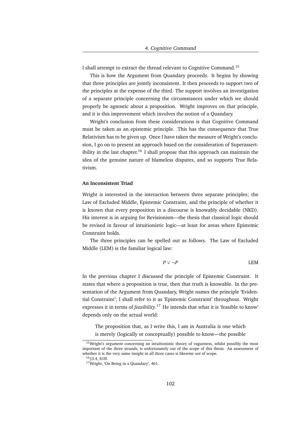I shall attempt to extract the thread relevant to Cognitive Command.<sup>15</sup>

This is how the Argument from Quandary proceeds. It begins by showing that three principles are jointly inconsistent. It then proceeds to support two of the principles at the expense of the third. The support involves an investigation of a separate principle concerning the circumstances under which we should properly be agnostic about a proposition. Wright improves on that principle, and it is this improvement which involves the notion of a Quandary.

Wright's conclusion from these considerations is that Cognitive Command must be taken as an epistemic principle. This has the consequence that True Relativism has to be given up. Once I have taken the measure of Wright's conclusion, I go on to present an approach based on the consideration of Superassertibility in the last chapter.<sup>16</sup> I shall propose that this approach can maintain the idea of the genuine nature of blameless disputes, and so supports True Relativism.

### **An Inconsistent Triad**

Wright is interested in the interaction between three separate principles; the Law of Excluded Middle, Epistemic Constraint, and the principle of whether it is known that every proposition in a discourse is knowably decidable (NKD). His interest is in arguing for Revisionism—the thesis that classical logic should be revised in favour of intuitionistic logic—at least for areas where Epistemic Constraint holds.

The three principles can be spelled out as follows. The Law of Excluded Middle (LEM) is the familiar logical law:

$$
P \vee \neg P \qquad \qquad \text{LEM}
$$

In the previous chapter I discussed the principle of Epistemic Constraint. It states that where a proposition is true, then that truth is knowable. In the presentation of the Argument from Quandary, Wright names the principle 'Evidential Constraint'; I shall refer to it as 'Epistemic Constraint' throughout. Wright expresses it in terms of *feasibility*. <sup>17</sup> He intends that what it is 'feasible to know' depends only on the actual world:

The proposition that, as I write this, I am in Australia is one which is merely (logically or conceptually) possible to know—the possible

<sup>&</sup>lt;sup>15</sup>Wright's argument concerning an intuitionistic theory of vagueness, whilst possibly the most important of the three strands, is unfortunately out of the scope of this thesis. An assessment of whether it is the very same insight in all three cases is likewise out of scope.

<sup>16</sup>§3.4, 81ff.

<sup>&</sup>lt;sup>17</sup>Wright, 'On Being in a Quandary', 461.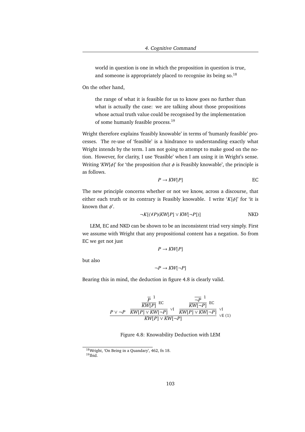world in question is one in which the proposition in question is true, and someone is appropriately placed to recognise its being so.<sup>18</sup>

On the other hand,

the range of what it is feasible for us to know goes no further than what is actually the case: we are talking about those propositions whose actual truth value could be recognised by the implementation of some humanly feasible process.<sup>19</sup>

Wright therefore explains 'feasibly knowable' in terms of 'humanly feasible' processes. The re-use of 'feasible' is a hindrance to understanding exactly what Wright intends by the term. I am not going to attempt to make good on the notion. However, for clarity, I use 'Feasible' when I am using it in Wright's sense. Writing ' $KW[\phi]$ ' for 'the proposition *that*  $\phi$  is Feasibly knowable', the principle is as follows.

$$
P \to KW[P] \qquad \qquad \text{EC}
$$

The new principle concerns whether or not we know, across a discourse, that either each truth or its contrary is Feasibly knowable. I write '*K*[φ]' for 'it is known that  $\phi'$ .

$$
\neg K[(\forall P)(KW[P] \lor KW[\neg P])]
$$
 NKD

LEM, EC and NKD can be shown to be an inconsistent triad very simply. First we assume with Wright that any propositional content has a negation. So from EC we get not just

 $P \rightarrow KW[P]$ 

but also

$$
\neg P \to KW[\neg P]
$$

Bearing this in mind, the deduction in figure 4.8 is clearly valid.

$$
\frac{\frac{\overline{P}^1}{KW[P] \text{ EC}}}{\frac{P \vee \neg P}{KW[P] \vee KW[-P] \vee \overline{KW}[\neg P] \vee \overline{IW}[\neg P] \vee \overline{KW}[\neg P] \vee \overline{KW}[\neg P] \vee \overline{KW}[\neg P] \vee \overline{KW}[\neg P] \vee \overline{EW}[\neg P] \vee \overline{KW}[\neg P] \vee \overline{KW}[\neg P] \vee \overline{KW}[\neg P] \vee \overline{KW}[\neg P] \vee \overline{ZW}[\neg P] \vee \overline{ZW}[\neg P] \vee \overline{ZW}[\neg P] \vee \overline{ZW}[\neg P] \vee \overline{ZW}[\neg P] \vee \overline{ZW}[\neg P] \vee \overline{ZW}[\neg P] \vee \overline{ZW}[\neg P] \vee \overline{ZW}[\neg P] \vee \overline{ZW}[\neg P] \vee \overline{ZW}[\neg P] \vee \overline{ZW}[\neg P] \vee \overline{ZW}[\neg P] \vee \overline{ZW}[\neg P] \vee \overline{ZW}[\neg P] \vee \overline{ZW}[\neg P] \vee \overline{ZW}[\neg P] \vee \overline{ZW}[\neg P] \vee \overline{ZW}[\neg P] \vee \overline{ZW}[\neg P] \vee \overline{ZW}[\neg P] \vee \overline{ZW}[\neg P] \vee \overline{ZW}[\neg P] \vee \overline{ZW}[\neg P] \vee \overline{ZW}[\neg P] \vee \overline{ZW}[\neg P] \vee \overline{ZW}[\neg P] \vee \overline{ZW}[\neg P] \vee \overline{ZW}[\neg P] \vee \overline{ZW}[\neg P] \vee \overline{ZW}[\neg P] \vee \overline{ZW}[\neg P] \vee \overline{ZW}[\neg P] \vee \overline{ZW}[\neg P] \vee \overline{ZW}[\neg P] \vee \overline{ZW}[\neg P] \vee \overline{ZW}[\neg P] \vee \overline{ZW}[\neg P] \vee \overline{ZW}[\neg P] \vee \overline{ZW}[\neg P] \vee \overline{ZW}[\neg P] \vee \overline{ZW}[\neg P] \vee \overline{ZW}[\neg P] \vee \overline{ZW}[\neg P] \ve
$$

Figure 4.8: Knowability Deduction with LEM

<sup>18</sup>Wright, 'On Being in a Quandary', 462, fn 18. <sup>19</sup>Ibid.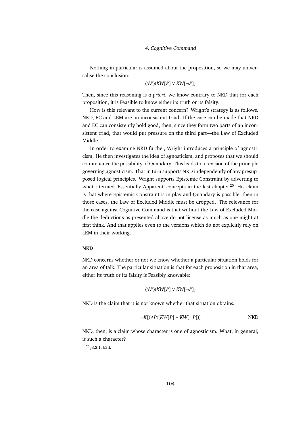Nothing in particular is assumed about the proposition, so we may universalise the conclusion:

(∀*P*)(*KW*[*P*] ∨ *KW*[¬*P*])

Then, since this reasoning is *a priori*, we know contrary to NKD that for each proposition, it is Feasible to know either its truth or its falsity.

How is this relevant to the current concern? Wright's strategy is as follows. NKD, EC and LEM are an inconsistent triad. If the case can be made that NKD and EC can consistently hold good, then, since they form two parts of an inconsistent triad, that would put pressure on the third part—the Law of Excluded Middle.

In order to examine NKD further, Wright introduces a principle of agnosticism. He then investigates the idea of agnosticism, and proposes that we should countenance the possibility of Quandary. This leads to a revision of the principle governing agnosticism. That in turn supports NKD independently of any presupposed logical principles. Wright supports Epistemic Constraint by adverting to what I termed 'Essentially Apparent' concepts in the last chapter.<sup>20</sup> His claim is that where Epistemic Constraint is in play and Quandary is possible, then in those cases, the Law of Excluded Middle must be dropped. The relevance for the case against Cognitive Command is that without the Law of Excluded Middle the deductions as presented above do not license as much as one might at first think. And that applies even to the versions which do not explicitly rely on LEM in their working.

### **NKD**

NKD concerns whether or not we know whether a particular situation holds for an area of talk. The particular situation is that for each proposition in that area, either its truth or its falsity is Feasibly knowable:

(∀*P*)(*KW*[*P*] ∨ *KW*[¬*P*])

NKD is the claim that it is not known whether that situation obtains.

$$
\neg K[(\forall P)(KW[P] \lor KW[\neg P])]
$$
 NKD

NKD, then, is a claim whose character is one of agnosticism. What, in general, is such a character?

 $20$  § 3.2.1, 65ff.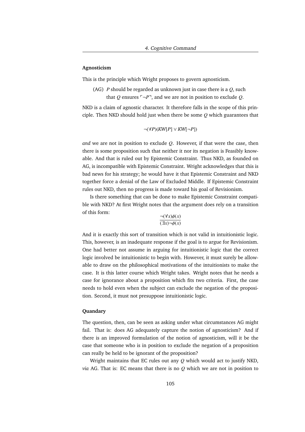### **Agnosticism**

This is the principle which Wright proposes to govern agnosticism.

(AG) *P* should be regarded as unknown just in case there is a *Q*, such that *Q* ensures  $\lceil \neg P \rceil$ , and we are not in position to exclude *Q*.

NKD is a claim of agnostic character. It therefore falls in the scope of this principle. Then NKD should hold just when there be some *Q* which guarantees that

$$
\neg(\forall P)(KW[P] \vee KW[\neg P])
$$

*and* we are not in position to exclude *Q*. However, if that were the case, then there is some proposition such that neither it nor its negation is Feasibly knowable. And that is ruled out by Epistemic Constraint. Thus NKD, as founded on AG, is incompatible with Epistemic Constraint. Wright acknowledges that this is bad news for his strategy; he would have it that Epistemic Constraint and NKD together force a denial of the Law of Excluded Middle. If Epistemic Constraint rules out NKD, then no progress is made toward his goal of Revisionism.

Is there something that can be done to make Epistemic Constraint compatible with NKD? At first Wright notes that the argument does rely on a transition of this form:

$$
\frac{\neg(\forall x)\phi(x)}{(\exists x)\neg\phi(x)}
$$

And it is exactly this sort of transition which is not valid in intuitionistic logic. This, however, is an inadequate response if the goal is to argue for Revisionism. One had better not assume in arguing for intuitionistic logic that the correct logic involved be intuitionistic to begin with. However, it must surely be allowable to draw on the philosophical motivations of the intuitionists to make the case. It is this latter course which Wright takes. Wright notes that he needs a case for ignorance about a proposition which fits two criteria. First, the case needs to hold even when the subject can exclude the negation of the proposition. Second, it must not presuppose intuitionistic logic.

### **Quandary**

The question, then, can be seen as asking under what circumstances AG might fail. That is: does AG adequately capture the notion of agnosticism? And if there is an improved formulation of the notion of agnosticism, will it be the case that someone who is in position to exclude the negation of a proposition can really be held to be ignorant of the proposition?

Wright maintains that EC rules out any *Q* which would act to justify NKD, *via* AG. That is: EC means that there is no *Q* which we are not in position to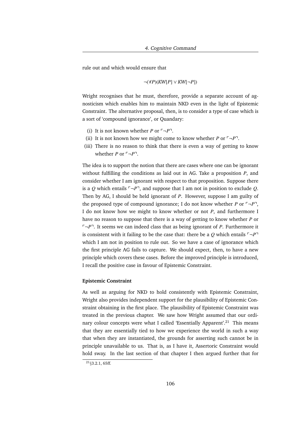rule out and which would ensure that

$$
\neg(\forall P)(K W[P] \lor K W[\neg P])
$$

Wright recognises that he must, therefore, provide a separate account of agnosticism which enables him to maintain NKD even in the light of Epistemic Constraint. The alternative proposal, then, is to consider a type of case which is a sort of 'compound ignorance', or Quandary:

- (i) It is not known whether *P* or  $\neg P$ <sup> $\neg$ </sup>.
- (ii) It is not known how we might come to know whether *P* or  $\lceil \neg P \rceil$ .
- (iii) There is no reason to think that there is even a way of getting to know whether *P* or  $\neg P$ <sup>-</sup>.

The idea is to support the notion that there are cases where one can be ignorant without fulfilling the conditions as laid out in AG. Take a proposition *P*, and consider whether I am ignorant with respect to that proposition. Suppose there is a *Q* which entails  $\neg P$ <sup> $\neg$ </sup>, and suppose that I am not in position to exclude *Q*. Then by AG, I should be held ignorant of *P*. However, suppose I am guilty of the proposed type of compound ignorance; I do not know whether *P* or  $\neg P$ <sup>7</sup>, I do not know how we might to know whether or not *P*, and furthermore I have no reason to suppose that there is a way of getting to know whether *P* or  $\lceil \neg P \rceil$ . It seems we can indeed class that as being ignorant of *P*. Furthermore it is consistent with it failing to be the case that: there be a *O* which entails  $\ulcorner \neg P \urcorner$ which I am not in position to rule out. So we have a case of ignorance which the first principle AG fails to capture. We should expect, then, to have a new principle which covers these cases. Before the improved principle is introduced, I recall the positive case in favour of Epistemic Constraint.

### **Epistemic Constraint**

As well as arguing for NKD to hold consistently with Epistemic Constraint, Wright also provides independent support for the plausibility of Epistemic Constraint obtaining in the first place. The plausibility of Epistemic Constraint was treated in the previous chapter. We saw how Wright assumed that our ordinary colour concepts were what I called 'Essentially Apparent'.<sup>21</sup> This means that they are essentially tied to how we experience the world in such a way that when they are instantiated, the grounds for asserting such cannot be in principle unavailable to us. That is, as I have it, Assertoric Constraint would hold sway. In the last section of that chapter I then argued further that for

 $21_{\{3,2,1,65\}}$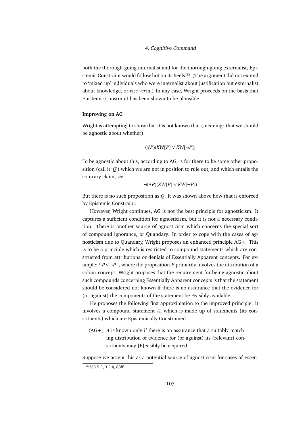both the thorough-going internalist and for the thorough-going externalist, Epistemic Constraint would follow hot on its heels.<sup>22</sup> (The argument did not extend to 'mixed up' individuals who were internalist about justification but externalist about knowledge, or *vice versa*.) In any case, Wright proceeds on the basis that Epistemic Constraint has been shown to be plausible.

### **Improving on AG**

Wright is attempting to show that it is not known that (meaning: that we should be agnostic about whether)

$$
(\forall P)(KW[P] \lor KW[\neg P])
$$

To be agnostic about this, according to AG, is for there to be some other proposition (call it '*Q*') which we are not in position to rule out, and which entails the contrary claim, *viz.*

¬(∀*P*)(*KW*[*P*] ∨ *KW*[¬*P*])

But there is no such proposition as *Q*. It was shown above how that is enforced by Epistemic Constraint.

However, Wright continues, AG is not the best principle for agnosticism. It captures a sufficient condition for agnosticism, but it is not a necessary condition. There is another source of agnosticism which concerns the special sort of compound ignorance, or Quandary. In order to cope with the cases of agnosticism due to Quandary, Wright proposes an enhanced principle AG+. This is to be a principle which is restricted to compound statements which are constructed from attributions or denials of Essentially Apparent concepts. For example:  $\Gamma P \vee \neg P$ <sup> $\neg$ </sup>, where the proposition *P* primarily involves the attribution of a colour concept. Wright proposes that the requirement for being agnostic about such compounds concerning Essentially Apparent concepts is that the statement should be considered not known if there is no assurance that the evidence for (or against) the components of the statement be Feasibly available.

He proposes the following first approximation to the improved principle. It involves a compound statement *A*, which is made up of statements (its constituents) which are Epistemically Constrained.

 $(AG+)$  *A* is known only if there is an assurance that a suitably matching distribution of evidence for (or against) its (relevant) constituents may [F]easibly be acquired.

Suppose we accept this as a potential source of agnosticism for cases of Essen-

 $22$ §§3.5.3, 3.5.4, 88ff.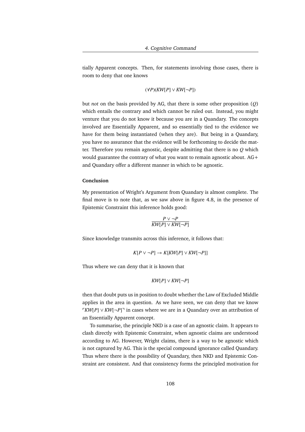tially Apparent concepts. Then, for statements involving those cases, there is room to deny that one knows

$$
(\forall P)(KW[P] \lor KW[\neg P])
$$

but *not* on the basis provided by AG, that there is some other proposition (*Q*) which entails the contrary and which cannot be ruled out. Instead, you might venture that you do not know it because you are in a Quandary. The concepts involved are Essentially Apparent, and so essentially tied to the evidence we have for them being instantiated (when they are). But being in a Quandary, you have no assurance that the evidence will be forthcoming to decide the matter. Therefore you remain agnostic, despite admitting that there is no *Q* which would guarantee the contrary of what you want to remain agnostic about. AG+ and Quandary offer a different manner in which to be agnostic.

### **Conclusion**

My presentation of Wright's Argument from Quandary is almost complete. The final move is to note that, as we saw above in figure 4.8, in the presence of Epistemic Constraint this inference holds good:

$$
\frac{P \vee \neg P}{KW[P] \vee KW[\neg P]}
$$

Since knowledge transmits across this inference, it follows that:

$$
K[P \lor \neg P] \to K[KW[P] \lor KW[\neg P]]
$$

Thus where we can deny that it is known that

$$
KW[P] \vee KW[\neg P]
$$

then that doubt puts us in position to doubt whether the Law of Excluded Middle applies in the area in question. As we have seen, we can deny that we know *FKW*[*P*] ∨ *KW*[¬*P*]<sup>¬</sup> in cases where we are in a Quandary over an attribution of an Essentially Apparent concept.

To summarise, the principle NKD is a case of an agnostic claim. It appears to clash directly with Epistemic Constraint, when agnostic claims are understood according to AG. However, Wright claims, there is a way to be agnostic which is not captured by AG. This is the special compound ignorance called Quandary. Thus where there is the possibility of Quandary, then NKD and Epistemic Constraint are consistent. And that consistency forms the principled motivation for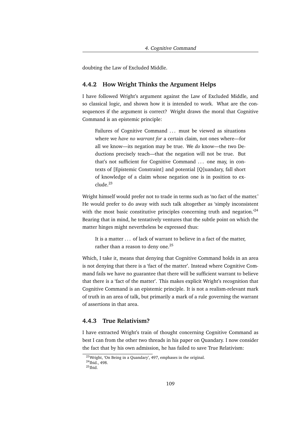doubting the Law of Excluded Middle.

## **4.4.2 How Wright Thinks the Argument Helps**

I have followed Wright's argument against the Law of Excluded Middle, and so classical logic, and shown how it is intended to work. What are the consequences if the argument is correct? Wright draws the moral that Cognitive Command is an epistemic principle:

Failures of Cognitive Command ... must be viewed as situations where we *have no warrant for* a certain claim, not ones where—for all we know—its negation may be true. We *do* know—the two Deductions precisely teach—that the negation will not be true. But that's not sufficient for Cognitive Command . . . one may, in contexts of [Epistemic Constraint] and potential [Q]uandary, fall short of knowledge of a claim whose negation one is in position to exclude.<sup>23</sup>

Wright himself would prefer not to trade in terms such as 'no fact of the matter.' He would prefer to do away with such talk altogether as 'simply inconsistent with the most basic constitutive principles concerning truth and negation.<sup>24</sup> Bearing that in mind, he tentatively ventures that the subtle point on which the matter hinges might nevertheless be expressed thus:

It is a matter . . . of lack of warrant to believe in a fact of the matter, rather than a reason to deny one.<sup>25</sup>

Which, I take it, means that denying that Cognitive Command holds in an area is not denying that there is a 'fact of the matter'. Instead where Cognitive Command fails we have no guarantee that there will be sufficient warrant to believe that there is a 'fact of the matter'. This makes explicit Wright's recognition that Cognitive Command is an epistemic principle. It is not a realism-relevant mark of truth in an area of talk, but primarily a mark of a rule governing the warrant of assertions in that area.

## **4.4.3 True Relativism?**

I have extracted Wright's train of thought concerning Cognitive Command as best I can from the other two threads in his paper on Quandary. I now consider the fact that by his own admission, he has failed to save True Relativism:

<sup>23</sup>Wright, 'On Being in a Quandary', 497, emphases in the original.

<sup>24</sup>Ibid., 498.

 $^{25}$ Ibid.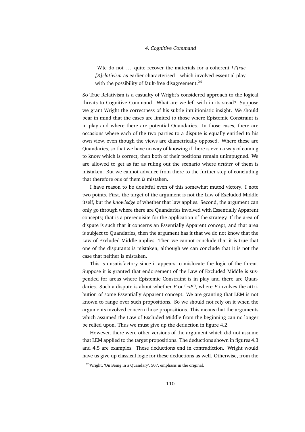[W]e do not ... quite recover the materials for a coherent *[T]rue [R]elativism* as earlier characterised—which involved essential play with the possibility of fault-free disagreement.<sup>26</sup>

So True Relativism is a casualty of Wright's considered approach to the logical threats to Cognitive Command. What are we left with in its stead? Suppose we grant Wright the correctness of his subtle intuitionistic insight. We should bear in mind that the cases are limited to those where Epistemic Constraint is in play and where there are potential Quandaries. In those cases, there are occasions where each of the two parties to a dispute is equally entitled to his own view, even though the views are diametrically opposed. Where these are Quandaries, so that we have no way of knowing if there is even a way of coming to know which is correct, then both of their positions remain unimpugned. We are allowed to get as far as ruling out the scenario where *neither* of them is mistaken. But we cannot advance from there to the further step of concluding that therefore *one* of them *is* mistaken.

I have reason to be doubtful even of this somewhat muted victory. I note two points. First, the target of the argument is not the Law of Excluded Middle itself, but the *knowledge* of whether that law applies. Second, the argument can only go through where there are Quandaries involved with Essentially Apparent concepts; that is a prerequisite for the application of the strategy. If the area of dispute is such that it concerns an Essentially Apparent concept, and that area is subject to Quandaries, then the argument has it that we do not know that the Law of Excluded Middle applies. Then we cannot conclude that it is true that one of the disputants is mistaken, although we can conclude that it is not the case that neither is mistaken.

This is unsatisfactory since it appears to mislocate the logic of the threat. Suppose it is granted that endorsement of the Law of Excluded Middle is suspended for areas where Epistemic Constraint is in play and there are Quandaries. Such a dispute is about whether *P* or  $\neg P$ , where *P* involves the attribution of some Essentially Apparent concept. We are granting that LEM is not known to range over such propositions. So we should not rely on it when the arguments involved concern those propositions. This means that the arguments which assumed the Law of Excluded Middle from the beginning can no longer be relied upon. Thus we must give up the deduction in figure 4.2.

However, there were other versions of the argument which did not assume that LEM applied to the target propositions. The deductions shown in figures 4.3 and 4.5 are examples. These deductions end in contradiction. Wright would have us give up classical logic for these deductions as well. Otherwise, from the

<sup>26</sup>Wright, 'On Being in a Quandary', 507, emphasis in the original.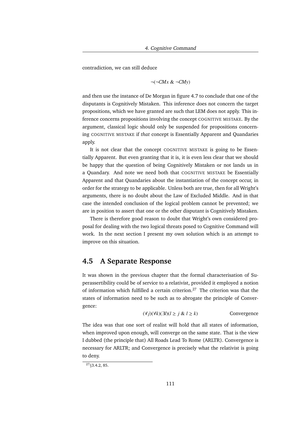contradiction, we can still deduce

$$
\neg(\neg CMx \& \neg CMy)
$$

and then use the instance of De Morgan in figure 4.7 to conclude that one of the disputants is Cognitively Mistaken. This inference does not concern the target propositions, which we have granted are such that LEM does not apply. This inference concerns propositions involving the concept COGNITIVE MISTAKE. By the argument, classical logic should only be suspended for propositions concerning COGNITIVE MISTAKE if *that* concept is Essentially Apparent and Quandaries apply.

It is not clear that the concept COGNITIVE MISTAKE is going to be Essentially Apparent. But even granting that it is, it is even less clear that we should be happy that the question of being Cognitively Mistaken or not lands us in a Quandary. And note we need both that COGNITIVE MISTAKE be Essentially Apparent and that Quandaries about the instantiation of the concept occur, in order for the strategy to be applicable. Unless both are true, then for all Wright's arguments, there is no doubt about the Law of Excluded Middle. And in that case the intended conclusion of the logical problem cannot be prevented; we are in position to assert that one or the other disputant is Cognitively Mistaken.

There is therefore good reason to doubt that Wright's own considered proposal for dealing with the two logical threats posed to Cognitive Command will work. In the next section I present my own solution which is an attempt to improve on this situation.

## **4.5 A Separate Response**

It was shown in the previous chapter that the formal characterisation of Superassertibility could be of service to a relativist, provided it employed a notion of information which fulfilled a certain criterion.<sup>27</sup> The criterion was that the states of information need to be such as to abrogate the principle of Convergence:

$$
(\forall j)(\forall k)(\exists l)(l \ge j \& l \ge k)
$$
 Convergence

The idea was that one sort of realist will hold that all states of information, when improved upon enough, will converge on the same state. That is the view I dubbed (the principle that) All Roads Lead To Rome (ARLTR). Convergence is necessary for ARLTR; and Convergence is precisely what the relativist is going to deny.

 $27_{83.4.2,85.}$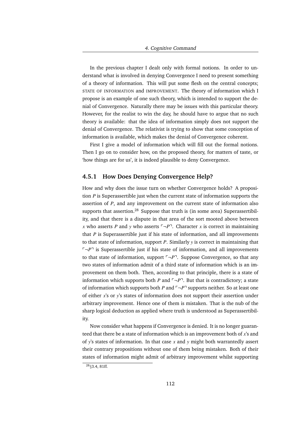In the previous chapter I dealt only with formal notions. In order to understand what is involved in denying Convergence I need to present something of a theory of information. This will put some flesh on the central concepts; STATE OF INFORMATION and IMPROVEMENT. The theory of information which I propose is an example of one such theory, which is intended to support the denial of Convergence. Naturally there may be issues with this particular theory. However, for the realist to win the day, he should have to argue that no such theory is available: that the idea of information simply does not support the denial of Convergence. The relativist is trying to show that some conception of information is available, which makes the denial of Convergence coherent.

First I give a model of information which will fill out the formal notions. Then I go on to consider how, on the proposed theory, for matters of taste, or 'how things are for us', it is indeed plausible to deny Convergence.

## **4.5.1 How Does Denying Convergence Help?**

How and why does the issue turn on whether Convergence holds? A proposition *P* is Superassertible just when the current state of information supports the assertion of *P*, and any improvement on the current state of information also supports that assertion.<sup>28</sup> Suppose that truth is (in some area) Superassertibility, and that there is a dispute in that area of the sort mooted above between *x* who asserts *P* and *y* who asserts  $\neg P$ <sup> $\neg$ </sup>. Character *x* is correct in maintaining that *P* is Superassertible just if his state of information, and all improvements to that state of information, support *P*. Similarly *y* is correct in maintaining that  $\ulcorner \neg P \urcorner$  is Superassertible just if his state of information, and all improvements to that state of information, support  $\neg P$ <sup> $\neg$ </sup>. Suppose Convergence, so that any two states of information admit of a third state of information which is an improvement on them both. Then, according to that principle, there is a state of information which supports both *P* and  $\neg P$ <sup> $\neg$ </sup>. But that is contradictory; a state of information which supports both *P* and  $\neg P$ <sup> $\exists$ </sup> supports neither. So at least one of either *x*'s or *y*'s states of information does not support their assertion under arbitrary improvement. Hence one of them is mistaken. That is the nub of the sharp logical deduction as applied where truth is understood as Superassertibility.

Now consider what happens if Convergence is denied. It is no longer guaranteed that there be a state of information which is an improvement both of *x*'s and of *y*'s states of information. In that case *x* and *y* might both warrantedly assert their contrary propositions without one of them being mistaken. Both of their states of information might admit of arbitrary improvement whilst supporting

<sup>28</sup>§3.4, 81ff.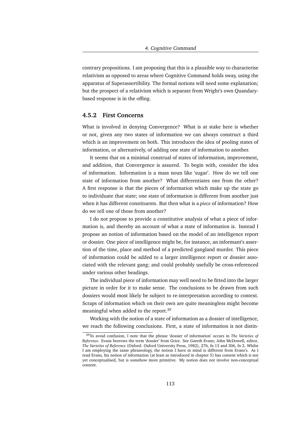contrary propositions. I am proposing that this is a plausible way to characterise relativism as opposed to areas where Cognitive Command holds sway, using the apparatus of Superassertibility. The formal notions will need some explanation; but the prospect of a relativism which is separate from Wright's own Quandarybased response is in the offing.

## **4.5.2 First Concerns**

What is involved in denying Convergence? What is at stake here is whether or not, given any two states of information we can always construct a third which is an improvement on both. This introduces the idea of pooling states of information, or alternatively, of adding one state of information to another.

It seems that on a minimal construal of states of information, improvement, and addition, that Convergence is assured. To begin with, consider the idea of information. Information is a mass noun like 'sugar'. How do we tell one state of information from another? What differentiates one from the other? A first response is that the pieces of information which make up the state go to individuate that state; one state of information is different from another just when it has different constituents. But then what is a *piece* of information? How do we tell one of those from another?

I do not propose to provide a constitutive analysis of what a piece of information is, and thereby an account of what a state of information is. Instead I propose an notion of information based on the model of an intelligence report or dossier. One piece of intelligence might be, for instance, an informant's assertion of the time, place and method of a predicted gangland murder. This piece of information could be added to a larger intelligence report or dossier associated with the relevant gang; and could probably usefully be cross-referenced under various other headings.

The individual piece of information may well need to be fitted into the larger picture in order for it to make sense. The conclusions to be drawn from such dossiers would most likely be subject to re-interpretation according to context. Scraps of information which on their own are quite meaningless might become meaningful when added to the report.<sup>29</sup>

Working with the notion of a state of information as a dossier of intelligence, we reach the following conclusions. First, a state of information is not distin-

<sup>29</sup>To avoid confusion, I note that the phrase 'dossier of information' occurs in *The Varieties of Reference*. Evans borrows the term 'dossier' from Grice. See Gareth Evans; John McDowell, editor, *The Varieties of Reference* (Oxford: Oxford University Press, 1982), 276, fn 13 and 306, fn 2. Whilst I am employing the same phraseology, the notion I have in mind is different from Evans's. As I read Evans, his notion of information (at least as introduced in chapter 5) has content which is not yet conceptualised, but is somehow more primitive. My notion does not involve non-conceptual content.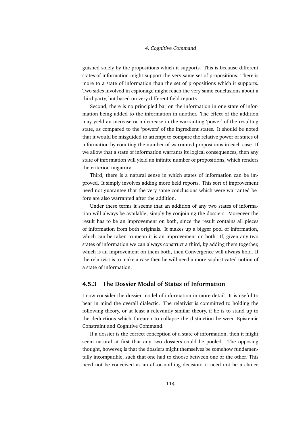guished solely by the propositions which it supports. This is because different states of information might support the very same set of propositions. There is more to a state of information than the set of propositions which it supports. Two sides involved in espionage might reach the very same conclusions about a third party, but based on very different field reports.

Second, there is no principled bar on the information in one state of information being added to the information in another. The effect of the addition may yield an increase or a decrease in the warranting 'power' of the resulting state, as compared to the 'powers' of the ingredient states. It should be noted that it would be misguided to attempt to compare the relative power of states of information by counting the number of warranted propositions in each case. If we allow that a state of information warrants its logical consequences, then any state of information will yield an infinite number of propositions, which renders the criterion nugatory.

Third, there is a natural sense in which states of information can be improved. It simply involves adding more field reports. This sort of improvement need not guarantee that the very same conclusions which were warranted before are also warranted after the addition.

Under these terms it seems that an addition of any two states of information will always be available; simply by conjoining the dossiers. Moreover the result has to be an improvement on both, since the result contains all pieces of information from both originals. It makes up a bigger pool of information, which can be taken to mean it is an improvement on both. If, given any two states of information we can always construct a third, by adding them together, which is an improvement on them both, then Convergence will always hold. If the relativist is to make a case then he will need a more sophisticated notion of a state of information.

## **4.5.3 The Dossier Model of States of Information**

I now consider the dossier model of information in more detail. It is useful to bear in mind the overall dialectic. The relativist is committed to holding the following theory, or at least a relevantly similar theory, if he is to stand up to the deductions which threaten to collapse the distinction between Epistemic Constraint and Cognitive Command.

If a dossier is the correct conception of a state of information, then it might seem natural at first that any two dossiers could be pooled. The opposing thought, however, is that the dossiers might themselves be somehow fundamentally incompatible, such that one had to choose between one or the other. This need not be conceived as an all-or-nothing decision; it need not be a choice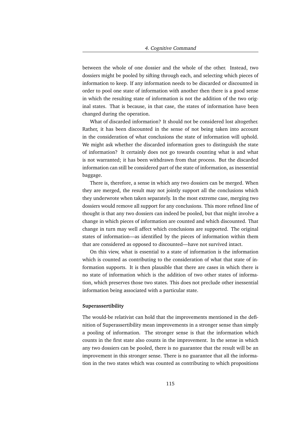between the whole of one dossier and the whole of the other. Instead, two dossiers might be pooled by sifting through each, and selecting which pieces of information to keep. If any information needs to be discarded or discounted in order to pool one state of information with another then there is a good sense in which the resulting state of information is not the addition of the two original states. That is because, in that case, the states of information have been changed during the operation.

What of discarded information? It should not be considered lost altogether. Rather, it has been discounted in the sense of not being taken into account in the consideration of what conclusions the state of information will uphold. We might ask whether the discarded information goes to distinguish the state of information? It certainly does not go towards counting what is and what is not warranted; it has been withdrawn from that process. But the discarded information can still be considered part of the state of information, as inessential baggage.

There is, therefore, a sense in which any two dossiers can be merged. When they are merged, the result may not jointly support all the conclusions which they underwrote when taken separately. In the most extreme case, merging two dossiers would remove all support for any conclusions. This more refined line of thought is that any two dossiers can indeed be pooled, but that might involve a change in which pieces of information are counted and which discounted. That change in turn may well affect which conclusions are supported. The original states of information—as identified by the pieces of information within them that are considered as opposed to discounted—have not survived intact.

On this view, what is essential to a state of information is the information which is counted as contributing to the consideration of what that state of information supports. It is then plausible that there are cases in which there is no state of information which is the addition of two other states of information, which preserves those two states. This does not preclude other inessential information being associated with a particular state.

### **Superassertibility**

The would-be relativist can hold that the improvements mentioned in the definition of Superassertibility mean improvements in a stronger sense than simply a pooling of information. The stronger sense is that the information which counts in the first state also counts in the improvement. In the sense in which any two dossiers can be pooled, there is no guarantee that the result will be an improvement in this stronger sense. There is no guarantee that all the information in the two states which was counted as contributing to which propositions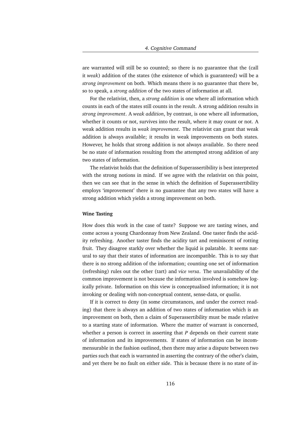are warranted will still be so counted; so there is no guarantee that the (call it *weak*) addition of the states (the existence of which is guaranteed) will be a *strong improvement* on both. Which means there is no guarantee that there be, so to speak, a *strong addition* of the two states of information at all.

For the relativist, then, a *strong addition* is one where all information which counts in each of the states still counts in the result. A strong addition results in *strong improvement*. A *weak addition*, by contrast, is one where all information, whether it counts or not, survives into the result, where it may count or not. A weak addition results in *weak improvement*. The relativist can grant that weak addition is always available; it results in weak improvements on both states. However, he holds that strong addition is not always available. So there need be no state of information resulting from the attempted strong addition of any two states of information.

The relativist holds that the definition of Superassertibility is best interpreted with the strong notions in mind. If we agree with the relativist on this point, then we can see that in the sense in which the definition of Superassertibility employs 'improvement' there is no guarantee that any two states will have a strong addition which yields a strong improvement on both.

#### **Wine Tasting**

How does this work in the case of taste? Suppose we are tasting wines, and come across a young Chardonnay from New Zealand. One taster finds the acidity refreshing. Another taster finds the acidity tart and reminiscent of rotting fruit. They disagree starkly over whether the liquid is palatable. It seems natural to say that their states of information are incompatible. This is to say that there is no strong addition of the information; counting one set of information (refreshing) rules out the other (tart) and *vice versa*. The unavailability of the common improvement is not because the information involved is somehow logically private. Information on this view is conceptualised information; it is not invoking or dealing with non-conceptual content, sense-data, or *qualia*.

If it is correct to deny (in some circumstances, and under the correct reading) that there is always an addition of two states of information which is an improvement on both, then a claim of Superassertibility must be made relative to a starting state of information. Where the matter of warrant is concerned, whether a person is correct in asserting that *P* depends on their current state of information and its improvements. If states of information can be incommensurable in the fashion outlined, then there may arise a dispute between two parties such that each is warranted in asserting the contrary of the other's claim, and yet there be no fault on either side. This is because there is no state of in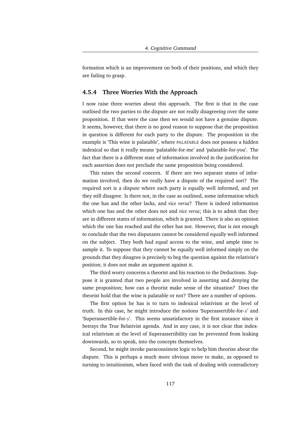formation which is an improvement on both of their positions, and which they are failing to grasp.

## **4.5.4 Three Worries With the Approach**

I now raise three worries about this approach. The first is that in the case outlined the two parties to the dispute are not really disagreeing over the same proposition. If that were the case then we would not have a genuine dispute. It seems, however, that there is no good reason to suppose that the proposition in question is different for each party to the dispute. The proposition in the example is 'This wine is palatable', where PALATABLE does not possess a hidden indexical so that it really means 'palatable-for-me' and 'palatable-for-you'. The fact that there is a different state of information involved in the justification for each assertion does not preclude the same proposition being considered.

This raises the second concern. If there are two separate states of information involved, then do we really have a dispute of the required sort? The required sort is a dispute where each party is equally well informed, and yet they still disagree. Is there not, in the case as outlined, some information which the one has and the other lacks, and *vice versa*? There is indeed information which one has and the other does not and *vice versa*; this is to admit that they are in different states of information, which is granted. There is also an opinion which the one has reached and the other has not. However, that is not enough to conclude that the two disputants cannot be considered equally well informed on the subject. They both had equal access to the wine, and ample time to sample it. To suppose that they cannot be equally well informed simply on the grounds that they disagree is precisely to beg the question against the relativist's position; it does not make an argument against it.

The third worry concerns a theorist and his reaction to the Deductions. Suppose it is granted that two people are involved in asserting and denying the same proposition; how can a theorist make sense of the situation? Does the theorist hold that the wine is palatable or not? There are a number of options.

The first option he has is to turn to indexical relativism at the level of truth. In this case, he might introduce the notions 'Superassertible-for-*x*' and 'Superassertible-for-*y*'. This seems unsatisfactory in the first instance since it betrays the True Relativist agenda. And in any case, it is not clear that indexical relativism at the level of Superassertibility can be prevented from leaking downwards, so to speak, into the concepts themselves.

Second, he might invoke paraconsistent logic to help him theorise about the dispute. This is perhaps a much more obvious move to make, as opposed to turning to intuitionism, when faced with the task of dealing with contradictory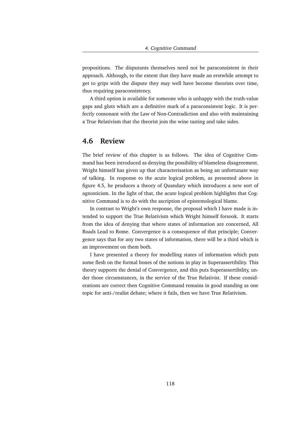propositions. The disputants themselves need not be paraconsistent in their approach. Although, to the extent that they have made an erstwhile attempt to get to grips with the dispute they may well have become theorists over time, thus requiring paraconsistency.

A third option is available for someone who is unhappy with the truth-value gaps and gluts which are a definitive mark of a paraconsistent logic. It is perfectly consonant with the Law of Non-Contradiction and also with maintaining a True Relativism that the theorist join the wine tasting and take sides.

## **4.6 Review**

The brief review of this chapter is as follows. The idea of Cognitive Command has been introduced as denying the possibility of blameless disagreement. Wright himself has given up that characterisation as being an unfortunate way of talking. In response to the acute logical problem, as presented above in figure 4.5, he produces a theory of Quandary which introduces a new sort of agnosticism. In the light of that, the acute logical problem highlights that Cognitive Command is to do with the ascription of epistemological blame.

In contrast to Wright's own response, the proposal which I have made is intended to support the True Relativism which Wright himself forsook. It starts from the idea of denying that where states of information are concerned, All Roads Lead to Rome. Convergence is a consequence of that principle; Convergence says that for any two states of information, there will be a third which is an improvement on them both.

I have presented a theory for modelling states of information which puts some flesh on the formal bones of the notions in play in Superassertibility. This theory supports the denial of Convergence, and this puts Superassertibility, under those circumstances, in the service of the True Relativist. If these considerations are correct then Cognitive Command remains in good standing as one topic for anti-/realist debate; where it fails, then we have True Relativism.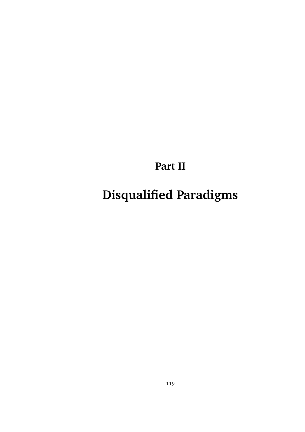**Part II**

**Disqualified Paradigms**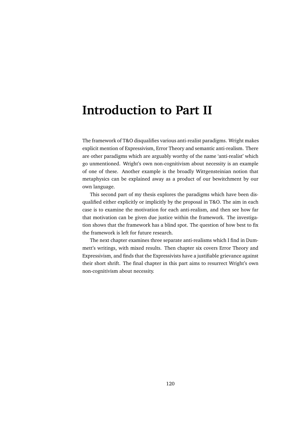# **Introduction to Part II**

The framework of T&O disqualifies various anti-realist paradigms. Wright makes explicit mention of Expressivism, Error Theory and semantic anti-realism. There are other paradigms which are arguably worthy of the name 'anti-realist' which go unmentioned. Wright's own non-cognitivism about necessity is an example of one of these. Another example is the broadly Wittgensteinian notion that metaphysics can be explained away as a product of our bewitchment by our own language.

This second part of my thesis explores the paradigms which have been disqualified either explicitly or implicitly by the proposal in T&O. The aim in each case is to examine the motivation for each anti-realism, and then see how far that motivation can be given due justice within the framework. The investigation shows that the framework has a blind spot. The question of how best to fix the framework is left for future research.

The next chapter examines three separate anti-realisms which I find in Dummett's writings, with mixed results. Then chapter six covers Error Theory and Expressivism, and finds that the Expressivists have a justifiable grievance against their short shrift. The final chapter in this part aims to resurrect Wright's own non-cognitivism about necessity.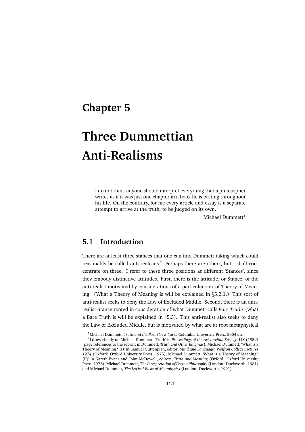## **Chapter 5**

# **Three Dummettian Anti-Realisms**

I do not think anyone should interpret everything that a philosopher writes as if it was just one chapter in a book he is writing throughout his life. On the contrary, for me every article and essay is a separate attempt to arrive at the truth, to be judged on its own.

Michael Dummett $<sup>1</sup>$ </sup>

## **5.1 Introduction**

There are at least three stances that one can find Dummett taking which could reasonably be called anti-realisms.<sup>2</sup> Perhaps there are others, but I shall concentrate on three. I refer to these three positions as different 'Stances', since they embody distinctive attitudes. First, there is the attitude, or Stance, of the anti-realist motivated by considerations of a particular sort of Theory of Meaning. (What a Theory of Meaning is will be explained in §5.2.1.) This sort of anti-realist seeks to deny the Law of Excluded Middle. Second, there is an antirealist Stance rooted in consideration of what Dummett calls *Bare Truths* (what a Bare Truth is will be explained in §5.3). This anti-realist also seeks to deny the Law of Excluded Middle, but is motivated by what are at root metaphysical

<sup>1</sup>Michael Dummett, *Truth and the Past* (New York: Columbia University Press, 2004), x.

<sup>2</sup> I draw chiefly on Michael Dummett, 'Truth' in *Proceedings of the Aristotelian Society*, LIX (1959) (page references to the reprint in Dummett, *Truth and Other Enigmas*), Michael Dummett, 'What is a Theory of Meaning? (I)' in Samuel Guttenplan, editor, *Mind and Language: Wolfson College Lectures 1974* (Oxford: Oxford University Press, 1975), Michael Dummett, 'What is a Theory of Meaning? (II)' in Gareth Evans and John McDowell, editors, *Truth and Meaning* (Oxford: Oxford University Press, 1976), Michael Dummett, *The Interpretation of Frege's Philosophy* (London: Duckworth, 1981) and Michael Dummett, *The Logical Basis of Metaphysics* (London: Duckworth, 1991).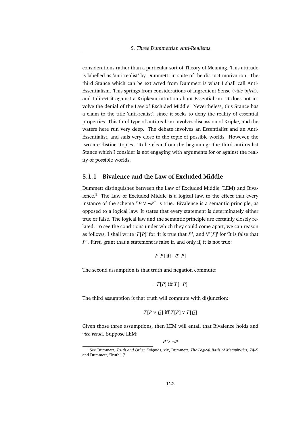considerations rather than a particular sort of Theory of Meaning. This attitude is labelled as 'anti-realist' by Dummett, in spite of the distinct motivation. The third Stance which can be extracted from Dummett is what I shall call Anti-Essentialism. This springs from considerations of Ingredient Sense (*vide infra*), and I direct it against a Kripkean intuition about Essentialism. It does not involve the denial of the Law of Excluded Middle. Nevertheless, this Stance has a claim to the title 'anti-realist', since it seeks to deny the reality of essential properties. This third type of anti-realism involves discussion of Kripke, and the waters here run very deep. The debate involves an Essentialist and an Anti-Essentialist, and sails very close to the topic of possible worlds. However, the two are distinct topics. To be clear from the beginning: the third anti-realist Stance which I consider is not engaging with arguments for or against the reality of possible worlds.

## **5.1.1 Bivalence and the Law of Excluded Middle**

Dummett distinguishes between the Law of Excluded Middle (LEM) and Bivalence. $3$  The Law of Excluded Middle is a logical law, to the effect that every instance of the schema  $\Gamma P \vee \neg P$ <sup> $\exists$ </sup> is true. Bivalence is a semantic principle, as opposed to a logical law. It states that every statement is determinately either true or false. The logical law and the semantic principle are certainly closely related. To see the conditions under which they could come apart, we can reason as follows. I shall write '*T*[*P*]' for 'It is true that *P* ', and '*F*[*P*]' for 'It is false that *P*'. First, grant that a statement is false if, and only if, it is not true:

$$
F[P] \text{ iff } \neg T[P]
$$

The second assumption is that truth and negation commute:

$$
\neg T[P] \text{ iff } T[\neg P]
$$

The third assumption is that truth will commute with disjunction:

$$
T[P \vee Q] \text{ iff } T[P] \vee T[Q]
$$

Given those three assumptions, then LEM will entail that Bivalence holds and *vice versa*. Suppose LEM:

*P* ∨  $\neg P$ 

<sup>3</sup>See Dummett, *Truth and Other Enigmas*, xix, Dummett, *The Logical Basis of Metaphysics*, 74–5 and Dummett, 'Truth', 7.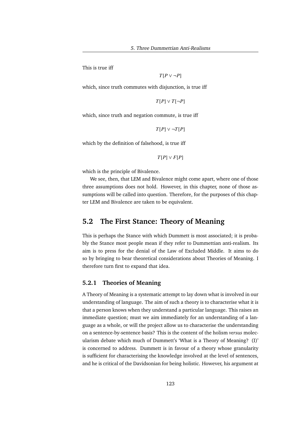This is true iff

*T*[*P* ∨ ¬*P*]

which, since truth commutes with disjunction, is true iff

*T*[*P*] ∨ *T*[¬*P*]

which, since truth and negation commute, is true iff

*T*[*P*] ∨ ¬*T*[*P*]

which by the definition of falsehood, is true iff

*T*[*P*] ∨ *F*[*P*]

which is the principle of Bivalence.

We see, then, that LEM and Bivalence might come apart, where one of those three assumptions does not hold. However, in this chapter, none of those assumptions will be called into question. Therefore, for the purposes of this chapter LEM and Bivalence are taken to be equivalent.

## **5.2 The First Stance: Theory of Meaning**

This is perhaps the Stance with which Dummett is most associated; it is probably the Stance most people mean if they refer to Dummettian anti-realism. Its aim is to press for the denial of the Law of Excluded Middle. It aims to do so by bringing to bear theoretical considerations about Theories of Meaning. I therefore turn first to expand that idea.

## **5.2.1 Theories of Meaning**

A Theory of Meaning is a systematic attempt to lay down what is involved in our understanding of language. The aim of such a theory is to characterise what it is that a person knows when they understand a particular language. This raises an immediate question; must we aim immediately for an understanding of a language as a whole, or will the project allow us to characterise the understanding on a sentence-by-sentence basis? This is the content of the holism *versus* molecularism debate which much of Dummett's 'What is a Theory of Meaning? (I)' is concerned to address. Dummett is in favour of a theory whose granularity is sufficient for characterising the knowledge involved at the level of sentences, and he is critical of the Davidsonian for being holistic. However, his argument at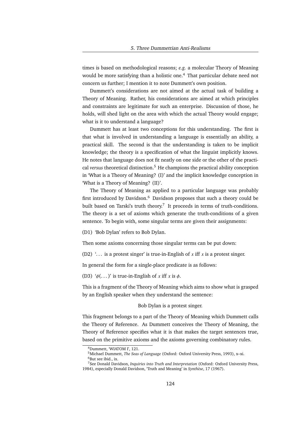times is based on methodological reasons; *e.g.* a molecular Theory of Meaning would be more satisfying than a holistic one.<sup>4</sup> That particular debate need not concern us further; I mention it to note Dummett's own position.

Dummett's considerations are not aimed at the actual task of building a Theory of Meaning. Rather, his considerations are aimed at which principles and constraints are legitimate for such an enterprise. Discussion of those, he holds, will shed light on the area with which the actual Theory would engage; what is it to understand a language?

Dummett has at least two conceptions for this understanding. The first is that what is involved in understanding a language is essentially an ability, a practical skill. The second is that the understanding is taken to be implicit knowledge; the theory is a specification of what the linguist implicitly knows. He notes that language does not fit neatly on one side or the other of the practical *versus* theoretical distinction.<sup>5</sup> He champions the practical ability conception in 'What is a Theory of Meaning? (I)' and the implicit knowledge conception in 'What is a Theory of Meaning? (II)'.

The Theory of Meaning as applied to a particular language was probably first introduced by Davidson.<sup>6</sup> Davidson proposes that such a theory could be built based on Tarski's truth theory.<sup>7</sup> It proceeds in terms of truth-conditions. The theory is a set of axioms which generate the truth-conditions of a given sentence. To begin with, some singular terms are given their assignments:

(D1) 'Bob Dylan' refers to Bob Dylan.

Then some axioms concerning those singular terms can be put down:

(D2)  $\ldots$  is a protest singer' is true-in-English of x iff x is a protest singer.

In general the form for a single-place predicate is as follows:

(D3)  $\phi$ (...)' is true-in-English of *x* iff *x* is  $\phi$ .

This is a fragment of the Theory of Meaning which aims to show what is grasped by an English speaker when they understand the sentence:

Bob Dylan is a protest singer.

This fragment belongs to a part of the Theory of Meaning which Dummett calls the Theory of Reference. As Dummett conceives the Theory of Meaning, the Theory of Reference specifies what it is that makes the target sentences true, based on the primitive axioms and the axioms governing combinatory rules.

<sup>4</sup>Dummett, 'WIATOM I', 121.

<sup>5</sup>Michael Dummett, *The Seas of Language* (Oxford: Oxford University Press, 1993), x–xi. <sup>6</sup>But see ibid., ix.

<sup>7</sup>See Donald Davidson, *Inquiries into Truth and Interpretation* (Oxford: Oxford University Press, 1984), especially Donald Davidson, 'Truth and Meaning' in *Synthèse*, 17 (1967).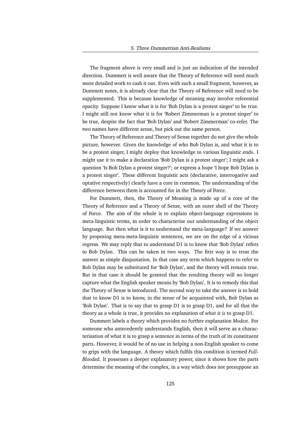The fragment above is very small and is just an indication of the intended direction. Dummett is well aware that the Theory of Reference will need much more detailed work to cash it out. Even with such a small fragment, however, as Dummett notes, it is already clear that the Theory of Reference will need to be supplemented. This is because knowledge of meaning may involve referential opacity. Suppose I know what it is for 'Bob Dylan is a protest singer' to be true. I might still not know what it is for 'Robert Zimmerman is a protest singer' to be true, despite the fact that 'Bob Dylan' and 'Robert Zimmerman' co-refer. The two names have different sense, but pick out the same person.

The Theory of Reference and Theory of Sense together do not give the whole picture, however. Given the knowledge of who Bob Dylan is, and what it is to be a protest singer, I might deploy that knowledge to various linguistic ends. I might use it to make a declaration 'Bob Dylan is a protest singer'; I might ask a question 'Is Bob Dylan a protest singer?'; or express a hope 'I hope Bob Dylan is a protest singer'. These different linguistic acts (declarative, interrogative and optative respectively) clearly have a core in common. The understanding of the difference between them is accounted for in the Theory of Force.

For Dummett, then, the Theory of Meaning is made up of a core of the Theory of Reference and a Theory of Sense, with an outer shell of the Theory of Force. The aim of the whole is to explain object-language expressions in meta-linguistic terms, in order to characterise our understanding of the object language. But then what is it to understand the meta-language? If we answer by proposing meta-meta-linguistic sentences, we are on the edge of a vicious regress. We may reply that to understand D1 is to know that 'Bob Dylan' refers to Bob Dylan. This can be taken in two ways. The first way is to treat the answer as simple disquotation. In that case any term which happens to refer to Bob Dylan may be substituted for 'Bob Dylan', and the theory will remain true. But in that case it should be granted that the resulting theory will no longer capture what the English speaker means by 'Bob Dylan'. It is to remedy this that the Theory of Sense is introduced. The second way to take the answer is to hold that to know D1 is to know, in the sense of be acquainted with, Bob Dylan as 'Bob Dylan'. That is to say that to grasp D1 is to grasp D1, and for all that the theory as a whole is true, it provides no explanation of *what it is* to grasp D1.

Dummett labels a theory which provides no further explanation *Modest*. For someone who antecedently understands English, then it will serve as a characterisation of what it is to grasp a sentence in terms of the truth of its constituent parts. However, it would be of no use in helping a non-English speaker to come to grips with the language. A theory which fulfils this condition is termed *Full-Blooded*. It possesses a deeper explanatory power, since it shows how the parts determine the meaning of the complex, in a way which does not presuppose an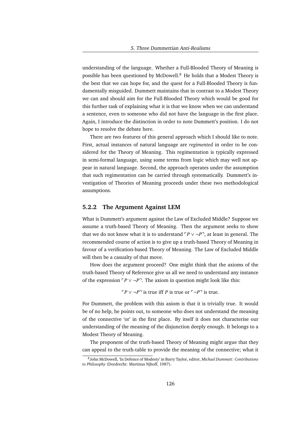understanding of the language. Whether a Full-Blooded Theory of Meaning is possible has been questioned by McDowell.<sup>8</sup> He holds that a Modest Theory is the best that we can hope for, and the quest for a Full-Blooded Theory is fundamentally misguided. Dummett maintains that in contrast to a Modest Theory we can and should aim for the Full-Blooded Theory which would be good for this further task of explaining what it is that we know when we can understand a sentence, even to someone who did not have the language in the first place. Again, I introduce the distinction in order to note Dummett's position. I do not hope to resolve the debate here.

There are two features of this general approach which I should like to note. First, actual instances of natural language are *regimented* in order to be considered for the Theory of Meaning. This regimentation is typically expressed in semi-formal language, using some terms from logic which may well not appear in natural language. Second, the approach operates under the assumption that such regimentation can be carried through systematically. Dummett's investigation of Theories of Meaning proceeds under these two methodological assumptions.

#### **5.2.2 The Argument Against LEM**

What is Dummett's argument against the Law of Excluded Middle? Suppose we assume a truth-based Theory of Meaning. Then the argument seeks to show that we do not know what it is to understand  $\ulcorner P \lor \neg P \urcorner$ , at least in general. The recommended course of action is to give up a truth-based Theory of Meaning in favour of a verification-based Theory of Meaning. The Law of Excluded Middle will then be a casualty of that move.

How does the argument proceed? One might think that the axioms of the truth-based Theory of Reference give us all we need to understand any instance of the expression  $\ulcorner P \lor \neg P \urcorner$ . The axiom in question might look like this:

 $\Gamma P \vee \neg P$ <sup> $\exists$ </sup> is true iff *P* is true or  $\Gamma \neg P$ <sup> $\exists$ </sup> is true.

For Dummett, the problem with this axiom is that it is trivially true. It would be of no help, he points out, to someone who does not understand the meaning of the connective 'or' in the first place. By itself it does not characterise our understanding of the meaning of the disjunction deeply enough. It belongs to a Modest Theory of Meaning.

The proponent of the truth-based Theory of Meaning might argue that they can appeal to the truth-table to provide the meaning of the connective; what it

<sup>8</sup> John McDowell, 'In Defence of Modesty' in Barry Taylor, editor, *Michael Dummett: Contributions to Philosophy* (Dordrecht: Martinus Njhoff, 1987).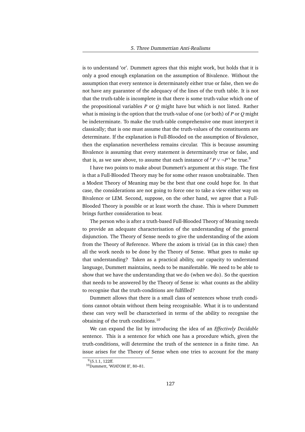is to understand 'or'. Dummett agrees that this might work, but holds that it is only a good enough explanation on the assumption of Bivalence. Without the assumption that every sentence is determinately either true or false, then we do not have any guarantee of the adequacy of the lines of the truth table. It is not that the truth-table is incomplete in that there is some truth-value which one of the propositional variables *P* or *Q* might have but which is not listed. Rather what is missing is the option that the truth-value of one (or both) of *P* or *Q* might be indeterminate. To make the truth-table comprehensive one must interpret it classically; that is one must assume that the truth-values of the constituents are determinate. If the explanation is Full-Blooded on the assumption of Bivalence, then the explanation nevertheless remains circular. This is because assuming Bivalence is assuming that every statement is determinately true or false, and that is, as we saw above, to assume that each instance of  $\ulcorner P \lor \neg P \urcorner$  be true.<sup>9</sup>

I have two points to make about Dummett's argument at this stage. The first is that a Full-Blooded Theory may be for some other reason unobtainable. Then a Modest Theory of Meaning may be the best that one could hope for. In that case, the considerations are not going to force one to take a view either way on Bivalence or LEM. Second, suppose, on the other hand, we agree that a Full-Blooded Theory is possible or at least worth the chase. This is where Dummett brings further consideration to bear.

The person who is after a truth-based Full-Blooded Theory of Meaning needs to provide an adequate characterisation of the understanding of the general disjunction. The Theory of Sense needs to give the understanding of the axiom from the Theory of Reference. Where the axiom is trivial (as in this case) then all the work needs to be done by the Theory of Sense. What goes to make up that understanding? Taken as a practical ability, our capacity to understand language, Dummett maintains, needs to be manifestable. We need to be able to show that we have the understanding that we do (when we do). So the question that needs to be answered by the Theory of Sense is: what counts as the ability to recognise that the truth-conditions are fulfilled?

Dummett allows that there is a small class of sentences whose truth conditions cannot obtain without them being recognisable. What it is to understand these can very well be characterised in terms of the ability to recognise the obtaining of the truth conditions.<sup>10</sup>

We can expand the list by introducing the idea of an *Effectively Decidable* sentence. This is a sentence for which one has a procedure which, given the truth-conditions, will determine the truth of the sentence in a finite time. An issue arises for the Theory of Sense when one tries to account for the many

 $9$ §5.1.1, 122ff.

<sup>&</sup>lt;sup>10</sup>Dummett, 'WIATOM II', 80-81.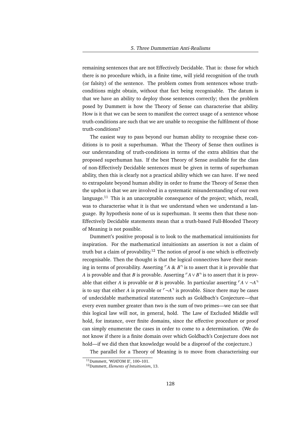remaining sentences that are not Effectively Decidable. That is: those for which there is no procedure which, in a finite time, will yield recognition of the truth (or falsity) of the sentence. The problem comes from sentences whose truthconditions might obtain, without that fact being recognisable. The datum is that we have an ability to deploy those sentences correctly; then the problem posed by Dummett is how the Theory of Sense can characterise that ability. How is it that we can be seen to manifest the correct usage of a sentence whose truth-conditions are such that we are unable to recognise the fulfilment of those truth-conditions?

The easiest way to pass beyond our human ability to recognise these conditions is to posit a superhuman. What the Theory of Sense then outlines is our understanding of truth-conditions in terms of the extra abilities that the proposed superhuman has. If the best Theory of Sense available for the class of non-Effectively Decidable sentences must be given in terms of superhuman ability, then this is clearly not a practical ability which we can have. If we need to extrapolate beyond human ability in order to frame the Theory of Sense then the upshot is that we are involved in a systematic misunderstanding of our own language.<sup>11</sup> This is an unacceptable consequence of the project; which, recall, was to characterise what it is that we understand when we understand a language. By hypothesis none of us is superhuman. It seems then that these non-Effectively Decidable statements mean that a truth-based Full-Blooded Theory of Meaning is not possible.

Dummett's positive proposal is to look to the mathematical intuitionists for inspiration. For the mathematical intuitionists an assertion is not a claim of truth but a claim of provability.<sup>12</sup> The notion of proof is one which is effectively recognisable. Then the thought is that the logical connectives have their meaning in terms of provability. Asserting  $\overline{A} \& B$ <sup> $\overline{A}$ </sup> is to assert that it is provable that *A* is provable and that *B* is provable. Asserting  $\ulcorner A \lor B \urcorner$  is to assert that it is provable that either *A* is provable or *B* is provable. In particular asserting  $\ulcorner A \lor \lnot A \urcorner$ is to say that either *A* is provable or  $\lceil \neg A \rceil$  is provable. Since there may be cases of undecidable mathematical statements such as Goldbach's Conjecture—that every even number greater than two is the sum of two primes—we can see that this logical law will not, in general, hold. The Law of Excluded Middle *will* hold, for instance, over finite domains, since the effective procedure or proof can simply enumerate the cases in order to come to a determination. (We do not know if there is a finite domain over which Goldbach's Conjecture does not hold—if we did then that knowledge would be a disproof of the conjecture.)

The parallel for a Theory of Meaning is to move from characterising our

<sup>11</sup>Dummett, 'WIATOM II', 100–101.

<sup>12</sup>Dummett, *Elements of Intuitionism*, 13.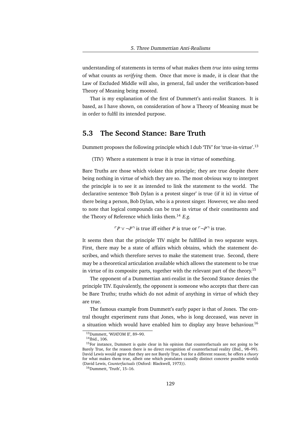understanding of statements in terms of what makes them *true* into using terms of what counts as *verifying* them. Once that move is made, it is clear that the Law of Excluded Middle will also, in general, fail under the verification-based Theory of Meaning being mooted.

That is my explanation of the first of Dummett's anti-realist Stances. It is based, as I have shown, on consideration of how a Theory of Meaning must be in order to fulfil its intended purpose.

## **5.3 The Second Stance: Bare Truth**

Dummett proposes the following principle which I dub 'TIV' for 'true-in-virtue'.<sup>13</sup>

(TIV) Where a statement is true it is true in virtue of something.

Bare Truths are those which violate this principle; they are true despite there being nothing in virtue of which they are so. The most obvious way to interpret the principle is to see it as intended to link the statement to the world. The declarative sentence 'Bob Dylan is a protest singer' is true (if it is) in virtue of there being a person, Bob Dylan, who is a protest singer. However, we also need to note that logical compounds can be true in virtue of their constituents and the Theory of Reference which links them.<sup>14</sup> *E.g.*

 $\Gamma P \vee \neg P$ <sup> $\exists$ </sup> is true iff either *P* is true or  $\Gamma \neg P$ <sup> $\exists$ </sup> is true.

It seems then that the principle TIV might be fulfilled in two separate ways. First, there may be a state of affairs which obtains, which the statement describes, and which therefore serves to make the statement true. Second, there may be a theoretical articulation available which allows the statement to be true in virtue of its composite parts, together with the relevant part of the theory.<sup>15</sup>

The opponent of a Dummettian anti-realist in the Second Stance denies the principle TIV. Equivalently, the opponent is someone who accepts that there can be Bare Truths; truths which do not admit of anything in virtue of which they are true.

The famous example from Dummett's early paper is that of Jones. The central thought experiment runs that Jones, who is long deceased, was never in a situation which would have enabled him to display any brave behaviour.<sup>16</sup>

<sup>13</sup>Dummett, 'WIATOM II', 89–90.

<sup>14</sup>Ibid., 106.

<sup>&</sup>lt;sup>15</sup>For instance, Dummett is quite clear in his opinion that counterfactuals are not going to be Barely True, for the reason there is no direct recognition of counterfactual reality (Ibid., 98–99). David Lewis would agree that they are not Barely True, but for a different reason; he offers a *theory* for what makes them true, albeit one which postulates causally distinct concrete possible worlds (David Lewis, *Counterfactuals* (Oxford: Blackwell, 1973)).

<sup>16</sup>Dummett, 'Truth', 15–16.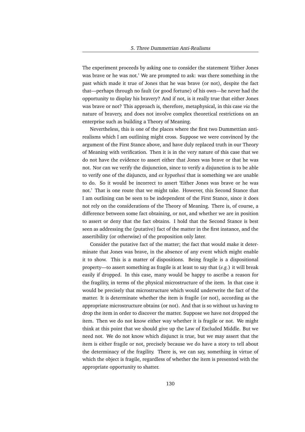The experiment proceeds by asking one to consider the statement 'Either Jones was brave or he was not.' We are prompted to ask: was there something in the past which made it true of Jones that he was brave (or not), despite the fact that—perhaps through no fault (or good fortune) of his own—he never had the opportunity to display his bravery? And if not, is it really true that either Jones was brave or not? This approach is, therefore, metaphysical, in this case *via* the nature of bravery, and does not involve complex theoretical restrictions on an enterprise such as building a Theory of Meaning.

Nevertheless, this is one of the places where the first two Dummettian antirealisms which I am outlining might cross. Suppose we were convinced by the argument of the First Stance above, and have duly replaced truth in our Theory of Meaning with verification. Then it is in the very nature of this case that we do not have the evidence to assert either that Jones was brave or that he was not. Nor can we verify the disjunction, since to verify a disjunction is to be able to verify one of the disjuncts, and *ex hypothesi* that is something we are unable to do. So it would be incorrect to assert 'Either Jones was brave or he was not.' That is one route that we might take. However, this Second Stance that I am outlining can be seen to be independent of the First Stance, since it does not rely on the considerations of the Theory of Meaning. There is, of course, a difference between some fact obtaining, or not, and whether we are in position to assert or deny that the fact obtains. I hold that the Second Stance is best seen as addressing the (putative) fact of the matter in the first instance, and the assertibility (or otherwise) of the proposition only later.

Consider the putative fact of the matter; the fact that would make it determinate that Jones was brave, in the absence of any event which might enable it to show. This is a matter of dispositions. Being fragile is a dispositional property—to assert something as fragile is at least to say that (*e.g.*) it will break easily if dropped. In this case, many would be happy to ascribe a reason for the fragility, in terms of the physical microstructure of the item. In that case it would be precisely that microstructure which would underwrite the fact of the matter. It is determinate whether the item is fragile (or not), according as the appropriate microstructure obtains (or not). And that is so without us having to drop the item in order to discover the matter. Suppose we have not dropped the item. Then we do not know either way whether it is fragile or not. We might think at this point that we should give up the Law of Excluded Middle. But we need not. We do not know which disjunct is true, but we may assert that the item is either fragile or not, precisely because we do have a story to tell about the determinacy of the fragility. There is, we can say, something in virtue of which the object is fragile, regardless of whether the item is presented with the appropriate opportunity to shatter.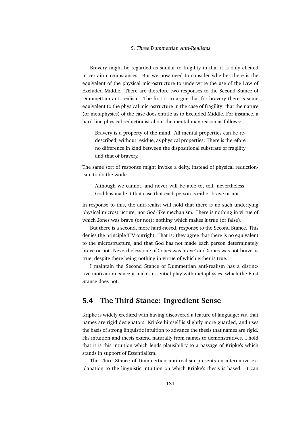Bravery might be regarded as similar to fragility in that it is only elicited in certain circumstances. But we now need to consider whether there is the equivalent of the physical microstructure to underwrite the use of the Law of Excluded Middle. There are therefore two responses to the Second Stance of Dummettian anti-realism. The first is to argue that for bravery there is some equivalent to the physical microstructure in the case of fragility; that the nature (or metaphysics) of the case does entitle us to Excluded Middle. For instance, a hard-line physical reductionist about the mental may reason as follows:

Bravery is a property of the mind. All mental properties can be redescribed, without residue, as physical properties. There is therefore no difference in kind between the dispositional substrate of fragility and that of bravery.

The same sort of response might invoke a deity, instead of physical reductionism, to do the work:

Although we cannot, and never will be able to, tell, nevertheless, God has made it that case that each person is either brave or not.

In response to this, the anti-realist will hold that there is no such underlying physical microstructure, nor God-like mechanism. There is nothing in virtue of which Jones was brave (or not); nothing which makes it true (or false).

But there is a second, more hard-nosed, response to the Second Stance. This denies the principle TIV outright. That is: they agree that there is no equivalent to the microstructure, and that God has not made each person determinately brave or not. Nevertheless one of 'Jones was brave' and 'Jones was not brave' is true, despite there being nothing in virtue of which either is true.

I maintain the Second Stance of Dummettian anti-realism has a distinctive motivation, since it makes essential play with metaphysics, which the First Stance does not.

## **5.4 The Third Stance: Ingredient Sense**

Kripke is widely credited with having discovered a feature of language; *viz.* that names are rigid designators. Kripke himself is slightly more guarded, and uses the basis of strong linguistic intuition to advance the thesis that names are rigid. His intuition and thesis extend naturally from names to demonstratives. I hold that it is this intuition which lends plausibility to a passage of Kripke's which stands in support of Essentialism.

The Third Stance of Dummettian anti-realism presents an alternative explanation to the linguistic intuition on which Kripke's thesis is based. It can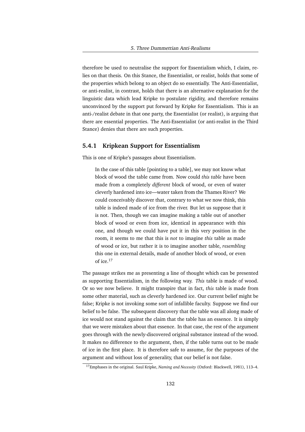therefore be used to neutralise the support for Essentialism which, I claim, relies on that thesis. On this Stance, the Essentialist, or realist, holds that some of the properties which belong to an object do so essentially. The Anti-Essentialist, or anti-realist, in contrast, holds that there is an alternative explanation for the linguistic data which lead Kripke to postulate rigidity, and therefore remains unconvinced by the support put forward by Kripke for Essentialism. This is an anti-/realist debate in that one party, the Essentialist (or realist), is arguing that there are essential properties. The Anti-Essentialist (or anti-realist in the Third Stance) denies that there are such properties.

## **5.4.1 Kripkean Support for Essentialism**

This is one of Kripke's passages about Essentialism.

In the case of this table [pointing to a table], we may not know what block of wood the table came from. Now could *this table* have been made from a completely *different* block of wood, or even of water cleverly hardened into ice—water taken from the Thames River? We could conceivably discover that, contrary to what we now think, this table is indeed made of ice from the river. But let us suppose that it is not. Then, though we can imagine making a table out of another block of wood or even from ice, identical in appearance with this one, and though we could have put it in this very position in the room, it seems to me that this is *not* to imagine *this* table as made of wood or ice, but rather it is to imagine another table, *resembling* this one in external details, made of another block of wood, or even of ice.<sup>17</sup>

The passage strikes me as presenting a line of thought which can be presented as supporting Essentialism, in the following way. *This* table is made of wood. Or so we now believe. It might transpire that in fact, *this* table is made from some other material, such as cleverly hardened ice. Our current belief might be false; Kripke is not invoking some sort of infallible faculty. Suppose we find our belief to be false. The subsequent discovery that the table was all along made of ice would not stand against the claim that the table has an essence. It is simply that we were mistaken about that essence. In that case, the rest of the argument goes through with the newly-discovered original substance instead of the wood. It makes no difference to the argument, then, if the table turns out to be made of ice in the first place. It is therefore safe to assume, for the purposes of the argument and without loss of generality, that our belief is not false.

<sup>17</sup>Emphases in the original. Saul Kripke, *Naming and Necessity* (Oxford: Blackwell, 1981), 113–4.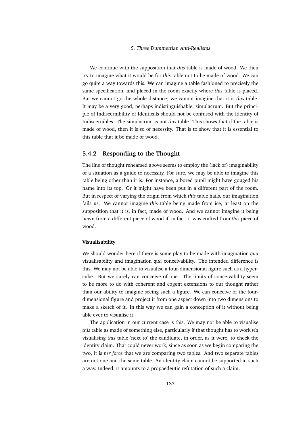We continue with the supposition that *this* table is made of wood. We then try to imagine what it would be for *this* table not to be made of wood. We can go quite a way towards this. We can imagine a table fashioned to precisely the same specification, and placed in the room exactly where *this* table is placed. But we cannot go the whole distance; we cannot imagine that it is *this* table. It may be a very good, perhaps indistinguishable, simulacrum. But the principle of Indiscernibility of Identicals should not be confused with the Identity of Indiscernibles. The simulacrum is not *this* table. This shows that if the table is made of wood, then it is so of necessity. That is to show that it is essential to this table that it be made of wood.

## **5.4.2 Responding to the Thought**

The line of thought rehearsed above seems to employ the (lack of) imaginability of a situation as a guide to necessity. For sure, we may be able to imagine this table being other than it is. For instance, a bored pupil might have gouged his name into its top. Or it might have been put in a different part of the room. But in respect of varying the origin from which *this* table hails, our imagination fails us. We cannot imagine *this* table being made from ice, at least on the supposition that it is, in fact, made of wood. And we cannot imagine it being hewn from a different piece of wood if, in fact, it was crafted from *this* piece of wood.

## **Visualisability**

We should wonder here if there is some play to be made with imagination *qua* visualisability and imagination *qua* conceivability. The intended difference is this. We may not be able to visualise a four-dimensional figure such as a hypercube. But we surely can conceive of one. The limits of conceivability seem to be more to do with coherent and cogent extensions to our thought rather than our ability to imagine seeing such a figure. We can conceive of the fourdimensional figure and project it from one aspect down into two dimensions to make a sketch of it. In this way we can gain a conception of it without being able ever to visualise it.

The application in our current case is this. We may not be able to visualise *this* table as made of something else, particularly if that thought has to work *via* visualising *this* table 'next to' the candidate, in order, as it were, to check the identity claim. That could never work, since as soon as we begin comparing the two, it is *per force* that we are comparing two tables. And two separate tables are not one and the same table. An identity claim cannot be supported in such a way. Indeed, it amounts to a propaedeutic refutation of such a claim.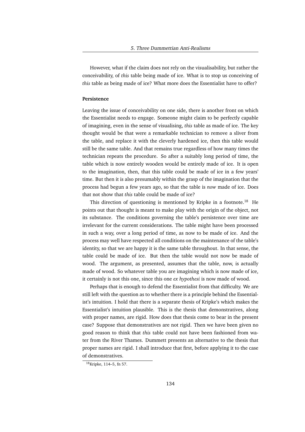However, what if the claim does not rely on the visualisability, but rather the conceivability, of *this* table being made of ice. What is to stop us conceiving of *this* table as being made of ice? What more does the Essentialist have to offer?

#### **Persistence**

Leaving the issue of conceivability on one side, there is another front on which the Essentialist needs to engage. Someone might claim to be perfectly capable of imagining, even in the sense of visualising, *this* table as made of ice. The key thought would be that were a remarkable technician to remove a sliver from the table, and replace it with the cleverly hardened ice, then this table would still be the same table. And that remains true regardless of how many times the technician repeats the procedure. So after a suitably long period of time, the table which is now entirely wooden would be entirely made of ice. It is open to the imagination, then, that this table could be made of ice in a few years' time. But then it is also presumably within the grasp of the imagination that the process had begun a few years ago, so that the table is *now* made of ice. Does that not show that *this* table could be made of ice?

This direction of questioning is mentioned by Kripke in a footnote.<sup>18</sup> He points out that thought is meant to make play with the origin of the object, not its substance. The conditions governing the table's persistence over time are irrelevant for the current considerations. The table might have been processed in such a way, over a long period of time, as now to be made of ice. And the process may well have respected all conditions on the maintenance of the table's identity, so that we are happy it is the same table throughout. In that sense, the table could be made of ice. But then the table would not now be made of wood. The argument, as presented, assumes that the table, now, is actually made of wood. So whatever table you are imagining which is now made of ice, it certainly is not this one, since this one *ex hypothesi* is now made of wood.

Perhaps that is enough to defend the Essentialist from that difficulty. We are still left with the question as to whether there is a principle behind the Essentialist's intuition. I hold that there is a separate thesis of Kripke's which makes the Essentialist's intuition plausible. This is the thesis that demonstratives, along with proper names, are rigid. How does that thesis come to bear in the present case? Suppose that demonstratives are not rigid. Then we have been given no good reason to think that *this* table could not have been fashioned from water from the River Thames. Dummett presents an alternative to the thesis that proper names are rigid. I shall introduce that first, before applying it to the case of demonstratives.

<sup>18</sup>Kripke, 114–5, fn 57.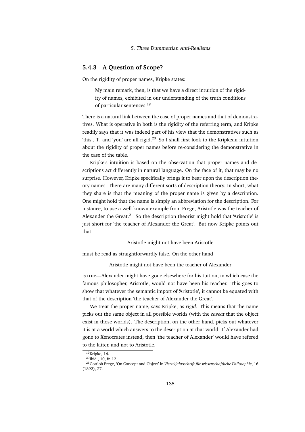## **5.4.3 A Question of Scope?**

On the rigidity of proper names, Kripke states:

My main remark, then, is that we have a direct intuition of the rigidity of names, exhibited in our understanding of the truth conditions of particular sentences.<sup>19</sup>

There is a natural link between the case of proper names and that of demonstratives. What is operative in both is the rigidity of the referring term, and Kripke readily says that it was indeed part of his view that the demonstratives such as 'this', 'I', and 'you' are all rigid.<sup>20</sup> So I shall first look to the Kripkean intuition about the rigidity of proper names before re-considering the demonstrative in the case of the table.

Kripke's intuition is based on the observation that proper names and descriptions act differently in natural language. On the face of it, that may be no surprise. However, Kripke specifically brings it to bear upon the description theory names. There are many different sorts of description theory. In short, what they share is that the meaning of the proper name is given by a description. One might hold that the name is simply an abbreviation for the description. For instance, to use a well-known example from Frege, Aristotle was the teacher of Alexander the Great. $21$  So the description theorist might hold that 'Aristotle' is just short for 'the teacher of Alexander the Great'. But now Kripke points out that

Aristotle might not have been Aristotle

must be read as straightforwardly false. On the other hand

Aristotle might not have been the teacher of Alexander

is true—Alexander might have gone elsewhere for his tuition, in which case the famous philosopher, Aristotle, would not have been his teacher. This goes to show that whatever the semantic import of 'Aristotle', it cannot be equated with that of the description 'the teacher of Alexander the Great'.

We treat the proper name, says Kripke, as *rigid*. This means that the name picks out the same object in all possible worlds (with the *caveat* that the object exist in those worlds). The description, on the other hand, picks out whatever it is at a world which answers to the description at that world. If Alexander had gone to Xenocrates instead, then 'the teacher of Alexander' would have refered to the latter, and not to Aristotle.

<sup>&</sup>lt;sup>19</sup>Kripke, 14.

<sup>&</sup>lt;sup>20</sup>Ibid., 10, fn 12.

<sup>&</sup>lt;sup>21</sup>Gottlob Frege, 'On Concept and Object' in *Vierteljahrsschrift für wissenschaftliche Philosophie*, 16 (1892), 27.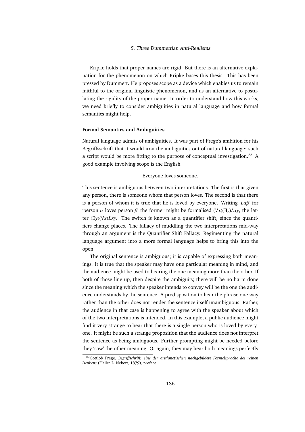Kripke holds that proper names are rigid. But there is an alternative explanation for the phenomenon on which Kripke bases this thesis. This has been pressed by Dummett. He proposes scope as a device which enables us to remain faithful to the original linguistic phenomenon, and as an alternative to postulating the rigidity of the proper name. In order to understand how this works, we need briefly to consider ambiguities in natural language and how formal semantics might help.

#### **Formal Semantics and Ambiguities**

Natural language admits of ambiguities. It was part of Frege's ambition for his Begriffsschrift that it would iron the ambiguities out of natural language; such a script would be more fitting to the purpose of conceptual investigation.<sup>22</sup> A good example involving scope is the English

#### Everyone loves someone.

This sentence is ambiguous between two interpretations. The first is that given any person, there is someone whom that person loves. The second is that there is a person of whom it is true that he is loved by everyone. Writing '*L*αβ' for 'person  $\alpha$  loves person  $\beta$ ' the former might be formalised ( $\forall x$ )( $\exists y$ *Lxy*, the latter (∃*y*)(∀*x*)*Lxy*. The switch is known as a quantifier shift, since the quantifiers change places. The fallacy of muddling the two interpretations mid-way through an argument is the Quantifier Shift Fallacy. Regimenting the natural language argument into a more formal language helps to bring this into the open.

The original sentence is ambiguous; it is capable of expressing both meanings. It is true that the speaker may have one particular meaning in mind, and the audience might be used to hearing the one meaning more than the other. If both of those line up, then despite the ambiguity, there will be no harm done since the meaning which the speaker intends to convey will be the one the audience understands by the sentence. A predisposition to hear the phrase one way rather than the other does not render the sentence itself unambiguous. Rather, the audience in that case is happening to agree with the speaker about which of the two interpretations is intended. In this example, a public audience might find it very strange to hear that there is a single person who is loved by everyone. It might be such a strange proposition that the audience does not interpret the sentence as being ambiguous. Further prompting might be needed before they 'saw' the other meaning. Or again, they may hear both meanings perfectly

<sup>22</sup>Gottlob Frege, *Begriffschrift, eine der arithmetischen nachgebildete Formelsprache des reinen Denkens* (Halle: L. Nebert, 1879), preface.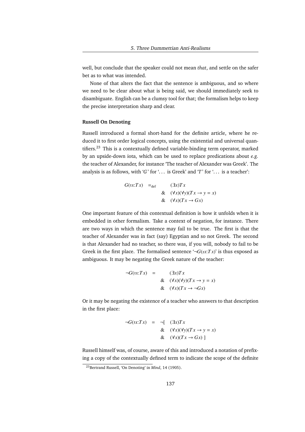well, but conclude that the speaker could not mean *that*, and settle on the safer bet as to what was intended.

None of that alters the fact that the sentence is ambiguous, and so where we need to be clear about what is being said, we should immediately seek to disambiguate. English can be a clumsy tool for that; the formalism helps to keep the precise interpretation sharp and clear.

### **Russell On Denoting**

Russell introduced a formal short-hand for the definite article, where he reduced it to first order logical concepts, using the existential and universal quantifiers.<sup>23</sup> This is a contextually defined variable-binding term operator, marked by an upside-down iota, which can be used to replace predications about *e.g.* the teacher of Alexander, for instance 'The teacher of Alexander was Greek'. The analysis is as follows, with '*G*' for '... is Greek' and '*T*' for '... is a teacher':

$$
G(\iota x: Tx) =_{def} (\exists x) Tx
$$
  
& 
$$
(\forall x)(\forall y)(Tx \rightarrow y = x)
$$
  
& 
$$
(\forall x)(Tx \rightarrow Gx)
$$

One important feature of this contextual definition is how it unfolds when it is embedded in other formalism. Take a context of negation, for instance. There are two ways in which the sentence may fail to be true. The first is that the teacher of Alexander was in fact (say) Egyptian and so not Greek. The second is that Alexander had no teacher, so there was, if you will, nobody to fail to be Greek in the first place. The formalised sentence  $\forall \neg G(x : T x)'$  is thus exposed as ambiguous. It may be negating the Greek nature of the teacher:

$$
\neg G(\iota x:Tx) = (\exists x)Tx
$$
  
& 
$$
(\forall x)(\forall y)(Tx \to y = x)
$$
  
& 
$$
(\forall x)(Tx \to \neg Gx)
$$

Or it may be negating the existence of a teacher who answers to that description in the first place:

$$
\neg G(\iota x: Tx) = \neg [ (\exists x) Tx
$$
  
& 
$$
(\forall x)(\forall y)(Tx \to y = x)
$$
  
& 
$$
(\forall x)(Tx \to Gx) ]
$$

Russell himself was, of course, aware of this and introduced a notation of prefixing a copy of the contextually defined term to indicate the scope of the definite

<sup>23</sup>Bertrand Russell, 'On Denoting' in *Mind*, 14 (1905).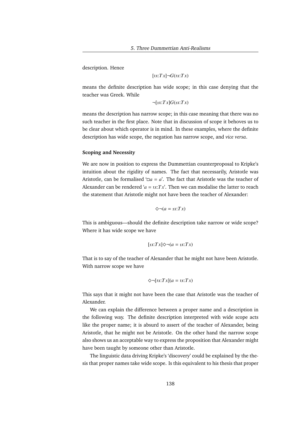description. Hence

$$
[1x:Tx] \neg G(1x:Tx)
$$

means the definite description has wide scope; in this case denying that the teacher was Greek. While

 $\neg [nx:Tx]G(x:Tx)$ 

means the description has narrow scope; in this case meaning that there was no such teacher in the first place. Note that in discussion of scope it behoves us to be clear about which operator is in mind. In these examples, where the definite description has wide scope, the negation has narrow scope, and *vice versa*.

#### **Scoping and Necessity**

We are now in position to express the Dummettian counterproposal to Kripke's intuition about the rigidity of names. The fact that necessarily, Aristotle was Aristotle, can be formalised ' $\Box a = a$ '. The fact that Aristotle was the teacher of Alexander can be rendered  $'a = \iota x$ : $Tx$ . Then we can modalise the latter to reach the statement that Aristotle might not have been the teacher of Alexander:

$$
\diamondsuit \neg (a = \iota x : Tx)
$$

This is ambiguous—should the definite description take narrow or wide scope? Where it has wide scope we have

$$
[1x:Tx] \diamondsuit \neg (a = \iota x:Tx)
$$

That is to say of the teacher of Alexander that he might not have been Aristotle. With narrow scope we have

$$
\diamondsuit \neg [1x : Tx](a = 1x : Tx)
$$

This says that it might not have been the case that Aristotle was the teacher of Alexander.

We can explain the difference between a proper name and a description in the following way. The definite description interpreted with wide scope acts like the proper name; it is absurd to assert of the teacher of Alexander, being Aristotle, that he might not be Aristotle. On the other hand the narrow scope also shows us an acceptable way to express the proposition that Alexander might have been taught by someone other than Aristotle.

The linguistic data driving Kripke's 'discovery' could be explained by the thesis that proper names take wide scope. Is this equivalent to his thesis that proper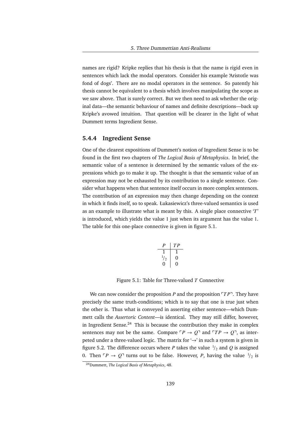names are rigid? Kripke replies that his thesis is that the name is rigid even in sentences which lack the modal operators. Consider his example 'Aristotle was fond of dogs'. There are no modal operators in the sentence. So patently his thesis cannot be equivalent to a thesis which involves manipulating the scope as we saw above. That is surely correct. But we then need to ask whether the original data—the semantic behaviour of names and definite descriptions—back up Kripke's avowed intuition. That question will be clearer in the light of what Dummett terms Ingredient Sense.

## **5.4.4 Ingredient Sense**

One of the clearest expositions of Dummett's notion of Ingredient Sense is to be found in the first two chapters of *The Logical Basis of Metaphysics*. In brief, the semantic value of a sentence is determined by the semantic values of the expressions which go to make it up. The thought is that the semantic value of an expression may not be exhausted by its contribution to a single sentence. Consider what happens when that sentence itself occurs in more complex sentences. The contribution of an expression may then change depending on the context in which it finds itself, so to speak. Łukasiewicz's three-valued semantics is used as an example to illustrate what is meant by this. A single place connective '*T*' is introduced, which yields the value 1 just when its argument has the value 1. The table for this one-place connective is given in figure 5.1.

$$
\begin{array}{c|c}\nP & TP \\
1 & 1 \\
^{1/2} & 0 \\
0 & 0\n\end{array}
$$

Figure 5.1: Table for Three-valued *T* Connective

We can now consider the proposition *P* and the proposition  $T P$ <sup> $\bar{P}$ </sup>. They have precisely the same truth-conditions; which is to say that one is true just when the other is. Thus what is conveyed in asserting either sentence—which Dummett calls the *Assertoric Content*—is identical. They may still differ, however, in Ingredient Sense.<sup>24</sup> This is because the contribution they make in complex sentences may not be the same. Compare  $\ulcorner P \rightarrow Q \urcorner$  and  $\ulcorner TP \rightarrow Q \urcorner$ , as interpeted under a three-valued logic. The matrix for  $\rightarrow$  in such a system is given in figure 5.2. The difference occurs where *P* takes the value  $\frac{1}{2}$  and *Q* is assigned 0. Then  $\overline{P} \rightarrow Q^T$  turns out to be false. However, *P*, having the value  $\frac{1}{2}$  is

<sup>24</sup>Dummett, *The Logical Basis of Metaphysics*, 48.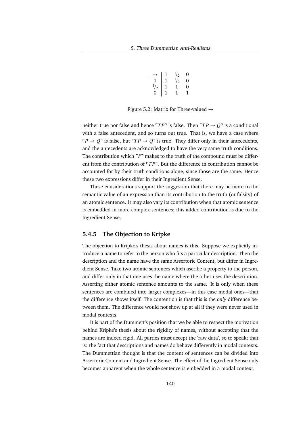|             | 1 | $^{1}/_{2}$ | 0 |
|-------------|---|-------------|---|
|             | 1 | $^{1}/_{2}$ | 0 |
| $^{1}/_{2}$ |   |             | O |
| 0           |   |             |   |

Figure 5.2: Matrix for Three-valued  $\rightarrow$ 

neither true nor false and hence  $\ulcorner TP \urcorner$  is false. Then  $\ulcorner TP \rightarrow Q \urcorner$  is a conditional with a false antecedent, and so turns out true. That is, we have a case where  $\Gamma P \rightarrow Q$ <sup>T</sup> is false, but  $\Gamma T P \rightarrow Q$ <sup>T</sup> is true. They differ only in their antecedents, and the antecedents are acknowledged to have the very same truth conditions. The contribution which  $\Gamma P$ <sup> $\eta$ </sup> makes to the truth of the compound must be different from the contribution of  $\ulcorner TP \urcorner$ . But the difference in contribution cannot be accounted for by their truth conditions alone, since those are the same. Hence these two expressions differ in their Ingredient Sense.

These considerations support the suggestion that there may be more to the semantic value of an expression than its contribution to the truth (or falsity) of an atomic sentence. It may also vary its contribution when that atomic sentence is embedded in more complex sentences; this added contribution is due to the Ingredient Sense.

## **5.4.5 The Objection to Kripke**

The objection to Kripke's thesis about names is this. Suppose we explicitly introduce a name to refer to the person who fits a particular description. Then the description and the name have the same Assertoric Content, but differ in Ingredient Sense. Take two atomic sentences which ascribe a property to the person, and differ only in that one uses the name where the other uses the description. Asserting either atomic sentence amounts to the same. It is only when these sentences are combined into larger complexes—in this case modal ones—that the difference shows itself. The contention is that this is the *only* difference between them. The difference would not show up at all if they were never used in modal contexts.

It is part of the Dummett's position that we be able to respect the motivation behind Kripke's thesis about the rigidity of names, without accepting that the names are indeed rigid. All parties must accept the 'raw data', so to speak; that is: the fact that descriptions and names do behave differently in modal contexts. The Dummettian thought is that the content of sentences can be divided into Assertoric Content and Ingredient Sense. The effect of the Ingredient Sense only becomes apparent when the whole sentence is embedded in a modal context.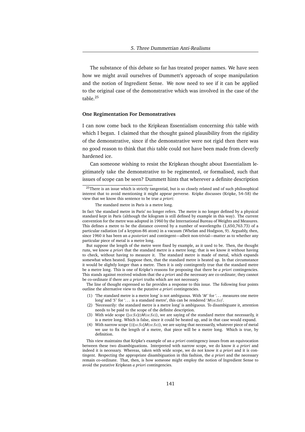The substance of this debate so far has treated proper names. We have seen how we might avail ourselves of Dummett's approach of scope manipulation and the notion of Ingredient Sense. We now need to see if it can be applied to the original case of the demonstrative which was involved in the case of the table.<sup>25</sup>

#### **One Regimentation For Demonstratives**

I can now come back to the Kripkean Essentialism concerning *this* table with which I began. I claimed that the thought gained plausibility from the rigidity of the demonstrative, since if the demonstrative were not rigid then there was no good reason to think that *this* table could not have been made from cleverly hardened ice.

Can someone wishing to resist the Kripkean thought about Essentialism legitimately take the demonstrative to be regimented, or formalised, such that issues of scope can be seen? Dummett hints that wherever a definite description

But suppose the length of the metre were fixed by example, as it used to be. Then, the thought runs, we know *a priori* that the standard metre is a metre long; that is we know it without having to check, without having to measure it. The standard metre is made of metal, which expands somewhat when heated. Suppose then, that the standard metre is heated up. In that circumstance it would be slightly longer than a metre. Then it is only contingently true that the standard metre be a metre long. This is one of Kripke's reasons for proposing that there be *a priori* contingencies. This stands against received wisdom that the *a priori* and the necessary are co-ordinate; they cannot be co-ordinate if there are *a priori* truths which are not necessary.

The line of thought expressed so far provides a response to this issue. The following four points outline the alternative view to the putative *a priori* contingencies.

- (1) 'The standard metre is a metre long' is not ambiguous. With ' $M$ ' for '... measures one metre long' and '*S*' for '... is a standard metre', this can be rendered ' $M$ (*x*:*Sx*)'.
- (2) 'Necessarily: the standard metre is a metre long' is ambiguous. To disambiguate it, attention needs to be paid to the scope of the definite description.
- (3) With wide scope ( $[x: Sx] \Box M(x: Sx)$ ), we are saying of the standard metre that necessarily, it is a metre long. Which is false, since it could be heated up, and in that case would expand.
- (4) With narrow scope ( $\Box$ [*x*:*Sx*] $M$ (*x*:*Sx*)), we are saying that necessarily, whatever piece of metal we use to fix the length of a metre, that piece will be a metre long. Which is true, by definition.

This view maintains that Kripke's example of an *a priori* contingency issues from an equivocation between these two disambiguations. Interpreted with narrow scope, we do know it *a priori* and indeed it is necessary. Whereas, taken with wide scope, we do not know it *a priori* and it is contingent. Respecting the appropriate disambiguation in this fashion, the *a priori* and the necessary remain co-ordinate. That, then, is how someone might employ the notion of Ingredient Sense to avoid the putative Kripkean *a priori* contingencies.

<sup>&</sup>lt;sup>25</sup>There is an issue which is strictly tangential, but is so closely related and of such philosophical interest that to avoid mentioning it might appear perverse. Kripke discusses (Kripke, 54–58) the view that we know this sentence to be true *a priori*:

The standard metre in Paris is a metre long.

In fact 'the standard metre in Paris' no longer refers. The metre is no longer defined by a physical standard kept in Paris (although the kilogram is still defined by example in this way). The current convention for the metre was adopted in 1960 by the International Bureau of Weights and Measures. This defines a metre to be the distance covered by a number of wavelengths (1,650,763.73) of a particular radiation (of a krypton-86 atom) in a vacuum (Whelan and Hodgson, 9). Arguably, then, since 1960 it has been an *a posteriori* and contingent—albeit non-trivial—matter as to whether any particular piece of metal is a metre long.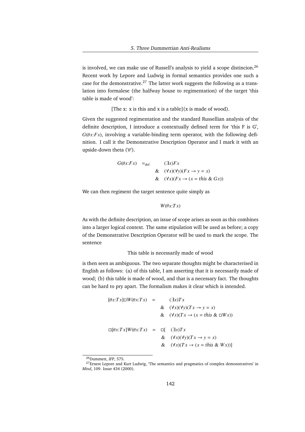is involved, we can make use of Russell's analysis to yield a scope distincion.<sup>26</sup> Recent work by Lepore and Ludwig in formal semantics provides one such a case for the demonstrative.<sup>27</sup> The latter work suggests the following as a translation into formalese (the halfway house to regimentation) of the target 'this table is made of wood':

[The  $x: x$  is this and  $x$  is a table]( $x$  is made of wood).

Given the suggested regimentation and the standard Russellian analysis of the definite description, I introduce a contextually defined term for 'this F is G',  $G(\theta x$ :*Fx*), involving a variable-binding term operator, with the following definition. I call it the Demonstrative Description Operator and I mark it with an upside-down theta  $(\theta')$ .

$$
G(\theta x: F x) =_{def} ( \exists x) F x
$$
  
& 
$$
( \forall x)( \forall y)( F x \rightarrow y = x)
$$
  
& 
$$
( \forall x)( F x \rightarrow (x = this \& G x))
$$

We can then regiment the target sentence quite simply as

$$
W(\theta x{:}T x)
$$

As with the definite description, an issue of scope arises as soon as this combines into a larger logical context. The same stipulation will be used as before; a copy of the Demonstrative Description Operator will be used to mark the scope. The sentence

## This table is necessarily made of wood

is then seen as ambiguous. The two separate thoughts might be characterised in English as follows: (a) of this table, I am asserting that it is necessarily made of wood; (b) this table is made of wood, and that is a necessary fact. The thoughts can be hard to pry apart. The formalism makes it clear which is intended.

$$
[\theta x: T x] \Box W(\theta x: T x) = (\exists x) T x
$$
  
&  $(\forall x)(\forall y)(T x \rightarrow y = x)$   
&  $(\forall x)(T x \rightarrow (x = this \& \Box W x))$   

$$
\Box [\theta x: T x] W(\theta x: T x) = \Box [\Box x) T x
$$
  
&  $(\forall x)(\forall y)(T x \rightarrow y = x)$   
&  $(\forall x)(T x \rightarrow (x = this \& W x))]$ 

<sup>26</sup>Dummett, *IFP*, 575.

<sup>&</sup>lt;sup>27</sup>Ernest Lepore and Kurt Ludwig, 'The semantics and pragmatics of complex demonstratives' in *Mind*, 109. Issue 434 (2000).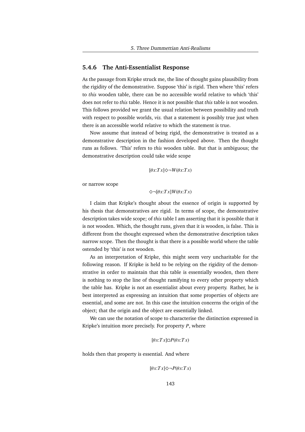## **5.4.6 The Anti-Essentialist Response**

As the passage from Kripke struck me, the line of thought gains plausibility from the rigidity of the demonstrative. Suppose 'this' is rigid. Then where 'this' refers to *this* wooden table, there can be no accessible world relative to which 'this' does not refer to *this* table. Hence it is not possible that *this* table is not wooden. This follows provided we grant the usual relation between possibility and truth with respect to possible worlds, *viz.* that a statement is possibly true just when there is an accessible world relative to which the statement is true.

Now assume that instead of being rigid, the demonstrative is treated as a demonstrative description in the fashion developed above. Then the thought runs as follows. 'This' refers to *this* wooden table. But that is ambiguous; the demonstrative description could take wide scope

$$
[\theta x: Tx] \diamondsuit \neg W(\theta x: Tx)
$$

or narrow scope

$$
\Diamond \neg [\theta x{:}T x]W(\theta x{:}T x)
$$

I claim that Kripke's thought about the essence of origin is supported by his thesis that demonstratives are rigid. In terms of scope, the demonstrative description takes wide scope; of *this* table I am asserting that it is possible that it is not wooden. Which, the thought runs, given that it is wooden, is false. This is different from the thought expressed when the demonstrative description takes narrow scope. Then the thought is that there is a possible world where the table ostended by 'this' is not wooden.

As an interpretation of Kripke, this might seem very uncharitable for the following reason. If Kripke is held to be relying on the rigidity of the demonstrative in order to maintain that this table is essentially wooden, then there is nothing to stop the line of thought ramifying to every other property which the table has. Kripke is not an essentialist about every property. Rather, he is best interpreted as expressing an intuition that some properties of objects are essential, and some are not. In this case the intuition concerns the origin of the object; that the origin and the object are essentially linked.

We can use the notation of scope to characterise the distinction expressed in Kripke's intuition more precisely. For property *P*, where

$$
[\theta x: Tx] \Box P(\theta x: Tx)
$$

holds then that property is essential. And where

$$
[\theta x: Tx] \diamondsuit \neg P(\theta x: Tx)
$$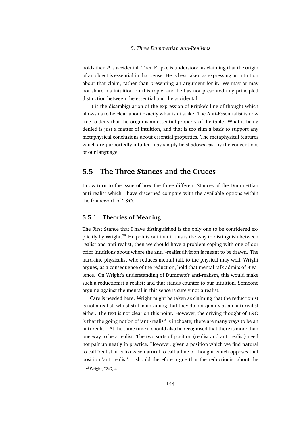holds then *P* is accidental. Then Kripke is understood as claiming that the origin of an object is essential in that sense. He is best taken as expressing an intuition about that claim, rather than presenting an argument for it. We may or may not share his intuition on this topic, and he has not presented any principled distinction between the essential and the accidental.

It is the disambiguation of the expression of Kripke's line of thought which allows us to be clear about exactly what is at stake. The Anti-Essentialist is now free to deny that the origin is an essential property of the table. What is being denied is just a matter of intuition, and that is too slim a basis to support any metaphysical conclusions about essential properties. The metaphysical features which are purportedly intuited may simply be shadows cast by the conventions of our language.

## **5.5 The Three Stances and the Cruces**

I now turn to the issue of how the three different Stances of the Dummettian anti-realist which I have discerned compare with the available options within the framework of T&O.

## **5.5.1 Theories of Meaning**

The First Stance that I have distinguished is the only one to be considered explicitly by Wright.<sup>28</sup> He points out that if this is the way to distinguish between realist and anti-realist, then we should have a problem coping with one of our prior intuitions about where the anti/-realist division is meant to be drawn. The hard-line physicalist who reduces mental talk to the physical may well, Wright argues, as a consequence of the reduction, hold that mental talk admits of Bivalence. On Wright's understanding of Dummett's anti-realism, this would make such a reductionist a realist; and that stands counter to our intuition. Someone arguing against the mental in this sense is surely not a realist.

Care is needed here. Wright might be taken as claiming that the reductionist is not a realist, whilst still maintaining that they do not qualify as an anti-realist either. The text is not clear on this point. However, the driving thought of T&O is that the going notion of 'anti-realist' is inchoate; there are many ways to be an anti-realist. At the same time it should also be recognised that there is more than one way to be a realist. The two sorts of position (realist and anti-realist) need not pair up neatly in practice. However, given a position which we find natural to call 'realist' it is likewise natural to call a line of thought which opposes that position 'anti-realist'. I should therefore argue that the reductionist about the

<sup>28</sup>Wright, *T&O*, 4.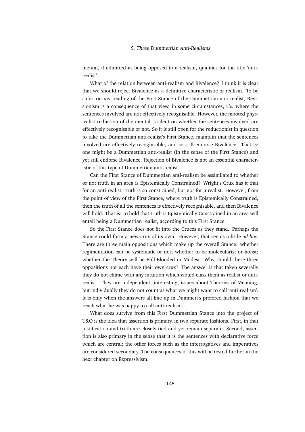mental, if admitted as being opposed to a realism, qualifies for the title 'antirealist'.

What of the relation between anti-realism and Bivalence? I think it is clear that we should reject Bivalence as a definitive characteristic of realism. To be sure: on my reading of the First Stance of the Dummettian anti-realist, Revisionism is a consequence of that view, in some circumstances, *viz.* where the sentences involved are not effectively recognisable. However, the mooted physicalist reduction of the mental is silent on whether the sentences involved are effectively recognisable or not. So it is still open for the reductionist in question to take the Dummettian anti-realist's First Stance, maintain that the sentences involved are effectively recognisable, and so still endorse Bivalence. That is: one might be a Dummettian anti-realist (in the sense of the First Stance) and yet still endorse Bivalence. Rejection of Bivalence is not an essential characteristic of this type of Dummettian anti-realist.

Can the First Stance of Dummettian anti-realism be assimilated to whether or not truth in an area is Epistemically Constrained? Wright's Crux has it that for an anti-realist, truth is so constrained, but not for a realist. However, from the point of view of the First Stance, where truth is Epistemically Constrained, then the truth of all the sentences is effectively recognisable, and then Bivalence will hold. That is: to hold that truth is Epistemically Constrained in an area will entail being a Dummettian realist, according to this First Stance.

So the First Stance does not fit into the Cruces as they stand. Perhaps the Stance could form a new crux of its own. However, that seems a little *ad hoc*. There are three main oppositions which make up the overall Stance: whether regimentation can be systematic or not; whether to be molecularist or holist; whether the Theory will be Full-Blooded or Modest. Why should these three oppositions not each have their own crux? The answer is that taken severally they do not chime with any intuition which would class them as realist or antirealist. They are independent, interesting, issues about Theories of Meaning, but individually they do not count as what we might want to call 'anti-realism'. It is only when the answers all line up in Dummett's prefered fashion that we reach what he was happy to call anti-realism.

What does survive from this First Dummettian Stance into the project of T&O is the idea that assertion is primary, in two separate fashions. First, in that justification and truth are closely tied and yet remain separate. Second, assertion is also primary in the sense that it is the sentences with declarative force which are central; the other forces such as the interrogatives and imperatives are considered secondary. The consequences of this will be tested further in the next chapter on Expressivism.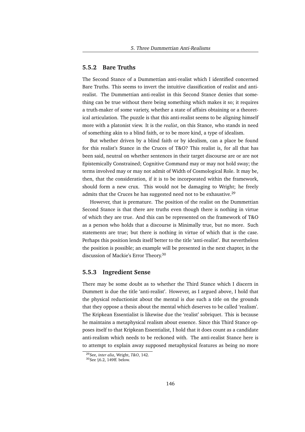#### **5.5.2 Bare Truths**

The Second Stance of a Dummettian anti-realist which I identified concerned Bare Truths. This seems to invert the intuitive classification of realist and antirealist. The Dummettian anti-realist in this Second Stance denies that something can be true without there being something which makes it so; it requires a truth-maker of some variety, whether a state of affairs obtaining or a theoretical articulation. The puzzle is that this anti-realist seems to be aligning himself more with a platonist view. It is the *realist*, on this Stance, who stands in need of something akin to a blind faith, or to be more kind, a type of idealism.

But whether driven by a blind faith or by idealism, can a place be found for this realist's Stance in the Cruces of T&O? This realist is, for all that has been said, neutral on whether sentences in their target discourse are or are not Epistemically Constrained; Cognitive Command may or may not hold sway; the terms involved may or may not admit of Width of Cosmological Role. It may be, then, that the consideration, if it is to be incorporated within the framework, should form a new crux. This would not be damaging to Wright; he freely admits that the Cruces he has suggested need not to be exhaustive.<sup>29</sup>

However, that is premature. The position of the realist on the Dummettian Second Stance is that there are truths even though there is nothing in virtue of which they are true. And this can be represented on the framework of T&O as a person who holds that a discourse is Minimally true, but no more. Such statements are true; but there is nothing in virtue of which that is the case. Perhaps this position lends itself better to the title 'anti-realist'. But nevertheless the position is possible; an example will be presented in the next chapter, in the discussion of Mackie's Error Theory.<sup>30</sup>

#### **5.5.3 Ingredient Sense**

There may be some doubt as to whether the Third Stance which I discern in Dummett is due the title 'anti-realist'. However, as I argued above, I hold that the physical reductionist about the mental is due such a title on the grounds that they oppose a thesis about the mental which deserves to be called 'realism'. The Kripkean Essentialist is likewise due the 'realist' sobriquet. This is because he maintains a metaphysical realism about essence. Since this Third Stance opposes itself to that Kripkean Essentialist, I hold that it does count as a candidate anti-realism which needs to be reckoned with. The anti-realist Stance here is to attempt to explain away supposed metaphysical features as being no more

<sup>29</sup>See, *inter alia*, Wright, *T&O*, 142.

<sup>30</sup>See §6.2, 149ff. below.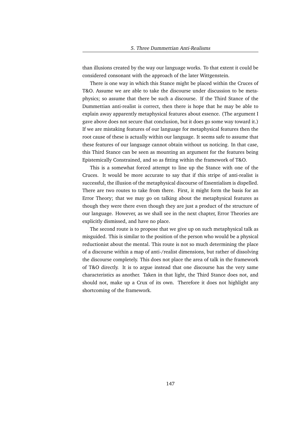than illusions created by the way our language works. To that extent it could be considered consonant with the approach of the later Wittgenstein.

There is one way in which this Stance might be placed within the Cruces of T&O. Assume we are able to take the discourse under discussion to be metaphysics; so assume that there be such a discourse. If the Third Stance of the Dummettian anti-realist is correct, then there is hope that he may be able to explain away apparently metaphysical features about essence. (The argument I gave above does not secure that conclusion, but it does go some way toward it.) If we are mistaking features of our language for metaphysical features then the root cause of these is actually within our language. It seems safe to assume that these features of our language cannot obtain without us noticing. In that case, this Third Stance can be seen as mounting an argument for the features being Epistemically Constrained, and so as fitting within the framework of T&O.

This is a somewhat forced attempt to line up the Stance with one of the Cruces. It would be more accurate to say that if this stripe of anti-realist is successful, the illusion of the metaphysical discourse of Essentialism is dispelled. There are two routes to take from there. First, it might form the basis for an Error Theory; that we may go on talking about the metaphysical features as though they were there even though they are just a product of the structure of our language. However, as we shall see in the next chapter, Error Theories are explicitly dismissed, and have no place.

The second route is to propose that we give up on such metaphysical talk as misguided. This is similar to the position of the person who would be a physical reductionist about the mental. This route is not so much determining the place of a discourse within a map of anti-/realist dimensions, but rather of dissolving the discourse completely. This does not place the area of talk in the framework of T&O directly. It is to argue instead that one discourse has the very same characteristics as another. Taken in that light, the Third Stance does not, and should not, make up a Crux of its own. Therefore it does not highlight any shortcoming of the framework.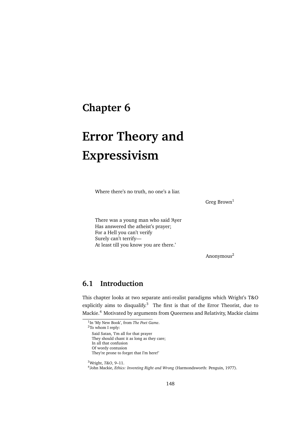# **Chapter 6**

# **Error Theory and Expressivism**

Where there's no truth, no one's a liar.

Greg Brown<sup>1</sup>

There was a young man who said 'Ayer Has answered the atheist's prayer; For a Hell you can't verify Surely can't terrify— At least till you know you are there.'

Anonymous<sup>2</sup>

# **6.1 Introduction**

This chapter looks at two separate anti-realist paradigms which Wright's T&O explicitly aims to disqualify. $3$  The first is that of the Error Theorist, due to Mackie.<sup>4</sup> Motivated by arguments from Queerness and Relativity, Mackie claims

<sup>1</sup> In 'My New Book', from *The Poet Game*.

<sup>2</sup>To whom I reply:

Said Satan, 'I'm all for that prayer

They should chant it as long as they care;

In all that confusion

Of wordy contusion They're prone to forget that I'm here!'

<sup>3</sup>Wright, *T&O*, 9–11.

<sup>4</sup> John Mackie, *Ethics: Inventing Right and Wrong* (Harmondsworth: Penguin, 1977).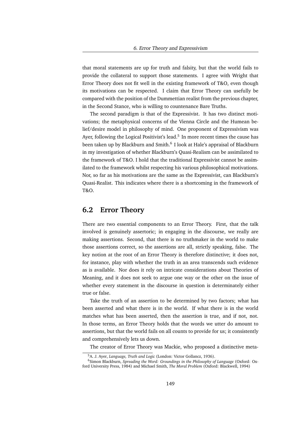that moral statements are up for truth and falsity, but that the world fails to provide the collateral to support those statements. I agree with Wright that Error Theory does not fit well in the existing framework of T&O, even though its motivations can be respected. I claim that Error Theory can usefully be compared with the position of the Dummettian realist from the previous chapter, in the Second Stance, who is willing to countenance Bare Truths.

The second paradigm is that of the Expressivist. It has two distinct motivations; the metaphysical concerns of the Vienna Circle and the Humean belief/desire model in philosophy of mind. One proponent of Expressivism was Ayer, following the Logical Positivist's lead.<sup>5</sup> In more recent times the cause has been taken up by Blackburn and Smith.<sup>6</sup> I look at Hale's appraisal of Blackburn in my investigation of whether Blackburn's Quasi-Realism can be assimilated to the framework of T&O. I hold that the traditional Expressivist cannot be assimilated to the framework whilst respecting his various philosophical motivations. Nor, so far as his motivations are the same as the Expressivist, can Blackburn's Quasi-Realist. This indicates where there is a shortcoming in the framework of T&O.

## **6.2 Error Theory**

There are two essential components to an Error Theory. First, that the talk involved is genuinely assertoric; in engaging in the discourse, we really are making assertions. Second, that there is no truthmaker in the world to make those assertions correct, so the assertions are all, strictly speaking, false. The key notion at the root of an Error Theory is therefore distinctive; it does not, for instance, play with whether the truth in an area transcends such evidence as is available. Nor does it rely on intricate considerations about Theories of Meaning, and it does not seek to argue one way or the other on the issue of whether every statement in the discourse in question is determinately either true or false.

Take the truth of an assertion to be determined by two factors; what has been asserted and what there is in the world. If what there is in the world matches what has been asserted, then the assertion is true, and if not, not. In those terms, an Error Theory holds that the words we utter do amount to assertions, but that the world fails on all counts to provide for us; it consistently and comprehensively lets us down.

The creator of Error Theory was Mackie, who proposed a distinctive meta-

<sup>5</sup>A. J. Ayer, *Language, Truth and Logic* (London: Victor Gollancz, 1936).

<sup>6</sup>Simon Blackburn, *Spreading the Word: Groundings in the Philosophy of Language* (Oxford: Oxford University Press, 1984) and Michael Smith, *The Moral Problem* (Oxford: Blackwell, 1994)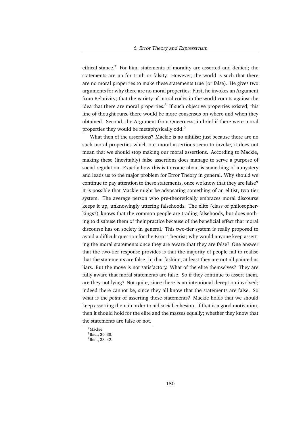ethical stance.<sup>7</sup> For him, statements of morality are asserted and denied; the statements are up for truth or falsity. However, the world is such that there are no moral properties to make these statements true (or false). He gives two arguments for why there are no moral properties. First, he invokes an Argument from Relativity; that the variety of moral codes in the world counts against the idea that there are moral properties.<sup>8</sup> If such objective properties existed, this line of thought runs, there would be more consensus on where and when they obtained. Second, the Argument from Queerness; in brief if there were moral properties they would be metaphysically odd.<sup>9</sup>

What then of the assertions? Mackie is no nihilist; just because there are no such moral properties which our moral assertions seem to invoke, it does not mean that we should stop making our moral assertions. According to Mackie, making these (inevitably) false assertions does manage to serve a purpose of social regulation. Exactly how this is to come about is something of a mystery and leads us to the major problem for Error Theory in general. Why should we continue to pay attention to these statements, once we know that they are false? It is possible that Mackie might be advocating something of an elitist, two-tier system. The average person who pre-theoretically embraces moral discourse keeps it up, unknowingly uttering falsehoods. The elite (class of philosopherkings?) knows that the common people are trading falsehoods, but does nothing to disabuse them of their practice because of the beneficial effect that moral discourse has on society in general. This two-tier system is really proposed to avoid a difficult question for the Error Theorist; why would anyone keep asserting the moral statements once they are aware that they are false? One answer that the two-tier response provides is that the majority of people fail to realise that the statements are false. In that fashion, at least they are not all painted as liars. But the move is not satisfactory. What of the elite themselves? They are fully aware that moral statements are false. So if they continue to assert them, are they not lying? Not quite, since there is no intentional deception involved; indeed there cannot be, since they all know that the statements are false. So what is the *point* of asserting these statements? Mackie holds that we should keep asserting them in order to aid social cohesion. If that is a good motivation, then it should hold for the elite and the masses equally; whether they know that the statements are false or not.

<sup>7</sup>Mackie.

<sup>8</sup> Ibid., 36–38.

<sup>9</sup> Ibid., 38–42.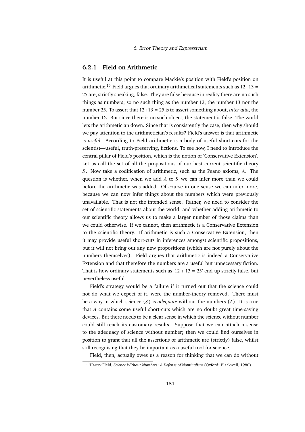#### **6.2.1 Field on Arithmetic**

It is useful at this point to compare Mackie's position with Field's position on arithmetic.<sup>10</sup> Field argues that ordinary arithmetical statements such as  $12+13 =$ 25 are, strictly speaking, false. They are false because in reality there are no such things as numbers; so no such thing as the number 12, the number 13 nor the number 25. To assert that 12+13 = 25 is to assert something about, *inter alia*, the number 12. But since there is no such object, the statement is false. The world lets the arithmetician down. Since that is consistently the case, then why should we pay attention to the arithmetician's results? Field's answer is that arithmetic is *useful*. According to Field arithmetic is a body of useful short-cuts for the scientist—useful, truth-preserving, fictions. To see how, I need to introduce the central pillar of Field's position, which is the notion of 'Conservative Extension'. Let us call the set of all the propositions of our best current scientific theory *S* . Now take a codification of arithmetic, such as the Peano axioms, *A*. The question is whether, when we add *A* to *S* we can infer more than we could before the arithmetic was added. Of course in one sense we can infer more, because we can now infer things about the numbers which were previously unavailable. That is not the intended sense. Rather, we need to consider the set of scientific statements about the world, and whether adding arithmetic to our scientific theory allows us to make a larger number of those claims than we could otherwise. If we cannot, then arithmetic is a Conservative Extension to the scientific theory. If arithmetic is such a Conservative Extension, then it may provide useful short-cuts in inferences amongst scientific propositions, but it will not bring out any new propositions (which are not purely about the numbers themselves). Field argues that arithmetic is indeed a Conservative Extension and that therefore the numbers are a useful but unnecessary fiction. That is how ordinary statements such as ' $12 + 13 = 25$ ' end up strictly false, but nevertheless useful.

Field's strategy would be a failure if it turned out that the science could not do what we expect of it, were the number-theory removed. There must be a way in which science (*S* ) is *adequate* without the numbers (*A*). It is true that *A* contains some useful short-cuts which are no doubt great time-saving devices. But there needs to be a clear sense in which the science without number could still reach its customary results. Suppose that we can attach a sense to the adequacy of science without number; then we could find ourselves in position to grant that all the assertions of arithmetic are (strictly) false, whilst still recognising that they be important as a useful tool for science.

Field, then, actually owes us a reason for thinking that we can do without

<sup>10</sup>Hartry Field, *Science Without Numbers: A Defense of Nominalism* (Oxford: Blackwell, 1980).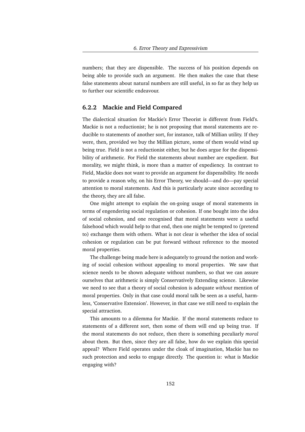numbers; that they are dispensible. The success of his position depends on being able to provide such an argument. He then makes the case that these false statements about natural numbers are still useful, in so far as they help us to further our scientific endeavour.

#### **6.2.2 Mackie and Field Compared**

The dialectical situation for Mackie's Error Theorist is different from Field's. Mackie is not a reductionist; he is not proposing that moral statements are reducible to statements of another sort, for instance, talk of Millian utility. If they were, then, provided we buy the Millian picture, some of them would wind up being true. Field is not a reductionist either, but he does argue for the dispensibility of arithmetic. For Field the statements about number are expedient. But morality, we might think, is more than a matter of expediency. In contrast to Field, Mackie does not want to provide an argument for dispensibility. He needs to provide a reason why, on his Error Theory, we should—and do—pay special attention to moral statements. And this is particularly acute since according to the theory, they are all false.

One might attempt to explain the on-going usage of moral statements in terms of engendering social regulation or cohesion. If one bought into the idea of social cohesion, and one recognised that moral statements were a useful falsehood which would help to that end, then one might be tempted to (pretend to) exchange them with others. What is not clear is whether the idea of social cohesion or regulation can be put forward without reference to the mooted moral properties.

The challenge being made here is adequately to ground the notion and working of social cohesion without appealing to moral properties. We saw that science needs to be shown adequate without numbers, so that we can assure ourselves that arithmetic is simply Conservatively Extending science. Likewise we need to see that a theory of social cohesion is adequate *without* mention of moral properties. Only in that case could moral talk be seen as a useful, harmless, 'Conservative Extension'. However, in that case we still need to explain the special attraction.

This amounts to a dilemma for Mackie. If the moral statements reduce to statements of a different sort, then some of them will end up being true. If the moral statements do not reduce, then there is something peculiarly *moral* about them. But then, since they are all false, how do we explain this special appeal? Where Field operates under the cloak of imagination, Mackie has no such protection and seeks to engage directly. The question is: what is Mackie engaging with?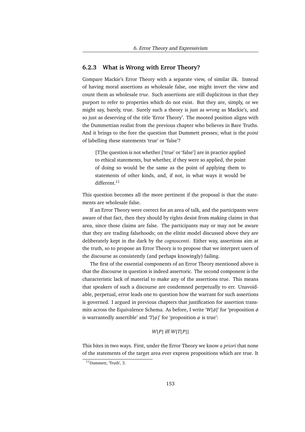#### **6.2.3 What is Wrong with Error Theory?**

Compare Mackie's Error Theory with a separate view, of similar ilk. Instead of having moral assertions as wholesale false, one might invert the view and count them as wholesale *true*. Such assertions are still duplicitous in that they purport to refer to properties which do not exist. But they are, simply, or we might say, barely, true. Surely such a theory is just as *wrong* as Mackie's, and so just as deserving of the title 'Error Theory'. The mooted position aligns with the Dummettian realist from the previous chapter who believes in Bare Truths. And it brings to the fore the question that Dummett presses; what is the *point* of labelling these statements 'true' or 'false'?

[T]he question is not whether ['true' or 'false'] are in practice applied to ethical statements, but whether, if they were so applied, the point of doing so would be the same as the point of applying them to statements of other kinds, and, if not, in what ways it would be different.<sup>11</sup>

This question becomes all the more pertinent if the proposal is that the statements are wholesale false.

If an Error Theory were correct for an area of talk, and the participants were aware of that fact, then they should by rights desist from making claims in that area, since those claims are false. The participants may or may not be aware that they are trading falsehoods; on the elitist model discussed above they are deliberately kept in the dark by the *cognoscenti*. Either way, assertions aim at the truth, so to propose an Error Theory is to propose that we interpret users of the discourse as consistently (and perhaps knowingly) failing.

The first of the essential components of an Error Theory mentioned above is that the discourse in question is indeed assertoric. The second component is the characteristic lack of material to make any of the assertions true. This means that speakers of such a discourse are condemned perpetually to err. Unavoidable, perpetual, error leads one to question how the warrant for such assertions is governed. I argued in previous chapters that justification for assertion transmits across the Equivalence Schema. As before, I write '*W*[φ]' for 'proposition φ is warrantedly assertible' and ' $T[\psi]$ ' for 'proposition  $\psi$  is true':

#### *W*[*P*] iff *W*[*T*[*P*]]

This bites in two ways. First, under the Error Theory we know *a priori* that none of the statements of the target area ever express propositions which are true. It

<sup>&</sup>lt;sup>11</sup>Dummett, 'Truth', 3.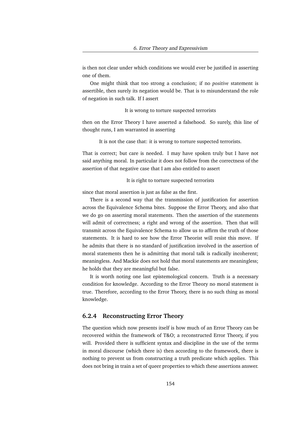is then not clear under which conditions we would ever be justified in asserting one of them.

One might think that too strong a conclusion; if no *positive* statement is assertible, then surely its negation would be. That is to misunderstand the role of negation in such talk. If I assert

It is wrong to torture suspected terrorists

then on the Error Theory I have asserted a falsehood. So surely, this line of thought runs, I am warranted in asserting

It is not the case that: it is wrong to torture suspected terrorists.

That is correct; but care is needed. I may have spoken truly but I have not said anything moral. In particular it does not follow from the correctness of the assertion of that negative case that I am also entitled to assert

It is right to torture suspected terrorists

since that moral assertion is just as false as the first.

There is a second way that the transmission of justification for assertion across the Equivalence Schema bites. Suppose the Error Theory, and also that we do go on asserting moral statements. Then the assertion of the statements will admit of correctness; a right and wrong of the assertion. Then that will transmit across the Equivalence Schema to allow us to affirm the truth of those statements. It is hard to see how the Error Theorist will resist this move. If he admits that there is no standard of justification involved in the assertion of moral statements then he is admitting that moral talk is radically incoherent; meaningless. And Mackie does not hold that moral statements are meaningless; he holds that they are meaningful but false.

It is worth noting one last epistemological concern. Truth is a necessary condition for knowledge. According to the Error Theory no moral statement is true. Therefore, according to the Error Theory, there is no such thing as moral knowledge.

#### **6.2.4 Reconstructing Error Theory**

The question which now presents itself is how much of an Error Theory can be recovered within the framework of T&O; a reconstructed Error Theory, if you will. Provided there is sufficient syntax and discipline in the use of the terms in moral discourse (which there is) then according to the framework, there is nothing to prevent us from constructing a truth predicate which applies. This does not bring in train a set of queer properties to which these assertions answer.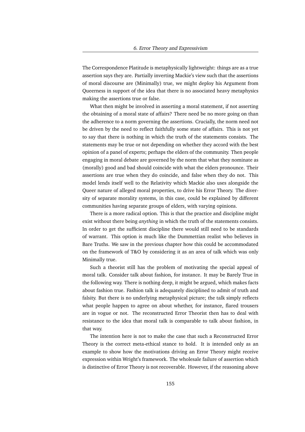The Correspondence Platitude is metaphysically lightweight: things are as a true assertion says they are. Partially inverting Mackie's view such that the assertions of moral discourse are (Minimally) true, we might deploy his Argument from Queerness in support of the idea that there is no associated heavy metaphysics making the assertions true or false.

What then might be involved in asserting a moral statement, if not asserting the obtaining of a moral state of affairs? There need be no more going on than the adherence to a norm governing the assertions. Crucially, the norm need not be driven by the need to reflect faithfully some state of affairs. This is not yet to say that there is nothing in which the truth of the statements consists. The statements may be true or not depending on whether they accord with the best opinion of a panel of experts; perhaps the elders of the community. Then people engaging in moral debate are governed by the norm that what they nominate as (morally) good and bad should coincide with what the elders pronounce. Their assertions are true when they do coincide, and false when they do not. This model lends itself well to the Relativity which Mackie also uses alongside the Queer nature of alleged moral properties, to drive his Error Theory. The diversity of separate morality systems, in this case, could be explained by different communities having separate groups of elders, with varying opinions.

There is a more radical option. This is that the practice and discipline might exist without there being *anything* in which the truth of the statements consists. In order to get the sufficient discipline there would still need to be standards of warrant. This option is much like the Dummettian realist who believes in Bare Truths. We saw in the previous chapter how this could be accommodated on the framework of T&O by considering it as an area of talk which was only Minimally true.

Such a theorist still has the problem of motivating the special appeal of moral talk. Consider talk about fashion, for instance. It may be Barely True in the following way. There is nothing deep, it might be argued, which makes facts about fashion true. Fashion talk is adequately disciplined to admit of truth and falsity. But there is no underlying metaphysical picture; the talk simply reflects what people happen to agree on about whether, for instance, flared trousers are in vogue or not. The reconstructed Error Theorist then has to deal with resistance to the idea that moral talk is comparable to talk about fashion, in that way.

The intention here is not to make the case that such a Reconstructed Error Theory is the correct meta-ethical stance to hold. It is intended only as an example to show how the motivations driving an Error Theory might receive expression within Wright's framework. The wholesale failure of assertion which is distinctive of Error Theory is not recoverable. However, if the reasoning above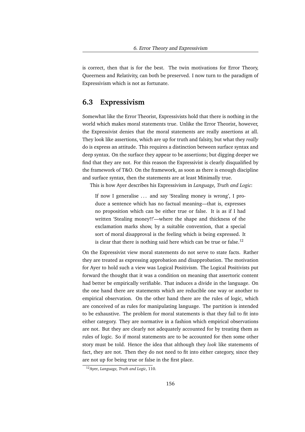is correct, then that is for the best. The twin motivations for Error Theory, Queerness and Relativity, can both be preserved. I now turn to the paradigm of Expressivism which is not as fortunate.

### **6.3 Expressivism**

Somewhat like the Error Theorist, Expressivists hold that there is nothing in the world which makes moral statements true. Unlike the Error Theorist, however, the Expressivist denies that the moral statements are really assertions at all. They look like assertions, which are up for truth and falsity, but what they *really* do is express an attitude. This requires a distinction between surface syntax and deep syntax. On the surface they appear to be assertions; but digging deeper we find that they are not. For this reason the Expressivist is clearly disqualified by the framework of T&O. On the framework, as soon as there is enough discipline and surface syntax, then the statements are at least Minimally true.

This is how Ayer describes his Expressivism in *Language, Truth and Logic*:

If now I generalise ... and say 'Stealing money is wrong', I produce a sentence which has no factual meaning—that is, expresses no proposition which can be either true or false. It is as if I had written 'Stealing money!!'—where the shape and thickness of the exclamation marks show, by a suitable convention, that a special sort of moral disapproval is the feeling which is being expressed. It is clear that there is nothing said here which can be true or false.<sup>12</sup>

On the Expressivist view moral statements do not serve to state facts. Rather they are treated as expressing approbation and disapprobation. The motivation for Ayer to hold such a view was Logical Positivism. The Logical Positivists put forward the thought that it was a condition on meaning that assertoric content had better be empirically verifiable. That induces a divide in the language. On the one hand there are statements which are reducible one way or another to empirical observation. On the other hand there are the rules of logic, which are conceived of as rules for manipulating language. The partition is intended to be exhaustive. The problem for moral statements is that they fail to fit into either category. They are normative in a fashion which empirical observations are not. But they are clearly not adequately accounted for by treating them as rules of logic. So if moral statements are to be accounted for then some other story must be told. Hence the idea that although they *look* like statements of fact, they are not. Then they do not need to fit into either category, since they are not up for being true or false in the first place.

<sup>12</sup>Ayer, *Language, Truth and Logic*, 110.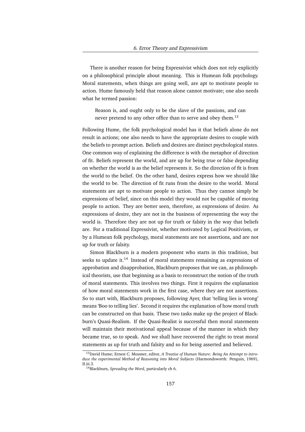There is another reason for being Expressivist which does not rely explicitly on a philosophical principle about meaning. This is Humean folk psychology. Moral statements, when things are going well, are apt to motivate people to action. Hume famously held that reason alone cannot motivate; one also needs what he termed passion:

Reason is, and ought only to be the slave of the passions, and can never pretend to any other office than to serve and obey them.<sup>13</sup>

Following Hume, the folk psychological model has it that beliefs alone do not result in actions; one also needs to have the appropriate desires to couple with the beliefs to prompt action. Beliefs and desires are distinct psychological states. One common way of explaining the difference is with the metaphor of direction of fit. Beliefs represent the world, and are up for being true or false depending on whether the world is as the belief represents it. So the direction of fit is from the world to the belief. On the other hand, desires express how we should like the world to be. The direction of fit runs from the desire to the world. Moral statements are apt to motivate people to action. Thus they cannot simply be expressions of belief, since on this model they would not be capable of moving people to action. They are better seen, therefore, as expressions of desire. As expressions of desire, they are not in the business of representing the way the world is. Therefore they are not up for truth or falsity in the way that beliefs are. For a traditional Expressivist, whether motivated by Logical Positivism, or by a Humean folk psychology, moral statements are not assertions, and are not up for truth or falsity.

Simon Blackburn is a modern proponent who starts in this tradition, but seeks to update it.<sup>14</sup> Instead of moral statements remaining as expressions of approbation and disapprobation, Blackburn proposes that we can, as philosophical theorists, use that beginning as a basis to reconstruct the notion of the truth of moral statements. This involves two things. First it requires the explanation of how moral statements work in the first case, where they are not assertions. So to start with, Blackburn proposes, following Ayer, that 'telling lies is wrong' means 'Boo to telling lies'. Second it requires the explanation of how moral truth can be constructed on that basis. These two tasks make up the project of Blackburn's Quasi-Realism. If the Quasi-Realist is successful then moral statements will maintain their motivational appeal because of the manner in which they became true, so to speak. And we shall have recovered the right to treat moral statements as up for truth and falsity and so for being asserted and believed.

<sup>13</sup>David Hume; Ernest C. Mossner, editor, *A Treatise of Human Nature: Being An Attempt to introduce the experimental Method of Reasoning into Moral Subjects* (Harmondsworth: Penguin, 1969), II.iii.3.

<sup>14</sup>Blackburn, *Spreading the Word*, particularly ch 6.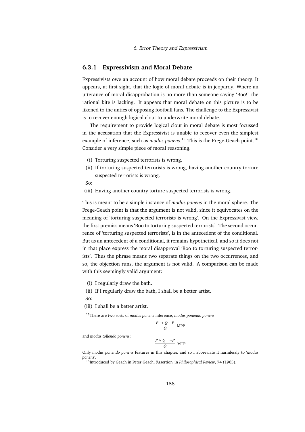#### **6.3.1 Expressivism and Moral Debate**

Expressivists owe an account of how moral debate proceeds on their theory. It appears, at first sight, that the logic of moral debate is in jeopardy. Where an utterance of moral disapprobation is no more than someone saying 'Boo!' the rational bite is lacking. It appears that moral debate on this picture is to be likened to the antics of opposing football fans. The challenge to the Expressivist is to recover enough logical clout to underwrite moral debate.

The requirement to provide logical clout in moral debate is most focussed in the accusation that the Expressivist is unable to recover even the simplest example of inference, such as *modus ponens*. <sup>15</sup> This is the Frege-Geach point.<sup>16</sup> Consider a very simple piece of moral reasoning.

- (i) Torturing suspected terrorists is wrong.
- (ii) If torturing suspected terrorists is wrong, having another country torture suspected terrorists is wrong.
- So:
- (iii) Having another country torture suspected terrorists is wrong.

This is meant to be a simple instance of *modus ponens* in the moral sphere. The Frege-Geach point is that the argument is not valid, since it equivocates on the meaning of 'torturing suspected terrorists is wrong'. On the Expressivist view, the first premiss means 'Boo to torturing suspected terrorists'. The second occurrence of 'torturing suspected terrorists', is in the antecedent of the conditional. But as an antecedent of a conditional, it remains hypothetical, and so it does not in that place express the moral disapproval 'Boo to torturing suspected terrorists'. Thus the phrase means two separate things on the two occurrences, and so, the objection runs, the argument is not valid. A comparison can be made with this seemingly valid argument:

- (i) I regularly draw the bath.
- (ii) If I regularly draw the bath, I shall be a better artist.
- So:
- (iii) I shall be a better artist.

<sup>15</sup>There are two sorts of *modus ponens* inference; *modus ponendo ponens*:

$$
\frac{P \rightarrow Q \quad P}{Q} \quad \text{MPP}
$$

and *modus tollendo ponens*:

$$
\frac{P \vee Q \quad \neg P}{Q} \text{ MTP}
$$

Only *modus ponendo ponens* features in this chapter, and so I abbreviate it harmlessly to '*modus ponens*'.

<sup>16</sup>Introduced by Geach in Peter Geach, 'Assertion' in *Philosophical Review*, 74 (1965).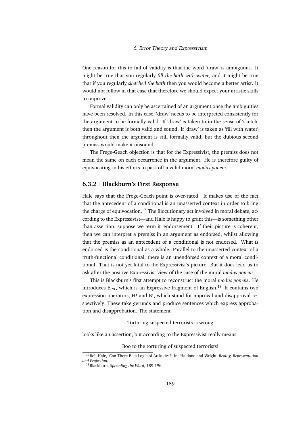One reason for this to fail of validity is that the word 'draw' is ambiguous. It might be true that you regularly *fill the bath with water*, and it might be true that if you regularly *sketched the bath* then you would become a better artist. It would not follow in that case that therefore we should expect your artistic skills to improve.

Formal validity can only be ascertained of an argument once the ambiguities have been resolved. In this case, 'draw' needs to be interpreted consistently for the argument to be formally valid. If 'draw' is taken to in the sense of 'sketch' then the argument is both valid and sound. If 'draw' is taken as 'fill with water' throughout then the argument is still formally valid, but the dubious second premiss would make it unsound.

The Frege-Geach objection is that for the Expressivist, the premiss does not mean the same on each occurrence in the argument. He is therefore guilty of equivocating in his efforts to pass off a valid moral *modus ponens*.

#### **6.3.2 Blackburn's First Response**

Hale says that the Frege-Geach point is over-rated. It makes use of the fact that the antecedent of a conditional is an unasserted context in order to bring the charge of equivocation.<sup>17</sup> The illocutionary act involved in moral debate, according to the Expressivist—and Hale is happy to grant this—is something other than assertion; suppose we term it 'endorsement'. If their picture is coherent, then we can interpret a premiss in an argument as endorsed, whilst allowing that the premiss as an antecedent of a conditional is not endorsed. What *is* endorsed is the conditional as a whole. Parallel to the unasserted context of a truth-functional conditional, there is an unendorsed context of a moral conditional. That is not yet fatal to the Expressivist's picture. But it does lead us to ask after the positive Expressivist view of the case of the moral *modus ponens*.

This is Blackburn's first attempt to reconstruct the moral *modus ponens*. He introduces  $E_{ex}$ , which is an Expressive fragment of English.<sup>18</sup> It contains two expression operators, H! and B!, which stand for approval and disapproval respectively. These take gerunds and produce sentences which express approbation and disapprobation. The statement

Torturing suspected terrorists is wrong

looks like an assertion, but according to the Expressivist really means

Boo to the torturing of suspected terrorists!

<sup>17</sup>Bob Hale, 'Can There Be a Logic of Attitudes?' in: Haldane and Wright, *Reality, Representation and Projection*.

<sup>18</sup>Blackburn, *Spreading the Word*, 189-196.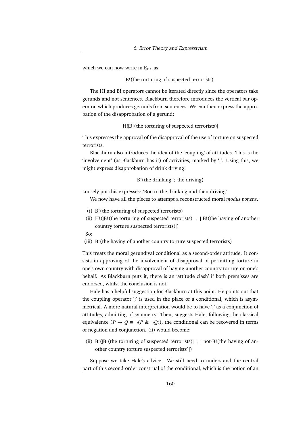which we can now write in  $E_{ex}$  as

B!(the torturing of suspected terrorists).

The H! and B! operators cannot be iterated directly since the operators take gerunds and not sentences. Blackburn therefore introduces the vertical bar operator, which produces gerunds from sentences. We can then express the approbation of the disapprobation of a gerund:

H!|B!(the torturing of suspected terrorists)|

This expresses the approval of the disapproval of the use of torture on suspected terrorists.

Blackburn also introduces the idea of the 'coupling' of attitudes. This is the 'involvement' (as Blackburn has it) of activities, marked by ';'. Using this, we might express disapprobation of drink driving:

B!(the drinking ; the driving)

Loosely put this expresses: 'Boo to the drinking and then driving'.

We now have all the pieces to attempt a reconstructed moral *modus ponens*.

- (i) B!(the torturing of suspected terrorists)
- (ii) H!( $|B|$  (the torturing of suspected terrorists) $|$ ;  $|B|$  (the having of another country torture suspected terrorists)|)
- So:
- (iii) B!(the having of another country torture suspected terrorists)

This treats the moral gerundival conditional as a second-order attitude. It consists in approving of the involvement of disapproval of permitting torture in one's own country with disapproval of having another country torture on one's behalf. As Blackburn puts it, there is an 'attitude clash' if both premisses are endorsed, whilst the conclusion is not.

Hale has a helpful suggestion for Blackburn at this point. He points out that the coupling operator ';' is used in the place of a conditional, which is asymmetrical. A more natural interpretation would be to have ';' as a conjunction of attitudes, admitting of symmetry. Then, suggests Hale, following the classical equivalence  $(P \to Q \equiv \neg (P \& \neg Q))$ , the conditional can be recovered in terms of negation and conjunction. (ii) would become:

(ii) B!( $|B|$ (the torturing of suspected terrorists) $|$ ;  $|$  not-B!(the having of another country torture suspected terrorists)|)

Suppose we take Hale's advice. We still need to understand the central part of this second-order construal of the conditional, which is the notion of an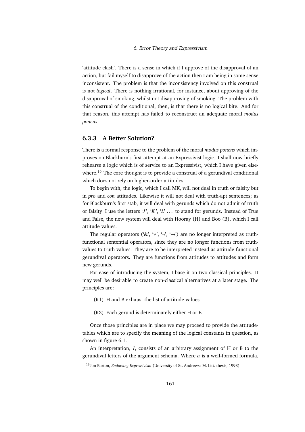'attitude clash'. There is a sense in which if I approve of the disapproval of an action, but fail myself to disapprove of the action then I am being in some sense inconsistent. The problem is that the inconsistency involved on this construal is not *logical*. There is nothing irrational, for instance, about approving of the disapproval of smoking, whilst not disapproving of smoking. The problem with this construal of the conditional, then, is that there is no logical bite. And for that reason, this attempt has failed to reconstruct an adequate moral *modus ponens*.

#### **6.3.3 A Better Solution?**

There is a formal response to the problem of the moral *modus ponens* which improves on Blackburn's first attempt at an Expressivist logic. I shall now briefly rehearse a logic which is of service to an Expressivist, which I have given elsewhere.<sup>19</sup> The core thought is to provide a construal of a gerundival conditional which does not rely on higher-order attitudes.

To begin with, the logic, which I call MK, will not deal in truth or falsity but in *pro* and *con* attitudes. Likewise it will not deal with truth-apt sentences; as for Blackburn's first stab, it will deal with gerunds which do not admit of truth or falsity. I use the letters '*J*', '*K*', '*L*' ... to stand for gerunds. Instead of True and False, the new system will deal with Hooray (H) and Boo (B), which I call attitude-values.

The regular operators ('&', ' $\vee'$ , '¬', '→') are no longer interpreted as truthfunctional sentential operators, since they are no longer functions from truthvalues to truth-values. They are to be interpreted instead as attitude-functional gerundival operators. They are functions from attitudes to attitudes and form new gerunds.

For ease of introducing the system, I base it on two classical principles. It may well be desirable to create non-classical alternatives at a later stage. The principles are:

- (K1) H and B exhaust the list of attitude values
- (K2) Each gerund is determinately either H or B

Once those principles are in place we may proceed to provide the attitudetables which are to specify the meaning of the logical constants in question, as shown in figure 6.1.

An interpretation, *I*, consists of an arbitrary assignment of H or B to the gerundival letters of the argument schema. Where  $\alpha$  is a well-formed formula,

<sup>19</sup>Jon Barton, *Endorsing Expressivism* (University of St. Andrews: M. Litt. thesis, 1998).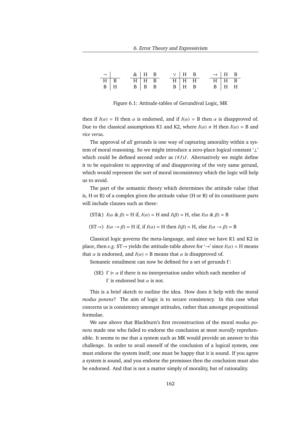| $-1$    |  |             | $\&$   H B        |  | $\vee$   H B |             |  |             | $\rightarrow$   H B |  |
|---------|--|-------------|-------------------|--|--------------|-------------|--|-------------|---------------------|--|
| $H$ B   |  | $H$ $H$ $B$ |                   |  | $H$ H H      |             |  | $H$ $H$ $B$ |                     |  |
| $B$   H |  |             | $B \mid B \mid B$ |  |              | $B$   H $B$ |  |             | $B$   H H           |  |

Figure 6.1: Attitude-tables of Gerundival Logic, MK

then if  $I(\alpha) = H$  then  $\alpha$  is endorsed, and if  $I(\alpha) = B$  then  $\alpha$  is disapproved of. Due to the classical assumptions K1 and K2, where  $I(\alpha) \neq H$  then  $I(\alpha) = B$  and *vice versa*.

The approval of *all* gerunds is one way of capturing amorality within a system of moral reasoning. So we might introduce a zero-place logical constant '⊥' which could be defined second order as (∀*J*)*J*. Alternatively we might define it to be equivalent to approving of and disapproving of the very same gerund, which would represent the sort of moral inconsistency which the logic will help us to avoid.

The part of the semantic theory which determines the attitude value (that is, H or B) of a complex given the attitude value (H or B) of its constituent parts will include clauses such as these:

(ST&)  $I(\alpha \& \beta) = H$  if,  $I(\alpha) = H$  and  $I(\beta) = H$ , else  $I(\alpha \& \beta) = B$ 

(ST $\rightarrow$ ) *I*( $\alpha \rightarrow \beta$ ) = H if, if *I*( $\alpha$ ) = H then *I*( $\beta$ ) = H, else *I*( $\alpha \rightarrow \beta$ ) = B

Classical logic governs the meta-language, and since we have K1 and K2 in place, then *e.g.* ST $\rightarrow$  yields the attitude-table above for  $\rightarrow$  since  $I(\alpha) = H$  means that  $\alpha$  is endorsed, and  $I(\alpha) = B$  means that  $\alpha$  is disapproved of.

Semantic entailment can now be defined for a set of gerunds Γ:

(SE)  $\Gamma \models \alpha$  if there is no interpretation under which each member of Γ is endorsed but  $\alpha$  is not.

This is a brief sketch to outline the idea. How does it help with the moral *modus ponens*? The aim of logic is to secure consistency. In this case what concerns us is consistency amongst attitudes, rather than amongst propositional formulae.

We saw above that Blackburn's first reconstruction of the moral *modus ponens* made one who failed to endorse the conclusion at most *morally* reprehensible. It seems to me that a system such as MK would provide an answer to this challenge. In order to avail oneself of the conclusion of a logical system, one must endorse the system itself; one must be happy that it is sound. If you agree a system is sound, and you endorse the premisses then the conclusion must also be endorsed. And that is not a matter simply of morality, but of rationality.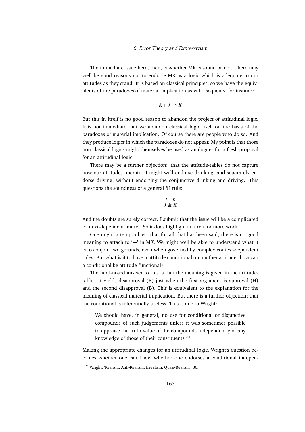The immediate issue here, then, is whether MK is sound or not. There may well be good reasons not to endorse MK as a logic which is adequate to our attitudes as they stand. It is based on classical principles, so we have the equivalents of the paradoxes of material implication as valid sequents, for instance:

$$
K \vdash J \to K
$$

But this in itself is no good reason to abandon the project of attitudinal logic. It is not immediate that we abandon classical logic itself on the basis of the paradoxes of material implication. Of course there are people who do so. And they produce logics in which the paradoxes do not appear. My point is that those non-classical logics might themselves be used as analogues for a fresh proposal for an attitudinal logic.

There may be a further objection: that the attitude-tables do not capture how our attitudes operate. I might well endorse drinking, and separately endorse driving, without endorsing the conjunctive drinking and driving. This questions the soundness of a general &I rule:

$$
\frac{J}{J} \frac{K}{\&& K}
$$

And the doubts are surely correct. I submit that the issue will be a complicated context-dependent matter. So it does highlight an area for more work.

One might attempt object that for all that has been said, there is no good meaning to attach to  $\rightarrow$  in MK. We might well be able to understand what it is to conjoin two gerunds, even when governed by complex context-dependent rules. But what is it to have a attitude conditional on another attitude: how can a conditional be attitude-functional?

The hard-nosed answer to this is that the meaning is given in the attitudetable. It yields disapproval (B) just when the first argument is approval (H) and the second disapproval (B). This is equivalent to the explanation for the meaning of classical material implication. But there is a further objection; that the conditional is inferentially useless. This is due to Wright:

We should have, in general, no use for conditional or disjunctive compounds of such judgements unless it was sometimes possible to appraise the truth-value of the compounds independently of any knowledge of those of their constituents.<sup>20</sup>

Making the appropriate changes for an attitudinal logic, Wright's question becomes whether one can know whether one endorses a conditional indepen-

<sup>20</sup>Wright, 'Realism, Anti-Realism, Irrealism, Quasi-Realism', 36.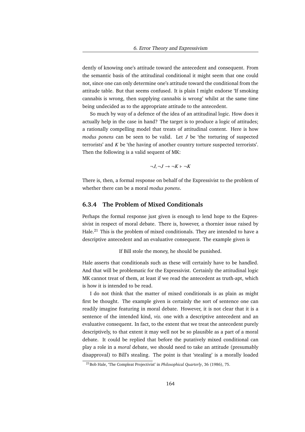dently of knowing one's attitude toward the antecedent and consequent. From the semantic basis of the attitudinal conditional it might seem that one could not, since one can only determine one's attitude toward the conditional from the attitude table. But that seems confused. It is plain I might endorse 'If smoking cannabis is wrong, then supplying cannabis is wrong' whilst at the same time being undecided as to the appropriate attitude to the antecedent.

So much by way of a defence of the idea of an attitudinal logic. How does it actually help in the case in hand? The target is to produce a logic of attitudes; a rationally compelling model that treats of attitudinal content. Here is how *modus ponens* can be seen to be valid. Let *J* be 'the torturing of suspected terrorists' and *K* be 'the having of another country torture suspected terrorists'. Then the following is a valid sequent of MK:

$$
\neg J, \neg J \to \neg K \vdash \neg K
$$

There is, then, a formal response on behalf of the Expressivist to the problem of whether there can be a moral *modus ponens*.

#### **6.3.4 The Problem of Mixed Conditionals**

Perhaps the formal response just given is enough to lend hope to the Expressivist in respect of moral debate. There is, however, a thornier issue raised by Hale.<sup>21</sup> This is the problem of mixed conditionals. They are intended to have a descriptive antecedent and an evaluative consequent. The example given is

If Bill stole the money, he should be punished.

Hale asserts that conditionals such as these will certainly have to be handled. And that will be problematic for the Expressivist. Certainly the attitudinal logic MK cannot treat of them, at least if we read the antecedent as truth-apt, which is how it is intended to be read.

I do not think that the matter of mixed conditionals is as plain as might first be thought. The example given is certainly the sort of sentence one can readily imagine featuring in moral debate. However, it is not clear that it is a sentence of the intended kind, *viz.* one with a descriptive antecedent and an evaluative consequent. In fact, to the extent that we treat the antecedent purely descriptively, to that extent it may well not be so plausible as a part of a moral debate. It could be replied that before the putatively mixed conditional can play a role in a *moral* debate, we should need to take an attitude (presumably disapproval) to Bill's stealing. The point is that 'stealing' is a morally loaded

<sup>21</sup>Bob Hale, 'The Compleat Projectivist' in *Philosophical Quarterly*, 36 (1986), 75.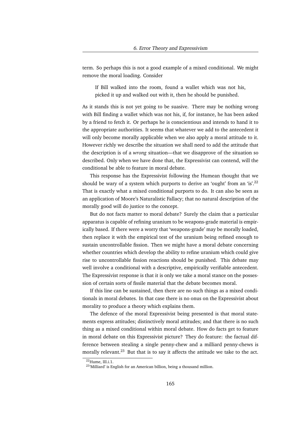term. So perhaps this is not a good example of a mixed conditional. We might remove the moral loading. Consider

If Bill walked into the room, found a wallet which was not his, picked it up and walked out with it, then he should be punished.

As it stands this is not yet going to be suasive. There may be nothing wrong with Bill finding a wallet which was not his, if, for instance, he has been asked by a friend to fetch it. Or perhaps he is conscientious and intends to hand it to the appropriate authorities. It seems that whatever we add to the antecedent it will only become morally applicable when we also apply a moral attitude to it. However richly we describe the situation we shall need to add the attitude that the description is of a *wrong* situation—that we disapprove of the situation so described. Only when we have done that, the Expressivist can contend, will the conditional be able to feature in moral debate.

This response has the Expressivist following the Humean thought that we should be wary of a system which purports to derive an 'ought' from an 'is'.<sup>22</sup> That is exactly what a mixed conditional purports to do. It can also be seen as an application of Moore's Naturalistic Fallacy; that no natural description of the morally good will do justice to the concept.

But do not facts matter to moral debate? Surely the claim that a particular apparatus is capable of refining uranium to be weapons-grade material is empirically based. If there were a worry that 'weapons-grade' may be morally loaded, then replace it with the empirical test of the uranium being refined enough to sustain uncontrollable fission. Then we might have a moral debate concerning whether countries which develop the ability to refine uranium which could give rise to uncontrollable fission reactions should be punished. This debate may well involve a conditional with a descriptive, empirically verifiable antecedent. The Expressivist response is that it is only we take a moral stance on the possession of certain sorts of fissile material that the debate becomes moral.

If this line can be sustained, then there are no such things as a mixed conditionals in moral debates. In that case there is no onus on the Expressivist about morality to produce a theory which explains them.

The defence of the moral Expressivist being presented is that moral statements express attitudes; distinctively moral attitudes; and that there is no such thing as a mixed conditional within moral debate. How do facts get to feature in moral debate on this Expressivist picture? They do feature: the factual difference between stealing a single penny-chew and a milliard penny-chews is morally relevant.<sup>23</sup> But that is to say it affects the attitude we take to the act.

<sup>22</sup>Hume, III.i.1.

<sup>&</sup>lt;sup>23</sup>'Milliard' is English for an American billion, being a thousand million.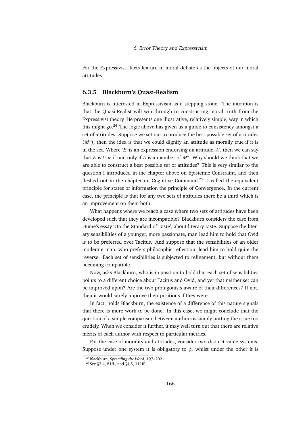For the Expressivist, facts feature in moral debate as the objects of our moral attitudes.

#### **6.3.5 Blackburn's Quasi-Realism**

Blackburn is interested in Expressivism as a stepping stone. The intention is that the Quasi-Realist will win through to constructing moral truth from the Expressivist theory. He presents one illustrative, relatively simple, way in which this might go. $^{24}$  The logic above has given us a guide to consistency amongst a set of attitudes. Suppose we set out to produce the best possible set of attitudes (*M*<sup>∗</sup>); then the idea is that we could dignify an attitude as morally true if it is in the set. Where '*E*' is an expression endorsing an attitude '*A*', then we can say that *E* is *true* if and only if *A* is a member of *M*<sup>∗</sup> . Why should we think that we are able to construct a best possible set of attitudes? This is very similar to the question I introduced in the chapter above on Epistemic Constraint, and then fleshed out in the chapter on Cognitive Command.<sup>25</sup> I called the equivalent principle for states of information the principle of Convergence. In the current case, the principle is that for any two sets of attitudes there be a third which is an improvement on them both.

What happens where we reach a case where two sets of attitudes have been developed such that they are incompatible? Blackburn considers the case from Hume's essay 'On the Standard of Taste', about literary taste. Suppose the literary sensibilities of a younger, more passionate, man lead him to hold that Ovid is to be preferred over Tacitus. And suppose that the sensibilities of an older moderate man, who prefers philosophic reflection, lead him to hold quite the reverse. Each set of sensibilities is subjected to refinement, but without them becoming compatible.

Now, asks Blackburn, who is in position to hold that each set of sensibilities points to a different choice about Tacitus and Ovid, and yet that neither set can be improved upon? Are the two protagonists aware of their differences? If not, then it would surely improve their positions if they were.

In fact, holds Blackburn, the existence of a difference of this nature signals that there is more work to be done. In this case, we might conclude that the question of a simple comparison between authors is simply putting the issue too crudely. When we consider it further, it may well turn out that there are relative merits of each author with respect to particular metrics.

For the case of morality and attitudes, consider two distinct value-systems. Suppose under one system it is obligatory to  $\phi$ , whilst under the other it is

<sup>24</sup>Blackburn, *Spreading the Word*, 197–202.

<sup>25</sup>See §3.4, 81ff., and §4.5, 111ff.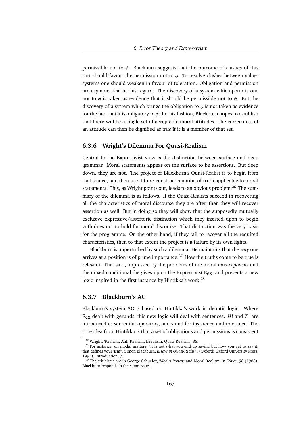permissible not to  $\phi$ . Blackburn suggests that the outcome of clashes of this sort should favour the permission not to  $\phi$ . To resolve clashes between valuesystems one should weaken in favour of toleration. Obligation and permission are asymmetrical in this regard. The discovery of a system which permits one not to  $\phi$  is taken as evidence that it should be permissible not to  $\phi$ . But the discovery of a system which brings the obligation to  $\phi$  is not taken as evidence for the fact that it is obligatory to  $\phi$ . In this fashion, Blackburn hopes to establish that there will be a single set of acceptable moral attitudes. The correctness of an attitude can then be dignified as *true* if it is a member of that set.

#### **6.3.6 Wright's Dilemma For Quasi-Realism**

Central to the Expressivist view is the distinction between surface and deep grammar. Moral statements appear on the surface to be assertions. But deep down, they are not. The project of Blackburn's Quasi-Realist is to begin from that stance, and then use it to re-construct a notion of truth applicable to moral statements. This, as Wright points out, leads to an obvious problem.<sup>26</sup> The summary of the dilemma is as follows. If the Quasi-Realists succeed in recovering all the characteristics of moral discourse they are after, then they will recover assertion as well. But in doing so they will show that the supposedly mutually exclusive expressive/assertoric distinction which they insisted upon to begin with does not to hold for moral discourse. That distinction was the very basis for the programme. On the other hand, if they fail to recover all the required characteristics, then to that extent the project is a failure by its own lights.

Blackburn is unperturbed by such a dilemma. He maintains that the *way* one arrives at a position is of prime importance.<sup>27</sup> How the truths come to be true is relevant. That said, impressed by the problems of the moral *modus ponens* and the mixed conditional, he gives up on the Expressivist  $E_{ex}$ , and presents a new logic inspired in the first instance by Hintikka's work.<sup>28</sup>

#### **6.3.7 Blackburn's AC**

Blackburn's system AC is based on Hintikka's work in deontic logic. Where Eex dealt with gerunds, this new logic will deal with sentences. *H*! and *T*! are introduced as sentential operators, and stand for insistence and tolerance. The core idea from Hintikka is that a set of obligations and permissions is consistent

<sup>26</sup>Wright, 'Realism, Anti-Realism, Irrealism, Quasi-Realism', 35.

 $27$  For instance, on modal matters: 'it is not what you end up saying but how you get to say it, that defines your 'ism". Simon Blackburn, *Essays in Quasi-Realism* (Oxford: Oxford University Press, 1993), Introduction, 7.

<sup>28</sup>The criticisms are in George Schueler, '*Modus Ponens* and Moral Realism' in *Ethics*, 98 (1988). Blackburn responds in the same issue.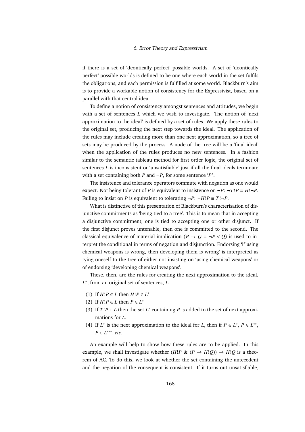if there is a set of 'deontically perfect' possible worlds. A set of 'deontically perfect' possible worlds is defined to be one where each world in the set fulfils the obligations, and each permission is fulfilled at some world. Blackburn's aim is to provide a workable notion of consistency for the Expressivist, based on a parallel with that central idea.

To define a notion of consistency amongst sentences and attitudes, we begin with a set of sentences *L* which we wish to investigate. The notion of 'next approximation to the ideal' is defined by a set of rules. We apply these rules to the original set, producing the next step towards the ideal. The application of the rules may include creating more than one next approximation, so a tree of sets may be produced by the process. A node of the tree will be a 'final ideal' when the application of the rules produces no new sentences. In a fashion similar to the semantic tableau method for first order logic, the original set of sentences *L* is inconsistent or 'unsatisfiable' just if all the final ideals terminate with a set containing both *P* and  $\neg P$ , for some sentence '*P*'.

The insistence and tolerance operators commute with negation as one would expect. Not being tolerant of *P* is equivalent to insistence on  $\neg P$ :  $\neg T$ ! $P \equiv H$ ! $\neg P$ . Failing to insist on *P* is equivalent to tolerating  $\neg P$ :  $\neg H$ ! $P \equiv T! \neg P$ .

What is distinctive of this presentation of Blackburn's characterisation of disjunctive commitments as 'being tied to a tree'. This is to mean that in accepting a disjunctive commitment, one is tied to accepting one or other disjunct. If the first disjunct proves untenable, then one is committed to the second. The classical equivalence of material implication ( $P \rightarrow Q \equiv \neg P \lor Q$ ) is used to interpret the conditional in terms of negation and disjunction. Endorsing 'if using chemical weapons is wrong, then developing them is wrong' is interpreted as tying oneself to the tree of either not insisting on 'using chemical weapons' or of endorsing 'developing chemical weapons'.

These, then, are the rules for creating the next approximation to the ideal, *L* ∗ , from an original set of sentences, *L*.

- (1) If  $H!P \in L$  then  $H!P \in L^*$
- (2) If  $H!P \in L$  then  $P \in L^*$
- (3) If  $T$ ! $P \in L$  then the set  $L^*$  containing  $P$  is added to the set of next approximations for *L*.
- (4) If  $L^*$  is the next approximation to the ideal for *L*, then if  $P \in L^*$ ,  $P \in L^{**}$ , *P* ∈ *L*<sup>\*\*\*</sup>, *etc.*

An example will help to show how these rules are to be applied. In this example, we shall investigate whether  $(H!P \& (P \rightarrow H!Q)) \rightarrow H!Q$  is a theorem of AC. To do this, we look at whether the set containing the antecedent and the negation of the consequent is consistent. If it turns out unsatisfiable,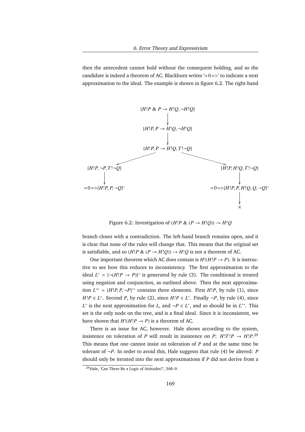then the antecedent cannot hold without the consequent holding, and so the candidate is indeed a theorem of AC. Blackburn writes  $=0=$  to indicate a next approximation to the ideal. The example is shown in figure 6.2. The right-hand



Figure 6.2: Investigation of  $(H!P \& (P \rightarrow H!O)) \rightarrow H!O$ 

branch closes with a contradiction. The left-hand branch remains open, and it is clear that none of the rules will change that. This means that the original set is satisfiable, and so  $(H!P \& (P \rightarrow H!Q)) \rightarrow H!Q$  is not a theorem of AC.

One important theorem which AC does contain is  $H!(H!P \rightarrow P)$ . It is instructive to see how this reduces to inconsistency. The first approximation to the ideal  $L^* = \{¬(H!P \rightarrow P)\}^*$  is generated by rule (3). The conditional is treated using negation and conjunction, as outlined above. Then the next approximation  $L^{**} = \{H!P, P, \neg P\}^{**}$  contains three elements. First *H*!*P*, by rule (1), since *H*!*P* ∈ *L*<sup>\*</sup>. Second *P*, by rule (2), since *H*!*P* ∈ *L*<sup>\*</sup>. Finally ¬*P*, by rule (4), since *L*<sup>\*</sup> is the next approximation for *L*, and ¬*P* ∈ *L*<sup>\*</sup>, and so should be in *L*<sup>\*\*</sup>. This set is the only node on the tree, and is a final ideal. Since it is inconsistent, we have shown that  $H!(H!P \rightarrow P)$  is a theorem of AC.

There is an issue for AC, however. Hale shows according to the system, insistence on toleration of *P* will result in insistence on *P*:  $H!T!P \rightarrow H!P$ <sup>29</sup> This means that one cannot insist on toleration of *P* and at the same time be tolerant of  $\neg P$ . In order to avoid this, Hale suggests that rule (4) be altered: *P* should only be iterated into the next approximations if *P* did not derive from a

<sup>29</sup>Hale, 'Can There Be a Logic of Attitudes?', 348–9.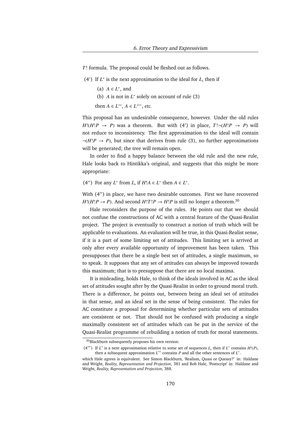*T*! formula. The proposal could be fleshed out as follows.

- (4<sup>'</sup>) If  $L^*$  is the next approximation to the ideal for *L*, then if
	- (a)  $A \in L^*$ , and
	- (b)  $A$  is not in  $L^*$  solely on account of rule (3)
	- then *A* ∈  $L^{**}$ , *A* ∈  $L^{***}$ , *etc.*

This proposal has an undesirable consequence, however. Under the old rules  $H!(H!P \rightarrow P)$  was a theorem. But with (4') in place,  $T! \neg (H!P \rightarrow P)$  will not reduce to inconsistency. The first approximation to the ideal will contain  $\neg(H/P \rightarrow P)$ , but since that derives from rule (3), no further approximations will be generated; the tree will remain open.

In order to find a happy balance between the old rule and the new rule, Hale looks back to Hintikka's original, and suggests that this might be more appropriate:

(4") For any  $L^*$  from  $L$ , if  $H!A \in L^*$  then  $A \in L^*$ .

With (4") in place, we have two desirable outcomes. First we have recovered  $H!(H!P \rightarrow P)$ . And second  $H!T!P \rightarrow H!P$  is still no longer a theorem.<sup>30</sup>

Hale reconsiders the purpose of the rules. He points out that we should not confuse the constructions of AC with a central feature of the Quasi-Realist project. The project is eventually to construct a notion of truth which will be applicable to evaluations. An evaluation will be true, in this Quasi-Realist sense, if it is a part of some limiting set of attitudes. This limiting set is arrived at only after every available opportunity of improvement has been taken. This presupposes that there be a single best set of attitudes, a single maximum, so to speak. It supposes that any set of attitudes can always be improved towards this maximum; that is to presuppose that there are no local maxima.

It is misleading, holds Hale, to think of the ideals involved in AC as the ideal set of attitudes sought after by the Quasi-Realist in order to ground moral truth. There is a difference, he points out, between being an ideal set of attitudes in that sense, and an ideal set in the sense of being consistent. The rules for AC constitute a proposal for determining whether particular sets of attitudes are consistent or not. That should not be confused with producing a single maximally consistent set of attitudes which can be put in the service of the Quasi-Realist programme of rebuilding a notion of truth for moral statements.

<sup>30</sup>Blackburn subsequently proposes his own version:

<sup>(4&</sup>quot;') If  $L^*$  is a next approximation relative to some set of sequences  $L$ , then if  $L^*$  contains  $H!(P)$ , then a subsequent approximation  $L^{**}$  contains  $P$  and all the other sentences of  $L^*$ .

which Hale agrees is equivalent. See Simon Blackburn, 'Realism, Quasi or Queasy?' in: Haldane and Wright, *Reality, Representation and Projection*, 381 and Bob Hale, 'Postscript' in: Haldane and Wright, *Reality, Representation and Projection*, 388.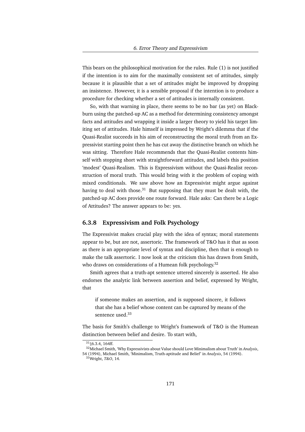This bears on the philosophical motivation for the rules. Rule (1) is not justified if the intention is to aim for the maximally consistent set of attitudes, simply because it is plausible that a set of attitudes might be improved by dropping an insistence. However, it is a sensible proposal if the intention is to produce a procedure for checking whether a set of attitudes is internally consistent.

So, with that warning in place, there seems to be no bar (as yet) on Blackburn using the patched-up AC as a method for determining consistency amongst facts and attitudes and wrapping it inside a larger theory to yield his target limiting set of attitudes. Hale himself is impressed by Wright's dilemma that if the Quasi-Realist succeeds in his aim of reconstructing the moral truth from an Expressivist starting point then he has cut away the distinctive branch on which he was sitting. Therefore Hale recommends that the Quasi-Realist contents himself with stopping short with straightforward attitudes, and labels this position 'modest' Quasi-Realism. This is Expressivism without the Quasi-Realist reconstruction of moral truth. This would bring with it the problem of coping with mixed conditionals. We saw above how an Expressivist might argue against having to deal with those.<sup>31</sup> But supposing that they must be dealt with, the patched-up AC does provide one route forward. Hale asks: Can there be a Logic of Attitudes? The answer appears to be: yes.

#### **6.3.8 Expressivism and Folk Psychology**

The Expressivist makes crucial play with the idea of syntax; moral statements appear to be, but are not, assertoric. The framework of T&O has it that as soon as there is an appropriate level of syntax and discipline, then that is enough to make the talk assertoric. I now look at the criticism this has drawn from Smith, who draws on considerations of a Humean folk psychology.<sup>32</sup>

Smith agrees that a truth-apt sentence uttered sincerely is asserted. He also endorses the analytic link between assertion and belief, expressed by Wright, that

if someone makes an assertion, and is supposed sincere, it follows that she has a belief whose content can be captured by means of the sentence used.<sup>33</sup>

The basis for Smith's challenge to Wright's framework of T&O is the Humean distinction between belief and desire. To start with,

 $31\,$  §6.3.4, 164ff.

<sup>32</sup>Michael Smith, 'Why Expressivists about Value should Love Minimalism about Truth' in *Analysis*, 54 (1994), Michael Smith, 'Minimalism, Truth-aptitude and Belief' in *Analysis*, 54 (1994).

<sup>33</sup>Wright, *T&O*, 14.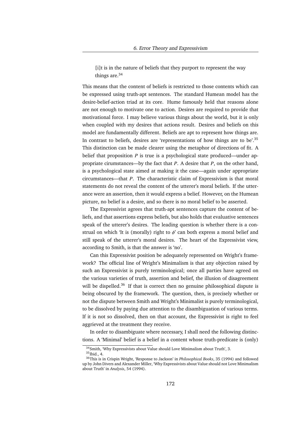[i]t is in the nature of beliefs that they purport to represent the way things are.<sup>34</sup>

This means that the content of beliefs is restricted to those contents which can be expressed using truth-apt sentences. The standard Humean model has the desire-belief-action triad at its core. Hume famously held that reasons alone are not enough to motivate one to action. Desires are required to provide that motivational force. I may believe various things about the world, but it is only when coupled with my desires that actions result. Desires and beliefs on this model are fundamentally different. Beliefs are apt to represent how things are. In contrast to beliefs, desires are 'representations of how things are to be'.<sup>35</sup> This distinction can be made clearer using the metaphor of directions of fit. A belief that proposition *P* is true is a psychological state produced—under appropriate cirumstances—by the fact that *P*. A desire that *P*, on the other hand, is a psychological state aimed at making it the case—again under appropriate circumstances—that *P*. The characteristic claim of Expressivism is that moral statements do not reveal the content of the utterer's moral beliefs. If the utterance were an assertion, then it would express a belief. However, on the Humean picture, no belief is a desire, and so there is no moral belief to be asserted.

The Expressivist agrees that truth-apt sentences capture the content of beliefs, and that assertions express beliefs, but also holds that evaluative sentences speak of the utterer's desires. The leading question is whether there is a construal on which 'It is (morally) right to  $\phi$ ' can both express a moral belief and still speak of the utterer's moral desires. The heart of the Expressivist view, according to Smith, is that the answer is 'no'.

Can this Expressivist position be adequately represented on Wright's framework? The official line of Wright's Minimalism is that any objection raised by such an Expressivist is purely terminological; once all parties have agreed on the various varieties of truth, assertion and belief, the illusion of disagreement will be dispelled.<sup>36</sup> If that is correct then no genuine philosophical dispute is being obscured by the framework. The question, then, is precisely whether or not the dispute between Smith and Wright's Minimalist is purely terminological, to be dissolved by paying due attention to the disambiguation of various terms. If it is not so dissolved, then on that account, the Expressivist is right to feel aggrieved at the treatment they receive.

In order to disambiguate where necessary, I shall need the following distinctions. A 'Minimal' belief is a belief in a content whose truth-predicate is (only)

<sup>34</sup>Smith, 'Why Expressivists about Value should Love Minimalism about Truth', 3. <sup>35</sup>Ibid., 4.

<sup>36</sup>This is in Crispin Wright, 'Response to Jackson' in *Philosophical Books*, 35 (1994) and followed up by John Divers and Alexander Miller, 'Why Expressivists about Value should not Love Minimalism about Truth' in *Analysis*, 54 (1994).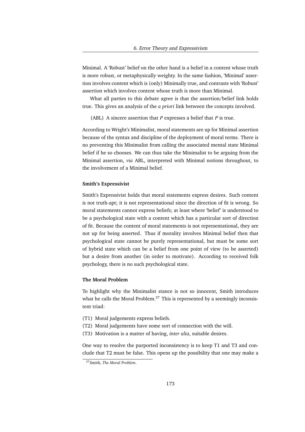Minimal. A 'Robust' belief on the other hand is a belief in a content whose truth is more robust, or metaphysically weighty. In the same fashion, 'Minimal' assertion involves content which is (only) Minimally true, and contrasts with 'Robust' assertion which involves content whose truth is more than Minimal.

What all parties to this debate agree is that the assertion/belief link holds true. This gives an analysis of the *a priori* link between the concepts involved.

(ABL) A sincere assertion that *P* expresses a belief that *P* is true.

According to Wright's Minimalist, moral statements are up for Minimal assertion because of the syntax and discipline of the deployment of moral terms. There is no preventing this Minimalist from calling the associated mental state Minimal belief if he so chooses. We can thus take the Minimalist to be arguing from the Minimal assertion, *via* ABL, interpreted with Minimal notions throughout, to the involvement of a Minimal belief.

#### **Smith's Expressivist**

Smith's Expressivist holds that moral statements express desires. Such content is not truth-apt; it is not representational since the direction of fit is wrong. So moral statements cannot express beliefs; at least where 'belief' is understood to be a psychological state with a content which has a particular sort of direction of fit. Because the content of moral statements is not representational, they are not up for being asserted. Thus if morality involves Minimal belief then that psychological state cannot be purely representational, but must be some sort of hybrid state which can be a belief from one point of view (to be asserted) but a desire from another (in order to motivate). According to received folk psychology, there is no such psychological state.

#### **The Moral Problem**

To highlight why the Minimalist stance is not so innocent, Smith introduces what he calls the Moral Problem.<sup>37</sup> This is represented by a seemingly inconsistent triad:

- (T1) Moral judgements express beliefs.
- (T2) Moral judgements have some sort of connection with the will.
- (T3) Motivation is a matter of having, *inter alia*, suitable desires.

One way to resolve the purported inconsistency is to keep T1 and T3 and conclude that T2 must be false. This opens up the possibility that one may make a

<sup>37</sup>Smith, *The Moral Problem*.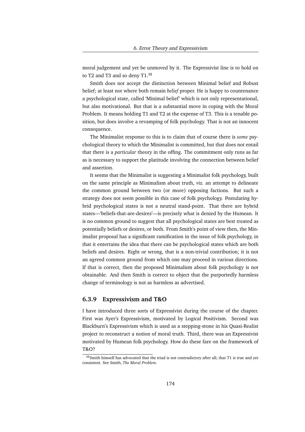moral judgement and yet be unmoved by it. The Expressivist line is to hold on to T2 and T3 and so deny T1.<sup>38</sup>

Smith does not accept the distinction between Minimal belief and Robust belief; at least not where both remain *belief* proper. He is happy to countenance a psychological state, called 'Minimal belief' which is not only representational, but also motivational. But that is a substantial move in coping with the Moral Problem. It means holding T1 and T2 at the expense of T3. This is a tenable position, but does involve a revamping of folk psychology. That is not an innocent consequence.

The Minimalist response to this is to claim that of course there is *some* psychological theory to which the Minimalist is committed, but that does not entail that there is a *particular* theory in the offing. The commitment only runs as far as is necessary to support the platitude involving the connection between belief and assertion.

It seems that the Minimalist is suggesting a Minimalist folk psychology, built on the same principle as Minimalism about truth, *viz.* an attempt to delineate the common ground between two (or more) opposing factions. But such a strategy does not seem possible in this case of folk psychology. Postulating hybrid psychological states is not a neutral stand-point. That there are hybrid states—'beliefs-that-are-desires'—is precisely what is denied by the Humean. It is no common ground to suggest that all psychological states are best treated as potentially beliefs or desires, or both. From Smith's point of view then, the Minimalist proposal has a significant ramification in the issue of folk psychology, in that it entertains the idea that there can be psychological states which are both beliefs and desires. Right or wrong, that is a non-trivial contribution; it is not an agreed common ground from which one may proceed in various directions. If that is correct, then the proposed Minimalism about folk psychology is not obtainable. And then Smith is correct to object that the purportedly harmless change of terminology is not as harmless as advertised.

#### **6.3.9 Expressivism and T&O**

I have introduced three sorts of Expressivist during the course of the chapter. First was Ayer's Expressivism, motivated by Logical Positivism. Second was Blackburn's Expressivism which is used as a stepping-stone in his Quasi-Realist project to reconstruct a notion of moral truth. Third, there was an Expressivist motivated by Humean folk psychology. How do these fare on the framework of T&O?

<sup>&</sup>lt;sup>38</sup>Smith himself has advocated that the triad is not contradictory after all; that T1 is true and yet consistent. See Smith, *The Moral Problem*.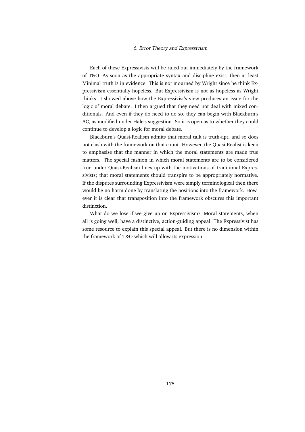Each of these Expressivists will be ruled out immediately by the framework of T&O. As soon as the appropriate syntax and discipline exist, then at least Minimal truth is in evidence. This is not mourned by Wright since he think Expressivism essentially hopeless. But Expressivism is not as hopeless as Wright thinks. I showed above how the Expressivist's view produces an issue for the logic of moral debate. I then argued that they need not deal with mixed conditionals. And even if they do need to do so, they can begin with Blackburn's AC, as modified under Hale's suggestion. So it is open as to whether they could continue to develop a logic for moral debate.

Blackburn's Quasi-Realism admits that moral talk is truth-apt, and so does not clash with the framework on that count. However, the Quasi-Realist is keen to emphasise that the manner in which the moral statements are made true matters. The special fashion in which moral statements are to be considered true under Quasi-Realism lines up with the motivations of traditional Expressivists; that moral statements should transpire to be appropriately normative. If the disputes surrounding Expressivism were simply terminological then there would be no harm done by translating the positions into the framework. However it is clear that transposition into the framework obscures this important distinction.

What do we lose if we give up on Expressivism? Moral statements, when all is going well, have a distinctive, action-guiding appeal. The Expressivist has some resource to explain this special appeal. But there is no dimension within the framework of T&O which will allow its expression.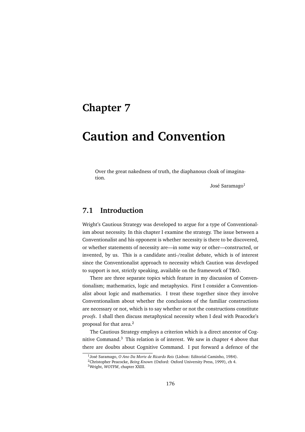# **Chapter 7**

# **Caution and Convention**

Over the great nakedness of truth, the diaphanous cloak of imagination.

José Saramago<sup>1</sup>

# **7.1 Introduction**

Wright's Cautious Strategy was developed to argue for a type of Conventionalism about necessity. In this chapter I examine the strategy. The issue between a Conventionalist and his opponent is whether necessity is there to be discovered, or whether statements of necessity are—in some way or other—constructed, or invented, by us. This is a candidate anti-/realist debate, which is of interest since the Conventionalist approach to necessity which Caution was developed to support is not, strictly speaking, available on the framework of T&O.

There are three separate topics which feature in my discussion of Conventionalism; mathematics, logic and metaphysics. First I consider a Conventionalist about logic and mathematics. I treat these together since they involve Conventionalism about whether the conclusions of the familiar constructions are necessary or not, which is to say whether or not the constructions constitute *proofs*. I shall then discuss metaphysical necessity when I deal with Peacocke's proposal for that area.<sup>2</sup>

The Cautious Strategy employs a criterion which is a direct ancestor of Cognitive Command.<sup>3</sup> This relation is of interest. We saw in chapter 4 above that there are doubts about Cognitive Command. I put forward a defence of the

<sup>&</sup>lt;sup>1</sup>José Saramago, O Ano Da Morte de Ricardo Reis (Lisbon: Editorial Caminho, 1984).

<sup>2</sup>Christopher Peacocke, *Being Known* (Oxford: Oxford University Press, 1999), ch 4.

<sup>3</sup>Wright, *WOTFM*, chapter XXIII.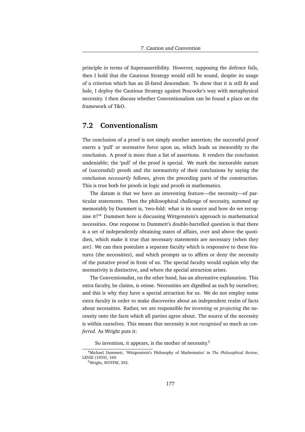principle in terms of Superassertibility. However, supposing the defence fails, then I hold that the Cautious Strategy would still be sound, despite its usage of a criterion which has an ill-fated descendant. To show that it is still fit and hale, I deploy the Cautious Strategy against Peacocke's way with metaphysical necessity. I then discuss whether Conventionalism can be found a place on the framework of T&O.

## **7.2 Conventionalism**

The conclusion of a proof is not simply another assertion; the successful proof exerts a 'pull' or normative force upon us, which leads us inexorably to the conclusion. A proof is more than a list of assertions. It renders the conclusion undeniable; the 'pull' of the proof is special. We mark the inexorable nature of (successful) proofs and the normativity of their conclusions by saying the conclusion *necessarily* follows, given the preceding parts of the construction. This is true both for proofs in logic and proofs in mathematics.

The datum is that we have an interesting feature—the necessity—of particular statements. Then the philosophical challenge of necessity, summed up memorably by Dummett is, 'two-fold: what is its source and how do we recognise it?'<sup>4</sup> Dummett here is discussing Wittgenstein's approach to mathematical necessities. One response to Dummett's double-barrelled question is that there is a set of independently obtaining states of affairs, over and above the quotidien, which make it true that necessary statements are necessary (when they are). We can then postulate a separate faculty which is responsive to these features (the necessities), and which prompts us to affirm or deny the necessity of the putative proof in front of us. The special faculty would explain why the normativity is distinctive, and where the special attraction arises.

The Conventionalist, on the other hand, has an alternative explanation. This extra faculty, he claims, is otiose. Necessities are dignified as such by ourselves; and this is why they have a special attraction for us. We do not employ some extra faculty in order to make discoveries about an independent realm of facts about necessities. Rather, we are responsible for *inventing* or *projecting* the necessity onto the facts which all parties agree about. The source of the necessity is within ourselves. This means that necessity is not *recognised* so much as *conferred*. As Wright puts it:

So invention, it appears, is the mother of necessity.<sup>5</sup>

<sup>4</sup>Michael Dummett, 'Wittgenstein's Philosophy of Mathematics' in *The Philosophical Review*, LXVIII (1959), 169.

<sup>5</sup>Wright, *WOTFM*, 392.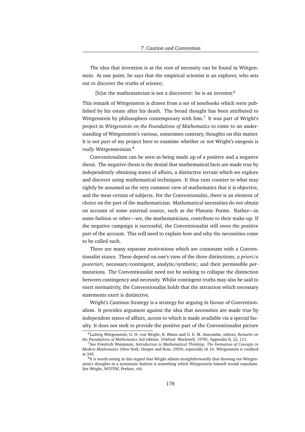The idea that invention is at the root of necessity can be found in Wittgenstein. At one point, he says that the empirical scientist is an explorer, who sets out to discover the truths of science;

[b]ut the mathematician is not a discoverer: he is an inventor.<sup>6</sup>

This remark of Wittgenstein is drawn from a set of notebooks which were published by his estate after his death. The broad thought has been attributed to Wittgenstein by philosophers contemporary with him.<sup>7</sup> It was part of Wright's project in *Wittgenstein on the Foundations of Mathematics* to come to an understanding of Wittgenstein's various, sometimes contrary, thoughts on this matter. It is not part of my project here to examine whether or not Wright's exegesis is *really* Wittgensteinian.<sup>8</sup>

Conventionalism can be seen as being made up of a positive and a negative thesis. The negative thesis is the denial that mathematical facts are made true by independently obtaining states of affairs, a distinctive terrain which we explore and discover using mathematical techniques. It thus runs counter to what may rightly be assumed as the very common view of mathematics that it is objective, and the most certain of subjects. For the Conventionalist, there is an element of choice on the part of the mathematician. Mathematical necessities do not obtain on account of some external source, such as the Platonic Forms. Rather—in some fashion or other—we, the mathematicians, contribute to their make-up. If the negative campaign is successful, the Conventionalist still owes the positive part of the account. This will need to explain how and why the necessities come to be called such.

There are many separate motivations which are consonant with a Conventionalist stance. These depend on one's view of the three distinctions; *a priori*/*a posteriori*, necessary/contingent, analytic/synthetic; and their permissible permutations. The Conventionalist need not be seeking to collapse the distinction between contingency and necessity. Whilst contingent truths may also be said to exert normativity, the Conventionalist holds that the attraction which necessary statements exert is distinctive.

Wright's Cautious Strategy is a strategy for arguing in favour of Conventionalism. It provides argument against the idea that necessities are made true by independent states of affairs, access to which is made available *via* a special faculty. It does not seek to provide the positive part of the Conventionalist picture

<sup>6</sup>Ludwig Wittgenstein; G. H. von Wright, R. Rhees and G. E. M. Anscombe, editors, *Remarks on the Foundations of Mathematics* 3rd edition. (Oxford: Blackwell, 1978), Appendix II, §2, 111.

<sup>7</sup>See Friedrich Waismann, *Introduction to Mathematical Thinking: The Formation of Concepts in Modern Mathematics* (New York: Harper and Row, 1959), especially ch 16. Wittgenstein is credited at 245.

<sup>&</sup>lt;sup>8</sup>It is worth noting in this regard that Wright admits straightforwardly that drawing out Wittgenstein's thoughts in a systematic fashion is something which Wittgenstein himself would repudiate. See Wright, *WOTFM*, Preface, viii.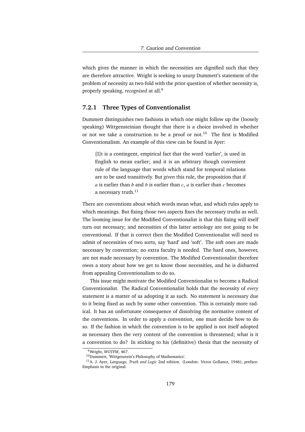which gives the manner in which the necessities are dignified such that they are therefore attractive. Wright is seeking to usurp Dummett's statement of the problem of necessity as two-fold with the prior question of whether necessity is, properly speaking, *recognised* at all.<sup>9</sup>

#### **7.2.1 Three Types of Conventionalist**

Dummett distinguishes two fashions in which one might follow up the (loosely speaking) Wittgensteinian thought that there is a choice involved in whether or not we take a construction to be a proof or not.<sup>10</sup> The first is Modified Conventionalism. An example of this view can be found in Ayer:

[I]t is a contingent, empirical fact that the word 'earlier', is used in English to mean earlier; and it is an arbitrary though convenient rule of the language that words which stand for temporal relations are to be used transitively. But *given* this rule, the proposition that if *a* is earlier than *b* and *b* is earlier than *c*, *a* is earlier than *c* becomes a necessary truth.<sup>11</sup>

There are conventions about which words mean what, and which rules apply to which meanings. But fixing those two aspects fixes the necessary truths as well. The looming issue for the Modified Conventionalist is that this fixing will itself turn out necessary; and necessities of this latter aetiology are not going to be conventional. If that is correct then the Modified Conventionalist will need to admit of necessities of two sorts, say 'hard' and 'soft'. The soft ones are made necessary by convention; no extra faculty is needed. The hard ones, however, are not made necessary by convention. The Modified Conventionalist therefore owes a story about how we get to know those necessities, and he is disbarred from appealing Conventionalism to do so.

This issue might motivate the Modified Conventionalist to become a Radical Conventionalist. The Radical Conventionalist holds that the necessity of *every* statement is a matter of us adopting it as such. No statement is necessary due to it being fixed as such by some other convention. This is certainly more radical. It has an unfortunate consequence of dissolving the normative content of the conventions. In order to apply a convention, one must decide how to do so. If the fashion in which the convention is to be applied is not itself adopted as necessary then the very content of the convention is threatened; what is it a convention to do? In sticking to his (definitive) thesis that the necessity of

<sup>9</sup>Wright, *WOTFM*, 467.

<sup>10</sup>Dummett, 'Wittgenstein's Philosophy of Mathematics'.

<sup>11</sup>A. J. Ayer, *Language, Truth and Logic* 2nd edition. (London: Victor Gollancz, 1946), preface. Emphasis in the original.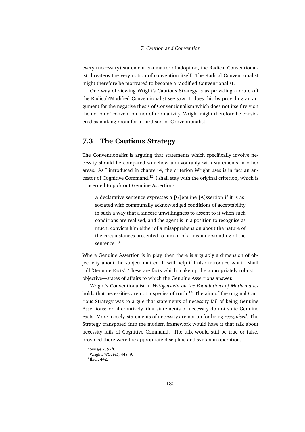every (necessary) statement is a matter of adoption, the Radical Conventionalist threatens the very notion of convention itself. The Radical Conventionalist might therefore be motivated to become a Modified Conventionalist.

One way of viewing Wright's Cautious Strategy is as providing a route off the Radical/Modified Conventionalist see-saw. It does this by providing an argument for the negative thesis of Conventionalism which does not itself rely on the notion of convention, nor of normativity. Wright might therefore be considered as making room for a third sort of Conventionalist.

### **7.3 The Cautious Strategy**

The Conventionalist is arguing that statements which specifically involve necessity should be compared somehow unfavourably with statements in other areas. As I introduced in chapter 4, the criterion Wright uses is in fact an ancestor of Cognitive Command.<sup>12</sup> I shall stay with the original criterion, which is concerned to pick out Genuine Assertions.

A declarative sentence expresses a [G]enuine [A]ssertion if it is associated with communally acknowledged conditions of acceptability in such a way that a sincere unwillingness to assent to it when such conditions are realised, and the agent is in a position to recognise as much, convicts him either of a misapprehension about the nature of the circumstances presented to him or of a misunderstanding of the sentence.<sup>13</sup>

Where Genuine Assertion is in play, then there is arguably a dimension of objectivity about the subject matter. It will help if I also introduce what I shall call 'Genuine Facts'. These are facts which make up the appropriately robust objective—states of affairs to which the Genuine Assertions answer.

Wright's Conventionalist in *Wittgenstein on the Foundations of Mathematics* holds that necessities are not a species of truth.<sup>14</sup> The aim of the original Cautious Strategy was to argue that statements of necessity fail of being Genuine Assertions; or alternatively, that statements of necessity do not state Genuine Facts. More loosely, statements of necessity are not up for being *recognised*. The Strategy transposed into the modern framework would have it that talk about necessity fails of Cognitive Command. The talk would still be true or false, provided there were the appropriate discipline and syntax in operation.

<sup>12</sup>See §4.2, 92ff.

<sup>13</sup>Wright, *WOTFM*, 448–9.

<sup>&</sup>lt;sup>14</sup>Ibid., 442.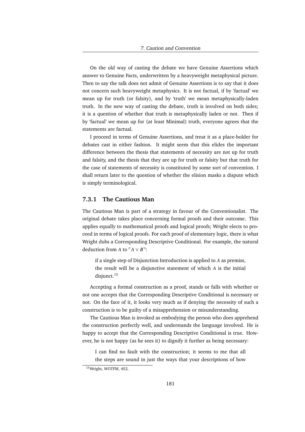On the old way of casting the debate we have Genuine Assertions which answer to Genuine Facts, underwritten by a heavyweight metaphysical picture. Then to say the talk does not admit of Genuine Assertions is to say that it does not concern such heavyweight metaphysics. It is not factual, if by 'factual' we mean up for truth (or falsity), and by 'truth' we mean metaphysically-laden truth. In the new way of casting the debate, truth is involved on both sides; it is a question of whether that truth is metaphysically laden or not. Then if by 'factual' we mean up for (at least Minimal) truth, everyone agrees that the statements are factual.

I proceed in terms of Genuine Assertions, and treat it as a place-holder for debates cast in either fashion. It might seem that this elides the important difference between the thesis that statements of necessity are not up for truth and falsity, and the thesis that they are up for truth or falsity but that truth for the case of statements of necessity is constituted by some sort of convention. I shall return later to the question of whether the elision masks a dispute which is simply terminological.

# **7.3.1 The Cautious Man**

The Cautious Man is part of a strategy in favour of the Conventionalist. The original debate takes place concerning formal proofs and their outcome. This applies equally to mathematical proofs and logical proofs; Wright elects to proceed in terms of logical proofs. For each proof of elementary logic, there is what Wright dubs a Corresponding Descriptive Conditional. For example, the natural deduction from *A* to  $\ulcorner A \lor B \urcorner$ :

if a single step of Disjunction Introduction is applied to *A* as premiss, the result will be a disjunctive statement of which *A* is the initial disjunct.<sup>15</sup>

Accepting a formal construction as a proof, stands or falls with whether or not one accepts that the Corresponding Descriptive Conditional is necessary or not. On the face of it, it looks very much as if denying the necessity of such a construction is to be guilty of a misapprehension or misunderstanding.

The Cautious Man is invoked as embodying the person who does apprehend the construction perfectly well, and understands the language involved. He is happy to accept that the Corresponding Descriptive Conditional is true. However, he is not happy (as he sees it) to dignify it further as being necessary:

I can find no fault with the construction; it seems to me that all the steps are sound in just the ways that your descriptions of how

<sup>15</sup>Wright, *WOTFM*, 452.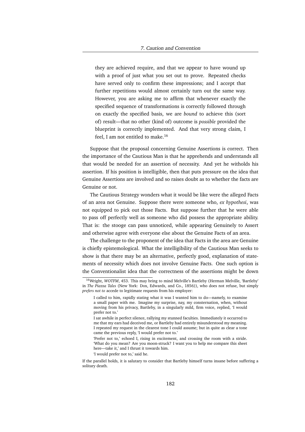they are achieved require, and that we appear to have wound up with a proof of just what you set out to prove. Repeated checks have served only to confirm these impressions; and I accept that further repetitions would almost certainly turn out the same way. However, you are asking me to affirm that whenever exactly the specified sequence of transformations is correctly followed through on exactly the specified basis, we are *bound* to achieve this (sort of) result—that no other (kind of) outcome is *possible* provided the blueprint is correctly implemented. And that very strong claim, I feel, I am not entitled to make.<sup>16</sup>

Suppose that the proposal concerning Genuine Assertions is correct. Then the importance of the Cautious Man is that he apprehends and understands all that would be needed for an assertion of necessity. And yet he witholds his assertion. If his position is intelligible, then that puts pressure on the idea that Genuine Assertions are involved and so raises doubt as to whether the facts are Genuine or not.

The Cautious Strategy wonders what it would be like were the alleged Facts of an area not Genuine. Suppose there were someone who, *ex hypothesi*, was not equipped to pick out those Facts. But suppose further that he were able to pass off perfectly well as someone who did possess the appropriate ability. That is: the stooge can pass unnoticed, while appearing Genuinely to Assert and otherwise agree with everyone else about the Genuine Facts of an area.

The challenge to the proponent of the idea that Facts in the area are Genuine is chiefly epistemological. What the intelligibility of the Cautious Man seeks to show is that there may be an alternative, perfectly good, explanation of statements of necessity which does not involve Genuine Facts. One such option is the Conventionalist idea that the correctness of the assertions might be down

'I would prefer not to,' said he.

<sup>&</sup>lt;sup>16</sup>Wright, *WOTFM*, 453. This may bring to mind Melville's Bartleby (Herman Melville, 'Bartleby' in *The Piazza Tales* (New York: Dox, Edwards, and Co., 1856)), who does not refuse, but simply *prefers not to* accede to legitimate requests from his employer:

I called to him, rapidly stating what it was I wanted him to do—namely, to examine a small paper with me. Imagine my surprise, nay, my consternation, when, without moving from his privacy, Bartleby, in a singularly mild, firm voice, replied, 'I would prefer not to.'

I sat awhile in perfect silence, rallying my stunned faculties. Immediately it occurred to me that my ears had deceived me, or Bartleby had entirely misunderstood my meaning. I repeated my request in the clearest tone I could assume; but in quite as clear a tone came the previous reply, 'I would prefer not to.'

<sup>&#</sup>x27;Prefer not to,' echoed I, rising in excitement, and crossing the room with a stride. 'What do you mean? Are you moon-struck? I want you to help me compare this sheet here—take it,' and I thrust it towards him.

If the parallel holds, it is salutary to consider that Bartleby himself turns insane before suffering a solitary death.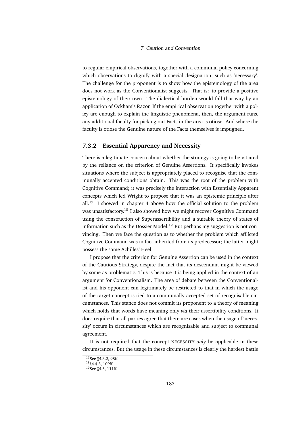to regular empirical observations, together with a communal policy concerning which observations to dignify with a special designation, such as 'necessary'. The challenge for the proponent is to show how the epistemology of the area does not work as the Conventionalist suggests. That is: to provide a positive epistemology of their own. The dialectical burden would fall that way by an application of Ockham's Razor. If the empirical observation together with a policy are enough to explain the linguistic phenomena, then, the argument runs, any additional faculty for picking out Facts in the area is otiose. And where the faculty is otiose the Genuine nature of the Facts themselves is impugned.

# **7.3.2 Essential Apparency and Necessity**

There is a legitimate concern about whether the strategy is going to be vitiated by the reliance on the criterion of Genuine Assertions. It specifically invokes situations where the subject is appropriately placed to recognise that the communally accepted conditions obtain. This was the root of the problem with Cognitive Command; it was precisely the interaction with Essentially Apparent concepts which led Wright to propose that it was an epistemic principle after  $all.^{17}$  I showed in chapter 4 above how the official solution to the problem was unsatisfactory.<sup>18</sup> I also showed how we might recover Cognitive Command using the construction of Superassertibility and a suitable theory of states of information such as the Dossier Model.<sup>19</sup> But perhaps my suggestion is not convincing. Then we face the question as to whether the problem which afflicted Cognitive Command was in fact inherited from its predecessor; the latter might possess the same Achilles' Heel.

I propose that the criterion for Genuine Assertion can be used in the context of the Cautious Strategy, despite the fact that its descendant might be viewed by some as problematic. This is because it is being applied in the context of an argument for Conventionalism. The area of debate between the Conventionalist and his opponent can legitimately be restricted to that in which the usage of the target concept is tied to a communally accepted set of recognisable circumstances. This stance does not commit its proponent to a theory of meaning which holds that words have meaning only *via* their assertibility conditions. It does require that all parties agree that there are cases when the usage of 'necessity' occurs in circumstances which are recognisable and subject to communal agreement.

It is not required that the concept NECESSITY *only* be applicable in these circumstances. But the usage in these circumstances is clearly the hardest battle

<sup>&</sup>lt;sup>17</sup>See §4.3.2, 98ff.

<sup>18</sup>§4.4.3, 109ff.

<sup>&</sup>lt;sup>19</sup>See §4.5, 111ff.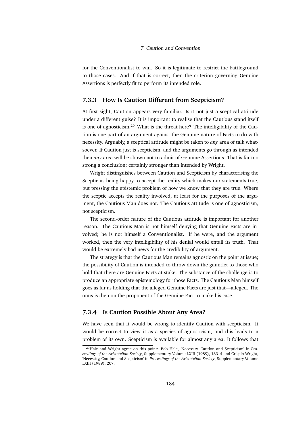for the Conventionalist to win. So it is legitimate to restrict the battleground to those cases. And if that is correct, then the criterion governing Genuine Assertions is perfectly fit to perform its intended role.

# **7.3.3 How Is Caution Different from Scepticism?**

At first sight, Caution appears very familiar. Is it not just a sceptical attitude under a different guise? It is important to realise that the Cautious stand itself is one of agnosticism.<sup>20</sup> What is the threat here? The intelligibility of the Caution is one part of an argument against the Genuine nature of Facts to do with necessity. Arguably, a sceptical attitude might be taken to *any* area of talk whatsoever. If Caution just is scepticism, and the arguments go through as intended then *any* area will be shown not to admit of Genuine Assertions. That is far too strong a conclusion; certainly stronger than intended by Wright.

Wright distinguishes between Caution and Scepticism by characterising the Sceptic as being happy to accept the reality which makes our statements true, but pressing the epistemic problem of how we know that they are true. Where the sceptic accepts the reality involved, at least for the purposes of the argument, the Cautious Man does not. The Cautious attitude is one of agnosticism, not scepticism.

The second-order nature of the Cautious attitude is important for another reason. The Cautious Man is not himself denying that Genuine Facts are involved; he is not himself a Conventionalist. If he were, and the argument worked, then the very intelligibility of his denial would entail its truth. That would be extremely bad news for the credibility of argument.

The strategy is that the Cautious Man remains agnostic on the point at issue; the possibility of Caution is intended to throw down the gauntlet to those who hold that there are Genuine Facts at stake. The substance of the challenge is to produce an appropriate epistemology for those Facts. The Cautious Man himself goes as far as holding that the alleged Genuine Facts are just that—alleged. The onus is then on the proponent of the Genuine Fact to make his case.

# **7.3.4 Is Caution Possible About Any Area?**

We have seen that it would be wrong to identify Caution with scepticism. It would be correct to view it as a species of agnosticism, and this leads to a problem of its own. Scepticism is available for almost any area. It follows that

<sup>20</sup>Hale and Wright agree on this point: Bob Hale, 'Necessity, Caution and Scepticism' in *Proceedings of the Aristotelian Society*, Supplementary Volume LXIII (1989), 183–4 and Crispin Wright, 'Necessity, Caution and Scepticism' in *Proceedings of the Aristotelian Society*, Supplementary Volume LXIII (1989), 207.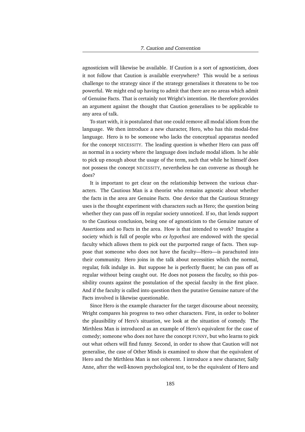agnosticism will likewise be available. If Caution is a sort of agnosticism, does it not follow that Caution is available everywhere? This would be a serious challenge to the strategy since if the strategy generalises it threatens to be too powerful. We might end up having to admit that there are no areas which admit of Genuine Facts. That is certainly not Wright's intention. He therefore provides an argument against the thought that Caution generalises to be applicable to any area of talk.

To start with, it is postulated that one could remove all modal idiom from the language. We then introduce a new character, Hero, who has this modal-free language. Hero is to be someone who lacks the conceptual apparatus needed for the concept NECESSITY. The leading question is whether Hero can pass off as normal in a society where the language does include modal idiom. Is he able to pick up enough about the usage of the term, such that while he himself does not possess the concept NECESSITY, nevertheless he can converse as though he does?

It is important to get clear on the relationship between the various characters. The Cautious Man is a theorist who remains agnostic about whether the facts in the area are Genuine Facts. One device that the Cautious Strategy uses is the thought experiment with characters such as Hero; the question being whether they can pass off in regular society unnoticed. If so, that lends support to the Cautious conclusion, being one of agnosticism to the Genuine nature of Assertions and so Facts in the area. How is that intended to work? Imagine a society which is full of people who *ex hypothesi* are endowed with the special faculty which allows them to pick out the purported range of facts. Then suppose that someone who does not have the faculty—Hero—is parachuted into their community. Hero joins in the talk about necessities which the normal, regular, folk indulge in. But suppose he is perfectly fluent; he can pass off as regular without being caught out. He does not possess the faculty, so this possibility counts against the postulation of the special faculty in the first place. And if the faculty is called into question then the putative Genuine nature of the Facts involved is likewise questionable.

Since Hero is the example character for the target discourse about necessity, Wright compares his progress to two other characters. First, in order to bolster the plausibility of Hero's situation, we look at the situation of comedy. The Mirthless Man is introduced as an example of Hero's equivalent for the case of comedy; someone who does not have the concept FUNNY, but who learns to pick out what others will find funny. Second, in order to show that Caution will not generalise, the case of Other Minds is examined to show that the equivalent of Hero and the Mirthless Man is not coherent. I introduce a new character, Sally Anne, after the well-known psychological test, to be the equivalent of Hero and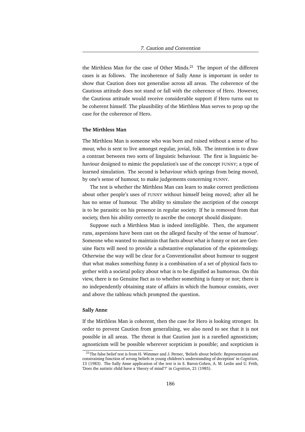the Mirthless Man for the case of Other Minds. $^{21}$  The import of the different cases is as follows. The incoherence of Sally Anne is important in order to show that Caution does not generalise across all areas. The coherence of the Cautious attitude does not stand or fall with the coherence of Hero. However, the Cautious attitude would receive considerable support if Hero turns out to be coherent himself. The plausibility of the Mirthless Man serves to prop up the case for the coherence of Hero.

#### **The Mirthless Man**

The Mirthless Man is someone who was born and raised without a sense of humour, who is sent to live amongst regular, jovial, folk. The intention is to draw a contrast between two sorts of linguistic behaviour. The first is linguistic behaviour designed to mimic the population's use of the concept FUNNY; a type of learned simulation. The second is behaviour which springs from being moved, by one's sense of humour, to make judgements concerning FUNNY.

The test is whether the Mirthless Man can learn to make correct predictions about other people's uses of FUNNY without himself being moved; after all he has no sense of humour. The ability to simulate the ascription of the concept is to be parasitic on his presence in regular society. If he is removed from that society, then his ability correctly to ascribe the concept should dissipate.

Suppose such a Mirthless Man is indeed intelligible. Then, the argument runs, aspersions have been cast on the alleged faculty of 'the sense of humour'. Someone who wanted to maintain that facts about what is funny or not are Genuine Facts will need to provide a substantive explanation of the epistemology. Otherwise the way will be clear for a Conventionalist about humour to suggest that what makes something funny is a combination of a set of physical facts together with a societal policy about what is to be dignified as humorous. On this view, there is no Genuine Fact as to whether something is funny or not; there is no independently obtaining state of affairs in which the humour consists, over and above the tableau which prompted the question.

#### **Sally Anne**

If the Mirthless Man is coherent, then the case for Hero is looking stronger. In order to prevent Caution from generalising, we also need to see that it is not possible in all areas. The threat is that Caution just is a rarefied agnosticism; agnosticism will be possible wherever scepticism is possible; and scepticism is

<sup>&</sup>lt;sup>21</sup>The false belief test is from H. Wimmer and J. Perner, 'Beliefs about beliefs: Representation and constraining function of wrong beliefs in young children's understanding of deception' in *Cognition*, 13 (1983). The Sally Anne application of the test is in S. Baron-Cohen, A. M. Leslie and U. Frith, 'Does the autistic child have a 'theory of mind'?' in *Cognition*, 21 (1985).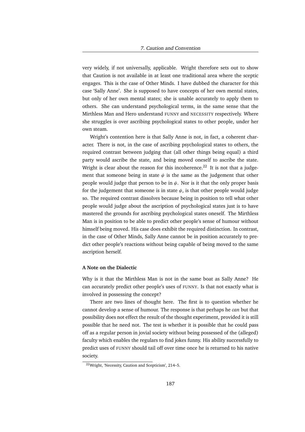very widely, if not universally, applicable. Wright therefore sets out to show that Caution is not available in at least one traditional area where the sceptic engages. This is the case of Other Minds. I have dubbed the character for this case 'Sally Anne'. She is supposed to have concepts of her own mental states, but only of her own mental states; she is unable accurately to apply them to others. She can understand psychological terms, in the same sense that the Mirthless Man and Hero understand FUNNY and NECESSITY respectively. Where she struggles is over ascribing psychological states to other people, under her own steam.

Wright's contention here is that Sally Anne is not, in fact, a coherent character. There is not, in the case of ascribing psychological states to others, the required contrast between judging that (all other things being equal) a third party would ascribe the state, and being moved oneself to ascribe the state. Wright is clear about the reason for this incoherence.<sup>22</sup> It is not that a judgement that someone being in state  $\psi$  is the same as the judgement that other people would judge that person to be in  $\psi$ . Nor is it that the only proper basis for the judgement that someone is in state  $\psi$ , is that other people would judge so. The required contrast dissolves because being in position to tell what other people would judge about the ascription of psychological states just is to have mastered the grounds for ascribing psychological states oneself. The Mirthless Man is in position to be able to predict other people's sense of humour without himself being moved. His case does exhibit the required distinction. In contrast, in the case of Other Minds, Sally Anne cannot be in position accurately to predict other people's reactions without being capable of being moved to the same ascription herself.

### **A Note on the Dialectic**

Why is it that the Mirthless Man is not in the same boat as Sally Anne? He can accurately predict other people's uses of FUNNY. Is that not exactly what is involved in possessing the concept?

There are two lines of thought here. The first is to question whether he cannot develop a sense of humour. The response is that perhaps he *can* but that possibility does not effect the result of the thought experiment, provided it is still possible that he need not. The test is whether it is possible that he could pass off as a regular person in jovial society without being possessed of the (alleged) faculty which enables the regulars to find jokes funny. His ability successfully to predict uses of FUNNY should tail off over time once he is returned to his native society.

<sup>22</sup>Wright, 'Necessity, Caution and Scepticism', 214–5.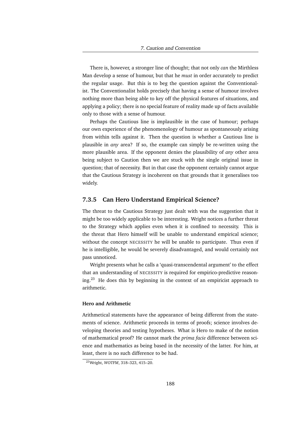There is, however, a stronger line of thought; that not only *can* the Mirthless Man develop a sense of humour, but that he *must* in order accurately to predict the regular usage. But this is to beg the question against the Conventionalist. The Conventionalist holds precisely that having a sense of humour involves nothing more than being able to key off the physical features of situations, and applying a policy; there is no special feature of reality made up of facts available only to those with a sense of humour.

Perhaps the Cautious line is implausible in the case of humour; perhaps our own experience of the phenomenology of humour as spontaneously arising from within tells against it. Then the question is whether a Cautious line is plausible in *any* area? If so, the example can simply be re-written using the more plausible area. If the opponent denies the plausibility of *any* other area being subject to Caution then we are stuck with the single original issue in question; that of necessity. But in that case the opponent certainly cannot argue that the Cautious Strategy is incoherent on that grounds that it generalises too widely.

## **7.3.5 Can Hero Understand Empirical Science?**

The threat to the Cautious Strategy just dealt with was the suggestion that it might be too widely applicable to be interesting. Wright notices a further threat to the Strategy which applies even when it is confined to necessity. This is the threat that Hero himself will be unable to understand empirical science; without the concept NECESSITY he will be unable to participate. Thus even if he is intelligible, he would be severely disadvantaged, and would certainly not pass unnoticed.

Wright presents what he calls a 'quasi-transcendental argument' to the effect that an understanding of NECESSITY is required for empirico-predictive reasoning.<sup>23</sup> He does this by beginning in the context of an empiricist approach to arithmetic.

#### **Hero and Arithmetic**

Arithmetical statements have the appearance of being different from the statements of science. Arithmetic proceeds in terms of proofs; science involves developing theories and testing hypotheses. What is Hero to make of the notion of mathematical proof? He cannot mark the *prima facie* difference between science and mathematics as being based in the necessity of the latter. For him, at least, there is no such difference to be had.

<sup>23</sup>Wright, *WOTFM*, 318–323, 415–20.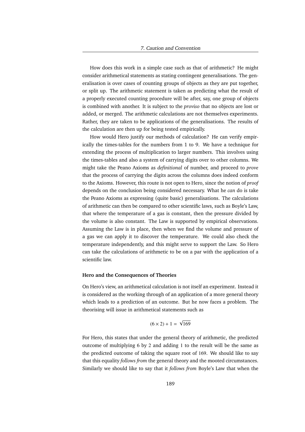How does this work in a simple case such as that of arithmetic? He might consider arithmetical statements as stating contingent generalisations. The generalisation is over cases of counting groups of objects as they are put together, or split up. The arithmetic statement is taken as predicting what the result of a properly executed counting procedure will be after, say, one group of objects is combined with another. It is subject to the *proviso* that no objects are lost or added, or merged. The arithmetic calculations are not themselves experiments. Rather, they are taken to be applications of the generalisations. The results of the calculation are then up for being tested empirically.

How would Hero justify our methods of calculation? He can verify empirically the times-tables for the numbers from 1 to 9. We have a technique for extending the process of multiplication to larger numbers. This involves using the times-tables and also a system of carrying digits over to other columns. We might take the Peano Axioms as *definitional* of number, and proceed to *prove* that the process of carrying the digits across the columns does indeed conform to the Axioms. However, this route is not open to Hero, since the notion of *proof* depends on the conclusion being considered necessary. What he *can* do is take the Peano Axioms as expressing (quite basic) generalisations. The calculations of arithmetic can then be compared to other scientific laws, such as Boyle's Law, that where the temperature of a gas is constant, then the pressure divided by the volume is also constant. The Law is supported by empirical observations. Assuming the Law is in place, then when we find the volume and pressure of a gas we can apply it to discover the temperature. We could also check the temperature independently, and this might serve to support the Law. So Hero can take the calculations of arithmetic to be on a par with the application of a scientific law.

#### **Hero and the Consequences of Theories**

On Hero's view, an arithmetical calculation is not itself an experiment. Instead it is considered as the working through of an application of a more general theory which leads to a prediction of an outcome. But he now faces a problem. The theorising will issue in arithmetical statements such as

$$
(6 \times 2) + 1 = \sqrt{169}
$$

For Hero, this states that under the general theory of arithmetic, the predicted outcome of multiplying 6 by 2 and adding 1 to the result will be the same as the predicted outcome of taking the square root of 169. We should like to say that this equality *follows from* the general theory and the mooted circumstances. Similarly we should like to say that it *follows from* Boyle's Law that when the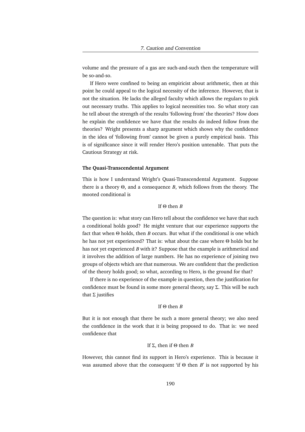volume and the pressure of a gas are such-and-such then the temperature will be so-and-so.

If Hero were confined to being an empiricist about arithmetic, then at this point he could appeal to the logical necessity of the inference. However, that is not the situation. He lacks the alleged faculty which allows the regulars to pick out necessary truths. This applies to logical necessities too. So what story can he tell about the strength of the results 'following from' the theories? How does he explain the confidence we have that the results do indeed follow from the theories? Wright presents a sharp argument which shows why the confidence in the idea of 'following from' cannot be given a purely empirical basis. This is of significance since it will render Hero's position untenable. That puts the Cautious Strategy at risk.

#### **The Quasi-Transcendental Argument**

This is how I understand Wright's Quasi-Transcendental Argument. Suppose there is a theory Θ, and a consequence *B*, which follows from the theory. The mooted conditional is

# If Θ then *B*

The question is: what story can Hero tell about the confidence we have that such a conditional holds good? He might venture that our experience supports the fact that when Θ holds, then *B* occurs. But what if the conditional is one which he has not yet experienced? That is: what about the case where Θ holds but he has not yet experienced *B* with it? Suppose that the example is arithmetical and it involves the addition of large numbers. He has no experience of joining two groups of objects which are that numerous. We are confident that the prediction of the theory holds good; so what, according to Hero, is the ground for that?

If there is no experience of the example in question, then the justification for confidence must be found in some more general theory, say  $\Sigma$ . This will be such that  $Σ$  justifies

#### If Θ then *B*

But it is not enough that there be such a more general theory; we also need the confidence in the work that it is being proposed to do. That is: we need confidence that

# If Σ, then if Θ then *B*

However, this cannot find its support in Hero's experience. This is because it was assumed above that the consequent 'if Θ then *B*' is not supported by his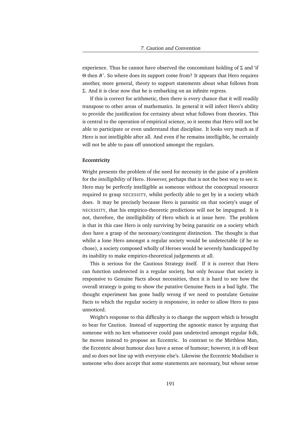experience. Thus he cannot have observed the concomitant holding of  $\Sigma$  and 'if Θ then *B* '. So where does its support come from? It appears that Hero requires another, more general, theory to support statements about what follows from Σ. And it is clear now that he is embarking on an infinite regress.

If this is correct for arithmetic, then there is every chance that it will readily transpose to other areas of mathematics. In general it will infect Hero's ability to provide the justification for certainty about what follows from theories. This is central to the operation of empirical science, so it seems that Hero will not be able to participate or even understand that discipline. It looks very much as if Hero is not intelligible after all. And even if he remains intelligible, he certainly will not be able to pass off unnoticed amongst the regulars.

#### **Eccentricity**

Wright presents the problem of the need for necessity in the guise of a problem for the *intelligibility* of Hero. However, perhaps that is not the best way to see it. Hero may be perfectly intelligible as someone without the conceptual resource required to grasp NECESSITY, whilst perfectly able to get by in a society which does. It may be precisely because Hero is parasitic on that society's usage of NECESSITY, that his empirico-theoretic predictions will not be impugned. It is not, therefore, the intelligibility of Hero which is at issue here. The problem is that in this case Hero is only surviving by being parasitic on a society which *does* have a grasp of the necessary/contingent distinction. The thought is that whilst a lone Hero amongst a regular society would be undetectable (if he so chose), a society composed wholly of Heroes would be severely handicapped by its inability to make empirico-theoretical judgements at all.

This is serious for the Cautious Strategy itself. If it is correct that Hero can function undetected in a regular society, but only *because* that society is responsive to Genuine Facts about necessities, then it is hard to see how the overall strategy is going to show the putative Genuine Facts in a bad light. The thought experiment has gone badly wrong if we need to postulate Genuine Facts to which the regular society is responsive, in order to allow Hero to pass unnoticed.

Wright's response to this difficulty is to change the support which is brought to bear for Caution. Instead of supporting the agnostic stance by arguing that someone with no ken whatsoever could pass undetected amongst regular folk, he moves instead to propose an Eccentric. In contrast to the Mirthless Man, the Eccentric about humour *does* have a sense of humour; however, it is off-beat and so does not line up with everyone else's. Likewise the Eccentric Modaliser is someone who does accept that some statements are necessary, but whose sense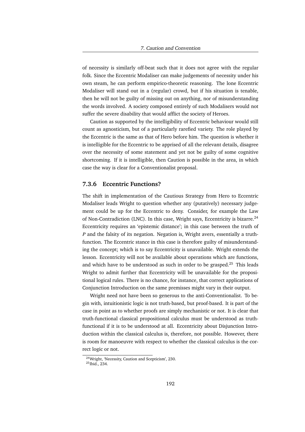of necessity is similarly off-beat such that it does not agree with the regular folk. Since the Eccentric Modaliser can make judgements of necessity under his own steam, he can perform empirico-theoretic reasoning. The lone Eccentric Modaliser will stand out in a (regular) crowd, but if his situation is tenable, then he will not be guilty of missing out on anything, nor of misunderstanding the words involved. A society composed entirely of such Modalisers would not suffer the severe disability that would afflict the society of Heroes.

Caution as supported by the intelligibility of Eccentric behaviour would still count as agnosticism, but of a particularly rarefied variety. The role played by the Eccentric is the same as that of Hero before him. The question is whether it is intelligible for the Eccentric to be apprised of all the relevant details, disagree over the necessity of some statement and yet not be guilty of some cognitive shortcoming. If it is intelligible, then Caution is possible in the area, in which case the way is clear for a Conventionalist proposal.

# **7.3.6 Eccentric Functions?**

The shift in implementation of the Cautious Strategy from Hero to Eccentric Modaliser leads Wright to question whether any (putatively) necessary judgement could be up for the Eccentric to deny. Consider, for example the Law of Non-Contradiction (LNC). In this case, Wright says, Eccentricity is bizarre.<sup>24</sup> Eccentricity requires an 'epistemic distance'; in this case between the truth of *P* and the falsity of its negation. Negation is, Wright avers, essentially a truthfunction. The Eccentric stance in this case is therefore guilty of misunderstanding the concept; which is to say Eccentricity is unavailable. Wright extends the lesson. Eccentricity will not be available about operations which are functions, and which have to be understood as such in order to be grasped.<sup>25</sup> This leads Wright to admit further that Eccentricity will be unavailable for the propositional logical rules. There is no chance, for instance, that correct applications of Conjunction Introduction on the same premisses might vary in their output.

Wright need not have been so generous to the anti-Conventionalist. To begin with, intuitionistic logic is not truth-based, but proof-based. It is part of the case in point as to whether proofs are simply mechanistic or not. It is clear that truth-functional classical propositional calculus must be understood as truthfunctional if it is to be understood at all. Eccentricity about Disjunction Introduction within the classical calculus is, therefore, not possible. However, there is room for manoeuvre with respect to whether the classical calculus is the correct logic or not.

<sup>24</sup>Wright, 'Necessity, Caution and Scepticism', 230.

<sup>25</sup>Ibid., 234.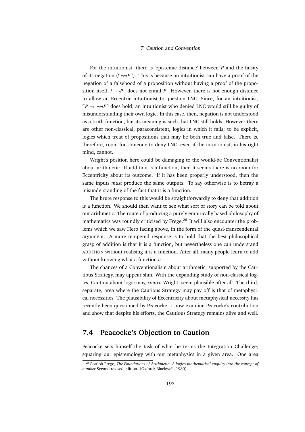For the intuitionist, there is 'epistemic distance' between *P* and the falsity of its negation  $(\neg \neg P)$ . This is because an intuitionist can have a proof of the negation of a falsehood of a proposition without having a proof of the proposition itself;  $\lceil -\neg P \rceil$  does not entail *P*. However, there is not enough distance to allow an Eccentric intuitionist to question LNC. Since, for an intuitionist,  $\Gamma P \rightarrow \neg \neg P$ <sup> $\exists$ </sup> does hold, an intuitionist who denied LNC would still be guilty of misunderstanding their own logic. In this case, then, negation is not understood as a truth-function, but its meaning is such that LNC still holds. However there are other non-classical, paraconsistent, logics in which it fails; to be explicit, logics which treat of propositions that may be both true and false. There is, therefore, room for someone to deny LNC, even if the intuitionist, in his right mind, cannot.

Wright's position here could be damaging to the would-be Conventionalist about arithmetic. If addition is a function, then it seems there is no room for Eccentricity about its outcome. If it has been properly understood, then the same inputs *must* produce the same outputs. To say otherwise is to betray a misunderstanding of the fact that it is a function.

The brute response to this would be straightforwardly to deny that addition is a function. We should then want to see what sort of story can be told about our arithmetic. The route of producing a purely empirically based philosophy of mathematics was roundly criticised by Frege. $^{26}$  It will also encounter the problems which we saw Hero facing above, in the form of the quasi-transcendental argument. A more tempered response is to hold that the best philosophical grasp of addition is that it is a function, but nevertheless one can understand ADDITION without realising it is a function. After all, many people learn to add without knowing what a function *is*.

The chances of a Conventionalism about arithmetic, supported by the Cautious Strategy, may appear slim. With the expanding study of non-classical logics, Caution about logic may, *contra* Wright, seem plausible after all. The third, separate, area where the Cautious Strategy may pay off is that of metaphysical necessities. The plausibility of Eccentricity about metaphysical necessity has recently been questioned by Peacocke. I now examine Peacocke's contribution and show that despite his efforts, the Cautious Strategy remains alive and well.

# **7.4 Peacocke's Objection to Caution**

Peacocke sets himself the task of what he terms the Integration Challenge; squaring our epistemology with our metaphysics in a given area. One area

<sup>26</sup>Gottlob Frege, *The Foundations of Arithmetic: A logico-mathematical enquiry into the concept of number* Second revised edition. (Oxford: Blackwell, 1980).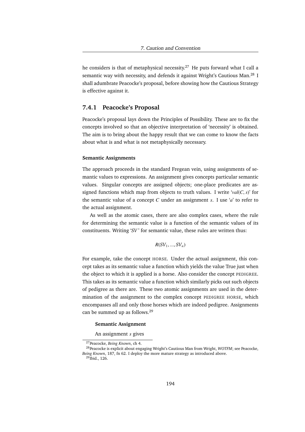he considers is that of metaphysical necessity.<sup>27</sup> He puts forward what I call a semantic way with necessity, and defends it against Wright's Cautious Man.<sup>28</sup> I shall adumbrate Peacocke's proposal, before showing how the Cautious Strategy is effective against it.

# **7.4.1 Peacocke's Proposal**

Peacocke's proposal lays down the Principles of Possibility. These are to fix the concepts involved so that an objective interpretation of 'necessity' is obtained. The aim is to bring about the happy result that we can come to know the facts about what is and what is not metaphysically necessary.

#### **Semantic Assignments**

The approach proceeds in the standard Fregean vein, using assignments of semantic values to expressions. An assignment gives concepts particular semantic values. Singular concepts are assigned objects; one-place predicates are assigned functions which map from objects to truth values. I write '*val*(*C*, *<sup>s</sup>*)' for the semantic value of a concept *C* under an assignment *s*. I use '*a*' to refer to the actual assignment.

As well as the atomic cases, there are also complex cases, where the rule for determining the semantic value is a function of the semantic values of its constituents. Writing '*SV* ' for semantic value, these rules are written thus:

$$
R(SV_1, ..., SV_n)
$$

For example, take the concept HORSE. Under the actual assignment, this concept takes as its semantic value a function which yields the value True just when the object to which it is applied is a horse. Also consider the concept PEDIGREE. This takes as its semantic value a function which similarly picks out such objects of pedigree as there are. These two atomic assignments are used in the determination of the assignment to the complex concept PEDIGREE HORSE, which encompasses all and only those horses which are indeed pedigree. Assignments can be summed up as follows.<sup>29</sup>

#### **Semantic Assignment**

An assignment *s* gives

<sup>27</sup>Peacocke, *Being Known*, ch 4.

<sup>28</sup>Peacocke is explicit about engaging Wright's Cautious Man from Wright, *WOTFM*; see Peacocke, *Being Known*, 187, fn 62. I deploy the more mature strategy as introduced above.

 $29$ Ibid., 126.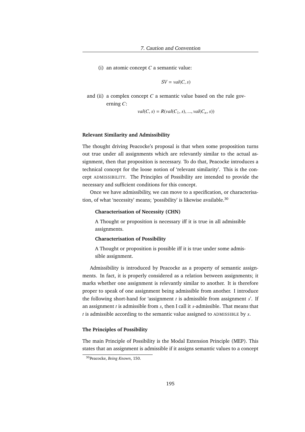(i) an atomic concept *C* a semantic value:

$$
SV = val(C, s)
$$

and (ii) a complex concept *C* a semantic value based on the rule governing *C*:

$$
val(C, s) = R(val(C_1, s), ..., val(C_n, s))
$$

#### **Relevant Similarity and Admissibility**

The thought driving Peacocke's proposal is that when some proposition turns out true under all assignments which are relevantly similar to the actual assignment, then that proposition is necessary. To do that, Peacocke introduces a technical concept for the loose notion of 'relevant similarity'. This is the concept ADMISSIBILITY. The Principles of Possibility are intended to provide the necessary and sufficient conditions for this concept.

Once we have admissibility, we can move to a specification, or characterisation, of what 'necessity' means; 'possibility' is likewise available.<sup>30</sup>

#### **Characterisation of Necessity (CHN)**

A Thought or proposition is necessary iff it is true in all admissible assignments.

#### **Characterisation of Possibility**

A Thought or proposition is possible iff it is true under some admissible assignment.

Admissibility is introduced by Peacocke as a property of semantic assignments. In fact, it is properly considered as a relation between assignments; it marks whether one assignment is relevantly similar to another. It is therefore proper to speak of one assignment being admissible from another. I introduce the following short-hand for 'assignment *t* is admissible from assignment *s*'. If an assignment *t* is admissible from *s*, then I call it *s*-admissible. That means that *t* is admissible according to the semantic value assigned to ADMISSIBLE by *s*.

#### **The Principles of Possibility**

The main Principle of Possibility is the Modal Extension Principle (MEP). This states that an assignment is admissible if it assigns semantic values to a concept

<sup>30</sup>Peacocke, *Being Known*, 150.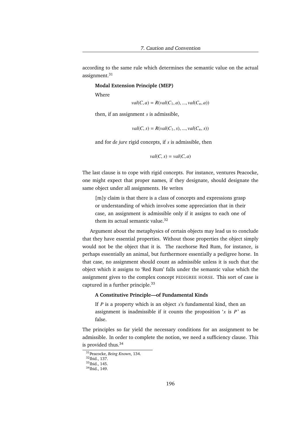according to the same rule which determines the semantic value on the actual assignment.<sup>31</sup>

**Modal Extension Principle (MEP)**

Where

 $val(C, a) = R(val(C_1, a), ..., val(C_n, a))$ 

then, if an assignment *s* is admissible,

$$
val(C, s) = R(val(C_1, s), ..., val(C_n, s))
$$

and for *de jure* rigid concepts, if *s* is admissible, then

$$
val(C, s) = val(C, a)
$$

The last clause is to cope with rigid concepts. For instance, ventures Peacocke, one might expect that proper names, if they designate, should designate the same object under all assignments. He writes

[m]y claim is that there is a class of concepts and expressions grasp or understanding of which involves some appreciation that in their case, an assignment is admissible only if it assigns to each one of them its actual semantic value.<sup>32</sup>

Argument about the metaphysics of certain objects may lead us to conclude that they have essential properties. Without those properties the object simply would not be the object that it is. The racehorse Red Rum, for instance, is perhaps essentially an animal, but furthermore essentially a pedigree horse. In that case, no assignment should count as admissible unless it is such that the object which it assigns to 'Red Rum' falls under the semantic value which the assignment gives to the complex concept PEDIGREE HORSE. This sort of case is captured in a further principle.<sup>33</sup>

#### **A Constitutive Principle—of Fundamental Kinds**

If  $P$  is a property which is an object  $x$ 's fundamental kind, then an assignment is inadmissible if it counts the proposition  $x$  is  $P'$  as false.

The principles so far yield the necessary conditions for an assignment to be admissible. In order to complete the notion, we need a sufficiency clause. This is provided thus.<sup>34</sup>

<sup>31</sup>Peacocke, *Being Known*, 134.

<sup>32</sup>Ibid., 137.

<sup>33&</sup>lt;sub>Ibid.</sub>, 145.

<sup>34</sup>Ibid., 149.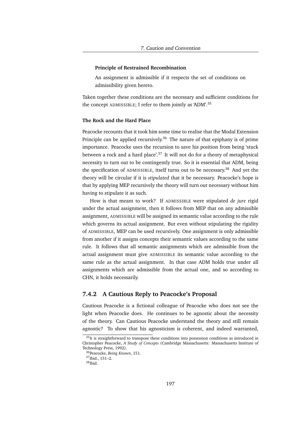#### **Principle of Restrained Recombination**

An assignment is admissible if it respects the set of conditions on admissibility given hereto.

Taken together these conditions are the necessary and sufficient conditions for the concept ADMISSIBLE; I refer to them jointly as 'ADM'.<sup>35</sup>

### **The Rock and the Hard Place**

Peacocke recounts that it took him some time to realise that the Modal Extension Principle can be applied recursively.<sup>36</sup> The nature of that epiphany is of prime importance. Peacocke uses the recursion to save his position from being 'stuck between a rock and a hard place'.<sup>37</sup> It will not do for a theory of metaphysical necessity to turn out to be contingently true. So it is essential that ADM, being the specification of ADMISSIBLE, itself turns out to be necessary.<sup>38</sup> And yet the theory will be circular if it is *stipulated* that it be necessary. Peacocke's hope is that by applying MEP recursively the theory will turn out necessary without him having to stipulate it as such.

How is that meant to work? If ADMISSIBLE were stipulated *de jure* rigid under the actual assignment, then it follows from MEP that on any admissible assignment, ADMISSIBLE will be assigned its semantic value according to the rule which governs its actual assignment. But even without stipulating the rigidity of ADMISSIBLE, MEP can be used recursively. One assignment is only admissible from another if it assigns concepts their semantic values according to the same rule. It follows that all semantic assignments which are admissible from the actual assignment must give ADMISSIBLE its semantic value according to the same rule as the actual assignment. In that case ADM holds true under all assignments which are admissible from the actual one, and so according to CHN, it holds necessarily.

# **7.4.2 A Cautious Reply to Peacocke's Proposal**

Cautious Peacocke is a fictional colleague of Peacocke who does not see the light when Peacocke does. He continues to be agnostic about the necessity of the theory. Can Cautious Peacocke understand the theory and still remain agnostic? To show that his agnosticism is coherent, and indeed warranted,

<sup>&</sup>lt;sup>35</sup>It is straightforward to transpose these conditions into possession conditions as introduced in Christopher Peacocke, *A Study of Concepts* (Cambridge Massachusetts: Massachusetts Institute of Technology Press, 1992).

<sup>36</sup>Peacocke, *Being Known*, 151.

<sup>37</sup>Ibid., 151–2.

<sup>38</sup>Ibid.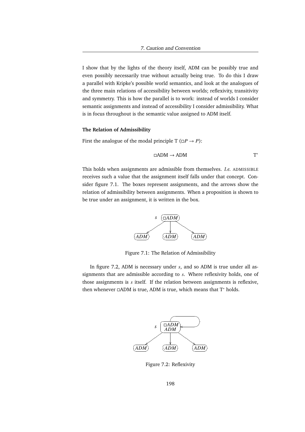I show that by the lights of the theory itself, ADM can be possibly true and even possibly necessarily true without actually being true. To do this I draw a parallel with Kripke's possible world semantics, and look at the analogues of the three main relations of accessibility between worlds; reflexivity, transitivity and symmetry. This is how the parallel is to work: instead of worlds I consider semantic assignments and instead of accessibility I consider admissibility. What is in focus throughout is the semantic value assigned to ADM itself.

#### **The Relation of Admissibility**

First the analogue of the modal principle  $T(\Box P \rightarrow P)$ :

$$
\Box \text{ADM} \to \text{ADM} \hspace{2cm} \text{T}^*
$$

This holds when assignments are admissible from themselves. *I.e.* ADMISSIBLE receives such a value that the assignment itself falls under that concept. Consider figure 7.1. The boxes represent assignments, and the arrows show the relation of admissibility between assignments. When a proposition is shown to be true under an assignment, it is written in the box.



Figure 7.1: The Relation of Admissibility

In figure 7.2, ADM is necessary under *s*, and so ADM is true under all assignments that are admissible according to *s*. Where reflexivity holds, one of those assignments is *s* itself. If the relation between assignments is reflexive, then whenever  $□ADM$  is true, ADM is true, which means that  $T^*$  holds.



Figure 7.2: Reflexivity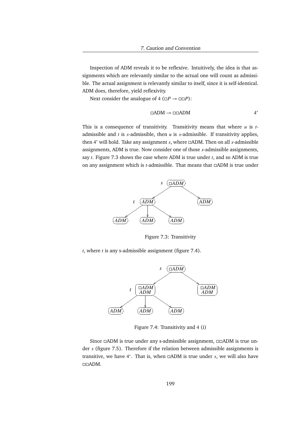Inspection of ADM reveals it to be reflexive. Intuitively, the idea is that assignments which are relevantly similar to the actual one will count as admissible. The actual assignment is relevantly similar to itself, since it is self-identical. ADM does, therefore, yield reflexivity.

Next consider the analogue of  $4 \left( \Box P \rightarrow \Box \Box P \right)$ :

$$
\Box \text{ADM} \to \Box \Box \text{ADM} \tag{4*}
$$

This is a consequence of transitivity. Transitivity means that where *u* is *t*admissible and *t* is *s*-admissible, then *u* is *s*-admissible. If transitivity applies, then 4 <sup>∗</sup> will hold. Take any assignment *s*, where ADM. Then on all *s*-admissible assignments, ADM is true. Now consider one of those *s*-admissible assignments, say *t*. Figure 7.3 shows the case where ADM is true under *t*, and so ADM is true on any assignment which is *t*-admissible. That means that  $\Box$ ADM is true under



Figure 7.3: Transitivity

*t*, where *t* is any s-admissible assignment (figure 7.4).



Figure 7.4: Transitivity and 4 (i)

Since  $\Box$ ADM is true under any s-admissible assignment,  $\Box$  $\Box$ ADM is true under *s* (figure 7.5). Therefore if the relation between admissible assignments is transitive, we have 4<sup>\*</sup>. That is, when □ADM is true under *s*, we will also have ADM.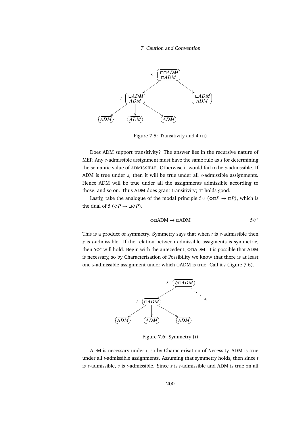

Figure 7.5: Transitivity and 4 (ii)

Does ADM support transitivity? The answer lies in the recursive nature of MEP. Any *s*-admissible assignment must have the same rule as *s* for determining the semantic value of ADMISSIBLE. Otherwise it would fail to be *s*-admissible. If ADM is true under *s*, then it will be true under all *s*-admissible assignments. Hence ADM will be true under all the assignments admissible according to those, and so on. Thus ADM does grant transitivity; 4 <sup>∗</sup> holds good.

Lastly, take the analogue of the modal principle  $5\Diamond$  ( $\Diamond$  $\Box$ *P*), which is the dual of 5 ( $\Diamond P \rightarrow \Box \Diamond P$ ).

$$
\diamondsuit\Box\text{ADM}\to\Box\text{ADM}\qquad \qquad \text{5}\diamondsuit^*
$$

This is a product of symmetry. Symmetry says that when *t* is *s*-admissible then *s* is *t*-admissible. If the relation between admissible assigments is symmetric, then 5^ <sup>∗</sup> will hold. Begin with the antecedent, ^ADM. It is possible that ADM is necessary, so by Characterisation of Possibility we know that there is at least one *s*-admissible assignment under which ADM is true. Call it *t* (figure 7.6).



Figure 7.6: Symmetry (i)

ADM is necessary under *t*, so by Characterisation of Necessity, ADM is true under all *t*-admissible assignments. Assuming that symmetry holds, then since *t* is *s*-admissible, *s* is *t*-admissible. Since *s* is *t*-admissible and ADM is true on all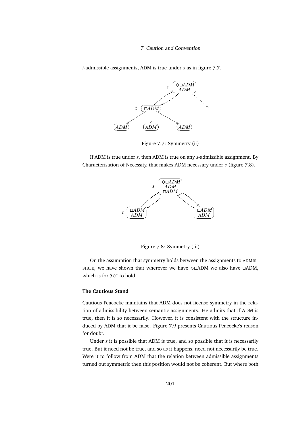*t*-admissible assignments, ADM is true under *s* as in figure 7.7.



Figure 7.7: Symmetry (ii)

If ADM is true under *s*, then ADM is true on any *s*-admissible assignment. By Characterisation of Necessity, that makes ADM necessary under *s* (figure 7.8).



Figure 7.8: Symmetry (iii)

On the assumption that symmetry holds between the assignments to ADMIS-SIBLE, we have shown that wherever we have  $\diamond$   $\Box$ ADM we also have  $\Box$ ADM. which is for  $5\diamond^*$  to hold.

#### **The Cautious Stand**

Cautious Peacocke maintains that ADM does not license symmetry in the relation of admissibility between semantic assignments. He admits that if ADM is true, then it is so necessarily. However, it is consistent with the structure induced by ADM that it be false. Figure 7.9 presents Cautious Peacocke's reason for doubt.

Under *s* it is possible that ADM is true, and so possible that it is necessarily true. But it need not be true, and so as it happens, need not necessarily be true. Were it to follow from ADM that the relation between admissible assignments turned out symmetric then this position would not be coherent. But where both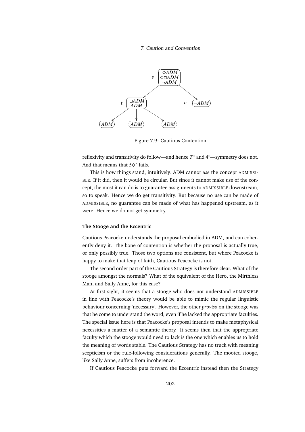7. Caution and Convention



Figure 7.9: Cautious Contention

reflexivity and transitivity do follow—and hence T<sup>\*</sup> and 4<sup>\*</sup>—symmetry does not. And that means that  $5\diamond^*$  fails.

This is how things stand, intuitively. ADM cannot *use* the concept ADMISSI-BLE. If it did, then it would be circular. But since it cannot make use of the concept, the most it can do is to guarantee assignments to ADMISSIBLE downstream, so to speak. Hence we do get transitivity. But because no use can be made of ADMISSIBLE, no guarantee can be made of what has happened upstream, as it were. Hence we do not get symmetry.

#### **The Stooge and the Eccentric**

Cautious Peacocke understands the proposal embodied in ADM, and can coherently deny it. The bone of contention is whether the proposal is actually true, or only possibly true. Those two options are consistent, but where Peacocke is happy to make that leap of faith, Cautious Peacocke is not.

The second order part of the Cautious Strategy is therefore clear. What of the stooge amongst the normals? What of the equivalent of the Hero, the Mirthless Man, and Sally Anne, for this case?

At first sight, it seems that a stooge who does not understand ADMISSIBLE in line with Peacocke's theory would be able to mimic the regular linguistic behaviour concerning 'necessary'. However, the other *proviso* on the stooge was that he come to understand the word, even if he lacked the appropriate faculties. The special issue here is that Peacocke's proposal intends to make metaphysical necessities a matter of a semantic theory. It seems then that the appropriate faculty which the stooge would need to lack is the one which enables us to hold the meaning of words stable. The Cautious Strategy has no truck with meaning scepticism or the rule-following considerations generally. The mooted stooge, like Sally Anne, suffers from incoherence.

If Cautious Peacocke puts forward the Eccentric instead then the Strategy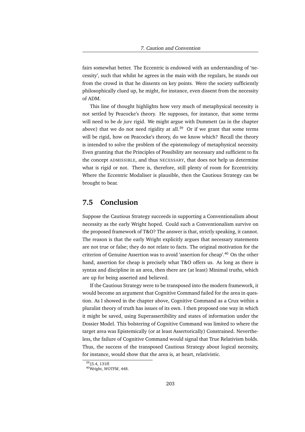fairs somewhat better. The Eccentric is endowed with an understanding of 'necessity', such that whilst he agrees in the main with the regulars, he stands out from the crowd in that he dissents on key points. Were the society sufficiently philosophically clued up, he might, for instance, even dissent from the necessity of ADM.

This line of thought highlights how very much of metaphysical necessity is not settled by Peacocke's theory. He supposes, for instance, that some terms will need to be *de jure* rigid. We might argue with Dummett (as in the chapter above) that we do not need rigidity at all.<sup>39</sup> Or if we grant that some terms will be rigid, how on Peacocke's theory, do we know which? Recall the theory is intended to solve the problem of the epistemology of metaphysical necessity. Even granting that the Principles of Possibility are necessary and sufficient to fix the concept ADMISSIBLE, and thus NECESSARY, that does not help us determine what is rigid or not. There is, therefore, still plenty of room for Eccentricity. Where the Eccentric Modaliser is plausible, then the Cautious Strategy can be brought to bear.

# **7.5 Conclusion**

Suppose the Cautious Strategy succeeds in supporting a Conventionalism about necessity as the early Wright hoped. Could such a Conventionalism survive on the proposed framework of T&O? The answer is that, strictly speaking, it cannot. The reason is that the early Wright explicitly argues that necessary statements are not true or false; they do not relate to facts. The original motivation for the criterion of Genuine Assertion was to avoid 'assertion for cheap'.<sup>40</sup> On the other hand, assertion for cheap is precisely what T&O offers us. As long as there is syntax and discipline in an area, then there are (at least) Minimal truths, which are up for being asserted and believed.

If the Cautious Strategy were to be transposed into the modern framework, it would become an argument that Cognitive Command failed for the area in question. As I showed in the chapter above, Cognitive Command as a Crux within a pluralist theory of truth has issues of its own. I then proposed one way in which it might be saved, using Superassertibility and states of information under the Dossier Model. This bolstering of Cognitive Command was limited to where the target area was Epistemically (or at least Assertorically) Constrained. Nevertheless, the failure of Cognitive Command would signal that True Relativism holds. Thus, the success of the transposed Cautious Strategy about logical necessity, for instance, would show that the area is, at heart, relativistic.

<sup>39</sup>§5.4, 131ff.

<sup>40</sup>Wright, *WOTFM*, 448.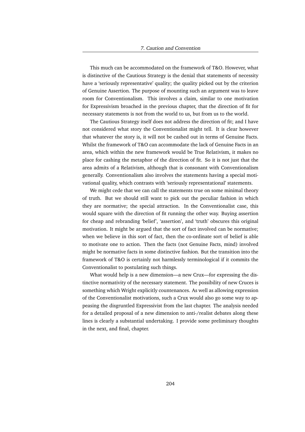This much can be accommodated on the framework of T&O. However, what is distinctive of the Cautious Strategy is the denial that statements of necessity have a 'seriously representative' quality; the quality picked out by the criterion of Genuine Assertion. The purpose of mounting such an argument was to leave room for Conventionalism. This involves a claim, similar to one motivation for Expressivism broached in the previous chapter, that the direction of fit for necessary statements is not from the world to us, but from us to the world.

The Cautious Strategy itself does not address the direction of fit; and I have not considered what story the Conventionalist might tell. It is clear however that whatever the story is, it will not be cashed out in terms of Genuine Facts. Whilst the framework of T&O can accommodate the lack of Genuine Facts in an area, which within the new framework would be True Relativism, it makes no place for cashing the metaphor of the direction of fit. So it is not just that the area admits of a Relativism, although that is consonant with Conventionalism generally. Conventionalism also involves the statements having a special motivational quality, which contrasts with 'seriously representational' statements.

We might cede that we can call the statements true on some minimal theory of truth. But we should still want to pick out the peculiar fashion in which they are normative; the special attraction. In the Conventionalist case, this would square with the direction of fit running the other way. Buying assertion for cheap and rebranding 'belief', 'assertion', and 'truth' obscures this original motivation. It might be argued that the sort of fact involved can be normative; when we believe in this sort of fact, then the co-ordinate sort of belief is able to motivate one to action. Then the facts (not Genuine Facts, mind) involved might be normative facts in some distinctive fashion. But the transition into the framework of T&O is certainly not harmlessly terminological if it commits the Conventionalist to postulating such things.

What would help is a new dimension—a new Crux—for expressing the distinctive normativity of the necessary statement. The possibility of new Cruces is something which Wright explicitly countenances. As well as allowing expression of the Conventionalist motivations, such a Crux would also go some way to appeasing the disgruntled Expressivist from the last chapter. The analysis needed for a detailed proposal of a new dimension to anti-/realist debates along these lines is clearly a substantial undertaking. I provide some preliminary thoughts in the next, and final, chapter.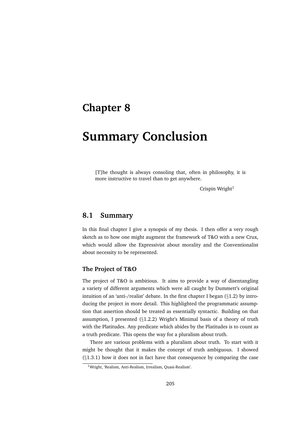# **Chapter 8**

# **Summary Conclusion**

[T]he thought is always consoling that, often in philosophy, it is more instructive to travel than to get anywhere.

Crispin Wright $1$ 

# **8.1 Summary**

In this final chapter I give a synopsis of my thesis. I then offer a very rough sketch as to how one might augment the framework of T&O with a new Crux, which would allow the Expressivist about morality and the Conventionalist about necessity to be represented.

# **The Project of T&O**

The project of T&O is ambitious. It aims to provide a way of disentangling a variety of different arguments which were all caught by Dummett's original intuition of an 'anti-/realist' debate. In the first chapter I began (§1.2) by introducing the project in more detail. This highlighted the programmatic assumption that assertion should be treated as essentially syntactic. Building on that assumption, I presented (§1.2.2) Wright's Minimal basis of a theory of truth with the Platitudes. Any predicate which abides by the Platitudes is to count as a truth predicate. This opens the way for a pluralism about truth.

There are various problems with a pluralism about truth. To start with it might be thought that it makes the concept of truth ambiguous. I showed  $(\S1.3.1)$  how it does not in fact have that consequence by comparing the case

<sup>1</sup>Wright, 'Realism, Anti-Realism, Irrealism, Quasi-Realism'.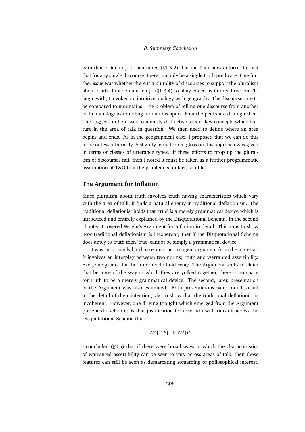with that of identity. I then noted (§1.3.2) that the Platitudes enforce the fact that for any single discourse, there can only be a single truth predicate. One further issue was whether there is a plurality of discourses to support the pluralism about truth. I made an attempt (§1.3.4) to allay concerns in this direction. To begin with, I invoked an intuitive analogy with geography. The discourses are to be compared to mountains. The problem of telling one discourse from another is then analogous to telling mountains apart. First the peaks are distinguished. The suggestion here was to identify distinctive sets of key concepts which feature in the area of talk in question. We then need to define where an area begins and ends. As in the geographical case, I proposed that we can do this more or less arbitrarily. A slightly more formal gloss on this approach was given in terms of classes of utterance types. If these efforts to prop up the pluralism of discourses fail, then I noted it must be taken as a further programmatic assumption of T&O that the problem is, in fact, soluble.

#### **The Argument for Inflation**

Since pluralism about truth involves truth having characteristics which vary with the area of talk, it finds a natural enemy in traditional deflationism. The traditional deflationist holds that 'true' is a merely grammatical device which is introduced and entirely explained by the Disquotational Schema. In the second chapter, I covered Wright's Argument for Inflation in detail. This aims to show how traditional deflationism is incoherent; that if the Disquotational Schema does apply to truth then 'true' cannot be simply a grammatical device.

It was surprisingly hard to reconstruct a cogent argument from the material. It involves an interplay between two norms; truth and warranted assertibility. Everyone grants that both norms do hold sway. The Argument seeks to claim that because of the way in which they are yolked together, there is no space for truth to be a merely grammatical device. The second, later, presentation of the Argument was also examined. Both presentations were found to fail in the detail of their intention, *viz.* to show that the traditional deflationist is incoherent. However, one driving thought which emerged from the Argument presented itself; this is that justification for assertion will transmit across the Disquotational Schema thus:

#### *WA*[*T*[*P*]] iff *WA*[*P*]

I concluded (§2.5) that if there were broad ways in which the characteristics of warranted assertibility can be seen to vary across areas of talk, then those features can still be seen as demarcating something of philosophical interest.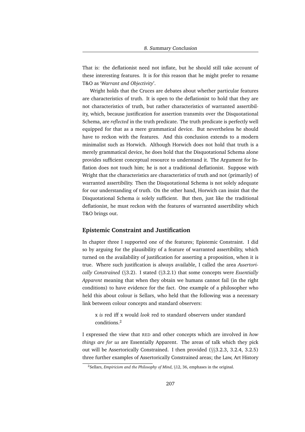That is: the deflationist need not inflate, but he should still take account of these interesting features. It is for this reason that he might prefer to rename T&O as '*Warrant and Objectivity*'.

Wright holds that the Cruces are debates about whether particular features are characteristics of truth. It is open to the deflationist to hold that they are not characteristics of truth, but rather characteristics of warranted assertibility, which, because justification for assertion transmits over the Disquotational Schema, are *reflected* in the truth predicate. The truth predicate is perfectly well equipped for that as a mere grammatical device. But nevertheless he should have to reckon with the features. And this conclusion extends to a modern minimalist such as Horwich. Although Horwich does not hold that truth is a merely grammatical device, he does hold that the Disquotational Schema alone provides sufficient conceptual resource to understand it. The Argument for Inflation does not touch him; he is not a traditional deflationist. Suppose with Wright that the characteristics are characteristics of truth and not (primarily) of warranted assertibility. Then the Disquotational Schema is not solely adequate for our understanding of truth. On the other hand, Horwich can insist that the Disquotational Schema *is* solely sufficient. But then, just like the traditional deflationist, he must reckon with the features of warranted assertibility which T&O brings out.

# **Epistemic Constraint and Justification**

In chapter three I supported one of the features; Epistemic Constraint. I did so by arguing for the plausibility of a feature of warranted assertibility, which turned on the availability of justification for asserting a proposition, when it is true. Where such justification is always available, I called the area *Assertorically Constrained* (§3.2). I stated (§3.2.1) that some concepts were *Essentially Apparent* meaning that when they obtain we humans cannot fail (in the right conditions) to have evidence for the fact. One example of a philosopher who held this about colour is Sellars, who held that the following was a necessary link between colour concepts and standard observers:

x *is* red iff x would *look* red to standard observers under standard conditions.<sup>2</sup>

I expressed the view that RED and other concepts which are involved in *how things are for us* are Essentially Apparent. The areas of talk which they pick out will be Assertorically Constrained. I then provided (§§3.2.3, 3.2.4, 3.2.5) three further examples of Assertorically Constrained areas; the Law, Art History

<sup>2</sup>Sellars, *Empiricism and the Philosophy of Mind*, §12, 36, emphases in the original.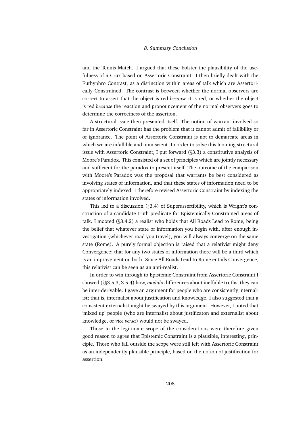and the Tennis Match. I argued that these bolster the plausibility of the usefulness of a Crux based on Assertoric Constraint. I then briefly dealt with the Euthyphro Contrast, as a distinction within areas of talk which are Assertorically Constrained. The contrast is between whether the normal observers are correct to assert that the object is red *because* it is red, or whether the object is red *because* the reaction and pronouncement of the normal observers goes to determine the correctness of the assertion.

A structural issue then presented itself. The notion of warrant involved so far in Assertoric Constraint has the problem that it cannot admit of fallibility or of ignorance. The point of Assertoric Constraint is not to demarcate areas in which we are infallible and omniscient. In order to solve this looming structural issue with Assertoric Constraint, I put forward (§3.3) a constitutive analysis of Moore's Paradox. This consisted of a set of principles which are jointly necessary and sufficient for the paradox to present itself. The outcome of the comparison with Moore's Paradox was the proposal that warrants be best considered as involving states of information, and that these states of information need to be appropriately indexed. I therefore revised Assertoric Constraint by indexing the states of information involved.

This led to a discussion (§3.4) of Superassertibility, which is Wright's construction of a candidate truth predicate for Epistemically Constrained areas of talk. I mooted (§3.4.2) a realist who holds that All Roads Lead to Rome, being the belief that whatever state of information you begin with, after enough investigation (whichever road you travel), you will always converge on the same state (Rome). A purely formal objection is raised that a relativist might deny Convergence; that for any two states of information there will be a third which is an improvement on both. Since All Roads Lead to Rome entails Convergence, this relativist can be seen as an anti-realist.

In order to win through to Epistemic Constraint from Assertoric Constraint I showed (§§3.5.3, 3.5.4) how, *modulo* differences about ineffable truths, they can be inter-derivable. I gave an argument for people who are consistently internalist; that is, internalist about justification and knowledge. I also suggested that a consistent externalist might be swayed by this argument. However, I noted that 'mixed up' people (who are internalist about justificaton and externalist about knowledge, or *vice versa*) would not be swayed.

Those in the legitimate scope of the considerations were therefore given good reason to agree that Epistemic Constraint is a plausible, interesting, principle. Those who fall outside the scope were still left with Assertoric Constraint as an independently plausible principle, based on the notion of justification for assertion.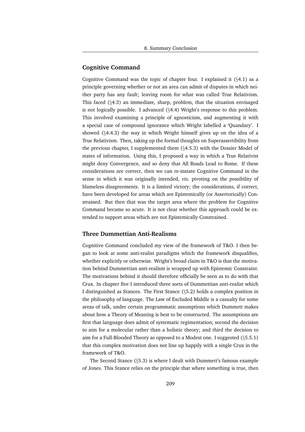# **Cognitive Command**

Cognitive Command was the topic of chapter four. I explained it  $(\S 4.1)$  as a principle governing whether or not an area can admit of disputes in which neither party has any fault; leaving room for what was called True Relativism. This faced (§4.3) an immediate, sharp, problem, that the situation envisaged is not logically possible. I advanced (§4.4) Wright's response to this problem. This involved examining a principle of agnosticism, and augmenting it with a special case of compound ignorance which Wright labelled a 'Quandary'. I showed (§4.4.3) the way in which Wright himself gives up on the idea of a True Relativism. Then, taking up the formal thoughts on Superassertibility from the previous chapter, I supplemented them (§4.5.3) with the Dossier Model of states of information. Using this, I proposed a way in which a True Relativist might deny Convergence, and so deny that All Roads Lead to Rome. If these considerations are correct, then we can re-instate Cognitive Command in the sense in which it was originally intended, *viz.* pivoting on the possibility of blameless disagreements. It is a limited victory; the considerations, if correct, have been developed for areas which are Epistemically (or Assertorically) Constrained. But then that was the target area where the problem for Cognitive Command became so acute. It is not clear whether this approach could be extended to support areas which are not Epistemically Constrained.

# **Three Dummettian Anti-Realisms**

Cognitive Command concluded my view of the framework of T&O. I then began to look at some anti-realist paradigms which the framework disqualifies, whether explicitly or otherwise. Wright's broad claim in T&O is that the motivation behind Dummettian anti-realism is wrapped up with Epistemic Constraint. The motivations behind it should therefore officially be seen as to do with that Crux. In chapter five I introduced three sorts of Dummettian anti-realist which I distinguished as Stances. The First Stance (§5.2) holds a complex position in the philosophy of language. The Law of Excluded Middle is a casualty for some areas of talk, under certain programmatic assumptions which Dummett makes about how a Theory of Meaning is best to be constructed. The assumptions are first that language does admit of systematic regimentation; second the decision to aim for a molecular rather than a holistic theory; and third the decision to aim for a Full-Blooded Theory as opposed to a Modest one. I suggested (§5.5.1) that this complex motivation does not line up happily with a single Crux in the framework of T&O.

The Second Stance (§5.3) is where I dealt with Dummett's famous example of Jones. This Stance relies on the principle that where something is true, then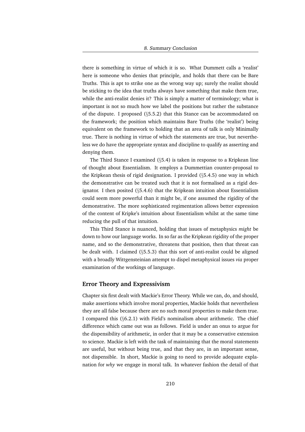there is something in virtue of which it is so. What Dummett calls a 'realist' here is someone who denies that principle, and holds that there can be Bare Truths. This is apt to strike one as the wrong way up; surely the realist should be sticking to the idea that truths always have something that make them true, while the anti-realist denies it? This is simply a matter of terminology; what is important is not so much how we label the positions but rather the substance of the dispute. I proposed (§5.5.2) that this Stance can be accommodated on the framework; the position which maintains Bare Truths (the 'realist') being equivalent on the framework to holding that an area of talk is only Minimally true. There is nothing in virtue of which the statements are true, but nevertheless we do have the appropriate syntax and discipline to qualify as asserting and denying them.

The Third Stance I examined (§5.4) is taken in response to a Kripkean line of thought about Essentialism. It employs a Dummettian counter-proposal to the Kripkean thesis of rigid designation. I provided (§5.4.5) one way in which the demonstrative can be treated such that it is not formalised as a rigid designator. I then posited (§5.4.6) that the Kripkean intuition about Essentialism could seem more powerful than it might be, if one assumed the rigidity of the demonstrative. The more sophisticated regimentation allows better expression of the content of Kripke's intuition about Essentialism whilst at the same time reducing the pull of that intuition.

This Third Stance is nuanced, holding that issues of metaphysics *might* be down to how our language works. In so far as the Kripkean rigidity of the proper name, and so the demonstrative, threatens that position, then that threat can be dealt with. I claimed (§5.5.3) that this sort of anti-realist could be aligned with a broadly Wittgensteinian attempt to dispel metaphysical issues *via* proper examination of the workings of language.

## **Error Theory and Expressivism**

Chapter six first dealt with Mackie's Error Theory. While we can, do, and should, make assertions which involve moral properties, Mackie holds that nevertheless they are all false because there are no such moral properties to make them true. I compared this (§6.2.1) with Field's nominalism about arithmetic. The chief difference which came out was as follows. Field is under an onus to argue for the dispensibility of arithmetic, in order that it may be a conservative extension to science. Mackie is left with the task of maintaining that the moral statements are useful, but without being true, and that they are, in an important sense, not dispensible. In short, Mackie is going to need to provide adequate explanation for *why* we engage in moral talk. In whatever fashion the detail of that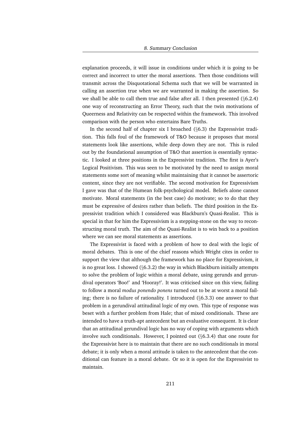explanation proceeds, it will issue in conditions under which it is going to be correct and incorrect to utter the moral assertions. Then those conditions will transmit across the Disquotational Schema such that we will be warranted in calling an assertion true when we are warranted in making the assertion. So we shall be able to call them true and false after all. I then presented (§6.2.4) one way of reconstructing an Error Theory, such that the twin motivations of Queerness and Relativity can be respected within the framework. This involved comparison with the person who entertains Bare Truths.

In the second half of chapter six I broached  $(\S6.3)$  the Expressivist tradition. This falls foul of the framework of T&O because it proposes that moral statements look like assertions, while deep down they are not. This is ruled out by the foundational assumption of T&O that assertion is essentially syntactic. I looked at three positions in the Expressivist tradition. The first is Ayer's Logical Positivism. This was seen to be motivated by the need to assign moral statements some sort of meaning whilst maintaining that it cannot be assertoric content, since they are not verifiable. The second motivation for Expressivism I gave was that of the Humean folk-psychological model. Beliefs alone cannot motivate. Moral statements (in the best case) do motivate; so to do that they must be expressive of desires rather than beliefs. The third position in the Expressivist tradition which I considered was Blackburn's Quasi-Realist. This is special in that for him the Expressivism is a stepping-stone on the way to reconstructing moral truth. The aim of the Quasi-Realist is to win back to a position where we can see moral statements as assertions.

The Expressivist is faced with a problem of how to deal with the logic of moral debates. This is one of the chief reasons which Wright cites in order to support the view that although the framework has no place for Expressivism, it is no great loss. I showed (§6.3.2) the way in which Blackburn initially attempts to solve the problem of logic within a moral debate, using gerunds and gerundival operators 'Boo!' and 'Hooray!'. It was criticised since on this view, failing to follow a moral *modus ponendo ponens* turned out to be at worst a moral failing; there is no failure of rationality. I introduced (§6.3.3) one answer to that problem in a gerundival attitudinal logic of my own. This type of response was beset with a further problem from Hale; that of mixed conditionals. These are intended to have a truth-apt antecedent but an evaluative consequent. It is clear that an attitudinal gerundival logic has no way of coping with arguments which involve such conditionals. However, I pointed out (§6.3.4) that one route for the Expressivist here is to maintain that there are no such conditionals in moral debate; it is only when a moral attitude is taken to the antecedent that the conditional can feature in a moral debate. Or so it is open for the Expressivist to maintain.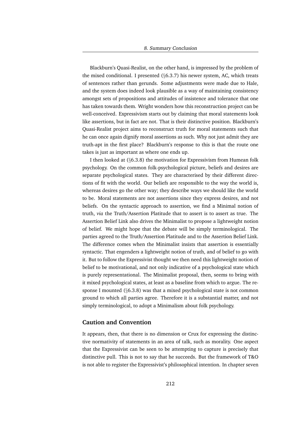Blackburn's Quasi-Realist, on the other hand, is impressed by the problem of the mixed conditional. I presented (§6.3.7) his newer system, AC, which treats of sentences rather than gerunds. Some adjustments were made due to Hale, and the system does indeed look plausible as a way of maintaining consistency amongst sets of propositions and attitudes of insistence and tolerance that one has taken towards them. Wright wonders how this reconstruction project can be well-conceived. Expressivism starts out by claiming that moral statements look like assertions, but in fact are not. That is their distinctive position. Blackburn's Quasi-Realist project aims to reconstruct truth for moral statements such that he can once again dignify moral assertions as such. Why not just admit they are truth-apt in the first place? Blackburn's response to this is that the route one takes is just as important as where one ends up.

I then looked at (§6.3.8) the motivation for Expressivism from Humean folk psychology. On the common folk-psychological picture, beliefs and desires are separate psychological states. They are characterised by their different directions of fit with the world. Our beliefs are responsible to the way the world is, whereas desires go the other way; they describe ways we should like the world to be. Moral statements are not assertions since they express desires, and not beliefs. On the syntactic approach to assertion, we find a Minimal notion of truth, *via* the Truth/Assertion Platitude that to assert is to assert as true. The Assertion Belief Link also drives the Minimalist to propose a lightweight notion of belief. We might hope that the debate will be simply terminological. The parties agreed to the Truth/Assertion Platitude and to the Assertion Belief Link. The difference comes when the Minimalist insists that assertion is essentially syntactic. That engenders a lightweight notion of truth, and of belief to go with it. But to follow the Expressivist thought we then need this lightweight notion of belief to be motivational, and not only indicative of a psychological state which is purely representational. The Minimalist proposal, then, seems to bring with it mixed psychological states, at least as a baseline from which to argue. The response I mounted  $(\S6.3.8)$  was that a mixed psychological state is not common ground to which all parties agree. Therefore it is a substantial matter, and not simply terminological, to adopt a Minimalism about folk psychology.

# **Caution and Convention**

It appears, then, that there is no dimension or Crux for expressing the distinctive normativity of statements in an area of talk, such as morality. One aspect that the Expressivist can be seen to be attempting to capture is precisely that distinctive pull. This is not to say that he succeeds. But the framework of T&O is not able to register the Expressivist's philosophical intention. In chapter seven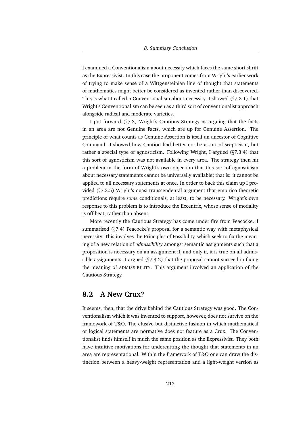I examined a Conventionalism about necessity which faces the same short shrift as the Expressivist. In this case the proponent comes from Wright's earlier work of trying to make sense of a Wittgensteinian line of thought that statements of mathematics might better be considered as invented rather than discovered. This is what I called a Conventionalism about necessity. I showed (§7.2.1) that Wright's Conventionalism can be seen as a third sort of conventionalist approach alongside radical and moderate varieties.

I put forward (§7.3) Wright's Cautious Strategy as arguing that the facts in an area are not Genuine Facts, which are up for Genuine Assertion. The principle of what counts as Genuine Assertion is itself an ancestor of Cognitive Command. I showed how Caution had better not be a sort of scepticism, but rather a special type of agnosticism. Following Wright, I argued (§7.3.4) that this sort of agnosticism was not available in every area. The strategy then hit a problem in the form of Wright's own objection that this sort of agnosticism about necessary statements cannot be universally available; that is: it cannot be applied to all necessary statements at once. In order to back this claim up I provided (§7.3.5) Wright's quasi-transcendental argument that empirico-theoretic predictions require *some* conditionals, at least, to be necessary. Wright's own response to this problem is to introduce the Eccentric, whose sense of modality is off-beat, rather than absent.

More recently the Cautious Strategy has come under fire from Peacocke. I summarised (§7.4) Peacocke's proposal for a semantic way with metaphysical necessity. This involves the Principles of Possibility, which seek to fix the meaning of a new relation of *admissibility* amongst semantic assignments such that a proposition is necessary on an assignment if, and only if, it is true on all admissible assignments. I argued  $(\S7.4.2)$  that the proposal cannot succeed in fixing the meaning of ADMISSIBILITY. This argument involved an application of the Cautious Strategy.

# **8.2 A New Crux?**

It seems, then, that the drive behind the Cautious Strategy was good. The Conventionalism which it was invented to support, however, does not survive on the framework of T&O. The elusive but distinctive fashion in which mathematical or logical statements are normative does not feature as a Crux. The Conventionalist finds himself in much the same position as the Expressivist. They both have intuitive motivations for undercutting the thought that statements in an area are representational. Within the framework of T&O one can draw the distinction between a heavy-weight representation and a light-weight version as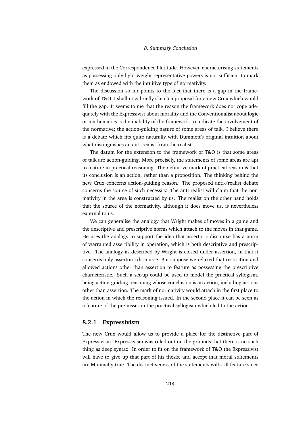expressed in the Correspondence Platitude. However, characterising statements as possessing only light-weight representative powers is not sufficient to mark them as endowed with the intuitive type of normativity.

The discussion so far points to the fact that there is a gap in the framework of T&O. I shall now briefly sketch a proposal for a new Crux which would fill the gap. It seems to me that the reason the framework does not cope adequately with the Expressivist about morality and the Conventionalist about logic or mathematics is the inability of the framework to indicate the involvement of the normative; the action-guiding nature of some areas of talk. I believe there is a debate which fits quite naturally with Dummett's original intuition about what distinguishes an anti-realist from the realist.

The datum for the extension to the framework of T&O is that some areas of talk are action-guiding. More precisely, the statements of some areas are apt to feature in practical reasoning. The definitive mark of practical reason is that its conclusion is an action, rather than a proposition. The thinking behind the new Crux concerns action-guiding reason. The proposed anti-/realist debate concerns the source of such necessity. The anti-realist will claim that the normativity in the area is constructed by us. The realist on the other hand holds that the source of the normativity, although it does move us, is nevertheless external to us.

We can generalise the analogy that Wright makes of moves in a game and the descriptive and prescriptive norms which attach to the moves in that game. He uses the analogy to support the idea that assertoric discourse has a norm of warranted assertibility in operation, which is both descriptive and prescriptive. The analogy as described by Wright is closed under assertion, in that it concerns only assertoric discourse. But suppose we relaxed that restriction and allowed actions other than assertion to feature as possessing the prescriptive characteristic. Such a set-up could be used to model the practical syllogism, being action-guiding reasoning whose conclusion is an action, including actions other than assertion. The mark of normativity would attach in the first place to the action in which the reasoning issued. In the second place it can be seen as a feature of the premisses in the practical syllogism which led to the action.

## **8.2.1 Expressivism**

The new Crux would allow us to provide a place for the distinctive part of Expressivism. Expressivism was ruled out on the grounds that there is no such thing as deep syntax. In order to fit on the framework of T&O the Expressivist will have to give up that part of his thesis, and accept that moral statements are Minimally true. The distinctiveness of the statements will still feature since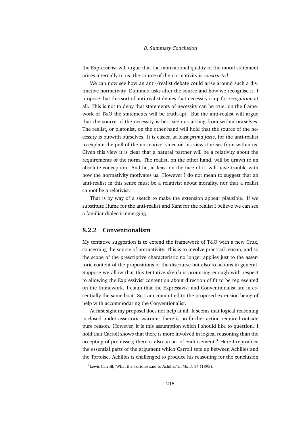the Expressivist will argue that the motivational quality of the moral statement arises internally to us; the source of the normativity is *constructed*.

We can now see how an anti-/realist debate could arise around such a distinctive normativity. Dummett asks after the source and how we recognise it. I propose that this sort of anti-realist denies that necessity is up for *recognition* at all. This is not to deny that statements of necessity can be true; on the framework of T&O the statements will be truth-apt. But the anti-realist will argue that the source of the necessity is best seen as arising from within ourselves. The realist, or platonist, on the other hand will hold that the source of the necessity is outwith ourselves. It is easier, at least *prima facie*, for the anti-realist to explain the pull of the normative, since on his view it arises from within us. Given this view it is clear that a natural partner will be a relativity about the requirements of the norm. The realist, on the other hand, will be drawn to an absolute conception. And he, at least on the face of it, will have trouble with how the normativity motivates us. However I do not mean to suggest that an anti-realist in this sense must be a relativist about morality, nor that a realist cannot be a relativist.

That is by way of a sketch to make the extension appear plausible. If we substitute Hume for the anti-realist and Kant for the realist I believe we can see a familiar dialectic emerging.

# **8.2.2 Conventionalism**

My tentative suggestion is to extend the framework of T&O with a new Crux, concerning the source of normativity. This is to involve practical reason, and so the scope of the prescriptive characteristic no longer applies just to the assertoric content of the propositions of the discourse but also to actions in general. Suppose we allow that this tentative sketch is promising enough with respect to allowing the Expressivist contention about direction of fit to be represented on the framework. I claim that the Expressivist and Conventionalist are in essentially the same boat. So I am committed to the proposed extension being of help with accommodating the Conventionalist.

At first sight my proposal does not help at all. It seems that logical reasoning is closed under assertoric warrant; there is no further action required outside pure reason. However, it is this assumption which I should like to question. I hold that Carroll shows that there is more involved in logical reasoning than the accepting of premisses; there is also an act of endorsement.<sup>3</sup> Here I reproduce the essential parts of the argument which Carroll sets up between Achilles and the Tortoise. Achilles is challenged to produce his reasoning for the conclusion

<sup>3</sup>Lewis Carroll, 'What the Tortoise said to Achilles' in *Mind*, 14 (1895).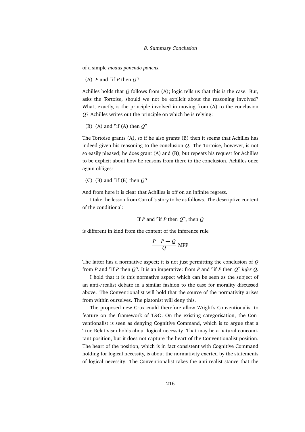of a simple *modus ponendo ponens*.

(A) *P* and  $\lceil \text{if } P \text{ then } Q \rceil$ 

Achilles holds that *Q* follows from (A); logic tells us that this is the case. But, asks the Tortoise, should we not be explicit about the reasoning involved? What, exactly, is the principle involved in moving from (A) to the conclusion *Q*? Achilles writes out the principle on which he is relying:

(B) (A) and 
$$
\ulcorner
$$
 if (A) then  $Q\urcorner$ 

The Tortoise grants (A), so if he also grants (B) then it seems that Achilles has indeed given his reasoning to the conclusion *Q*. The Tortoise, however, is not so easily pleased; he does grant (A) and (B), but repeats his request for Achilles to be explicit about how he reasons from there to the conclusion. Achilles once again obliges:

(C) (B) and  $\lceil \text{if (B) then } Q \rceil$ 

And from here it is clear that Achilles is off on an infinite regress.

I take the lesson from Carroll's story to be as follows. The descriptive content of the conditional:

If *P* and 
$$
\ulcorner
$$
 if *P* then *Q* $\urcorner$ , then *Q*

is different in kind from the content of the inference rule

$$
\frac{P \quad P \to Q}{Q} \text{ MPP}
$$

The latter has a normative aspect; it is not just permitting the conclusion of *Q* from *P* and  $\lceil f \rceil$  then  $Q \rceil$ . It is an imperative: from *P* and  $\lceil f \rceil$  then  $Q \rceil$  *infer*  $Q$ .

I hold that it is this normative aspect which can be seen as the subject of an anti-/realist debate in a similar fashion to the case for morality discussed above. The Conventionalist will hold that the source of the normativity arises from within ourselves. The platonist will deny this.

The proposed new Crux could therefore allow Wright's Conventionalist to feature on the framework of T&O. On the existing categorisation, the Conventionalist is seen as denying Cognitive Command, which is to argue that a True Relativism holds about logical necessity. That may be a natural concomitant position, but it does not capture the heart of the Conventionalist position. The heart of the position, which is in fact consistent with Cognitive Command holding for logical necessity, is about the normativity exerted by the statements of logical necessity. The Conventionalist takes the anti-realist stance that the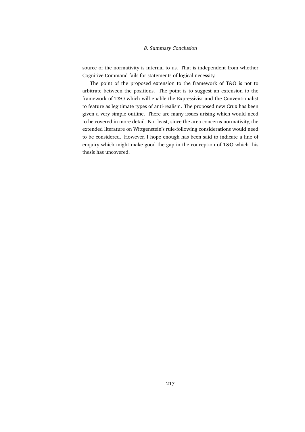source of the normativity is internal to us. That is independent from whether Cognitive Command fails for statements of logical necessity.

The point of the proposed extension to the framework of T&O is not to arbitrate between the positions. The point is to suggest an extension to the framework of T&O which will enable the Expressivist and the Conventionalist to feature as legitimate types of anti-realism. The proposed new Crux has been given a very simple outline. There are many issues arising which would need to be covered in more detail. Not least, since the area concerns normativity, the extended literature on Wittgenstein's rule-following considerations would need to be considered. However, I hope enough has been said to indicate a line of enquiry which might make good the gap in the conception of T&O which this thesis has uncovered.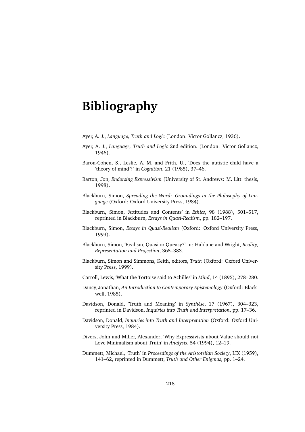## **Bibliography**

- Ayer, A. J., *Language, Truth and Logic* (London: Victor Gollancz, 1936).
- Ayer, A. J., *Language, Truth and Logic* 2nd edition. (London: Victor Gollancz, 1946).
- Baron-Cohen, S., Leslie, A. M. and Frith, U., 'Does the autistic child have a 'theory of mind'?' in *Cognition*, 21 (1985), 37–46.
- Barton, Jon, *Endorsing Expressivism* (University of St. Andrews: M. Litt. thesis, 1998).
- Blackburn, Simon, *Spreading the Word: Groundings in the Philosophy of Language* (Oxford: Oxford University Press, 1984).
- Blackburn, Simon, 'Attitudes and Contents' in *Ethics*, 98 (1988), 501–517, reprinted in Blackburn, *Essays in Quasi-Realism*, pp. 182–197.
- Blackburn, Simon, *Essays in Quasi-Realism* (Oxford: Oxford University Press, 1993).
- Blackburn, Simon, 'Realism, Quasi or Queasy?' in: Haldane and Wright, *Reality, Representation and Projection*, 365–383.
- Blackburn, Simon and Simmons, Keith, editors, *Truth* (Oxford: Oxford University Press, 1999).
- Carroll, Lewis, 'What the Tortoise said to Achilles' in *Mind*, 14 (1895), 278–280.
- Dancy, Jonathan, *An Introduction to Contemporary Epistemology* (Oxford: Blackwell, 1985).
- Davidson, Donald, 'Truth and Meaning' in *Synthèse*, 17 (1967), 304-323, reprinted in Davidson, *Inquiries into Truth and Interpretation*, pp. 17–36.
- Davidson, Donald, *Inquiries into Truth and Interpretation* (Oxford: Oxford University Press, 1984).
- Divers, John and Miller, Alexander, 'Why Expressivists about Value should not Love Minimalism about Truth' in *Analysis*, 54 (1994), 12–19.
- Dummett, Michael, 'Truth' in *Proceedings of the Aristotelian Society*, LIX (1959), 141–62, reprinted in Dummett, *Truth and Other Enigmas*, pp. 1–24.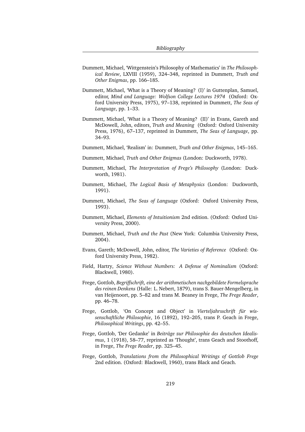- Dummett, Michael, 'Wittgenstein's Philosophy of Mathematics' in *The Philosophical Review*, LXVIII (1959), 324–348, reprinted in Dummett, *Truth and Other Enigmas*, pp. 166–185.
- Dummett, Michael, 'What is a Theory of Meaning? (I)' in Guttenplan, Samuel, editor, *Mind and Language: Wolfson College Lectures 1974* (Oxford: Oxford University Press, 1975), 97–138, reprinted in Dummett, *The Seas of Language*, pp. 1–33.
- Dummett, Michael, 'What is a Theory of Meaning? (II)' in Evans, Gareth and McDowell, John, editors, *Truth and Meaning* (Oxford: Oxford University Press, 1976), 67–137, reprinted in Dummett, *The Seas of Language*, pp. 34–93.
- Dummett, Michael, 'Realism' in: Dummett, *Truth and Other Enigmas*, 145–165.
- Dummett, Michael, *Truth and Other Enigmas* (London: Duckworth, 1978).
- Dummett, Michael, *The Interpretation of Frege's Philosophy* (London: Duckworth, 1981).
- Dummett, Michael, *The Logical Basis of Metaphysics* (London: Duckworth, 1991).
- Dummett, Michael, *The Seas of Language* (Oxford: Oxford University Press, 1993).
- Dummett, Michael, *Elements of Intuitionism* 2nd edition. (Oxford: Oxford University Press, 2000).
- Dummett, Michael, *Truth and the Past* (New York: Columbia University Press, 2004).
- Evans, Gareth; McDowell, John, editor, *The Varieties of Reference* (Oxford: Oxford University Press, 1982).
- Field, Hartry, *Science Without Numbers: A Defense of Nominalism* (Oxford: Blackwell, 1980).
- Frege, Gottlob, *Begriffschrift, eine der arithmetischen nachgebildete Formelsprache des reinen Denkens* (Halle: L. Nebert, 1879), trans S. Bauer-Mengelberg, in van Heijenoort, pp. 5–82 and trans M. Beaney in Frege, *The Frege Reader*, pp. 46–78.
- Frege, Gottlob, 'On Concept and Object' in *Vierteljahrsschrift für wissenschaftliche Philosophie*, 16 (1892), 192–205, trans P. Geach in Frege, *Philosophical Writings*, pp. 42–55.
- Frege, Gottlob, 'Der Gedanke' in *Beitrage zur Philosophie des deutschen Idealis- ¨ mus*, 1 (1918), 58–77, reprinted as 'Thought', trans Geach and Stoothoff, in Frege, *The Frege Reader*, pp. 325–45.
- Frege, Gottlob, *Translations from the Philosophical Writings of Gottlob Frege* 2nd edition. (Oxford: Blackwell, 1960), trans Black and Geach.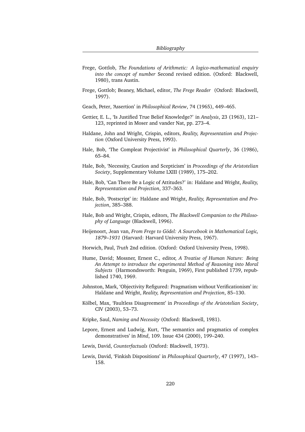- Frege, Gottlob, *The Foundations of Arithmetic: A logico-mathematical enquiry into the concept of number* Second revised edition. (Oxford: Blackwell, 1980), trans Austin.
- Frege, Gottlob; Beaney, Michael, editor, *The Frege Reader* (Oxford: Blackwell, 1997).
- Geach, Peter, 'Assertion' in *Philosophical Review*, 74 (1965), 449–465.
- Gettier, E. L., 'Is Justified True Belief Knowledge?' in *Analysis*, 23 (1963), 121– 123, reprinted in Moser and vander Nat, pp. 273–4.
- Haldane, John and Wright, Crispin, editors, *Reality, Representation and Projection* (Oxford University Press, 1993).
- Hale, Bob, 'The Compleat Projectivist' in *Philosophical Quarterly*, 36 (1986), 65–84.
- Hale, Bob, 'Necessity, Caution and Scepticism' in *Proceedings of the Aristotelian Society*, Supplementary Volume LXIII (1989), 175–202.
- Hale, Bob, 'Can There Be a Logic of Attitudes?' in: Haldane and Wright, *Reality, Representation and Projection*, 337–363.
- Hale, Bob, 'Postscript' in: Haldane and Wright, *Reality, Representation and Projection*, 385–388.
- Hale, Bob and Wright, Crispin, editors, *The Blackwell Companion to the Philosophy of Language* (Blackwell, 1996).
- Heijenoort, Jean van, *From Frege to Godel: A Sourcebook in Mathematical Logic, ¨ 1879–1931* (Harvard: Harvard University Press, 1967).
- Horwich, Paul, *Truth* 2nd edition. (Oxford: Oxford University Press, 1998).
- Hume, David; Mossner, Ernest C., editor, *A Treatise of Human Nature: Being An Attempt to introduce the experimental Method of Reasoning into Moral Subjects* (Harmondsworth: Penguin, 1969), First published 1739, republished 1740, 1969.
- Johnston, Mark, 'Objectivity Refigured: Pragmatism without Verificationism' in: Haldane and Wright, *Reality, Representation and Projection*, 85–130.
- Kölbel, Max, 'Faultless Disagreement' in *Proceedings of the Aristotelian Society*, CIV (2003), 53–73.
- Kripke, Saul, *Naming and Necessity* (Oxford: Blackwell, 1981).
- Lepore, Ernest and Ludwig, Kurt, 'The semantics and pragmatics of complex demonstratives' in *Mind*, 109. Issue 434 (2000), 199–240.
- Lewis, David, *Counterfactuals* (Oxford: Blackwell, 1973).
- Lewis, David, 'Finkish Dispositions' in *Philosophical Quarterly*, 47 (1997), 143– 158.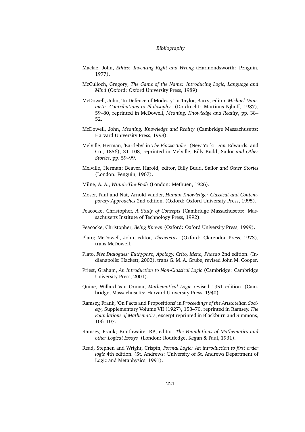- Mackie, John, *Ethics: Inventing Right and Wrong* (Harmondsworth: Penguin, 1977).
- McCulloch, Gregory, *The Game of the Name: Introducing Logic, Language and Mind* (Oxford: Oxford University Press, 1989).
- McDowell, John, 'In Defence of Modesty' in Taylor, Barry, editor, *Michael Dummett: Contributions to Philosophy* (Dordrecht: Martinus Njhoff, 1987), 59–80, reprinted in McDowell, *Meaning, Knowledge and Reality*, pp. 38– 52.
- McDowell, John, *Meaning, Knowledge and Reality* (Cambridge Massachusetts: Harvard University Press, 1998).
- Melville, Herman, 'Bartleby' in *The Piazza Tales* (New York: Dox, Edwards, and Co., 1856), 31–108, reprinted in Melville, Billy Budd, Sailor *and Other Stories*, pp. 59–99.
- Melville, Herman; Beaver, Harold, editor, Billy Budd, Sailor *and Other Stories* (London: Penguin, 1967).
- Milne, A. A., *Winnie-The-Pooh* (London: Methuen, 1926).
- Moser, Paul and Nat, Arnold vander, *Human Knowledge: Classical and Contemporary Approaches* 2nd edition. (Oxford: Oxford University Press, 1995).
- Peacocke, Christopher, *A Study of Concepts* (Cambridge Massachusetts: Massachusetts Institute of Technology Press, 1992).
- Peacocke, Christopher, *Being Known* (Oxford: Oxford University Press, 1999).
- Plato; McDowell, John, editor, *Theaetetus* (Oxford: Clarendon Press, 1973), trans McDowell.
- Plato, *Five Dialogues: Euthyphro, Apology, Crito, Meno, Phaedo* 2nd edition. (Indianapolis: Hackett, 2002), trans G. M. A. Grube, revised John M. Cooper.
- Priest, Graham, *An Introduction to Non-Classical Logic* (Cambridge: Cambridge University Press, 2001).
- Quine, Willard Van Orman, *Mathematical Logic* revised 1951 edition. (Cambridge, Massachusetts: Harvard University Press, 1940).
- Ramsey, Frank, 'On Facts and Propositions' in *Proceedings of the Aristotelian Society*, Supplementary Volume VII (1927), 153–70, reprinted in Ramsey, *The Foundations of Mathematics*, excerpt reprinted in Blackburn and Simmons, 106–107.
- Ramsey, Frank; Braithwaite, RB, editor, *The Foundations of Mathematics and other Logical Essays* (London: Routledge, Kegan & Paul, 1931).
- Read, Stephen and Wright, Crispin, *Formal Logic: An introduction to first order logic* 4th edition. (St. Andrews: University of St. Andrews Department of Logic and Metaphysics, 1991).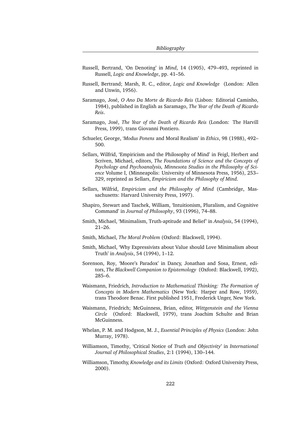- Russell, Bertrand, 'On Denoting' in *Mind*, 14 (1905), 479–493, reprinted in Russell, *Logic and Knowledge*, pp. 41–56.
- Russell, Bertrand; Marsh, R. C., editor, *Logic and Knowledge* (London: Allen and Unwin, 1956).
- Saramago, José, *O Ano Da Morte de Ricardo Reis* (Lisbon: Editorial Caminho, 1984), published in English as Saramago, *The Year of the Death of Ricardo Reis*.
- Saramago, Jos´e, *The Year of the Death of Ricardo Reis* (London: The Harvill Press, 1999), trans Giovanni Pontiero.
- Schueler, George, '*Modus Ponens* and Moral Realism' in *Ethics*, 98 (1988), 492– 500.
- Sellars, Wilfrid, 'Empiricism and the Philosophy of Mind' in Feigl, Herbert and Scriven, Michael, editors, *The Foundations of Science and the Concepts of Psychology and Psychoanalysis, Minnesota Studies in the Philosophy of Science* Volume I, (Minneapolis: University of Minnesota Press, 1956), 253– 329, reprinted as Sellars, *Empiricism and the Philosophy of Mind*.
- Sellars, Wilfrid, *Empiricism and the Philosophy of Mind* (Cambridge, Massachusetts: Harvard University Press, 1997).
- Shapiro, Stewart and Taschek, William, 'Intuitionism, Pluralism, and Cognitive Command' in *Journal of Philosophy*, 93 (1996), 74–88.
- Smith, Michael, 'Minimalism, Truth-aptitude and Belief' in *Analysis*, 54 (1994), 21–26.
- Smith, Michael, *The Moral Problem* (Oxford: Blackwell, 1994).
- Smith, Michael, 'Why Expressivists about Value should Love Minimalism about Truth' in *Analysis*, 54 (1994), 1–12.
- Sorenson, Roy, 'Moore's Paradox' in Dancy, Jonathan and Sosa, Ernest, editors, *The Blackwell Companion to Epistemology* (Oxford: Blackwell, 1992), 285–6.
- Waismann, Friedrich, *Introduction to Mathematical Thinking: The Formation of Concepts in Modern Mathematics* (New York: Harper and Row, 1959), trans Theodore Benac. First published 1951, Frederick Unger, New York.
- Waismann, Friedrich; McGuinness, Brian, editor, *Wittgenstein and the Vienna Circle* (Oxford: Blackwell, 1979), trans Joachim Schulte and Brian McGuinness.
- Whelan, P. M. and Hodgson, M. J., *Essential Principles of Physics* (London: John Murray, 1978).
- Williamson, Timothy, 'Critical Notice of *Truth and Objectivity*' in *International Journal of Philosophical Studies*, 2:1 (1994), 130–144.
- Williamson, Timothy, *Knowledge and its Limits* (Oxford: Oxford University Press, 2000).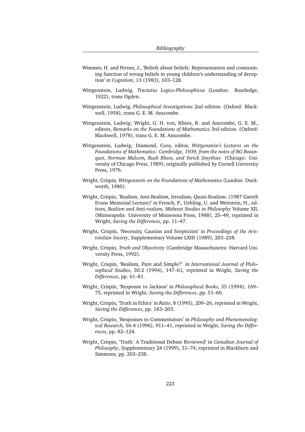- Wimmer, H. and Perner, J., 'Beliefs about beliefs: Representation and constraining function of wrong beliefs in young children's understanding of deception' in *Cognition*, 13 (1983), 103–128.
- Wittgenstein, Ludwig, *Tractatus Logico-Philosophicus* (London: Routledge, 1922), trans Ogden.
- Wittgenstein, Ludwig, *Philosophical Investigations* 2nd edition. (Oxford: Blackwell, 1958), trans G. E. M. Anscombe.
- Wittgenstein, Ludwig; Wright, G. H. von, Rhees, R. and Anscombe, G. E. M., editors, *Remarks on the Foundations of Mathematics* 3rd edition. (Oxford: Blackwell, 1978), trans G. E. M. Anscombe.
- Wittgenstein, Ludwig; Diamond, Cora, editor, *Wittgenstein's Lectures on the Foundations of Mathematics: Cambridge, 1939, from the notes of RG Bosanquet, Norman Malcom, Rush Rhees, and Yorick Smythies* (Chicago: University of Chicago Press, 1989), originally published by Cornell University Press, 1976.
- Wright, Crispin, *Wittgenstein on the Foundations of Mathematics* (London: Duckworth, 1980).
- Wright, Crispin, 'Realism, Anti-Realism, Irrealism, Quasi-Realism. (1987 Gareth Evans Memorial Lecture)' in French, P., Uehling, U. and Wettstein, H., editors, *Realism and Anti-realism, Midwest Studies in Philosophy* Volume XII, (Minneapolis: University of Minnesota Press, 1988), 25–49, reprinted in Wright, *Saving the Differences*, pp. 11–47.
- Wright, Crispin, 'Necessity, Caution and Scepticism' in *Proceedings of the Aristotelian Society*, Supplementary Volume LXIII (1989), 203–238.
- Wright, Crispin, *Truth and Objectivity* (Cambridge Massachusetts: Harvard University Press, 1992).
- Wright, Crispin, 'Realism, Pure and Simple?' in *International Journal of Philosophical Studies*, 30:2 (1994), 147–61, reprinted in Wright, *Saving the Differences*, pp. 61–81.
- Wright, Crispin, 'Response to Jackson' in *Philosophical Books*, 35 (1994), 169– 75, reprinted in Wright, *Saving the Differences*, pp. 51–60.
- Wright, Crispin, 'Truth in Ethics' in *Ratio*, 8 (1995), 209–26, reprinted in Wright, *Saving the Differences*, pp. 183–203.
- Wright, Crispin, 'Responses to Commentators' in *Philosophy and Phenomenological Research*, 56:4 (1996), 911–41, reprinted in Wright, *Saving the Differences*, pp. 82–124.
- Wright, Crispin, 'Truth: A Traditional Debate Reviewed' in *Canadian Journal of Philosophy*, Supplementary 24 (1999), 31–74, reprinted in Blackburn and Simmons, pp. 203–238.